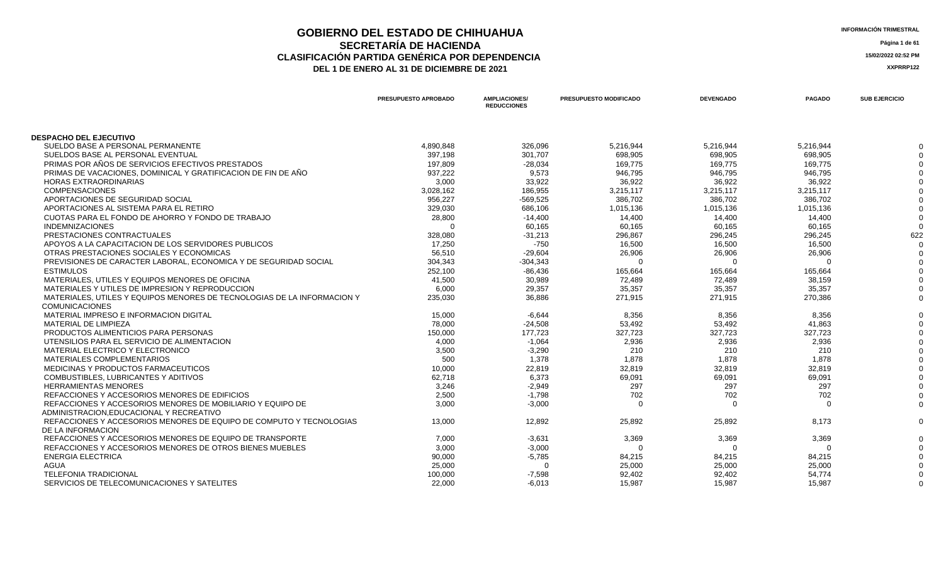### **GOBIERNO DEL ESTADO DE CHIHUAHUA**<br> **INFORMACIÓN TRIMESTRAL**<br> **Información trimestral SECRETARÍA DE HACIENDA Página 1 de 61 CLASIFICACIÓN PARTIDA GENÉRICA POR DEPENDENCIA 15/02/2022 02:52 PM DEL 1 DE ENERO AL 31 DE DICIEMBRE DE 2021 XXPRRP122**

| <b>DESPACHO DEL EJECUTIVO</b><br>SUELDO BASE A PERSONAL PERMANENTE<br>4,890,848<br>326,096<br>5,216,944<br>5,216,944<br>5,216,944<br>SUELDOS BASE AL PERSONAL EVENTUAL<br>397,198<br>698,905<br>698,905<br>698,905<br>301,707<br>PRIMAS POR AÑOS DE SERVICIOS EFECTIVOS PRESTADOS<br>169,775<br>169,775<br>169.775<br>197,809<br>$-28,034$<br>PRIMAS DE VACACIONES, DOMINICAL Y GRATIFICACION DE FIN DE AÑO<br>937,222<br>9,573<br>946,795<br>946,795<br>946,795<br><b>HORAS EXTRAORDINARIAS</b><br>3,000<br>33,922<br>36,922<br>36,922<br>36,922<br><b>COMPENSACIONES</b><br>3,028,162<br>3,215,117<br>3,215,117<br>186,955<br>3,215,117<br>APORTACIONES DE SEGURIDAD SOCIAL<br>956.227<br>$-569,525$<br>386,702<br>386,702<br>386.702<br>APORTACIONES AL SISTEMA PARA EL RETIRO<br>329,030<br>686,106<br>1,015,136<br>1,015,136<br>1,015,136<br>CUOTAS PARA EL FONDO DE AHORRO Y FONDO DE TRABAJO<br>14,400<br>28,800<br>14,400<br>14,400<br>$-14,400$<br>60,165<br><b>INDEMNIZACIONES</b><br>60,165<br>60,165<br>$\Omega$<br>60,165<br>PRESTACIONES CONTRACTUALES<br>328,080<br>296,867<br>296,245<br>296,245<br>622<br>$-31,213$<br>APOYOS A LA CAPACITACION DE LOS SERVIDORES PUBLICOS<br>17,250<br>$-750$<br>16,500<br>16,500<br>16,500<br>OTRAS PRESTACIONES SOCIALES Y ECONOMICAS<br>56,510<br>$-29,604$<br>26,906<br>26,906<br>26,906<br>PREVISIONES DE CARACTER LABORAL. ECONOMICA Y DE SEGURIDAD SOCIAL<br>$-304,343$<br>304,343<br>$\Omega$<br>$\Omega$<br>$\Omega$<br>165,664<br><b>ESTIMULOS</b><br>252,100<br>165,664<br>165,664<br>$-86,436$<br>MATERIALES, UTILES Y EQUIPOS MENORES DE OFICINA<br>41,500<br>30,989<br>72,489<br>72,489<br>38,159<br>MATERIALES Y UTILES DE IMPRESION Y REPRODUCCION<br>35,357<br>35,357<br>35,357<br>6,000<br>29,357<br>MATERIALES, UTILES Y EQUIPOS MENORES DE TECNOLOGIAS DE LA INFORMACION Y<br>271,915<br>270,386<br>235,030<br>36,886<br>271,915<br><b>COMUNICACIONES</b><br>MATERIAL IMPRESO E INFORMACION DIGITAL<br>15,000<br>$-6,644$<br>8,356<br>8,356<br>8,356<br>MATERIAL DE LIMPIEZA<br>$-24,508$<br>53,492<br>41,863<br>78.000<br>53,492<br>PRODUCTOS ALIMENTICIOS PARA PERSONAS<br>177,723<br>327,723<br>327,723<br>327,723<br>150,000<br>2,936<br>UTENSILIOS PARA EL SERVICIO DE ALIMENTACION<br>4,000<br>$-1,064$<br>2,936<br>2,936<br>MATERIAL ELECTRICO Y ELECTRONICO<br>3,500<br>$-3,290$<br>210<br>210<br>210<br>MATERIALES COMPLEMENTARIOS<br>500<br>1,878<br>1,878<br>1,378<br>1,878<br>32,819<br>MEDICINAS Y PRODUCTOS FARMACEUTICOS<br>10,000<br>22,819<br>32,819<br>32,819<br>COMBUSTIBLES, LUBRICANTES Y ADITIVOS<br>62,718<br>6,373<br>69,091<br>69,091<br>69,091<br><b>HERRAMIENTAS MENORES</b><br>3,246<br>297<br>297<br>297<br>$-2,949$<br>REFACCIONES Y ACCESORIOS MENORES DE EDIFICIOS<br>2,500<br>702<br>702<br>702<br>$-1,798$<br>REFACCIONES Y ACCESORIOS MENORES DE MOBILIARIO Y EQUIPO DE<br>3.000<br>$-3.000$<br>$\Omega$<br>$\Omega$<br>$\Omega$<br>ADMINISTRACION.EDUCACIONAL Y RECREATIVO<br>REFACCIONES Y ACCESORIOS MENORES DE EQUIPO DE COMPUTO Y TECNOLOGIAS<br>13,000<br>12,892<br>25,892<br>25,892<br>8,173<br>DE LA INFORMACION<br>REFACCIONES Y ACCESORIOS MENORES DE EQUIPO DE TRANSPORTE<br>3,369<br>7,000<br>$-3,631$<br>3,369<br>3,369<br>REFACCIONES Y ACCESORIOS MENORES DE OTROS BIENES MUEBLES<br>3,000<br>$-3,000$<br>$\Omega$<br>$\Omega$<br>$\Omega$<br><b>ENERGIA ELECTRICA</b><br>90,000<br>$-5,785$<br>84,215<br>84,215<br>84,215<br><b>AGUA</b><br>25,000<br>25,000<br>25,000<br>25,000<br><b>TELEFONIA TRADICIONAL</b><br>54,774<br>100,000<br>$-7,598$<br>92,402<br>92,402 |                                             | PRESUPUESTO APROBADO | <b>AMPLIACIONES/</b><br><b>REDUCCIONES</b> | PRESUPUESTO MODIFICADO | <b>DEVENGADO</b> | <b>PAGADO</b> | <b>SUB EJERCICIO</b> |
|------------------------------------------------------------------------------------------------------------------------------------------------------------------------------------------------------------------------------------------------------------------------------------------------------------------------------------------------------------------------------------------------------------------------------------------------------------------------------------------------------------------------------------------------------------------------------------------------------------------------------------------------------------------------------------------------------------------------------------------------------------------------------------------------------------------------------------------------------------------------------------------------------------------------------------------------------------------------------------------------------------------------------------------------------------------------------------------------------------------------------------------------------------------------------------------------------------------------------------------------------------------------------------------------------------------------------------------------------------------------------------------------------------------------------------------------------------------------------------------------------------------------------------------------------------------------------------------------------------------------------------------------------------------------------------------------------------------------------------------------------------------------------------------------------------------------------------------------------------------------------------------------------------------------------------------------------------------------------------------------------------------------------------------------------------------------------------------------------------------------------------------------------------------------------------------------------------------------------------------------------------------------------------------------------------------------------------------------------------------------------------------------------------------------------------------------------------------------------------------------------------------------------------------------------------------------------------------------------------------------------------------------------------------------------------------------------------------------------------------------------------------------------------------------------------------------------------------------------------------------------------------------------------------------------------------------------------------------------------------------------------------------------------------------------------------------------------------------------------------------------------------------------------------------------------------------------------------------------------------------------------------------------------------------------------------------------------------------------------------------------------------------------------------------------------------------------------------------------------------------------------------------------------------------------------------------------------------------|---------------------------------------------|----------------------|--------------------------------------------|------------------------|------------------|---------------|----------------------|
|                                                                                                                                                                                                                                                                                                                                                                                                                                                                                                                                                                                                                                                                                                                                                                                                                                                                                                                                                                                                                                                                                                                                                                                                                                                                                                                                                                                                                                                                                                                                                                                                                                                                                                                                                                                                                                                                                                                                                                                                                                                                                                                                                                                                                                                                                                                                                                                                                                                                                                                                                                                                                                                                                                                                                                                                                                                                                                                                                                                                                                                                                                                                                                                                                                                                                                                                                                                                                                                                                                                                                                                                |                                             |                      |                                            |                        |                  |               |                      |
|                                                                                                                                                                                                                                                                                                                                                                                                                                                                                                                                                                                                                                                                                                                                                                                                                                                                                                                                                                                                                                                                                                                                                                                                                                                                                                                                                                                                                                                                                                                                                                                                                                                                                                                                                                                                                                                                                                                                                                                                                                                                                                                                                                                                                                                                                                                                                                                                                                                                                                                                                                                                                                                                                                                                                                                                                                                                                                                                                                                                                                                                                                                                                                                                                                                                                                                                                                                                                                                                                                                                                                                                |                                             |                      |                                            |                        |                  |               |                      |
|                                                                                                                                                                                                                                                                                                                                                                                                                                                                                                                                                                                                                                                                                                                                                                                                                                                                                                                                                                                                                                                                                                                                                                                                                                                                                                                                                                                                                                                                                                                                                                                                                                                                                                                                                                                                                                                                                                                                                                                                                                                                                                                                                                                                                                                                                                                                                                                                                                                                                                                                                                                                                                                                                                                                                                                                                                                                                                                                                                                                                                                                                                                                                                                                                                                                                                                                                                                                                                                                                                                                                                                                |                                             |                      |                                            |                        |                  |               |                      |
|                                                                                                                                                                                                                                                                                                                                                                                                                                                                                                                                                                                                                                                                                                                                                                                                                                                                                                                                                                                                                                                                                                                                                                                                                                                                                                                                                                                                                                                                                                                                                                                                                                                                                                                                                                                                                                                                                                                                                                                                                                                                                                                                                                                                                                                                                                                                                                                                                                                                                                                                                                                                                                                                                                                                                                                                                                                                                                                                                                                                                                                                                                                                                                                                                                                                                                                                                                                                                                                                                                                                                                                                |                                             |                      |                                            |                        |                  |               |                      |
|                                                                                                                                                                                                                                                                                                                                                                                                                                                                                                                                                                                                                                                                                                                                                                                                                                                                                                                                                                                                                                                                                                                                                                                                                                                                                                                                                                                                                                                                                                                                                                                                                                                                                                                                                                                                                                                                                                                                                                                                                                                                                                                                                                                                                                                                                                                                                                                                                                                                                                                                                                                                                                                                                                                                                                                                                                                                                                                                                                                                                                                                                                                                                                                                                                                                                                                                                                                                                                                                                                                                                                                                |                                             |                      |                                            |                        |                  |               |                      |
|                                                                                                                                                                                                                                                                                                                                                                                                                                                                                                                                                                                                                                                                                                                                                                                                                                                                                                                                                                                                                                                                                                                                                                                                                                                                                                                                                                                                                                                                                                                                                                                                                                                                                                                                                                                                                                                                                                                                                                                                                                                                                                                                                                                                                                                                                                                                                                                                                                                                                                                                                                                                                                                                                                                                                                                                                                                                                                                                                                                                                                                                                                                                                                                                                                                                                                                                                                                                                                                                                                                                                                                                |                                             |                      |                                            |                        |                  |               |                      |
|                                                                                                                                                                                                                                                                                                                                                                                                                                                                                                                                                                                                                                                                                                                                                                                                                                                                                                                                                                                                                                                                                                                                                                                                                                                                                                                                                                                                                                                                                                                                                                                                                                                                                                                                                                                                                                                                                                                                                                                                                                                                                                                                                                                                                                                                                                                                                                                                                                                                                                                                                                                                                                                                                                                                                                                                                                                                                                                                                                                                                                                                                                                                                                                                                                                                                                                                                                                                                                                                                                                                                                                                |                                             |                      |                                            |                        |                  |               |                      |
|                                                                                                                                                                                                                                                                                                                                                                                                                                                                                                                                                                                                                                                                                                                                                                                                                                                                                                                                                                                                                                                                                                                                                                                                                                                                                                                                                                                                                                                                                                                                                                                                                                                                                                                                                                                                                                                                                                                                                                                                                                                                                                                                                                                                                                                                                                                                                                                                                                                                                                                                                                                                                                                                                                                                                                                                                                                                                                                                                                                                                                                                                                                                                                                                                                                                                                                                                                                                                                                                                                                                                                                                |                                             |                      |                                            |                        |                  |               |                      |
|                                                                                                                                                                                                                                                                                                                                                                                                                                                                                                                                                                                                                                                                                                                                                                                                                                                                                                                                                                                                                                                                                                                                                                                                                                                                                                                                                                                                                                                                                                                                                                                                                                                                                                                                                                                                                                                                                                                                                                                                                                                                                                                                                                                                                                                                                                                                                                                                                                                                                                                                                                                                                                                                                                                                                                                                                                                                                                                                                                                                                                                                                                                                                                                                                                                                                                                                                                                                                                                                                                                                                                                                |                                             |                      |                                            |                        |                  |               |                      |
|                                                                                                                                                                                                                                                                                                                                                                                                                                                                                                                                                                                                                                                                                                                                                                                                                                                                                                                                                                                                                                                                                                                                                                                                                                                                                                                                                                                                                                                                                                                                                                                                                                                                                                                                                                                                                                                                                                                                                                                                                                                                                                                                                                                                                                                                                                                                                                                                                                                                                                                                                                                                                                                                                                                                                                                                                                                                                                                                                                                                                                                                                                                                                                                                                                                                                                                                                                                                                                                                                                                                                                                                |                                             |                      |                                            |                        |                  |               |                      |
|                                                                                                                                                                                                                                                                                                                                                                                                                                                                                                                                                                                                                                                                                                                                                                                                                                                                                                                                                                                                                                                                                                                                                                                                                                                                                                                                                                                                                                                                                                                                                                                                                                                                                                                                                                                                                                                                                                                                                                                                                                                                                                                                                                                                                                                                                                                                                                                                                                                                                                                                                                                                                                                                                                                                                                                                                                                                                                                                                                                                                                                                                                                                                                                                                                                                                                                                                                                                                                                                                                                                                                                                |                                             |                      |                                            |                        |                  |               |                      |
|                                                                                                                                                                                                                                                                                                                                                                                                                                                                                                                                                                                                                                                                                                                                                                                                                                                                                                                                                                                                                                                                                                                                                                                                                                                                                                                                                                                                                                                                                                                                                                                                                                                                                                                                                                                                                                                                                                                                                                                                                                                                                                                                                                                                                                                                                                                                                                                                                                                                                                                                                                                                                                                                                                                                                                                                                                                                                                                                                                                                                                                                                                                                                                                                                                                                                                                                                                                                                                                                                                                                                                                                |                                             |                      |                                            |                        |                  |               |                      |
|                                                                                                                                                                                                                                                                                                                                                                                                                                                                                                                                                                                                                                                                                                                                                                                                                                                                                                                                                                                                                                                                                                                                                                                                                                                                                                                                                                                                                                                                                                                                                                                                                                                                                                                                                                                                                                                                                                                                                                                                                                                                                                                                                                                                                                                                                                                                                                                                                                                                                                                                                                                                                                                                                                                                                                                                                                                                                                                                                                                                                                                                                                                                                                                                                                                                                                                                                                                                                                                                                                                                                                                                |                                             |                      |                                            |                        |                  |               |                      |
|                                                                                                                                                                                                                                                                                                                                                                                                                                                                                                                                                                                                                                                                                                                                                                                                                                                                                                                                                                                                                                                                                                                                                                                                                                                                                                                                                                                                                                                                                                                                                                                                                                                                                                                                                                                                                                                                                                                                                                                                                                                                                                                                                                                                                                                                                                                                                                                                                                                                                                                                                                                                                                                                                                                                                                                                                                                                                                                                                                                                                                                                                                                                                                                                                                                                                                                                                                                                                                                                                                                                                                                                |                                             |                      |                                            |                        |                  |               |                      |
|                                                                                                                                                                                                                                                                                                                                                                                                                                                                                                                                                                                                                                                                                                                                                                                                                                                                                                                                                                                                                                                                                                                                                                                                                                                                                                                                                                                                                                                                                                                                                                                                                                                                                                                                                                                                                                                                                                                                                                                                                                                                                                                                                                                                                                                                                                                                                                                                                                                                                                                                                                                                                                                                                                                                                                                                                                                                                                                                                                                                                                                                                                                                                                                                                                                                                                                                                                                                                                                                                                                                                                                                |                                             |                      |                                            |                        |                  |               |                      |
|                                                                                                                                                                                                                                                                                                                                                                                                                                                                                                                                                                                                                                                                                                                                                                                                                                                                                                                                                                                                                                                                                                                                                                                                                                                                                                                                                                                                                                                                                                                                                                                                                                                                                                                                                                                                                                                                                                                                                                                                                                                                                                                                                                                                                                                                                                                                                                                                                                                                                                                                                                                                                                                                                                                                                                                                                                                                                                                                                                                                                                                                                                                                                                                                                                                                                                                                                                                                                                                                                                                                                                                                |                                             |                      |                                            |                        |                  |               |                      |
|                                                                                                                                                                                                                                                                                                                                                                                                                                                                                                                                                                                                                                                                                                                                                                                                                                                                                                                                                                                                                                                                                                                                                                                                                                                                                                                                                                                                                                                                                                                                                                                                                                                                                                                                                                                                                                                                                                                                                                                                                                                                                                                                                                                                                                                                                                                                                                                                                                                                                                                                                                                                                                                                                                                                                                                                                                                                                                                                                                                                                                                                                                                                                                                                                                                                                                                                                                                                                                                                                                                                                                                                |                                             |                      |                                            |                        |                  |               |                      |
|                                                                                                                                                                                                                                                                                                                                                                                                                                                                                                                                                                                                                                                                                                                                                                                                                                                                                                                                                                                                                                                                                                                                                                                                                                                                                                                                                                                                                                                                                                                                                                                                                                                                                                                                                                                                                                                                                                                                                                                                                                                                                                                                                                                                                                                                                                                                                                                                                                                                                                                                                                                                                                                                                                                                                                                                                                                                                                                                                                                                                                                                                                                                                                                                                                                                                                                                                                                                                                                                                                                                                                                                |                                             |                      |                                            |                        |                  |               |                      |
|                                                                                                                                                                                                                                                                                                                                                                                                                                                                                                                                                                                                                                                                                                                                                                                                                                                                                                                                                                                                                                                                                                                                                                                                                                                                                                                                                                                                                                                                                                                                                                                                                                                                                                                                                                                                                                                                                                                                                                                                                                                                                                                                                                                                                                                                                                                                                                                                                                                                                                                                                                                                                                                                                                                                                                                                                                                                                                                                                                                                                                                                                                                                                                                                                                                                                                                                                                                                                                                                                                                                                                                                |                                             |                      |                                            |                        |                  |               |                      |
|                                                                                                                                                                                                                                                                                                                                                                                                                                                                                                                                                                                                                                                                                                                                                                                                                                                                                                                                                                                                                                                                                                                                                                                                                                                                                                                                                                                                                                                                                                                                                                                                                                                                                                                                                                                                                                                                                                                                                                                                                                                                                                                                                                                                                                                                                                                                                                                                                                                                                                                                                                                                                                                                                                                                                                                                                                                                                                                                                                                                                                                                                                                                                                                                                                                                                                                                                                                                                                                                                                                                                                                                |                                             |                      |                                            |                        |                  |               |                      |
|                                                                                                                                                                                                                                                                                                                                                                                                                                                                                                                                                                                                                                                                                                                                                                                                                                                                                                                                                                                                                                                                                                                                                                                                                                                                                                                                                                                                                                                                                                                                                                                                                                                                                                                                                                                                                                                                                                                                                                                                                                                                                                                                                                                                                                                                                                                                                                                                                                                                                                                                                                                                                                                                                                                                                                                                                                                                                                                                                                                                                                                                                                                                                                                                                                                                                                                                                                                                                                                                                                                                                                                                |                                             |                      |                                            |                        |                  |               |                      |
|                                                                                                                                                                                                                                                                                                                                                                                                                                                                                                                                                                                                                                                                                                                                                                                                                                                                                                                                                                                                                                                                                                                                                                                                                                                                                                                                                                                                                                                                                                                                                                                                                                                                                                                                                                                                                                                                                                                                                                                                                                                                                                                                                                                                                                                                                                                                                                                                                                                                                                                                                                                                                                                                                                                                                                                                                                                                                                                                                                                                                                                                                                                                                                                                                                                                                                                                                                                                                                                                                                                                                                                                |                                             |                      |                                            |                        |                  |               |                      |
|                                                                                                                                                                                                                                                                                                                                                                                                                                                                                                                                                                                                                                                                                                                                                                                                                                                                                                                                                                                                                                                                                                                                                                                                                                                                                                                                                                                                                                                                                                                                                                                                                                                                                                                                                                                                                                                                                                                                                                                                                                                                                                                                                                                                                                                                                                                                                                                                                                                                                                                                                                                                                                                                                                                                                                                                                                                                                                                                                                                                                                                                                                                                                                                                                                                                                                                                                                                                                                                                                                                                                                                                |                                             |                      |                                            |                        |                  |               |                      |
|                                                                                                                                                                                                                                                                                                                                                                                                                                                                                                                                                                                                                                                                                                                                                                                                                                                                                                                                                                                                                                                                                                                                                                                                                                                                                                                                                                                                                                                                                                                                                                                                                                                                                                                                                                                                                                                                                                                                                                                                                                                                                                                                                                                                                                                                                                                                                                                                                                                                                                                                                                                                                                                                                                                                                                                                                                                                                                                                                                                                                                                                                                                                                                                                                                                                                                                                                                                                                                                                                                                                                                                                |                                             |                      |                                            |                        |                  |               |                      |
|                                                                                                                                                                                                                                                                                                                                                                                                                                                                                                                                                                                                                                                                                                                                                                                                                                                                                                                                                                                                                                                                                                                                                                                                                                                                                                                                                                                                                                                                                                                                                                                                                                                                                                                                                                                                                                                                                                                                                                                                                                                                                                                                                                                                                                                                                                                                                                                                                                                                                                                                                                                                                                                                                                                                                                                                                                                                                                                                                                                                                                                                                                                                                                                                                                                                                                                                                                                                                                                                                                                                                                                                |                                             |                      |                                            |                        |                  |               |                      |
|                                                                                                                                                                                                                                                                                                                                                                                                                                                                                                                                                                                                                                                                                                                                                                                                                                                                                                                                                                                                                                                                                                                                                                                                                                                                                                                                                                                                                                                                                                                                                                                                                                                                                                                                                                                                                                                                                                                                                                                                                                                                                                                                                                                                                                                                                                                                                                                                                                                                                                                                                                                                                                                                                                                                                                                                                                                                                                                                                                                                                                                                                                                                                                                                                                                                                                                                                                                                                                                                                                                                                                                                |                                             |                      |                                            |                        |                  |               |                      |
|                                                                                                                                                                                                                                                                                                                                                                                                                                                                                                                                                                                                                                                                                                                                                                                                                                                                                                                                                                                                                                                                                                                                                                                                                                                                                                                                                                                                                                                                                                                                                                                                                                                                                                                                                                                                                                                                                                                                                                                                                                                                                                                                                                                                                                                                                                                                                                                                                                                                                                                                                                                                                                                                                                                                                                                                                                                                                                                                                                                                                                                                                                                                                                                                                                                                                                                                                                                                                                                                                                                                                                                                |                                             |                      |                                            |                        |                  |               |                      |
|                                                                                                                                                                                                                                                                                                                                                                                                                                                                                                                                                                                                                                                                                                                                                                                                                                                                                                                                                                                                                                                                                                                                                                                                                                                                                                                                                                                                                                                                                                                                                                                                                                                                                                                                                                                                                                                                                                                                                                                                                                                                                                                                                                                                                                                                                                                                                                                                                                                                                                                                                                                                                                                                                                                                                                                                                                                                                                                                                                                                                                                                                                                                                                                                                                                                                                                                                                                                                                                                                                                                                                                                |                                             |                      |                                            |                        |                  |               |                      |
|                                                                                                                                                                                                                                                                                                                                                                                                                                                                                                                                                                                                                                                                                                                                                                                                                                                                                                                                                                                                                                                                                                                                                                                                                                                                                                                                                                                                                                                                                                                                                                                                                                                                                                                                                                                                                                                                                                                                                                                                                                                                                                                                                                                                                                                                                                                                                                                                                                                                                                                                                                                                                                                                                                                                                                                                                                                                                                                                                                                                                                                                                                                                                                                                                                                                                                                                                                                                                                                                                                                                                                                                |                                             |                      |                                            |                        |                  |               |                      |
|                                                                                                                                                                                                                                                                                                                                                                                                                                                                                                                                                                                                                                                                                                                                                                                                                                                                                                                                                                                                                                                                                                                                                                                                                                                                                                                                                                                                                                                                                                                                                                                                                                                                                                                                                                                                                                                                                                                                                                                                                                                                                                                                                                                                                                                                                                                                                                                                                                                                                                                                                                                                                                                                                                                                                                                                                                                                                                                                                                                                                                                                                                                                                                                                                                                                                                                                                                                                                                                                                                                                                                                                |                                             |                      |                                            |                        |                  |               |                      |
|                                                                                                                                                                                                                                                                                                                                                                                                                                                                                                                                                                                                                                                                                                                                                                                                                                                                                                                                                                                                                                                                                                                                                                                                                                                                                                                                                                                                                                                                                                                                                                                                                                                                                                                                                                                                                                                                                                                                                                                                                                                                                                                                                                                                                                                                                                                                                                                                                                                                                                                                                                                                                                                                                                                                                                                                                                                                                                                                                                                                                                                                                                                                                                                                                                                                                                                                                                                                                                                                                                                                                                                                |                                             |                      |                                            |                        |                  |               |                      |
|                                                                                                                                                                                                                                                                                                                                                                                                                                                                                                                                                                                                                                                                                                                                                                                                                                                                                                                                                                                                                                                                                                                                                                                                                                                                                                                                                                                                                                                                                                                                                                                                                                                                                                                                                                                                                                                                                                                                                                                                                                                                                                                                                                                                                                                                                                                                                                                                                                                                                                                                                                                                                                                                                                                                                                                                                                                                                                                                                                                                                                                                                                                                                                                                                                                                                                                                                                                                                                                                                                                                                                                                |                                             |                      |                                            |                        |                  |               |                      |
|                                                                                                                                                                                                                                                                                                                                                                                                                                                                                                                                                                                                                                                                                                                                                                                                                                                                                                                                                                                                                                                                                                                                                                                                                                                                                                                                                                                                                                                                                                                                                                                                                                                                                                                                                                                                                                                                                                                                                                                                                                                                                                                                                                                                                                                                                                                                                                                                                                                                                                                                                                                                                                                                                                                                                                                                                                                                                                                                                                                                                                                                                                                                                                                                                                                                                                                                                                                                                                                                                                                                                                                                |                                             |                      |                                            |                        |                  |               |                      |
|                                                                                                                                                                                                                                                                                                                                                                                                                                                                                                                                                                                                                                                                                                                                                                                                                                                                                                                                                                                                                                                                                                                                                                                                                                                                                                                                                                                                                                                                                                                                                                                                                                                                                                                                                                                                                                                                                                                                                                                                                                                                                                                                                                                                                                                                                                                                                                                                                                                                                                                                                                                                                                                                                                                                                                                                                                                                                                                                                                                                                                                                                                                                                                                                                                                                                                                                                                                                                                                                                                                                                                                                |                                             |                      |                                            |                        |                  |               |                      |
|                                                                                                                                                                                                                                                                                                                                                                                                                                                                                                                                                                                                                                                                                                                                                                                                                                                                                                                                                                                                                                                                                                                                                                                                                                                                                                                                                                                                                                                                                                                                                                                                                                                                                                                                                                                                                                                                                                                                                                                                                                                                                                                                                                                                                                                                                                                                                                                                                                                                                                                                                                                                                                                                                                                                                                                                                                                                                                                                                                                                                                                                                                                                                                                                                                                                                                                                                                                                                                                                                                                                                                                                |                                             |                      |                                            |                        |                  |               |                      |
|                                                                                                                                                                                                                                                                                                                                                                                                                                                                                                                                                                                                                                                                                                                                                                                                                                                                                                                                                                                                                                                                                                                                                                                                                                                                                                                                                                                                                                                                                                                                                                                                                                                                                                                                                                                                                                                                                                                                                                                                                                                                                                                                                                                                                                                                                                                                                                                                                                                                                                                                                                                                                                                                                                                                                                                                                                                                                                                                                                                                                                                                                                                                                                                                                                                                                                                                                                                                                                                                                                                                                                                                |                                             |                      |                                            |                        |                  |               |                      |
|                                                                                                                                                                                                                                                                                                                                                                                                                                                                                                                                                                                                                                                                                                                                                                                                                                                                                                                                                                                                                                                                                                                                                                                                                                                                                                                                                                                                                                                                                                                                                                                                                                                                                                                                                                                                                                                                                                                                                                                                                                                                                                                                                                                                                                                                                                                                                                                                                                                                                                                                                                                                                                                                                                                                                                                                                                                                                                                                                                                                                                                                                                                                                                                                                                                                                                                                                                                                                                                                                                                                                                                                |                                             |                      |                                            |                        |                  |               |                      |
|                                                                                                                                                                                                                                                                                                                                                                                                                                                                                                                                                                                                                                                                                                                                                                                                                                                                                                                                                                                                                                                                                                                                                                                                                                                                                                                                                                                                                                                                                                                                                                                                                                                                                                                                                                                                                                                                                                                                                                                                                                                                                                                                                                                                                                                                                                                                                                                                                                                                                                                                                                                                                                                                                                                                                                                                                                                                                                                                                                                                                                                                                                                                                                                                                                                                                                                                                                                                                                                                                                                                                                                                |                                             |                      |                                            |                        |                  |               |                      |
|                                                                                                                                                                                                                                                                                                                                                                                                                                                                                                                                                                                                                                                                                                                                                                                                                                                                                                                                                                                                                                                                                                                                                                                                                                                                                                                                                                                                                                                                                                                                                                                                                                                                                                                                                                                                                                                                                                                                                                                                                                                                                                                                                                                                                                                                                                                                                                                                                                                                                                                                                                                                                                                                                                                                                                                                                                                                                                                                                                                                                                                                                                                                                                                                                                                                                                                                                                                                                                                                                                                                                                                                |                                             |                      |                                            |                        |                  |               |                      |
|                                                                                                                                                                                                                                                                                                                                                                                                                                                                                                                                                                                                                                                                                                                                                                                                                                                                                                                                                                                                                                                                                                                                                                                                                                                                                                                                                                                                                                                                                                                                                                                                                                                                                                                                                                                                                                                                                                                                                                                                                                                                                                                                                                                                                                                                                                                                                                                                                                                                                                                                                                                                                                                                                                                                                                                                                                                                                                                                                                                                                                                                                                                                                                                                                                                                                                                                                                                                                                                                                                                                                                                                | SERVICIOS DE TELECOMUNICACIONES Y SATELITES | 22,000               | $-6,013$                                   | 15,987                 | 15,987           | 15,987        |                      |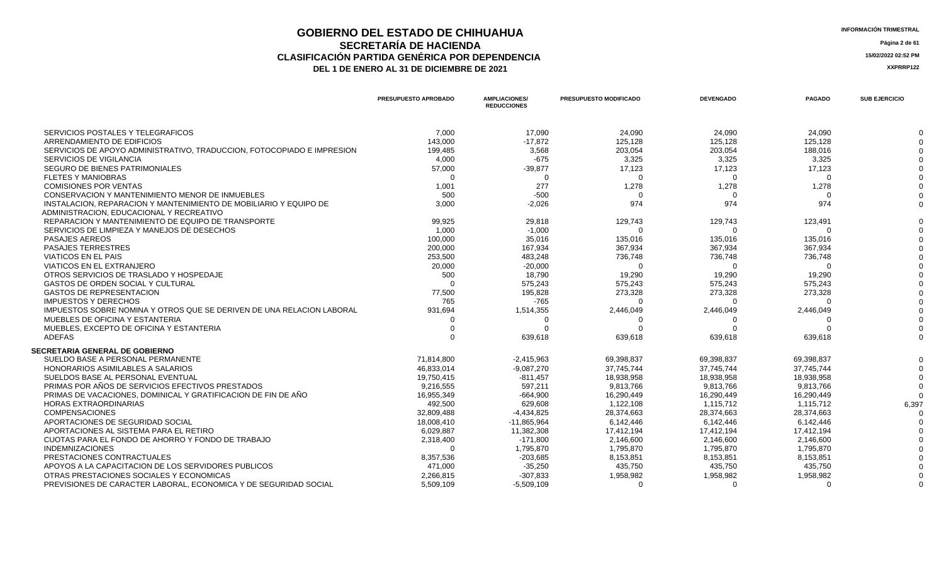### **GOBIERNO DEL ESTADO DE CHIHUAHUA**<br>
SECPETARÍA DE HACIENDA **SECRETARÍA DE HACIENDA Página 2 de 61 CLASIFICACIÓN PARTIDA GENÉRICA POR DEPENDENCIA**<br> **THE 1 DE ENERO AL 31 DE DICIEMBRE DE 2021**<br> **ARREGISTIVA DE LA DE ENERO AL 31 DE DICIEMBRE DE 2021** DEL 1 DE ENERO AL 31 DE DICIEMBRE DE 2021

|                                                                        | PRESUPUESTO APROBADO | <b>AMPLIACIONES/</b><br><b>REDUCCIONES</b> | PRESUPUESTO MODIFICADO | <b>DEVENGADO</b> | <b>PAGADO</b> | <b>SUB EJERCICIO</b> |
|------------------------------------------------------------------------|----------------------|--------------------------------------------|------------------------|------------------|---------------|----------------------|
| SERVICIOS POSTALES Y TELEGRAFICOS                                      | 7,000                | 17.090                                     | 24,090                 | 24,090           | 24.090        |                      |
| ARRENDAMIENTO DE EDIFICIOS                                             | 143,000              | $-17,872$                                  | 125,128                | 125,128          | 125,128       |                      |
| SERVICIOS DE APOYO ADMINISTRATIVO, TRADUCCION, FOTOCOPIADO E IMPRESION | 199,485              | 3,568                                      | 203,054                | 203,054          | 188,016       |                      |
| <b>SERVICIOS DE VIGILANCIA</b>                                         | 4,000                | $-675$                                     | 3,325                  | 3,325            | 3,325         |                      |
| <b>SEGURO DE BIENES PATRIMONIALES</b>                                  | 57,000               | $-39,877$                                  | 17,123                 | 17,123           | 17,123        |                      |
| <b>FLETES Y MANIOBRAS</b>                                              | $\Omega$             | $\Omega$                                   | $\Omega$               | $\Omega$         | $\Omega$      |                      |
| <b>COMISIONES POR VENTAS</b>                                           | 1,001                | 277                                        | 1,278                  | 1,278            | 1,278         |                      |
| CONSERVACION Y MANTENIMIENTO MENOR DE INMUEBLES                        | 500                  | $-500$                                     | $\Omega$               |                  |               |                      |
| INSTALACION, REPARACION Y MANTENIMIENTO DE MOBILIARIO Y EQUIPO DE      | 3,000                | $-2,026$                                   | 974                    | 974              | 974           |                      |
| ADMINISTRACION, EDUCACIONAL Y RECREATIVO                               |                      |                                            |                        |                  |               |                      |
| REPARACION Y MANTENIMIENTO DE EQUIPO DE TRANSPORTE                     | 99,925               | 29,818                                     | 129,743                | 129,743          | 123,491       |                      |
| SERVICIOS DE LIMPIEZA Y MANEJOS DE DESECHOS                            | 1,000                | $-1,000$                                   | $\Omega$               | $\Omega$         | $\Omega$      |                      |
| <b>PASAJES AEREOS</b>                                                  | 100,000              | 35,016                                     | 135,016                | 135,016          | 135,016       |                      |
| <b>PASAJES TERRESTRES</b>                                              | 200,000              | 167,934                                    | 367,934                | 367,934          | 367,934       |                      |
| <b>VIATICOS EN EL PAIS</b>                                             | 253,500              | 483,248                                    | 736,748                | 736,748          | 736,748       |                      |
| <b>VIATICOS EN EL EXTRANJERO</b>                                       | 20,000               | $-20,000$                                  | $\Omega$               | $\cap$           | ∩             |                      |
| OTROS SERVICIOS DE TRASLADO Y HOSPEDAJE                                | 500                  | 18,790                                     | 19,290                 | 19,290           | 19,290        |                      |
| <b>GASTOS DE ORDEN SOCIAL Y CULTURAL</b>                               | $\Omega$             | 575,243                                    | 575,243                | 575,243          | 575,243       |                      |
| <b>GASTOS DE REPRESENTACION</b>                                        | 77,500               | 195,828                                    | 273,328                | 273,328          | 273,328       |                      |
| <b>IMPUESTOS Y DERECHOS</b>                                            | 765                  | $-765$                                     | ∩                      |                  |               |                      |
| IMPUESTOS SOBRE NOMINA Y OTROS QUE SE DERIVEN DE UNA RELACION LABORAL  | 931,694              | 1,514,355                                  | 2,446,049              | 2,446,049        | 2,446,049     |                      |
| MUEBLES DE OFICINA Y ESTANTERIA                                        |                      |                                            |                        |                  |               |                      |
| MUEBLES, EXCEPTO DE OFICINA Y ESTANTERIA                               |                      |                                            | O                      |                  |               |                      |
| ADEFAS                                                                 | $\Omega$             | 639,618                                    | 639,618                | 639,618          | 639,618       |                      |
|                                                                        |                      |                                            |                        |                  |               |                      |
| <b>SECRETARIA GENERAL DE GOBIERNO</b>                                  |                      |                                            |                        |                  |               |                      |
| SUELDO BASE A PERSONAL PERMANENTE                                      | 71,814,800           | $-2,415,963$                               | 69,398,837             | 69,398,837       | 69,398,837    |                      |
| <b>HONORARIOS ASIMILABLES A SALARIOS</b>                               | 46,833,014           | $-9,087,270$                               | 37,745,744             | 37.745.744       | 37.745.744    |                      |
| SUELDOS BASE AL PERSONAL EVENTUAL                                      | 19,750,415           | $-811,457$                                 | 18,938,958             | 18,938,958       | 18,938,958    |                      |
| PRIMAS POR AÑOS DE SERVICIOS EFECTIVOS PRESTADOS                       | 9,216,555            | 597,211                                    | 9,813,766              | 9,813,766        | 9,813,766     |                      |
| PRIMAS DE VACACIONES, DOMINICAL Y GRATIFICACION DE FIN DE AÑO          | 16,955,349           | $-664,900$                                 | 16,290,449             | 16,290,449       | 16,290,449    |                      |
| <b>HORAS EXTRAORDINARIAS</b>                                           | 492,500              | 629,608                                    | 1,122,108              | 1,115,712        | 1,115,712     | 6,397                |
| <b>COMPENSACIONES</b>                                                  | 32,809,488           | $-4,434,825$                               | 28,374,663             | 28,374,663       | 28,374,663    |                      |
| APORTACIONES DE SEGURIDAD SOCIAL                                       | 18,008,410           | $-11,865,964$                              | 6,142,446              | 6,142,446        | 6,142,446     |                      |
| APORTACIONES AL SISTEMA PARA EL RETIRO                                 | 6,029,887            | 11,382,308                                 | 17,412,194             | 17,412,194       | 17,412,194    |                      |
| CUOTAS PARA EL FONDO DE AHORRO Y FONDO DE TRABAJO                      | 2,318,400            | $-171.800$                                 | 2.146.600              | 2.146.600        | 2.146.600     |                      |
| <b>INDEMNIZACIONES</b>                                                 | $\Omega$             | 1,795,870                                  | 1,795,870              | 1,795,870        | 1,795,870     |                      |
| PRESTACIONES CONTRACTUALES                                             | 8,357,536            | $-203,685$                                 | 8,153,851              | 8,153,851        | 8,153,851     |                      |
| APOYOS A LA CAPACITACION DE LOS SERVIDORES PUBLICOS                    | 471,000              | $-35,250$                                  | 435,750                | 435,750          | 435,750       |                      |
| OTRAS PRESTACIONES SOCIALES Y ECONOMICAS                               | 2,266,815            | $-307,833$                                 | 1,958,982              | 1,958,982        | 1,958,982     |                      |
| PREVISIONES DE CARACTER LABORAL, ECONOMICA Y DE SEGURIDAD SOCIAL       | 5,509,109            | $-5,509,109$                               | $\Omega$               | $\Omega$         | $\Omega$      |                      |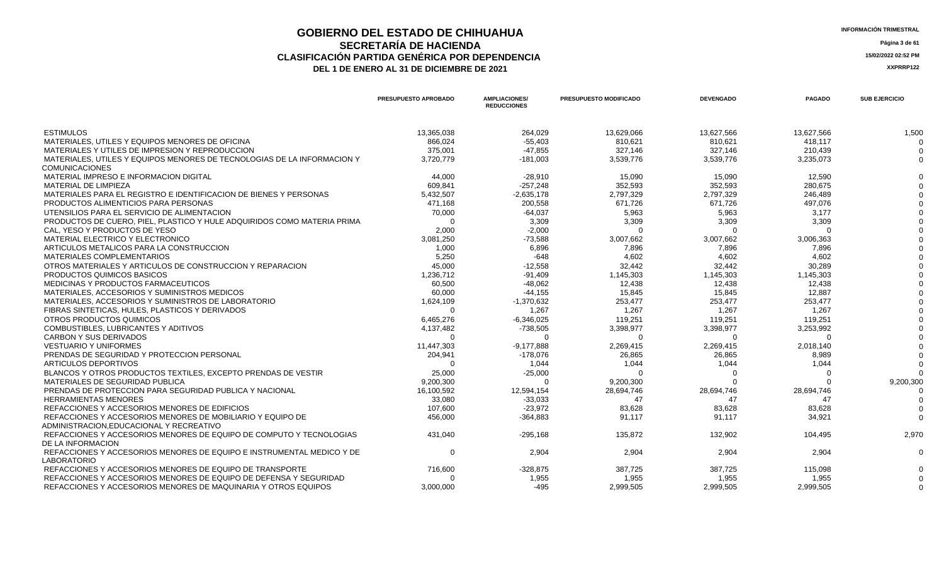#### **GOBIERNO DEL ESTADO DE CHIHUAHUA INFORMACIÓN TRIMESTRAL SECRETARÍA DE HACIENDA Página 3 de 61 CLASIFICACIÓN PARTIDA GENÉRICA POR DEPENDENCIA 15/02/2022 02:52 PM DEL 1 DE ENERO AL 31 DE DICIEMBRE DE 2021 XXPRRP122**

**PRESUPUESTO APROBADO AMPLIACIONES/ REDUCCIONES PRESUPUESTO MODIFICADO DEVENGADO PAGADO SUB EJERCICIO** ESTIMULOS 13,365,038 264,029 13,629,066 13,627,566 13,627,566 1,500 MATERIALES, UTILES Y EQUIPOS MENORES DE OFICINA A CONSUMINGUES DE ENSEGIO A CONSUMINGUES DE OFICINA DE ENSEGIO A SEGIO A SEGIO A SEGIO A SEGIO A SEGIO A SEGIO A SEGIO A SEGIO A SEGIO A SEGIO A SEGIO A SEGIO A SEGIO A SEGIO MATERIALES Y UTILES DE IMPRESION Y REPRODUCCION 375,001 -47,855 327,146 327,146 210,439 0 MATERIALES, UTILES Y EQUIPOS MENORES DE TECNOLOGIAS DE LA INFORMACION Y **COMUNICACIONES** 3,720,779 -181,003 3,539,776 3,539,776 3,235,073 0 MATERIAL IMPRESO E INFORMACION DIGITAL 44,000 -28,910 15,090 15,090 12,590 0 MATERIAL DE LIMPIEZA 609,841 -257,248 352,593 352,593 280,675 0 MATERIALES PARA EL REGISTRO E IDENTIFICACION DE BIENES Y PERSONAS 6 1999 - 5,432,507 1999 - 2,635,178 2,797,329 2,797,329 246,489 2,797,329 246,489 2,797,329 246,489 0 2,797,329 246,489 0 2,797,329 246,489 0 2,797,329 246, PRODUCTOS ALIMENTICIOS PARA PERSONAS **Alimetricios para alimetricios entrarect**os de estableceu en el estableceu en el estableceu en el estableceu en el estableceu en el estableceu en el estableceu en el estableceu en el e UTENSILIOS PARA EL SERVICIO DE ALIMENTACION 5,963 0 PRODUCTOS DE CUERO, PIEL, PLASTICO Y HULE ADQUIRIDOS COMO MATERIA PRIMA 0 3,309 3,309 3,309 3,309 3,309 3,309 3,309 3,309 3,309 3,309 3,309 3,309 3,309 3,309 3,309 3,309 3,309 3,309 3,309 3,309 3,309 3,309 3,309 3,309 3,50 CAL, YESO Y PRODUCTOS DE YESO 2,000 -2,000 0 0 0 0 MATERIAL ELECTRICO Y ELECTRONICO 3,081,250 -73,588 3,007,662 3,007,662 3,006,363 0 ARTICULOS METALICOS PARA LA CONSTRUCCION 6.896 7.896 0 MATERIALES COMPLEMENTARIOS 5,250 -648 4,602 4,602 4,602 0 OTROS MATERIALES Y ARTICULOS DE CONSTRUCCION Y REPARACION 32,442 0<br>PRODUCTOS QUIMICOS BASICOS 1.236.712 1.145.303 1.145.303 PRODUCTOS QUIMICOS BASICOS 1,236,712 -91,409 1,145,303 1,145,303 1,145,303 0 MEDICINAS Y PRODUCTOS FARMACEUTICOS 60,500 -48,062 12,438 12,438 12,438 0 MATERIALES, ACCESORIOS Y SUMINISTROS MEDICOS 60,000 15,845 15,845 12,887 0 MATERIALES, ACCESORIOS Y SUMINISTROS DE LABORATORIO 1,024,109 1,624,109 1,370,632 253,477 253,477 253,477 253,477 253,477 0 253,477 0 253,477 0 253,477 0 253,477 0 253,477 0 253,477 0 253,477 0 253,477 0 253,477 0 253,477 FIBRAS SINTETICAS, HULES, PLASTICOS Y DERIVADOS 0 1,267 1,267 1,267 1,267 0 OTROS PRODUCTOS QUIMICOS CONSULTING CONSULTING A CHARGO AND ANNO 19925 119,251 119,251 119,251 119,251 119,251 0 COMBUSTIBLES, LUBRICANTES Y ADITIVOS 3,398,977 0 CARBON Y SUS DERIVADOS 0 0 0 0 0 0 VESTUARIO Y UNIFORMES 2.018,140 2.0018,1440 2.0018,1440 2.000 2.269,415 2,269,415 2,269,415 2,269,415 2,269,415 PRENDAS DE SEGURIDAD Y PROTECCION PERSONAL 204,941 -178,076 26,865 26,865 8,989 0 0 1,044 1,044 1,044 1,044 1,044 1,044 1,044 1,044 1,044 1,044 1,044 1,044 1,044 1,044 1,044 1,044 1,044 1,044 1,044 0 BLANCOS Y OTROS PRODUCTOS TEXTILES, EXCEPTO PRENDAS DE VESTIR 25,000 -25,000 0 0 0 0 MATERIALES DE SEGURIDAD PUBLICA 9,200,300 0 9,200,300 0 0 9,200,300 PRENDAS DE PROTECCION PARA SEGURIDAD PUBLICA Y NACIONAL 16,100,592 16,100,592 12,594,154 28,694,746 28,694,746 28,694,746 28,694,746 28,694,746 28,694,746 28,694,746 28,694,746 28,694,746 28,694,746 28,694,746 28,694,746 2 HERRAMIENTAS MENORES 33,080 -33,033 47 47 47 0 REFACCIONES Y ACCESORIOS MENORES DE EDIFICIOS 107.600 83.628 83.628 83.628 83.628 0 REFACCIONES Y ACCESORIOS MENORES DE MOBILIARIO Y EQUIPO DE ADMINISTRACION,EDUCACIONAL Y RECREATIVO 456,000 -364,883 91,117 91,117 34,921 0 REFACCIONES Y ACCESORIOS MENORES DE EQUIPO DE COMPUTO Y TECNOLOGIAS DE LA INFORMACION 431,040 -295,168 135,872 132,902 104,495 2,970 REFACCIONES Y ACCESORIOS MENORES DE EQUIPO E INSTRUMENTAL MEDICO Y DE LABORATORIO 0 2,904 2,904 2,904 2,904 2,904 2,904 2,904 2,904 0 REFACCIONES Y ACCESORIOS MENORES DE EQUIPO DE TRANSPORTE  $716,600$   $328,875$  387,725 387,725 387,725 115,098 115,098 0 REFACCIONES Y ACCESORIOS MENORES DE EQUIPO DE DEFENSA Y SEGURIDAD  $0$  1,955 1,955 1,955 1,955 1,955 1,955 1,955 1,955 0 REFACCIONES Y ACCESORIOS MENORES DE MAQUINARIA Y OTROS EQUIPOS  $3,000,000$   $495$   $2,999,505$   $2,999,505$   $2,999,505$   $2,999,505$   $2,999,505$   $2,999,505$   $2,999,505$   $2,999,505$   $2,999,505$   $2,999,505$   $2,999,505$   $2,999,50$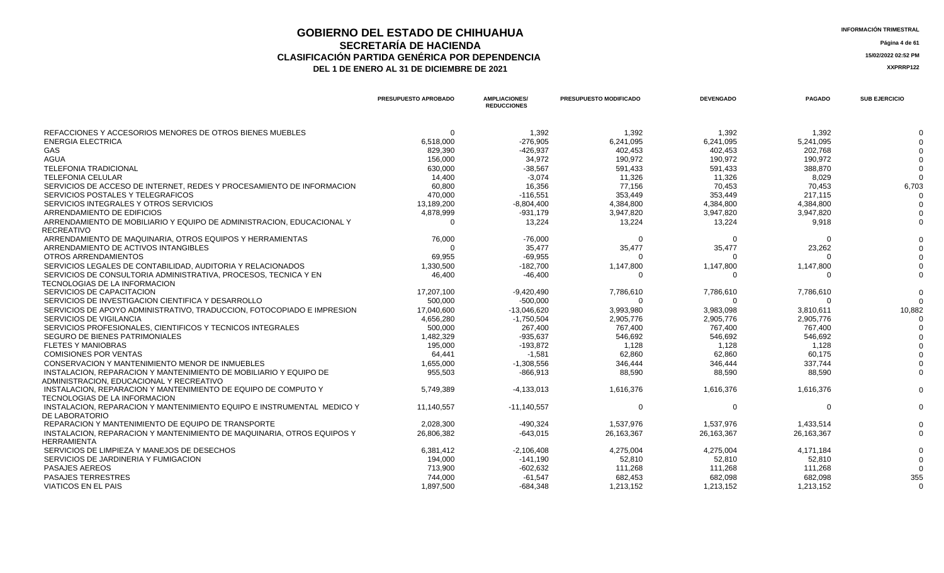### **GOBIERNO DEL ESTADO DE CHIHUAHUA**<br>
SECPETARÍA DE HACIENDA **SECRETARÍA DE HACIENDA Página 4 de 61 CLASIFICACIÓN PARTIDA GENÉRICA POR DEPENDENCIA**<br> **THE 1 DE ENERO AL 31 DE DICIEMBRE DE 2021**<br> **ARREGISTION AND ACTEUR AUGENCIA DE PROPENTE DE 2021** DEL 1 DE ENERO AL 31 DE DICIEMBRE DE 2021

|                                                                                                               | <b>PRESUPUESTO APROBADO</b> | <b>AMPLIACIONES/</b><br><b>REDUCCIONES</b> | <b>PRESUPUESTO MODIFICADO</b> | <b>DEVENGADO</b> | <b>PAGADO</b> | <b>SUB EJERCICIO</b> |
|---------------------------------------------------------------------------------------------------------------|-----------------------------|--------------------------------------------|-------------------------------|------------------|---------------|----------------------|
| REFACCIONES Y ACCESORIOS MENORES DE OTROS BIENES MUEBLES                                                      | $\Omega$                    | 1,392                                      | 1,392                         | 1,392            | 1,392         |                      |
| <b>ENERGIA ELECTRICA</b>                                                                                      | 6,518,000                   | $-276.905$                                 | 6,241,095                     | 6,241,095        | 5,241,095     |                      |
| <b>GAS</b>                                                                                                    | 829,390                     | $-426.937$                                 | 402,453                       | 402.453          | 202.768       |                      |
| <b>AGUA</b>                                                                                                   | 156,000                     | 34,972                                     | 190,972                       | 190,972          | 190,972       |                      |
| <b>TELEFONIA TRADICIONAL</b>                                                                                  | 630,000                     | $-38,567$                                  | 591,433                       | 591,433          | 388,870       |                      |
| <b>TELEFONIA CELULAR</b>                                                                                      | 14,400                      | $-3,074$                                   | 11,326                        | 11,326           | 8,029         |                      |
| SERVICIOS DE ACCESO DE INTERNET. REDES Y PROCESAMIENTO DE INFORMACION                                         | 60.800                      | 16.356                                     | 77.156                        | 70.453           | 70.453        | 6,703                |
| SERVICIOS POSTALES Y TELEGRAFICOS                                                                             | 470,000                     | $-116,551$                                 | 353,449                       | 353,449          | 217,115       |                      |
| SERVICIOS INTEGRALES Y OTROS SERVICIOS                                                                        | 13,189,200                  | $-8,804,400$                               | 4,384,800                     | 4,384,800        | 4,384,800     |                      |
| ARRENDAMIENTO DE EDIFICIOS                                                                                    | 4,878,999                   | $-931,179$                                 | 3,947,820                     | 3,947,820        | 3,947,820     |                      |
| ARRENDAMIENTO DE MOBILIARIO Y EQUIPO DE ADMINISTRACION, EDUCACIONAL Y<br><b>RECREATIVO</b>                    | $\Omega$                    | 13.224                                     | 13,224                        | 13,224           | 9,918         |                      |
| ARRENDAMIENTO DE MAQUINARIA. OTROS EQUIPOS Y HERRAMIENTAS                                                     | 76,000                      | $-76.000$                                  | റ                             | $\Omega$         | $\Omega$      |                      |
| ARRENDAMIENTO DE ACTIVOS INTANGIBLES                                                                          | $\Omega$                    | 35,477                                     | 35,477                        | 35,477           | 23,262        |                      |
| <b>OTROS ARRENDAMIENTOS</b>                                                                                   | 69,955                      | $-69,955$                                  |                               |                  |               |                      |
| SERVICIOS LEGALES DE CONTABILIDAD, AUDITORIA Y RELACIONADOS                                                   | 1,330,500                   | $-182,700$                                 | 1,147,800                     | 1,147,800        | 1,147,800     |                      |
| SERVICIOS DE CONSULTORIA ADMINISTRATIVA, PROCESOS, TECNICA Y EN<br>TECNOLOGIAS DE LA INFORMACION              | 46.400                      | $-46.400$                                  | റ                             | $\Omega$         | $\cap$        |                      |
| SERVICIOS DE CAPACITACION                                                                                     | 17,207,100                  | $-9,420,490$                               | 7,786,610                     | 7,786,610        | 7,786,610     |                      |
| SERVICIOS DE INVESTIGACION CIENTIFICA Y DESARROLLO                                                            | 500,000                     | $-500,000$                                 | $\Omega$                      | $\Omega$         | $\cap$        |                      |
| SERVICIOS DE APOYO ADMINISTRATIVO, TRADUCCION, FOTOCOPIADO E IMPRESION                                        | 17.040.600                  | $-13.046.620$                              | 3,993,980                     | 3,983,098        | 3,810,611     | 10,882               |
| <b>SERVICIOS DE VIGILANCIA</b>                                                                                | 4,656,280                   | $-1,750,504$                               | 2,905,776                     | 2,905,776        | 2,905,776     |                      |
| SERVICIOS PROFESIONALES, CIENTIFICOS Y TECNICOS INTEGRALES                                                    | 500,000                     | 267,400                                    | 767,400                       | 767,400          | 767,400       |                      |
| SEGURO DE BIENES PATRIMONIALES                                                                                | 1,482,329                   | $-935,637$                                 | 546,692                       | 546,692          | 546,692       |                      |
| <b>FLETES Y MANIOBRAS</b>                                                                                     | 195,000                     | $-193,872$                                 | 1,128                         | 1,128            | 1,128         |                      |
| <b>COMISIONES POR VENTAS</b>                                                                                  | 64.441                      | $-1.581$                                   | 62.860                        | 62.860           | 60.175        |                      |
| CONSERVACION Y MANTENIMIENTO MENOR DE INMUEBLES                                                               | 1,655,000                   | $-1,308,556$                               | 346,444                       | 346,444          | 337,744       |                      |
| INSTALACION, REPARACION Y MANTENIMIENTO DE MOBILIARIO Y EQUIPO DE<br>ADMINISTRACION. EDUCACIONAL Y RECREATIVO | 955,503                     | $-866,913$                                 | 88,590                        | 88,590           | 88,590        |                      |
| INSTALACION, REPARACION Y MANTENIMIENTO DE EQUIPO DE COMPUTO Y<br>TECNOLOGIAS DE LA INFORMACION               | 5,749,389                   | $-4,133,013$                               | 1,616,376                     | 1,616,376        | 1,616,376     |                      |
| INSTALACION, REPARACION Y MANTENIMIENTO EQUIPO E INSTRUMENTAL MEDICO Y<br>DE LABORATORIO                      | 11.140.557                  | $-11.140.557$                              | $\Omega$                      | $\Omega$         | $\Omega$      |                      |
| REPARACION Y MANTENIMIENTO DE EQUIPO DE TRANSPORTE                                                            | 2,028,300                   | $-490,324$                                 | 1,537,976                     | 1,537,976        | 1,433,514     |                      |
| INSTALACION, REPARACION Y MANTENIMIENTO DE MAQUINARIA, OTROS EQUIPOS Y<br>HERRAMIENTA                         | 26.806.382                  | $-643.015$                                 | 26,163,367                    | 26,163,367       | 26,163,367    |                      |
| SERVICIOS DE LIMPIEZA Y MANEJOS DE DESECHOS                                                                   | 6,381,412                   | $-2,106,408$                               | 4,275,004                     | 4,275,004        | 4,171,184     |                      |
| SERVICIOS DE JARDINERIA Y FUMIGACION                                                                          | 194,000                     | $-141,190$                                 | 52,810                        | 52,810           | 52,810        |                      |
| <b>PASAJES AEREOS</b>                                                                                         | 713,900                     | $-602,632$                                 | 111,268                       | 111,268          | 111,268       |                      |
| <b>PASAJES TERRESTRES</b>                                                                                     | 744,000                     | $-61,547$                                  | 682,453                       | 682,098          | 682,098       | 355                  |
| <b>VIATICOS EN EL PAIS</b>                                                                                    | 1.897.500                   | $-684,348$                                 | 1,213,152                     | 1,213,152        | 1,213,152     | $\Omega$             |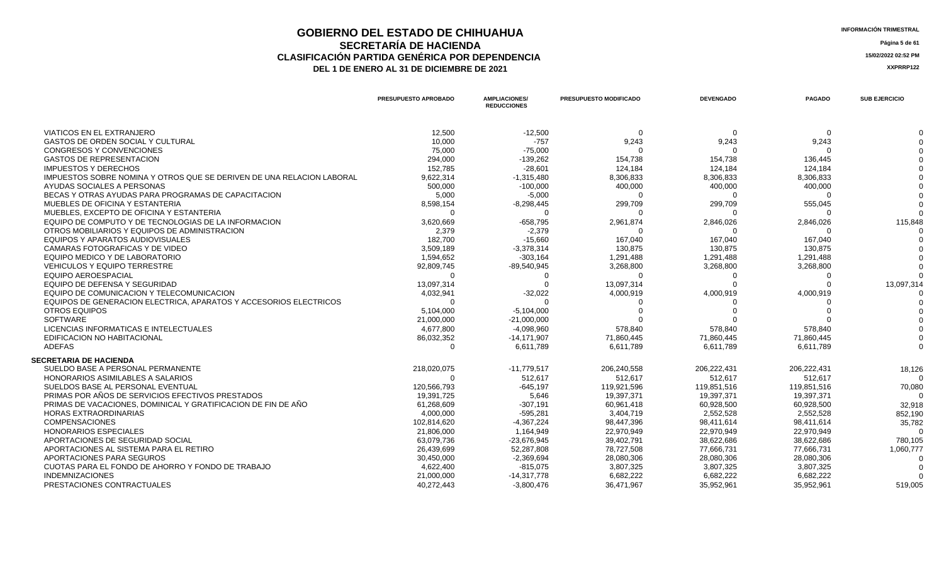### **GOBIERNO DEL ESTADO DE CHIHUAHUA**<br> **GEOBETADÍA DE HACIENDA SECRETARÍA DE HACIENDA Página 5 de 61 CLASIFICACIÓN PARTIDA GENÉRICA POR DEPENDENCIA**<br> **THE 1 DE ENERO AL 31 DE DICIEMBRE DE 2021**<br> **ARREGISTION AND ACTEUR AUGENCIA DE PROPENTE DE 2021** DEL 1 DE ENERO AL 31 DE DICIEMBRE DE 2021

| <b>VIATICOS EN EL EXTRANJERO</b><br>12,500<br>$-12,500$<br>$\Omega$<br>$\Omega$<br>$\Omega$<br><b>GASTOS DE ORDEN SOCIAL Y CULTURAL</b><br>10,000<br>9,243<br>9,243<br>9,243<br>$-757$<br>$-75,000$<br>CONGRESOS Y CONVENCIONES<br>75,000<br>$\Omega$<br>$\Omega$<br><b>GASTOS DE REPRESENTACION</b><br>294,000<br>$-139,262$<br>154,738<br>154,738<br>136,445<br><b>IMPUESTOS Y DERECHOS</b><br>152,785<br>$-28,601$<br>124,184<br>124.184<br>124,184<br>IMPUESTOS SOBRE NOMINA Y OTROS QUE SE DERIVEN DE UNA RELACION LABORAL<br>9,622,314<br>$-1,315,480$<br>8,306,833<br>8,306,833<br>8,306,833<br>AYUDAS SOCIALES A PERSONAS<br>500,000<br>$-100,000$<br>400,000<br>400,000<br>400,000<br>BECAS Y OTRAS AYUDAS PARA PROGRAMAS DE CAPACITACION<br>5,000<br>$-5,000$<br>$\Omega$<br>MUEBLES DE OFICINA Y ESTANTERIA<br>555,045<br>8,598,154<br>$-8,298,445$<br>299,709<br>299,709<br>MUEBLES. EXCEPTO DE OFICINA Y ESTANTERIA<br>$\Omega$<br>$\Omega$<br>$\Omega$<br>∩<br>EQUIPO DE COMPUTO Y DE TECNOLOGIAS DE LA INFORMACION<br>3,620,669<br>$-658,795$<br>2,961,874<br>2,846,026<br>2,846,026<br>115,848<br>OTROS MOBILIARIOS Y EQUIPOS DE ADMINISTRACION<br>2,379<br>$-2,379$<br>$\Omega$<br>$\Omega$<br>EQUIPOS Y APARATOS AUDIOVISUALES<br>182,700<br>$-15,660$<br>167,040<br>167,040<br>167.040<br>CAMARAS FOTOGRAFICAS Y DE VIDEO<br>3,509,189<br>$-3,378,314$<br>130.875<br>130.875<br>130.875<br>EQUIPO MEDICO Y DE LABORATORIO<br>1,594,652<br>$-303,164$<br>1,291,488<br>1,291,488<br>1,291,488<br><b>VEHICULOS Y EQUIPO TERRESTRE</b><br>92,809,745<br>$-89,540,945$<br>3,268,800<br>3,268,800<br>3,268,800<br>EQUIPO AEROESPACIAL<br>റ<br><sup>0</sup><br>$\Omega$<br>13,097,314<br>EQUIPO DE DEFENSA Y SEGURIDAD<br>13,097,314<br>13,097,314<br>EQUIPO DE COMUNICACION Y TELECOMUNICACION<br>4,032,941<br>$-32,022$<br>4,000,919<br>4,000,919<br>4,000,919<br>EQUIPOS DE GENERACION ELECTRICA, APARATOS Y ACCESORIOS ELECTRICOS<br>$\Omega$<br>$\Omega$<br><b>OTROS EQUIPOS</b><br>5,104,000<br>$-5,104,000$<br><b>SOFTWARE</b><br>21,000,000<br>$-21,000,000$<br>LICENCIAS INFORMATICAS E INTELECTUALES<br>4,677,800<br>$-4,098,960$<br>578,840<br>578,840<br>578,840<br><b>EDIFICACION NO HABITACIONAL</b><br>86,032,352<br>71.860.445<br>$-14,171,907$<br>71,860,445<br>71,860,445<br><b>ADEFAS</b><br>6,611,789<br>6,611,789<br>6,611,789<br>6,611,789<br>$\Omega$<br><b>SECRETARIA DE HACIENDA</b><br>SUELDO BASE A PERSONAL PERMANENTE<br>218,020,075<br>$-11,779,517$<br>206,222,431<br>206,222,431<br>206,240,558<br>18,126<br>HONORARIOS ASIMILABLES A SALARIOS<br>512.617<br>512,617<br>512.617<br>$\Omega$<br>512.617<br>$\Omega$<br>SUELDOS BASE AL PERSONAL EVENTUAL<br>120,566,793<br>$-645, 197$<br>119,921,596<br>119,851,516<br>119,851,516<br>70,080<br>PRIMAS POR AÑOS DE SERVICIOS EFECTIVOS PRESTADOS<br>5.646<br>19,397,371<br>19,397,371<br>19.397.371<br>19,391,725<br>$\Omega$<br>PRIMAS DE VACACIONES. DOMINICAL Y GRATIFICACION DE FIN DE AÑO<br>61,268,609<br>$-307,191$<br>60,928,500<br>60,961,418<br>60,928,500<br>32,918<br><b>HORAS EXTRAORDINARIAS</b><br>4,000,000<br>$-595,281$<br>3,404,719<br>2,552,528<br>2,552,528<br>852,190<br>102,814,620<br>$-4,367,224$<br><b>COMPENSACIONES</b><br>98,447,396<br>98,411,614<br>98,411,614<br>35,782<br><b>HONORARIOS ESPECIALES</b><br>21,806,000<br>22,970,949<br>22,970,949<br>22,970,949<br>1,164,949<br>$\Omega$<br>APORTACIONES DE SEGURIDAD SOCIAL<br>63,079,736<br>$-23,676,945$<br>39,402,791<br>38,622,686<br>38,622,686<br>780,105<br>APORTACIONES AL SISTEMA PARA EL RETIRO<br>26,439,699<br>52,287,808<br>78,727,508<br>77,666,731<br>77,666,731<br>1,060,777<br>APORTACIONES PARA SEGUROS<br>30,450,000<br>$-2,369,694$<br>28,080,306<br>28,080,306<br>28,080,306<br>CUOTAS PARA EL FONDO DE AHORRO Y FONDO DE TRABAJO<br>4,622,400<br>3,807,325<br>3,807,325<br>3,807,325<br>$-815,075$<br><b>INDEMNIZACIONES</b><br>21,000,000<br>6.682.222<br>6.682.222<br>6.682.222<br>$-14.317.778$<br>PRESTACIONES CONTRACTUALES<br>40,272,443<br>$-3,800,476$<br>36,471,967<br>35,952,961<br>35,952,961<br>519,005 | PRESUPUESTO APROBADO | <b>AMPLIACIONES/</b><br><b>REDUCCIONES</b> | PRESUPUESTO MODIFICADO | <b>DEVENGADO</b> | <b>PAGADO</b> | <b>SUB EJERCICIO</b> |
|------------------------------------------------------------------------------------------------------------------------------------------------------------------------------------------------------------------------------------------------------------------------------------------------------------------------------------------------------------------------------------------------------------------------------------------------------------------------------------------------------------------------------------------------------------------------------------------------------------------------------------------------------------------------------------------------------------------------------------------------------------------------------------------------------------------------------------------------------------------------------------------------------------------------------------------------------------------------------------------------------------------------------------------------------------------------------------------------------------------------------------------------------------------------------------------------------------------------------------------------------------------------------------------------------------------------------------------------------------------------------------------------------------------------------------------------------------------------------------------------------------------------------------------------------------------------------------------------------------------------------------------------------------------------------------------------------------------------------------------------------------------------------------------------------------------------------------------------------------------------------------------------------------------------------------------------------------------------------------------------------------------------------------------------------------------------------------------------------------------------------------------------------------------------------------------------------------------------------------------------------------------------------------------------------------------------------------------------------------------------------------------------------------------------------------------------------------------------------------------------------------------------------------------------------------------------------------------------------------------------------------------------------------------------------------------------------------------------------------------------------------------------------------------------------------------------------------------------------------------------------------------------------------------------------------------------------------------------------------------------------------------------------------------------------------------------------------------------------------------------------------------------------------------------------------------------------------------------------------------------------------------------------------------------------------------------------------------------------------------------------------------------------------------------------------------------------------------------------------------------------------------------------------------------------------------------------------------------------------------------------------------------------------------------------------------------------------------------------------------------------------------------------------------------------------------------------------------------------------------------------------------------------------------------------------------------------------------------------------------------------------------------------------------------------------------------------------------------------------------------|----------------------|--------------------------------------------|------------------------|------------------|---------------|----------------------|
|                                                                                                                                                                                                                                                                                                                                                                                                                                                                                                                                                                                                                                                                                                                                                                                                                                                                                                                                                                                                                                                                                                                                                                                                                                                                                                                                                                                                                                                                                                                                                                                                                                                                                                                                                                                                                                                                                                                                                                                                                                                                                                                                                                                                                                                                                                                                                                                                                                                                                                                                                                                                                                                                                                                                                                                                                                                                                                                                                                                                                                                                                                                                                                                                                                                                                                                                                                                                                                                                                                                                                                                                                                                                                                                                                                                                                                                                                                                                                                                                                                                                                                                        |                      |                                            |                        |                  |               |                      |
|                                                                                                                                                                                                                                                                                                                                                                                                                                                                                                                                                                                                                                                                                                                                                                                                                                                                                                                                                                                                                                                                                                                                                                                                                                                                                                                                                                                                                                                                                                                                                                                                                                                                                                                                                                                                                                                                                                                                                                                                                                                                                                                                                                                                                                                                                                                                                                                                                                                                                                                                                                                                                                                                                                                                                                                                                                                                                                                                                                                                                                                                                                                                                                                                                                                                                                                                                                                                                                                                                                                                                                                                                                                                                                                                                                                                                                                                                                                                                                                                                                                                                                                        |                      |                                            |                        |                  |               |                      |
|                                                                                                                                                                                                                                                                                                                                                                                                                                                                                                                                                                                                                                                                                                                                                                                                                                                                                                                                                                                                                                                                                                                                                                                                                                                                                                                                                                                                                                                                                                                                                                                                                                                                                                                                                                                                                                                                                                                                                                                                                                                                                                                                                                                                                                                                                                                                                                                                                                                                                                                                                                                                                                                                                                                                                                                                                                                                                                                                                                                                                                                                                                                                                                                                                                                                                                                                                                                                                                                                                                                                                                                                                                                                                                                                                                                                                                                                                                                                                                                                                                                                                                                        |                      |                                            |                        |                  |               |                      |
|                                                                                                                                                                                                                                                                                                                                                                                                                                                                                                                                                                                                                                                                                                                                                                                                                                                                                                                                                                                                                                                                                                                                                                                                                                                                                                                                                                                                                                                                                                                                                                                                                                                                                                                                                                                                                                                                                                                                                                                                                                                                                                                                                                                                                                                                                                                                                                                                                                                                                                                                                                                                                                                                                                                                                                                                                                                                                                                                                                                                                                                                                                                                                                                                                                                                                                                                                                                                                                                                                                                                                                                                                                                                                                                                                                                                                                                                                                                                                                                                                                                                                                                        |                      |                                            |                        |                  |               |                      |
|                                                                                                                                                                                                                                                                                                                                                                                                                                                                                                                                                                                                                                                                                                                                                                                                                                                                                                                                                                                                                                                                                                                                                                                                                                                                                                                                                                                                                                                                                                                                                                                                                                                                                                                                                                                                                                                                                                                                                                                                                                                                                                                                                                                                                                                                                                                                                                                                                                                                                                                                                                                                                                                                                                                                                                                                                                                                                                                                                                                                                                                                                                                                                                                                                                                                                                                                                                                                                                                                                                                                                                                                                                                                                                                                                                                                                                                                                                                                                                                                                                                                                                                        |                      |                                            |                        |                  |               |                      |
|                                                                                                                                                                                                                                                                                                                                                                                                                                                                                                                                                                                                                                                                                                                                                                                                                                                                                                                                                                                                                                                                                                                                                                                                                                                                                                                                                                                                                                                                                                                                                                                                                                                                                                                                                                                                                                                                                                                                                                                                                                                                                                                                                                                                                                                                                                                                                                                                                                                                                                                                                                                                                                                                                                                                                                                                                                                                                                                                                                                                                                                                                                                                                                                                                                                                                                                                                                                                                                                                                                                                                                                                                                                                                                                                                                                                                                                                                                                                                                                                                                                                                                                        |                      |                                            |                        |                  |               |                      |
|                                                                                                                                                                                                                                                                                                                                                                                                                                                                                                                                                                                                                                                                                                                                                                                                                                                                                                                                                                                                                                                                                                                                                                                                                                                                                                                                                                                                                                                                                                                                                                                                                                                                                                                                                                                                                                                                                                                                                                                                                                                                                                                                                                                                                                                                                                                                                                                                                                                                                                                                                                                                                                                                                                                                                                                                                                                                                                                                                                                                                                                                                                                                                                                                                                                                                                                                                                                                                                                                                                                                                                                                                                                                                                                                                                                                                                                                                                                                                                                                                                                                                                                        |                      |                                            |                        |                  |               |                      |
|                                                                                                                                                                                                                                                                                                                                                                                                                                                                                                                                                                                                                                                                                                                                                                                                                                                                                                                                                                                                                                                                                                                                                                                                                                                                                                                                                                                                                                                                                                                                                                                                                                                                                                                                                                                                                                                                                                                                                                                                                                                                                                                                                                                                                                                                                                                                                                                                                                                                                                                                                                                                                                                                                                                                                                                                                                                                                                                                                                                                                                                                                                                                                                                                                                                                                                                                                                                                                                                                                                                                                                                                                                                                                                                                                                                                                                                                                                                                                                                                                                                                                                                        |                      |                                            |                        |                  |               |                      |
|                                                                                                                                                                                                                                                                                                                                                                                                                                                                                                                                                                                                                                                                                                                                                                                                                                                                                                                                                                                                                                                                                                                                                                                                                                                                                                                                                                                                                                                                                                                                                                                                                                                                                                                                                                                                                                                                                                                                                                                                                                                                                                                                                                                                                                                                                                                                                                                                                                                                                                                                                                                                                                                                                                                                                                                                                                                                                                                                                                                                                                                                                                                                                                                                                                                                                                                                                                                                                                                                                                                                                                                                                                                                                                                                                                                                                                                                                                                                                                                                                                                                                                                        |                      |                                            |                        |                  |               |                      |
|                                                                                                                                                                                                                                                                                                                                                                                                                                                                                                                                                                                                                                                                                                                                                                                                                                                                                                                                                                                                                                                                                                                                                                                                                                                                                                                                                                                                                                                                                                                                                                                                                                                                                                                                                                                                                                                                                                                                                                                                                                                                                                                                                                                                                                                                                                                                                                                                                                                                                                                                                                                                                                                                                                                                                                                                                                                                                                                                                                                                                                                                                                                                                                                                                                                                                                                                                                                                                                                                                                                                                                                                                                                                                                                                                                                                                                                                                                                                                                                                                                                                                                                        |                      |                                            |                        |                  |               |                      |
|                                                                                                                                                                                                                                                                                                                                                                                                                                                                                                                                                                                                                                                                                                                                                                                                                                                                                                                                                                                                                                                                                                                                                                                                                                                                                                                                                                                                                                                                                                                                                                                                                                                                                                                                                                                                                                                                                                                                                                                                                                                                                                                                                                                                                                                                                                                                                                                                                                                                                                                                                                                                                                                                                                                                                                                                                                                                                                                                                                                                                                                                                                                                                                                                                                                                                                                                                                                                                                                                                                                                                                                                                                                                                                                                                                                                                                                                                                                                                                                                                                                                                                                        |                      |                                            |                        |                  |               |                      |
|                                                                                                                                                                                                                                                                                                                                                                                                                                                                                                                                                                                                                                                                                                                                                                                                                                                                                                                                                                                                                                                                                                                                                                                                                                                                                                                                                                                                                                                                                                                                                                                                                                                                                                                                                                                                                                                                                                                                                                                                                                                                                                                                                                                                                                                                                                                                                                                                                                                                                                                                                                                                                                                                                                                                                                                                                                                                                                                                                                                                                                                                                                                                                                                                                                                                                                                                                                                                                                                                                                                                                                                                                                                                                                                                                                                                                                                                                                                                                                                                                                                                                                                        |                      |                                            |                        |                  |               |                      |
|                                                                                                                                                                                                                                                                                                                                                                                                                                                                                                                                                                                                                                                                                                                                                                                                                                                                                                                                                                                                                                                                                                                                                                                                                                                                                                                                                                                                                                                                                                                                                                                                                                                                                                                                                                                                                                                                                                                                                                                                                                                                                                                                                                                                                                                                                                                                                                                                                                                                                                                                                                                                                                                                                                                                                                                                                                                                                                                                                                                                                                                                                                                                                                                                                                                                                                                                                                                                                                                                                                                                                                                                                                                                                                                                                                                                                                                                                                                                                                                                                                                                                                                        |                      |                                            |                        |                  |               |                      |
|                                                                                                                                                                                                                                                                                                                                                                                                                                                                                                                                                                                                                                                                                                                                                                                                                                                                                                                                                                                                                                                                                                                                                                                                                                                                                                                                                                                                                                                                                                                                                                                                                                                                                                                                                                                                                                                                                                                                                                                                                                                                                                                                                                                                                                                                                                                                                                                                                                                                                                                                                                                                                                                                                                                                                                                                                                                                                                                                                                                                                                                                                                                                                                                                                                                                                                                                                                                                                                                                                                                                                                                                                                                                                                                                                                                                                                                                                                                                                                                                                                                                                                                        |                      |                                            |                        |                  |               |                      |
|                                                                                                                                                                                                                                                                                                                                                                                                                                                                                                                                                                                                                                                                                                                                                                                                                                                                                                                                                                                                                                                                                                                                                                                                                                                                                                                                                                                                                                                                                                                                                                                                                                                                                                                                                                                                                                                                                                                                                                                                                                                                                                                                                                                                                                                                                                                                                                                                                                                                                                                                                                                                                                                                                                                                                                                                                                                                                                                                                                                                                                                                                                                                                                                                                                                                                                                                                                                                                                                                                                                                                                                                                                                                                                                                                                                                                                                                                                                                                                                                                                                                                                                        |                      |                                            |                        |                  |               |                      |
|                                                                                                                                                                                                                                                                                                                                                                                                                                                                                                                                                                                                                                                                                                                                                                                                                                                                                                                                                                                                                                                                                                                                                                                                                                                                                                                                                                                                                                                                                                                                                                                                                                                                                                                                                                                                                                                                                                                                                                                                                                                                                                                                                                                                                                                                                                                                                                                                                                                                                                                                                                                                                                                                                                                                                                                                                                                                                                                                                                                                                                                                                                                                                                                                                                                                                                                                                                                                                                                                                                                                                                                                                                                                                                                                                                                                                                                                                                                                                                                                                                                                                                                        |                      |                                            |                        |                  |               |                      |
|                                                                                                                                                                                                                                                                                                                                                                                                                                                                                                                                                                                                                                                                                                                                                                                                                                                                                                                                                                                                                                                                                                                                                                                                                                                                                                                                                                                                                                                                                                                                                                                                                                                                                                                                                                                                                                                                                                                                                                                                                                                                                                                                                                                                                                                                                                                                                                                                                                                                                                                                                                                                                                                                                                                                                                                                                                                                                                                                                                                                                                                                                                                                                                                                                                                                                                                                                                                                                                                                                                                                                                                                                                                                                                                                                                                                                                                                                                                                                                                                                                                                                                                        |                      |                                            |                        |                  |               |                      |
|                                                                                                                                                                                                                                                                                                                                                                                                                                                                                                                                                                                                                                                                                                                                                                                                                                                                                                                                                                                                                                                                                                                                                                                                                                                                                                                                                                                                                                                                                                                                                                                                                                                                                                                                                                                                                                                                                                                                                                                                                                                                                                                                                                                                                                                                                                                                                                                                                                                                                                                                                                                                                                                                                                                                                                                                                                                                                                                                                                                                                                                                                                                                                                                                                                                                                                                                                                                                                                                                                                                                                                                                                                                                                                                                                                                                                                                                                                                                                                                                                                                                                                                        |                      |                                            |                        |                  |               |                      |
|                                                                                                                                                                                                                                                                                                                                                                                                                                                                                                                                                                                                                                                                                                                                                                                                                                                                                                                                                                                                                                                                                                                                                                                                                                                                                                                                                                                                                                                                                                                                                                                                                                                                                                                                                                                                                                                                                                                                                                                                                                                                                                                                                                                                                                                                                                                                                                                                                                                                                                                                                                                                                                                                                                                                                                                                                                                                                                                                                                                                                                                                                                                                                                                                                                                                                                                                                                                                                                                                                                                                                                                                                                                                                                                                                                                                                                                                                                                                                                                                                                                                                                                        |                      |                                            |                        |                  |               |                      |
|                                                                                                                                                                                                                                                                                                                                                                                                                                                                                                                                                                                                                                                                                                                                                                                                                                                                                                                                                                                                                                                                                                                                                                                                                                                                                                                                                                                                                                                                                                                                                                                                                                                                                                                                                                                                                                                                                                                                                                                                                                                                                                                                                                                                                                                                                                                                                                                                                                                                                                                                                                                                                                                                                                                                                                                                                                                                                                                                                                                                                                                                                                                                                                                                                                                                                                                                                                                                                                                                                                                                                                                                                                                                                                                                                                                                                                                                                                                                                                                                                                                                                                                        |                      |                                            |                        |                  |               |                      |
|                                                                                                                                                                                                                                                                                                                                                                                                                                                                                                                                                                                                                                                                                                                                                                                                                                                                                                                                                                                                                                                                                                                                                                                                                                                                                                                                                                                                                                                                                                                                                                                                                                                                                                                                                                                                                                                                                                                                                                                                                                                                                                                                                                                                                                                                                                                                                                                                                                                                                                                                                                                                                                                                                                                                                                                                                                                                                                                                                                                                                                                                                                                                                                                                                                                                                                                                                                                                                                                                                                                                                                                                                                                                                                                                                                                                                                                                                                                                                                                                                                                                                                                        |                      |                                            |                        |                  |               |                      |
|                                                                                                                                                                                                                                                                                                                                                                                                                                                                                                                                                                                                                                                                                                                                                                                                                                                                                                                                                                                                                                                                                                                                                                                                                                                                                                                                                                                                                                                                                                                                                                                                                                                                                                                                                                                                                                                                                                                                                                                                                                                                                                                                                                                                                                                                                                                                                                                                                                                                                                                                                                                                                                                                                                                                                                                                                                                                                                                                                                                                                                                                                                                                                                                                                                                                                                                                                                                                                                                                                                                                                                                                                                                                                                                                                                                                                                                                                                                                                                                                                                                                                                                        |                      |                                            |                        |                  |               |                      |
|                                                                                                                                                                                                                                                                                                                                                                                                                                                                                                                                                                                                                                                                                                                                                                                                                                                                                                                                                                                                                                                                                                                                                                                                                                                                                                                                                                                                                                                                                                                                                                                                                                                                                                                                                                                                                                                                                                                                                                                                                                                                                                                                                                                                                                                                                                                                                                                                                                                                                                                                                                                                                                                                                                                                                                                                                                                                                                                                                                                                                                                                                                                                                                                                                                                                                                                                                                                                                                                                                                                                                                                                                                                                                                                                                                                                                                                                                                                                                                                                                                                                                                                        |                      |                                            |                        |                  |               |                      |
|                                                                                                                                                                                                                                                                                                                                                                                                                                                                                                                                                                                                                                                                                                                                                                                                                                                                                                                                                                                                                                                                                                                                                                                                                                                                                                                                                                                                                                                                                                                                                                                                                                                                                                                                                                                                                                                                                                                                                                                                                                                                                                                                                                                                                                                                                                                                                                                                                                                                                                                                                                                                                                                                                                                                                                                                                                                                                                                                                                                                                                                                                                                                                                                                                                                                                                                                                                                                                                                                                                                                                                                                                                                                                                                                                                                                                                                                                                                                                                                                                                                                                                                        |                      |                                            |                        |                  |               |                      |
|                                                                                                                                                                                                                                                                                                                                                                                                                                                                                                                                                                                                                                                                                                                                                                                                                                                                                                                                                                                                                                                                                                                                                                                                                                                                                                                                                                                                                                                                                                                                                                                                                                                                                                                                                                                                                                                                                                                                                                                                                                                                                                                                                                                                                                                                                                                                                                                                                                                                                                                                                                                                                                                                                                                                                                                                                                                                                                                                                                                                                                                                                                                                                                                                                                                                                                                                                                                                                                                                                                                                                                                                                                                                                                                                                                                                                                                                                                                                                                                                                                                                                                                        |                      |                                            |                        |                  |               |                      |
|                                                                                                                                                                                                                                                                                                                                                                                                                                                                                                                                                                                                                                                                                                                                                                                                                                                                                                                                                                                                                                                                                                                                                                                                                                                                                                                                                                                                                                                                                                                                                                                                                                                                                                                                                                                                                                                                                                                                                                                                                                                                                                                                                                                                                                                                                                                                                                                                                                                                                                                                                                                                                                                                                                                                                                                                                                                                                                                                                                                                                                                                                                                                                                                                                                                                                                                                                                                                                                                                                                                                                                                                                                                                                                                                                                                                                                                                                                                                                                                                                                                                                                                        |                      |                                            |                        |                  |               |                      |
|                                                                                                                                                                                                                                                                                                                                                                                                                                                                                                                                                                                                                                                                                                                                                                                                                                                                                                                                                                                                                                                                                                                                                                                                                                                                                                                                                                                                                                                                                                                                                                                                                                                                                                                                                                                                                                                                                                                                                                                                                                                                                                                                                                                                                                                                                                                                                                                                                                                                                                                                                                                                                                                                                                                                                                                                                                                                                                                                                                                                                                                                                                                                                                                                                                                                                                                                                                                                                                                                                                                                                                                                                                                                                                                                                                                                                                                                                                                                                                                                                                                                                                                        |                      |                                            |                        |                  |               |                      |
|                                                                                                                                                                                                                                                                                                                                                                                                                                                                                                                                                                                                                                                                                                                                                                                                                                                                                                                                                                                                                                                                                                                                                                                                                                                                                                                                                                                                                                                                                                                                                                                                                                                                                                                                                                                                                                                                                                                                                                                                                                                                                                                                                                                                                                                                                                                                                                                                                                                                                                                                                                                                                                                                                                                                                                                                                                                                                                                                                                                                                                                                                                                                                                                                                                                                                                                                                                                                                                                                                                                                                                                                                                                                                                                                                                                                                                                                                                                                                                                                                                                                                                                        |                      |                                            |                        |                  |               |                      |
|                                                                                                                                                                                                                                                                                                                                                                                                                                                                                                                                                                                                                                                                                                                                                                                                                                                                                                                                                                                                                                                                                                                                                                                                                                                                                                                                                                                                                                                                                                                                                                                                                                                                                                                                                                                                                                                                                                                                                                                                                                                                                                                                                                                                                                                                                                                                                                                                                                                                                                                                                                                                                                                                                                                                                                                                                                                                                                                                                                                                                                                                                                                                                                                                                                                                                                                                                                                                                                                                                                                                                                                                                                                                                                                                                                                                                                                                                                                                                                                                                                                                                                                        |                      |                                            |                        |                  |               |                      |
|                                                                                                                                                                                                                                                                                                                                                                                                                                                                                                                                                                                                                                                                                                                                                                                                                                                                                                                                                                                                                                                                                                                                                                                                                                                                                                                                                                                                                                                                                                                                                                                                                                                                                                                                                                                                                                                                                                                                                                                                                                                                                                                                                                                                                                                                                                                                                                                                                                                                                                                                                                                                                                                                                                                                                                                                                                                                                                                                                                                                                                                                                                                                                                                                                                                                                                                                                                                                                                                                                                                                                                                                                                                                                                                                                                                                                                                                                                                                                                                                                                                                                                                        |                      |                                            |                        |                  |               |                      |
|                                                                                                                                                                                                                                                                                                                                                                                                                                                                                                                                                                                                                                                                                                                                                                                                                                                                                                                                                                                                                                                                                                                                                                                                                                                                                                                                                                                                                                                                                                                                                                                                                                                                                                                                                                                                                                                                                                                                                                                                                                                                                                                                                                                                                                                                                                                                                                                                                                                                                                                                                                                                                                                                                                                                                                                                                                                                                                                                                                                                                                                                                                                                                                                                                                                                                                                                                                                                                                                                                                                                                                                                                                                                                                                                                                                                                                                                                                                                                                                                                                                                                                                        |                      |                                            |                        |                  |               |                      |
|                                                                                                                                                                                                                                                                                                                                                                                                                                                                                                                                                                                                                                                                                                                                                                                                                                                                                                                                                                                                                                                                                                                                                                                                                                                                                                                                                                                                                                                                                                                                                                                                                                                                                                                                                                                                                                                                                                                                                                                                                                                                                                                                                                                                                                                                                                                                                                                                                                                                                                                                                                                                                                                                                                                                                                                                                                                                                                                                                                                                                                                                                                                                                                                                                                                                                                                                                                                                                                                                                                                                                                                                                                                                                                                                                                                                                                                                                                                                                                                                                                                                                                                        |                      |                                            |                        |                  |               |                      |
|                                                                                                                                                                                                                                                                                                                                                                                                                                                                                                                                                                                                                                                                                                                                                                                                                                                                                                                                                                                                                                                                                                                                                                                                                                                                                                                                                                                                                                                                                                                                                                                                                                                                                                                                                                                                                                                                                                                                                                                                                                                                                                                                                                                                                                                                                                                                                                                                                                                                                                                                                                                                                                                                                                                                                                                                                                                                                                                                                                                                                                                                                                                                                                                                                                                                                                                                                                                                                                                                                                                                                                                                                                                                                                                                                                                                                                                                                                                                                                                                                                                                                                                        |                      |                                            |                        |                  |               |                      |
|                                                                                                                                                                                                                                                                                                                                                                                                                                                                                                                                                                                                                                                                                                                                                                                                                                                                                                                                                                                                                                                                                                                                                                                                                                                                                                                                                                                                                                                                                                                                                                                                                                                                                                                                                                                                                                                                                                                                                                                                                                                                                                                                                                                                                                                                                                                                                                                                                                                                                                                                                                                                                                                                                                                                                                                                                                                                                                                                                                                                                                                                                                                                                                                                                                                                                                                                                                                                                                                                                                                                                                                                                                                                                                                                                                                                                                                                                                                                                                                                                                                                                                                        |                      |                                            |                        |                  |               |                      |
|                                                                                                                                                                                                                                                                                                                                                                                                                                                                                                                                                                                                                                                                                                                                                                                                                                                                                                                                                                                                                                                                                                                                                                                                                                                                                                                                                                                                                                                                                                                                                                                                                                                                                                                                                                                                                                                                                                                                                                                                                                                                                                                                                                                                                                                                                                                                                                                                                                                                                                                                                                                                                                                                                                                                                                                                                                                                                                                                                                                                                                                                                                                                                                                                                                                                                                                                                                                                                                                                                                                                                                                                                                                                                                                                                                                                                                                                                                                                                                                                                                                                                                                        |                      |                                            |                        |                  |               |                      |
|                                                                                                                                                                                                                                                                                                                                                                                                                                                                                                                                                                                                                                                                                                                                                                                                                                                                                                                                                                                                                                                                                                                                                                                                                                                                                                                                                                                                                                                                                                                                                                                                                                                                                                                                                                                                                                                                                                                                                                                                                                                                                                                                                                                                                                                                                                                                                                                                                                                                                                                                                                                                                                                                                                                                                                                                                                                                                                                                                                                                                                                                                                                                                                                                                                                                                                                                                                                                                                                                                                                                                                                                                                                                                                                                                                                                                                                                                                                                                                                                                                                                                                                        |                      |                                            |                        |                  |               |                      |
|                                                                                                                                                                                                                                                                                                                                                                                                                                                                                                                                                                                                                                                                                                                                                                                                                                                                                                                                                                                                                                                                                                                                                                                                                                                                                                                                                                                                                                                                                                                                                                                                                                                                                                                                                                                                                                                                                                                                                                                                                                                                                                                                                                                                                                                                                                                                                                                                                                                                                                                                                                                                                                                                                                                                                                                                                                                                                                                                                                                                                                                                                                                                                                                                                                                                                                                                                                                                                                                                                                                                                                                                                                                                                                                                                                                                                                                                                                                                                                                                                                                                                                                        |                      |                                            |                        |                  |               |                      |
|                                                                                                                                                                                                                                                                                                                                                                                                                                                                                                                                                                                                                                                                                                                                                                                                                                                                                                                                                                                                                                                                                                                                                                                                                                                                                                                                                                                                                                                                                                                                                                                                                                                                                                                                                                                                                                                                                                                                                                                                                                                                                                                                                                                                                                                                                                                                                                                                                                                                                                                                                                                                                                                                                                                                                                                                                                                                                                                                                                                                                                                                                                                                                                                                                                                                                                                                                                                                                                                                                                                                                                                                                                                                                                                                                                                                                                                                                                                                                                                                                                                                                                                        |                      |                                            |                        |                  |               |                      |
|                                                                                                                                                                                                                                                                                                                                                                                                                                                                                                                                                                                                                                                                                                                                                                                                                                                                                                                                                                                                                                                                                                                                                                                                                                                                                                                                                                                                                                                                                                                                                                                                                                                                                                                                                                                                                                                                                                                                                                                                                                                                                                                                                                                                                                                                                                                                                                                                                                                                                                                                                                                                                                                                                                                                                                                                                                                                                                                                                                                                                                                                                                                                                                                                                                                                                                                                                                                                                                                                                                                                                                                                                                                                                                                                                                                                                                                                                                                                                                                                                                                                                                                        |                      |                                            |                        |                  |               |                      |
|                                                                                                                                                                                                                                                                                                                                                                                                                                                                                                                                                                                                                                                                                                                                                                                                                                                                                                                                                                                                                                                                                                                                                                                                                                                                                                                                                                                                                                                                                                                                                                                                                                                                                                                                                                                                                                                                                                                                                                                                                                                                                                                                                                                                                                                                                                                                                                                                                                                                                                                                                                                                                                                                                                                                                                                                                                                                                                                                                                                                                                                                                                                                                                                                                                                                                                                                                                                                                                                                                                                                                                                                                                                                                                                                                                                                                                                                                                                                                                                                                                                                                                                        |                      |                                            |                        |                  |               |                      |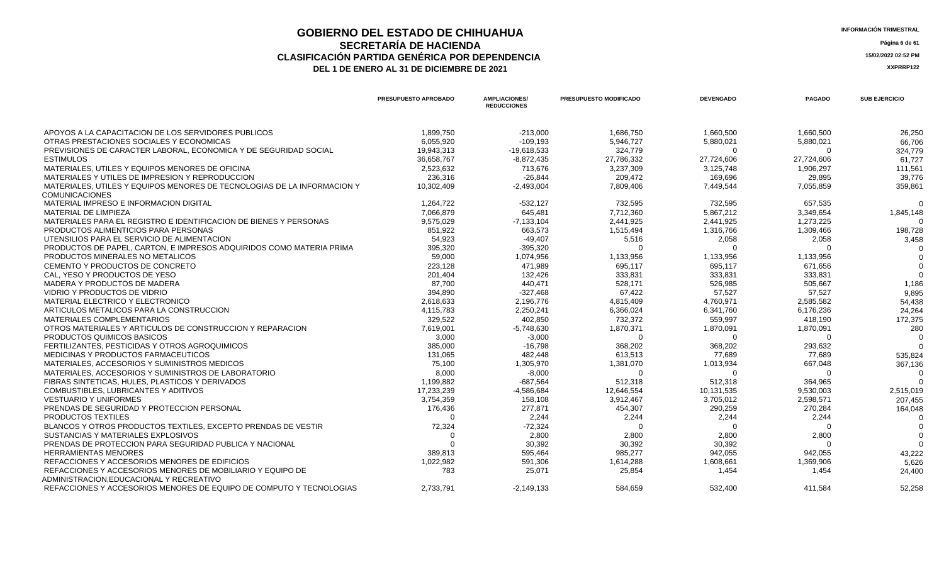## **GOBIERNO DEL ESTADO DE CHIHUAHUA**<br>
SECPETARÍA DE HACIENDA **SECRETARÍA DE HACIENDA Página 6 de 61 CLASIFICACIÓN PARTIDA GENÉRICA POR DEPENDENCIA 15/02/2022 02:52 PM**

|                                                                                                       | PRESUPUESTO APROBADO | <b>AMPLIACIONES/</b><br><b>REDUCCIONES</b> | PRESUPUESTO MODIFICADO | <b>DEVENGADO</b> | <b>PAGADO</b> | <b>SUB EJERCICIO</b> |
|-------------------------------------------------------------------------------------------------------|----------------------|--------------------------------------------|------------------------|------------------|---------------|----------------------|
| APOYOS A LA CAPACITACION DE LOS SERVIDORES PUBLICOS                                                   | 1,899,750            | $-213,000$                                 | 1,686,750              | 1,660,500        | 1,660,500     | 26,250               |
| OTRAS PRESTACIONES SOCIALES Y ECONOMICAS                                                              | 6.055.920            | $-109.193$                                 | 5,946,727              | 5,880,021        | 5,880,021     | 66,706               |
| PREVISIONES DE CARACTER LABORAL, ECONOMICA Y DE SEGURIDAD SOCIAL                                      | 19,943,313           | -19,618,533                                | 324,779                | -0               |               | 324,779              |
| <b>ESTIMULOS</b>                                                                                      | 36,658,767           | $-8,872,435$                               | 27,786,332             | 27,724,606       | 27,724,606    | 61,727               |
| MATERIALES, UTILES Y EQUIPOS MENORES DE OFICINA                                                       | 2,523,632            | 713,676                                    | 3,237,309              | 3,125,748        | 1,906,297     | 111,561              |
| MATERIALES Y UTILES DE IMPRESION Y REPRODUCCION                                                       | 236,316              | $-26,844$                                  | 209,472                | 169,696          | 29,895        | 39,776               |
| MATERIALES, UTILES Y EQUIPOS MENORES DE TECNOLOGIAS DE LA INFORMACION Y<br><b>COMUNICACIONES</b>      | 10,302,409           | $-2,493,004$                               | 7,809,406              | 7,449,544        | 7,055,859     | 359,861              |
| MATERIAL IMPRESO E INFORMACION DIGITAL                                                                | 1,264,722            | $-532,127$                                 | 732,595                | 732,595          | 657,535       | $\Omega$             |
| MATERIAL DE LIMPIEZA                                                                                  | 7,066,879            | 645,481                                    | 7,712,360              | 5,867,212        | 3,349,654     | 1,845,148            |
| MATERIALES PARA EL REGISTRO E IDENTIFICACION DE BIENES Y PERSONAS                                     | 9,575,029            | $-7,133,104$                               | 2,441,925              | 2,441,925        | 1,273,225     |                      |
| PRODUCTOS ALIMENTICIOS PARA PERSONAS                                                                  | 851,922              | 663,573                                    | 1,515,494              | 1,316,766        | 1,309,466     | 198,728              |
| UTENSILIOS PARA EL SERVICIO DE ALIMENTACION                                                           | 54,923               | $-49,407$                                  | 5,516                  | 2,058            | 2,058         | 3,458                |
| PRODUCTOS DE PAPEL, CARTON, E IMPRESOS ADQUIRIDOS COMO MATERIA PRIMA                                  | 395,320              | $-395,320$                                 |                        | $\Omega$         |               | റ                    |
| PRODUCTOS MINERALES NO METALICOS                                                                      | 59,000               | 1,074,956                                  | 1,133,956              | 1,133,956        | 1,133,956     |                      |
| CEMENTO Y PRODUCTOS DE CONCRETO                                                                       | 223,128              | 471,989                                    | 695,117                | 695,117          | 671,656       |                      |
| CAL. YESO Y PRODUCTOS DE YESO                                                                         | 201,404              | 132,426                                    | 333,831                | 333,831          | 333,831       | $\Omega$             |
| MADERA Y PRODUCTOS DE MADERA                                                                          | 87,700               | 440,471                                    | 528,171                | 526,985          | 505,667       | 1,186                |
| VIDRIO Y PRODUCTOS DE VIDRIO                                                                          | 394,890              | $-327,468$                                 | 67,422                 | 57,527           | 57,527        | 9,895                |
| MATERIAL ELECTRICO Y ELECTRONICO                                                                      | 2,618,633            | 2,196,776                                  | 4,815,409              | 4,760,971        | 2,585,582     | 54,438               |
| ARTICULOS METALICOS PARA LA CONSTRUCCION                                                              | 4,115,783            | 2,250,241                                  | 6,366,024              | 6,341,760        | 6,176,236     | 24,264               |
| <b>MATERIALES COMPLEMENTARIOS</b>                                                                     | 329,522              | 402,850                                    | 732,372                | 559,997          | 418,190       | 172,375              |
| OTROS MATERIALES Y ARTICULOS DE CONSTRUCCION Y REPARACION                                             | 7,619,001            | $-5,748,630$                               | 1,870,371              | 1,870,091        | 1,870,091     | 280                  |
| PRODUCTOS QUIMICOS BASICOS                                                                            | 3,000                | $-3,000$                                   | $\Omega$               | $\Omega$         |               |                      |
| FERTILIZANTES, PESTICIDAS Y OTROS AGROQUIMICOS                                                        | 385,000              | $-16,798$                                  | 368,202                | 368,202          | 293,632       |                      |
| MEDICINAS Y PRODUCTOS FARMACEUTICOS                                                                   | 131,065              | 482,448                                    | 613,513                | 77,689           | 77,689        | 535,824              |
| MATERIALES, ACCESORIOS Y SUMINISTROS MEDICOS                                                          | 75,100               | 1,305,970                                  | 1,381,070              | 1,013,934        | 667,048       | 367,136              |
| MATERIALES, ACCESORIOS Y SUMINISTROS DE LABORATORIO                                                   | 8,000                | $-8,000$                                   | 0                      | $\Omega$         | റ             |                      |
| FIBRAS SINTETICAS, HULES, PLASTICOS Y DERIVADOS                                                       | 1,199,882            | $-687,564$                                 | 512,318                | 512,318          | 364,965       |                      |
| COMBUSTIBLES, LUBRICANTES Y ADITIVOS                                                                  | 17,233,239           | -4,586,684                                 | 12,646,554             | 10,131,535       | 9,530,003     | 2,515,019            |
| <b>VESTUARIO Y UNIFORMES</b>                                                                          | 3,754,359            | 158,108                                    | 3,912,467              | 3,705,012        | 2,598,571     | 207,455              |
| PRENDAS DE SEGURIDAD Y PROTECCION PERSONAL                                                            | 176,436              | 277,871                                    | 454,307                | 290,259          | 270,284       | 164,048              |
| PRODUCTOS TEXTILES                                                                                    | $\Omega$             | 2,244                                      | 2,244                  | 2,244            | 2,244         |                      |
| BLANCOS Y OTROS PRODUCTOS TEXTILES. EXCEPTO PRENDAS DE VESTIR                                         | 72,324               | $-72,324$                                  | $\Omega$               | $\Omega$         | $\Omega$      |                      |
| SUSTANCIAS Y MATERIALES EXPLOSIVOS                                                                    | $\Omega$             | 2,800                                      | 2,800                  | 2,800            | 2,800         |                      |
| PRENDAS DE PROTECCION PARA SEGURIDAD PUBLICA Y NACIONAL                                               | $\Omega$             | 30,392                                     | 30.392                 | 30,392           |               | $\Omega$             |
| <b>HERRAMIENTAS MENORES</b>                                                                           | 389,813              | 595,464                                    | 985,277                | 942,055          | 942,055       | 43,222               |
| REFACCIONES Y ACCESORIOS MENORES DE EDIFICIOS                                                         | 1.022.982            | 591.306                                    | 1,614,288              | 1,608,661        | 1,369,906     | 5,626                |
| REFACCIONES Y ACCESORIOS MENORES DE MOBILIARIO Y EQUIPO DE<br>ADMINISTRACION.EDUCACIONAL Y RECREATIVO | 783                  | 25,071                                     | 25,854                 | 1,454            | 1,454         | 24,400               |
| REFACCIONES Y ACCESORIOS MENORES DE EQUIPO DE COMPUTO Y TECNOLOGIAS                                   | 2,733,791            | $-2,149,133$                               | 584.659                | 532.400          | 411.584       | 52,258               |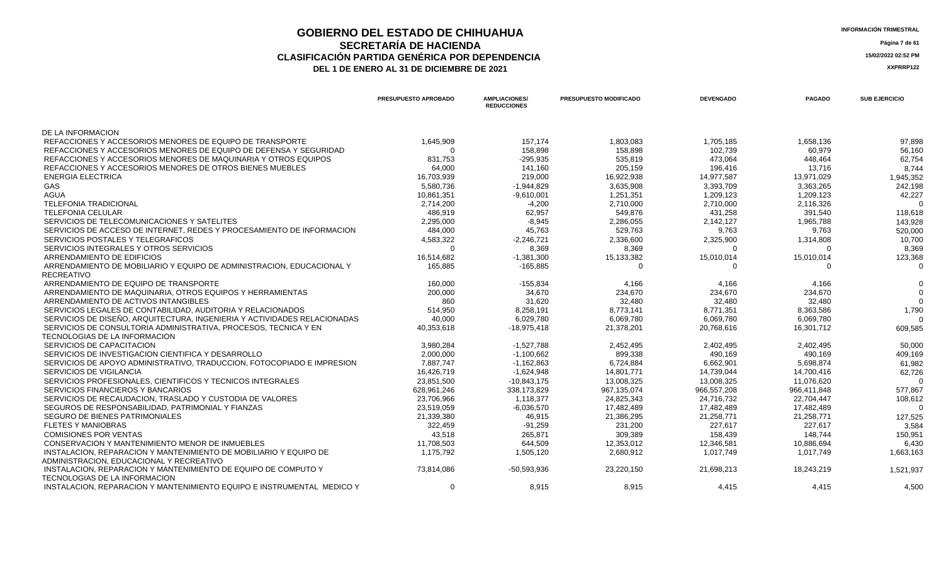### **GOBIERNO DEL ESTADO DE CHIHUAHUA**<br>
SECRETARÍA DE HACIENDA **SECRETARÍA DE HACIENDA Página 7 de 61 CLASIFICACIÓN PARTIDA GENÉRICA POR DEPENDENCIA**<br> **DEL 1 DE ENERO AL 31 DE DICIEMBRE DE 2021**<br> **ACCEDITE AL SER**ENCIA LA SERENTIZA DEL 1 DE ENERO AL 31 DE DICIEMBRE DE 2021

|                                                                                                 | PRESUPUESTO APROBADO | <b>AMPLIACIONES/</b><br><b>REDUCCIONES</b> | <b>PRESUPUESTO MODIFICADO</b> | <b>DEVENGADO</b> | <b>PAGADO</b> | <b>SUB EJERCICIO</b> |
|-------------------------------------------------------------------------------------------------|----------------------|--------------------------------------------|-------------------------------|------------------|---------------|----------------------|
| DE LA INFORMACION                                                                               |                      |                                            |                               |                  |               |                      |
| REFACCIONES Y ACCESORIOS MENORES DE EQUIPO DE TRANSPORTE                                        | 1,645,909            | 157.174                                    | 1,803,083                     | 1,705,185        | 1,658,136     | 97.898               |
| REFACCIONES Y ACCESORIOS MENORES DE EQUIPO DE DEFENSA Y SEGURIDAD                               | $\Omega$             | 158,898                                    | 158,898                       | 102,739          | 60,979        | 56,160               |
| REFACCIONES Y ACCESORIOS MENORES DE MAQUINARIA Y OTROS EQUIPOS                                  | 831.753              | $-295.935$                                 | 535.819                       | 473.064          | 448.464       | 62,754               |
| REFACCIONES Y ACCESORIOS MENORES DE OTROS BIENES MUEBLES                                        | 64,000               | 141,160                                    | 205,159                       | 196,416          | 13,716        | 8,744                |
| <b>ENERGIA ELECTRICA</b>                                                                        | 16,703,939           | 219,000                                    | 16,922,938                    | 14,977,587       | 13,971,029    | 1,945,352            |
| <b>GAS</b>                                                                                      | 5.580.736            | $-1.944.829$                               | 3.635.908                     | 3.393.709        | 3.363.265     | 242,198              |
| <b>AGUA</b>                                                                                     | 10,861,351           | $-9,610,001$                               | 1,251,351                     | 1,209,123        | 1,209,123     | 42,227               |
| <b>TELEFONIA TRADICIONAL</b>                                                                    | 2,714,200            | $-4,200$                                   | 2,710,000                     | 2,710,000        | 2,116,326     | $\Omega$             |
| <b>TELEFONIA CELULAR</b>                                                                        | 486,919              | 62,957                                     | 549,876                       | 431,258          | 391,540       | 118,618              |
| SERVICIOS DE TELECOMUNICACIONES Y SATELITES                                                     | 2,295,000            | $-8,945$                                   | 2,286,055                     | 2,142,127        | 1,965,788     | 143,928              |
| SERVICIOS DE ACCESO DE INTERNET. REDES Y PROCESAMIENTO DE INFORMACION                           | 484,000              | 45,763                                     | 529,763                       | 9,763            | 9,763         | 520,000              |
| SERVICIOS POSTALES Y TELEGRAFICOS                                                               | 4,583,322            | $-2,246,721$                               | 2,336,600                     | 2,325,900        | 1,314,808     | 10,700               |
| SERVICIOS INTEGRALES Y OTROS SERVICIOS                                                          | $\Omega$             | 8,369                                      | 8.369                         |                  |               | 8.369                |
| ARRENDAMIENTO DE EDIFICIOS                                                                      | 16,514,682           | $-1,381,300$                               | 15,133,382                    | 15,010,014       | 15,010,014    | 123,368              |
| ARRENDAMIENTO DE MOBILIARIO Y EQUIPO DE ADMINISTRACION. EDUCACIONAL Y                           | 165.885              | $-165,885$                                 | $\Omega$                      | $\Omega$         | $\Omega$      | 0                    |
| RECREATIVO                                                                                      |                      |                                            |                               |                  |               |                      |
| ARRENDAMIENTO DE EQUIPO DE TRANSPORTE                                                           | 160,000              | $-155,834$                                 | 4,166                         | 4,166            | 4,166         |                      |
| ARRENDAMIENTO DE MAQUINARIA, OTROS EQUIPOS Y HERRAMIENTAS                                       | 200.000              | 34.670                                     | 234.670                       | 234.670          | 234.670       |                      |
| ARRENDAMIENTO DE ACTIVOS INTANGIBLES                                                            | 860                  | 31,620                                     | 32,480                        | 32,480           | 32,480        |                      |
| SERVICIOS LEGALES DE CONTABILIDAD, AUDITORIA Y RELACIONADOS                                     | 514,950              | 8,258,191                                  | 8,773,141                     | 8,771,351        | 8,363,586     | 1,790                |
| SERVICIOS DE DISEÑO, ARQUITECTURA, INGENIERIA Y ACTIVIDADES RELACIONADAS                        | 40.000               | 6.029.780                                  | 6,069,780                     | 6.069.780        | 6.069.780     |                      |
| SERVICIOS DE CONSULTORIA ADMINISTRATIVA, PROCESOS, TECNICA Y EN                                 | 40,353,618           | $-18,975,418$                              | 21,378,201                    | 20,768,616       | 16,301,712    | 609,585              |
| TECNOLOGIAS DE LA INFORMACION                                                                   |                      |                                            |                               |                  |               |                      |
| SERVICIOS DE CAPACITACION                                                                       | 3,980,284            | $-1,527,788$                               | 2,452,495                     | 2,402,495        | 2,402,495     | 50,000               |
| SERVICIOS DE INVESTIGACION CIENTIFICA Y DESARROLLO                                              | 2,000,000            | $-1,100,662$                               | 899,338                       | 490,169          | 490,169       | 409,169              |
| SERVICIOS DE APOYO ADMINISTRATIVO, TRADUCCION, FOTOCOPIADO E IMPRESION                          | 7.887.747            | $-1,162,863$                               | 6,724,884                     | 6,662,901        | 5,698,874     | 61.982               |
| <b>SERVICIOS DE VIGILANCIA</b>                                                                  | 16,426,719           | $-1,624,948$                               | 14,801,771                    | 14,739,044       | 14,700,416    | 62,726               |
| SERVICIOS PROFESIONALES, CIENTIFICOS Y TECNICOS INTEGRALES                                      | 23,851,500           | $-10,843,175$                              | 13,008,325                    | 13,008,325       | 11,076,620    | $\Omega$             |
| SERVICIOS FINANCIEROS Y BANCARIOS                                                               | 628,961,246          | 338,173,829                                | 967,135,074                   | 966,557,208      | 966,411,848   | 577,867              |
| SERVICIOS DE RECAUDACION, TRASLADO Y CUSTODIA DE VALORES                                        | 23,706,966           | 1,118,377                                  | 24,825,343                    | 24,716,732       | 22,704,447    | 108,612              |
| SEGUROS DE RESPONSABILIDAD, PATRIMONIAL Y FIANZAS                                               | 23,519,059           | $-6,036,570$                               | 17,482,489                    | 17,482,489       | 17,482,489    |                      |
| SEGURO DE BIENES PATRIMONIALES                                                                  | 21,339,380           | 46,915                                     | 21,386,295                    | 21,258,771       | 21,258,771    | 127,525              |
| <b>FLETES Y MANIOBRAS</b>                                                                       | 322,459              | $-91.259$                                  | 231.200                       | 227.617          | 227.617       | 3,584                |
| <b>COMISIONES POR VENTAS</b>                                                                    | 43,518               | 265,871                                    | 309,389                       | 158,439          | 148,744       | 150,951              |
| CONSERVACION Y MANTENIMIENTO MENOR DE INMUEBLES                                                 | 11,708,503           | 644,509                                    | 12,353,012                    | 12,346,581       | 10,886,694    | 6,430                |
| INSTALACION, REPARACION Y MANTENIMIENTO DE MOBILIARIO Y EQUIPO DE                               | 1.175.792            | 1.505.120                                  | 2,680,912                     | 1.017.749        | 1.017.749     | 1,663,163            |
| ADMINISTRACION, EDUCACIONAL Y RECREATIVO                                                        |                      |                                            |                               |                  |               |                      |
| INSTALACION, REPARACION Y MANTENIMIENTO DE EQUIPO DE COMPUTO Y<br>TECNOLOGIAS DE LA INFORMACION | 73.814.086           | -50.593.936                                | 23.220.150                    | 21.698.213       | 18.243.219    | 1,521,937            |
| INSTALACION, REPARACION Y MANTENIMIENTO EQUIPO E INSTRUMENTAL MEDICO Y                          | $\Omega$             | 8.915                                      | 8.915                         | 4.415            | 4.415         | 4,500                |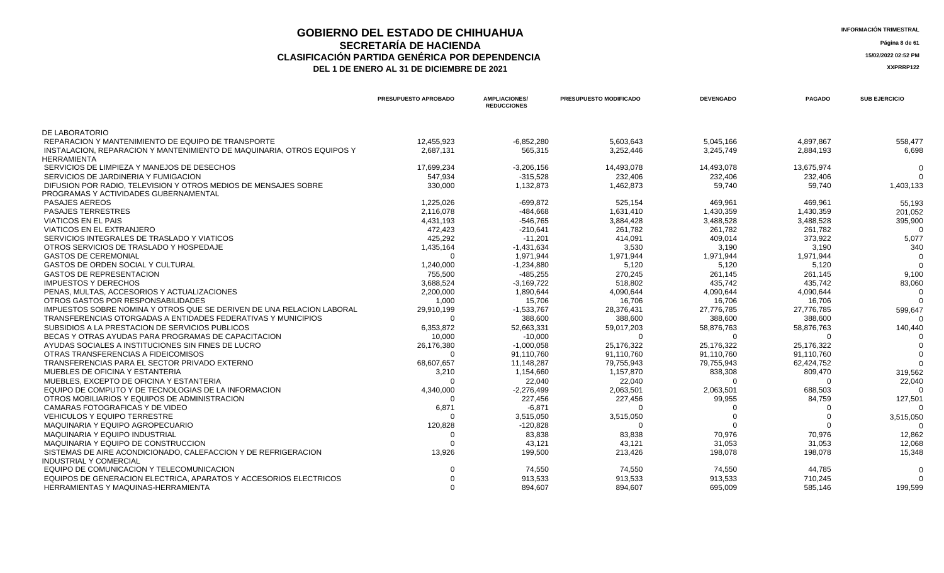## **GOBIERNO DEL ESTADO DE CHIHUAHUA**<br>SECRETARÍA DE HACIENDA **SECRETARÍA DE HACIENDA Página 8 de 61 CLASIFICACIÓN PARTIDA GENÉRICA POR DEPENDENCIA 15/02/2022 02:52 PM**

| <b>INFORMACION TRIMESTE</b> |
|-----------------------------|
| Página 8 de                 |

|                                                                        | PRESUPUESTO APROBADO | <b>AMPLIACIONES/</b><br><b>REDUCCIONES</b> | <b>PRESUPUESTO MODIFICADO</b> | <b>DEVENGADO</b> | <b>PAGADO</b> | <b>SUB EJERCICIO</b> |
|------------------------------------------------------------------------|----------------------|--------------------------------------------|-------------------------------|------------------|---------------|----------------------|
| DE LABORATORIO                                                         |                      |                                            |                               |                  |               |                      |
| REPARACION Y MANTENIMIENTO DE EQUIPO DE TRANSPORTE                     | 12.455.923           | $-6.852.280$                               | 5,603,643                     | 5,045,166        | 4,897,867     | 558,477              |
| INSTALACION, REPARACION Y MANTENIMIENTO DE MAQUINARIA, OTROS EQUIPOS Y | 2,687,131            | 565,315                                    | 3,252,446                     | 3,245,749        | 2,884,193     | 6,698                |
| <b>HERRAMIENTA</b>                                                     |                      |                                            |                               |                  |               |                      |
| SERVICIOS DE LIMPIEZA Y MANEJOS DE DESECHOS                            | 17,699,234           | $-3,206,156$                               | 14,493,078                    | 14,493,078       | 13,675,974    |                      |
| SERVICIOS DE JARDINERIA Y FUMIGACION                                   | 547.934              | $-315,528$                                 | 232,406                       | 232,406          | 232,406       |                      |
| DIFUSION POR RADIO. TELEVISION Y OTROS MEDIOS DE MENSAJES SOBRE        | 330,000              | 1,132,873                                  | 1,462,873                     | 59,740           | 59,740        | 1,403,133            |
| PROGRAMAS Y ACTIVIDADES GUBERNAMENTAL                                  |                      |                                            |                               |                  |               |                      |
| <b>PASAJES AEREOS</b>                                                  | 1,225,026            | $-699.872$                                 | 525,154                       | 469,961          | 469,961       | 55,193               |
| <b>PASAJES TERRESTRES</b>                                              | 2,116,078            | $-484,668$                                 | 1,631,410                     | 1,430,359        | 1,430,359     | 201,052              |
| <b>VIATICOS EN EL PAIS</b>                                             | 4,431,193            | $-546.765$                                 | 3,884,428                     | 3,488,528        | 3,488,528     | 395,900              |
| <b>VIATICOS EN EL EXTRANJERO</b>                                       | 472,423              | $-210,641$                                 | 261,782                       | 261,782          | 261,782       |                      |
| SERVICIOS INTEGRALES DE TRASLADO Y VIATICOS                            | 425,292              | $-11,201$                                  | 414,091                       | 409,014          | 373,922       | 5,077                |
| OTROS SERVICIOS DE TRASLADO Y HOSPEDAJE                                | 1.435.164            | $-1.431.634$                               | 3.530                         | 3.190            | 3,190         | 340                  |
| <b>GASTOS DE CEREMONIAL</b>                                            |                      | 1,971,944                                  | 1,971,944                     | 1,971,944        | 1,971,944     |                      |
| <b>GASTOS DE ORDEN SOCIAL Y CULTURAL</b>                               | 1,240,000            | $-1,234,880$                               | 5,120                         | 5.120            | 5,120         |                      |
| <b>GASTOS DE REPRESENTACION</b>                                        | 755,500              | $-485,255$                                 | 270,245                       | 261,145          | 261,145       | 9,100                |
| <b>IMPUESTOS Y DERECHOS</b>                                            | 3,688,524            | $-3,169,722$                               | 518,802                       | 435,742          | 435,742       | 83,060               |
| PENAS, MULTAS, ACCESORIOS Y ACTUALIZACIONES                            | 2,200,000            | 1,890,644                                  | 4,090,644                     | 4,090,644        | 4,090,644     |                      |
| OTROS GASTOS POR RESPONSABILIDADES                                     | 1,000                | 15,706                                     | 16,706                        | 16,706           | 16,706        |                      |
| IMPUESTOS SOBRE NOMINA Y OTROS QUE SE DERIVEN DE UNA RELACION LABORAL  | 29,910,199           | $-1,533,767$                               | 28,376,431                    | 27,776,785       | 27,776,785    | 599,647              |
| TRANSFERENCIAS OTORGADAS A ENTIDADES FEDERATIVAS Y MUNICIPIOS          | $\Omega$             | 388,600                                    | 388,600                       | 388,600          | 388,600       |                      |
| SUBSIDIOS A LA PRESTACION DE SERVICIOS PUBLICOS                        | 6,353,872            | 52,663,331                                 | 59,017,203                    | 58,876,763       | 58,876,763    | 140,440              |
| BECAS Y OTRAS AYUDAS PARA PROGRAMAS DE CAPACITACION                    | 10,000               | $-10,000$                                  |                               |                  | $\Omega$      |                      |
| AYUDAS SOCIALES A INSTITUCIONES SIN FINES DE LUCRO                     | 26,176,380           | $-1,000,058$                               | 25,176,322                    | 25,176,322       | 25,176,322    |                      |
| OTRAS TRANSFERENCIAS A FIDEICOMISOS                                    | $\Omega$             | 91,110,760                                 | 91,110,760                    | 91,110,760       | 91,110,760    |                      |
| TRANSFERENCIAS PARA EL SECTOR PRIVADO EXTERNO                          | 68,607,657           | 11,148,287                                 | 79,755,943                    | 79,755,943       | 62,424,752    |                      |
| MUEBLES DE OFICINA Y ESTANTERIA                                        | 3,210                | 1,154,660                                  | 1,157,870                     | 838,308          | 809,470       | 319,562              |
| MUEBLES. EXCEPTO DE OFICINA Y ESTANTERIA                               |                      | 22,040                                     | 22,040                        | $\Omega$         | $\Omega$      | 22,040               |
| EQUIPO DE COMPUTO Y DE TECNOLOGIAS DE LA INFORMACION                   | 4,340,000            | $-2,276,499$                               | 2,063,501                     | 2,063,501        | 688,503       |                      |
| OTROS MOBILIARIOS Y EQUIPOS DE ADMINISTRACION                          |                      | 227,456                                    | 227,456                       | 99,955           | 84,759        | 127,501              |
| CAMARAS FOTOGRAFICAS Y DE VIDEO                                        | 6,871                | $-6,871$                                   | $\Omega$                      |                  | $\Omega$      |                      |
| <b>VEHICULOS Y EQUIPO TERRESTRE</b>                                    |                      | 3,515,050                                  | 3,515,050                     |                  | $\Omega$      | 3,515,050            |
| MAQUINARIA Y EQUIPO AGROPECUARIO                                       | 120,828              | $-120,828$                                 | $\cap$                        |                  |               |                      |
| MAQUINARIA Y EQUIPO INDUSTRIAL                                         | $\Omega$             | 83.838                                     | 83.838                        | 70.976           | 70.976        | 12,862               |
| MAQUINARIA Y EQUIPO DE CONSTRUCCION                                    |                      | 43,121                                     | 43,121                        | 31,053           | 31,053        | 12,068               |
| SISTEMAS DE AIRE ACONDICIONADO, CALEFACCION Y DE REFRIGERACION         | 13,926               | 199,500                                    | 213,426                       | 198,078          | 198,078       | 15,348               |
| <b>INDUSTRIAL Y COMERCIAL</b>                                          |                      |                                            |                               |                  |               |                      |
| EQUIPO DE COMUNICACION Y TELECOMUNICACION                              |                      | 74,550                                     | 74,550                        | 74,550           | 44,785        | $\Omega$             |
| EQUIPOS DE GENERACION ELECTRICA. APARATOS Y ACCESORIOS ELECTRICOS      |                      | 913,533                                    | 913,533                       | 913,533          | 710,245       |                      |
| HERRAMIENTAS Y MAQUINAS-HERRAMIENTA                                    |                      | 894.607                                    | 894.607                       | 695.009          | 585,146       | 199.599              |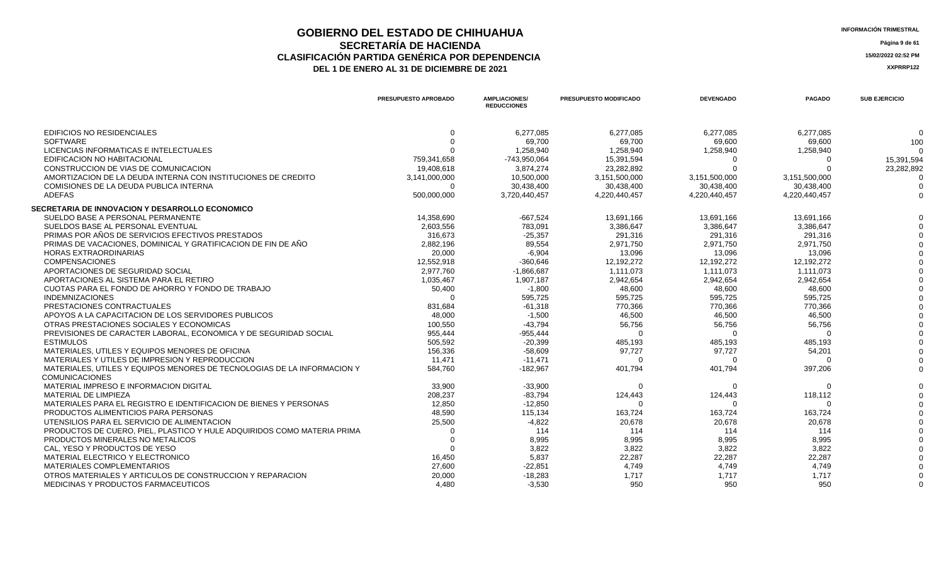### **GOBIERNO DEL ESTADO DE CHIHUAHUA**<br>
SECRETARÍA DE HACIENDA **SECRETARÍA DE HACIENDA Página 9 de 61 CLASIFICACIÓN PARTIDA GENÉRICA POR DEPENDENCIA**<br> **DEL 1 DE ENERO AL 31 DE DICIEMBRE DE 2021**<br> **ACCEDITE 2021** DEL 1 DE ENERO AL 31 DE DICIEMBRE DE 2021

|                                                                         | <b>PRESUPUESTO APROBADO</b> | <b>AMPLIACIONES/</b><br><b>REDUCCIONES</b> | <b>PRESUPUESTO MODIFICADO</b> | <b>DEVENGADO</b> | <b>PAGADO</b> | <b>SUB EJERCICIO</b> |
|-------------------------------------------------------------------------|-----------------------------|--------------------------------------------|-------------------------------|------------------|---------------|----------------------|
| <b>EDIFICIOS NO RESIDENCIALES</b>                                       | $\Omega$                    | 6,277,085                                  | 6,277,085                     | 6,277,085        | 6,277,085     | $\Omega$             |
| <b>SOFTWARE</b>                                                         |                             | 69,700                                     | 69,700                        | 69,600           | 69,600        | 100                  |
| LICENCIAS INFORMATICAS E INTELECTUALES                                  |                             | 1,258,940                                  | 1,258,940                     | 1,258,940        | 1,258,940     |                      |
| EDIFICACION NO HABITACIONAL                                             | 759,341,658                 | -743,950,064                               | 15,391,594                    |                  | $\Omega$      | 15,391,594           |
| CONSTRUCCION DE VIAS DE COMUNICACION                                    | 19,408,618                  | 3,874,274                                  | 23,282,892                    |                  |               | 23,282,892           |
| AMORTIZACION DE LA DEUDA INTERNA CON INSTITUCIONES DE CREDITO           | 3,141,000,000               | 10,500,000                                 | 3,151,500,000                 | 3,151,500,000    | 3,151,500,000 |                      |
| COMISIONES DE LA DEUDA PUBLICA INTERNA                                  | $\Omega$                    | 30,438,400                                 | 30,438,400                    | 30,438,400       | 30,438,400    |                      |
| <b>ADEFAS</b>                                                           | 500,000,000                 | 3,720,440,457                              | 4,220,440,457                 | 4,220,440,457    | 4,220,440,457 |                      |
| SECRETARIA DE INNOVACION Y DESARROLLO ECONOMICO                         |                             |                                            |                               |                  |               |                      |
| SUELDO BASE A PERSONAL PERMANENTE                                       | 14.358.690                  | $-667,524$                                 | 13,691,166                    | 13,691,166       | 13.691.166    |                      |
| SUELDOS BASE AL PERSONAL EVENTUAL                                       | 2,603,556                   | 783,091                                    | 3,386,647                     | 3,386,647        | 3,386,647     |                      |
| PRIMAS POR AÑOS DE SERVICIOS EFECTIVOS PRESTADOS                        | 316.673                     | $-25.357$                                  | 291,316                       | 291.316          | 291.316       |                      |
| PRIMAS DE VACACIONES, DOMINICAL Y GRATIFICACION DE FIN DE AÑO           | 2,882,196                   | 89,554                                     | 2,971,750                     | 2,971,750        | 2,971,750     |                      |
| <b>HORAS EXTRAORDINARIAS</b>                                            | 20,000                      | $-6,904$                                   | 13,096                        | 13,096           | 13,096        |                      |
| <b>COMPENSACIONES</b>                                                   | 12,552,918                  | $-360,646$                                 | 12,192,272                    | 12,192,272       | 12,192,272    |                      |
| APORTACIONES DE SEGURIDAD SOCIAL                                        | 2,977,760                   | $-1,866,687$                               | 1,111,073                     | 1,111,073        | 1,111,073     |                      |
| APORTACIONES AL SISTEMA PARA EL RETIRO                                  | 1,035,467                   | 1,907,187                                  | 2,942,654                     | 2,942,654        | 2,942,654     |                      |
| CUOTAS PARA EL FONDO DE AHORRO Y FONDO DE TRABAJO                       | 50,400                      | $-1,800$                                   | 48,600                        | 48,600           | 48,600        |                      |
| <b>INDEMNIZACIONES</b>                                                  | $\Omega$                    | 595,725                                    | 595,725                       | 595,725          | 595,725       |                      |
| PRESTACIONES CONTRACTUALES                                              | 831,684                     | $-61,318$                                  | 770,366                       | 770,366          | 770.366       |                      |
| APOYOS A LA CAPACITACION DE LOS SERVIDORES PUBLICOS                     | 48,000                      | $-1,500$                                   | 46,500                        | 46,500           | 46,500        |                      |
| OTRAS PRESTACIONES SOCIALES Y ECONOMICAS                                | 100,550                     | -43,794                                    | 56,756                        | 56,756           | 56,756        |                      |
| PREVISIONES DE CARACTER LABORAL, ECONOMICA Y DE SEGURIDAD SOCIAL        | 955,444                     | $-955,444$                                 | $\Omega$                      | $\Omega$         | $\Omega$      |                      |
| <b>ESTIMULOS</b>                                                        | 505,592                     | $-20,399$                                  | 485,193                       | 485,193          | 485,193       |                      |
| MATERIALES, UTILES Y EQUIPOS MENORES DE OFICINA                         | 156,336                     | $-58,609$                                  | 97,727                        | 97,727           | 54,201        |                      |
| MATERIALES Y UTILES DE IMPRESION Y REPRODUCCION                         | 11,471                      | $-11,471$                                  |                               |                  |               |                      |
| MATERIALES, UTILES Y EQUIPOS MENORES DE TECNOLOGIAS DE LA INFORMACION Y | 584,760                     | $-182,967$                                 | 401,794                       | 401,794          | 397,206       |                      |
| <b>COMUNICACIONES</b>                                                   |                             |                                            |                               |                  |               |                      |
| MATERIAL IMPRESO E INFORMACION DIGITAL                                  | 33,900                      | $-33,900$                                  | $\Omega$                      | റ                | $\Omega$      |                      |
| MATERIAL DE LIMPIEZA                                                    | 208,237                     | $-83,794$                                  | 124,443                       | 124,443          | 118,112       |                      |
| MATERIALES PARA EL REGISTRO E IDENTIFICACION DE BIENES Y PERSONAS       | 12,850                      | $-12,850$                                  |                               |                  | $\Omega$      |                      |
| PRODUCTOS ALIMENTICIOS PARA PERSONAS                                    | 48,590                      | 115,134                                    | 163,724                       | 163,724          | 163,724       |                      |
| UTENSILIOS PARA EL SERVICIO DE ALIMENTACION                             | 25,500                      | $-4,822$                                   | 20,678                        | 20,678           | 20,678        |                      |
| PRODUCTOS DE CUERO. PIEL. PLASTICO Y HULE ADQUIRIDOS COMO MATERIA PRIMA |                             | 114                                        | 114                           | 114              | 114           |                      |
| PRODUCTOS MINERALES NO METALICOS                                        |                             | 8,995                                      | 8,995                         | 8,995            | 8,995         |                      |
| CAL, YESO Y PRODUCTOS DE YESO                                           |                             | 3,822                                      | 3,822                         | 3,822            | 3,822         |                      |
| MATERIAL ELECTRICO Y ELECTRONICO                                        | 16.450                      | 5,837                                      | 22,287                        | 22,287           | 22,287        |                      |
| MATERIALES COMPLEMENTARIOS                                              | 27,600                      | $-22,851$                                  | 4,749                         | 4,749            | 4,749         |                      |
| OTROS MATERIALES Y ARTICULOS DE CONSTRUCCION Y REPARACION               | 20,000                      | $-18,283$                                  | 1,717                         | 1,717            | 1,717         |                      |
| MEDICINAS Y PRODUCTOS FARMACEUTICOS                                     | 4,480                       | $-3,530$                                   | 950                           | 950              | 950           |                      |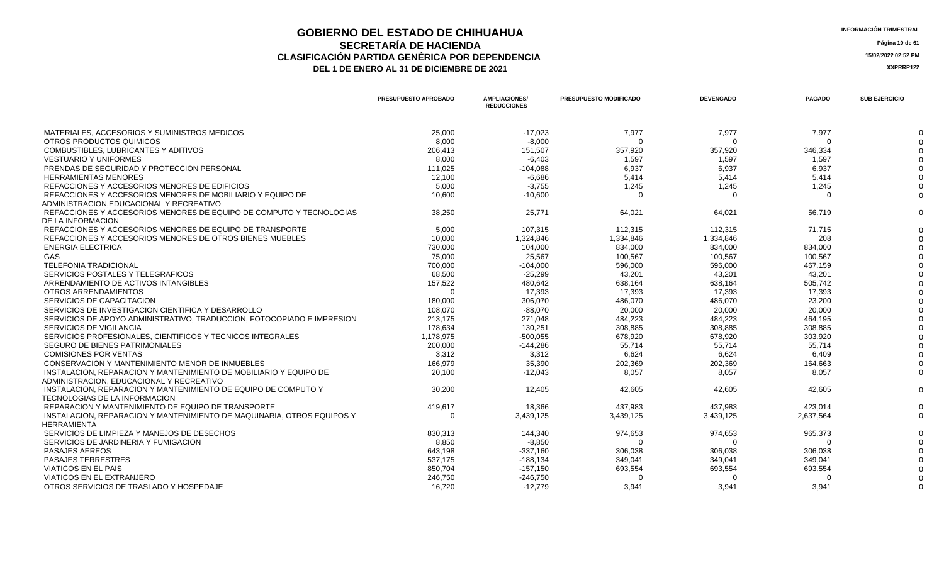## **GOBIERNO DEL ESTADO DE CHIHUAHUA** ESTADO E ESTADO E ESTADO E CHIHUAHUA **SECRETARÍA DE HACIENDA** Página 10 de 61<br>CON PARTIDA GENÉRICA POR DEPENDENCIA **CLASIFICACIÓN PARTIDA GENÉRICA POR DEPENDENCIA**<br> **THE 1 DE ENERO AL 31 DE DICIEMBRE DE 2021**<br> **ARREGISTIVA DE LA DE ENERO AL 31 DE DICIEMBRE DE 2021**

|                                                                                                               | PRESUPUESTO APROBADO | <b>AMPLIACIONES/</b><br><b>REDUCCIONES</b> | <b>PRESUPUESTO MODIFICADO</b> | <b>DEVENGADO</b> | <b>PAGADO</b> | <b>SUB EJERCICIO</b> |
|---------------------------------------------------------------------------------------------------------------|----------------------|--------------------------------------------|-------------------------------|------------------|---------------|----------------------|
| MATERIALES, ACCESORIOS Y SUMINISTROS MEDICOS                                                                  | 25,000               | $-17.023$                                  | 7.977                         | 7,977            | 7.977         |                      |
| OTROS PRODUCTOS QUIMICOS                                                                                      | 8,000                | $-8,000$                                   | - 0                           | $\Omega$         | $\Omega$      |                      |
| COMBUSTIBLES, LUBRICANTES Y ADITIVOS                                                                          | 206,413              | 151,507                                    | 357,920                       | 357,920          | 346,334       |                      |
| <b>VESTUARIO Y UNIFORMES</b>                                                                                  | 8.000                | $-6.403$                                   | 1,597                         | 1.597            | 1.597         |                      |
| PRENDAS DE SEGURIDAD Y PROTECCION PERSONAL                                                                    | 111,025              | $-104,088$                                 | 6,937                         | 6,937            | 6,937         |                      |
| <b>HERRAMIENTAS MENORES</b>                                                                                   | 12,100               | -6.686                                     | 5.414                         | 5.414            | 5.414         |                      |
| REFACCIONES Y ACCESORIOS MENORES DE EDIFICIOS                                                                 | 5,000                | $-3,755$                                   | 1,245                         | 1,245            | 1,245         |                      |
| REFACCIONES Y ACCESORIOS MENORES DE MOBILIARIO Y EQUIPO DE<br>ADMINISTRACION, EDUCACIONAL Y RECREATIVO        | 10,600               | $-10,600$                                  | $\Omega$                      | $\Omega$         | $\Omega$      |                      |
| REFACCIONES Y ACCESORIOS MENORES DE EQUIPO DE COMPUTO Y TECNOLOGIAS<br>DE LA INFORMACION                      | 38,250               | 25,771                                     | 64,021                        | 64,021           | 56,719        |                      |
| REFACCIONES Y ACCESORIOS MENORES DE EQUIPO DE TRANSPORTE                                                      | 5,000                | 107,315                                    | 112,315                       | 112,315          | 71,715        |                      |
| REFACCIONES Y ACCESORIOS MENORES DE OTROS BIENES MUEBLES                                                      | 10.000               | 1,324,846                                  | 1,334,846                     | 1,334,846        | 208           |                      |
| <b>ENERGIA ELECTRICA</b>                                                                                      | 730,000              | 104,000                                    | 834,000                       | 834,000          | 834,000       |                      |
| <b>GAS</b>                                                                                                    | 75.000               | 25.567                                     | 100.567                       | 100.567          | 100.567       |                      |
| <b>TELEFONIA TRADICIONAL</b>                                                                                  | 700.000              | $-104.000$                                 | 596,000                       | 596,000          | 467.159       |                      |
| SERVICIOS POSTALES Y TELEGRAFICOS                                                                             | 68,500               | $-25,299$                                  | 43,201                        | 43,201           | 43,201        |                      |
| ARRENDAMIENTO DE ACTIVOS INTANGIBLES                                                                          | 157,522              | 480.642                                    | 638.164                       | 638.164          | 505.742       |                      |
| OTROS ARRENDAMIENTOS                                                                                          | $\Omega$             | 17,393                                     | 17,393                        | 17,393           | 17,393        |                      |
| SERVICIOS DE CAPACITACION                                                                                     | 180,000              | 306,070                                    | 486,070                       | 486,070          | 23,200        |                      |
| SERVICIOS DE INVESTIGACION CIENTIFICA Y DESARROLLO                                                            | 108.070              | $-88.070$                                  | 20,000                        | 20,000           | 20.000        |                      |
| SERVICIOS DE APOYO ADMINISTRATIVO, TRADUCCION, FOTOCOPIADO E IMPRESION                                        | 213,175              | 271,048                                    | 484,223                       | 484,223          | 464,195       |                      |
| <b>SERVICIOS DE VIGILANCIA</b>                                                                                | 178.634              | 130,251                                    | 308,885                       | 308.885          | 308.885       |                      |
| SERVICIOS PROFESIONALES, CIENTIFICOS Y TECNICOS INTEGRALES                                                    | 1,178,975            | $-500,055$                                 | 678,920                       | 678,920          | 303,920       |                      |
| SEGURO DE BIENES PATRIMONIALES                                                                                | 200,000              | $-144,286$                                 | 55,714                        | 55,714           | 55,714        |                      |
| <b>COMISIONES POR VENTAS</b>                                                                                  | 3.312                | 3.312                                      | 6.624                         | 6.624            | 6.409         |                      |
| CONSERVACION Y MANTENIMIENTO MENOR DE INMUEBLES                                                               | 166,979              | 35,390                                     | 202,369                       | 202,369          | 164,663       |                      |
| INSTALACION, REPARACION Y MANTENIMIENTO DE MOBILIARIO Y EQUIPO DE<br>ADMINISTRACION, EDUCACIONAL Y RECREATIVO | 20,100               | $-12,043$                                  | 8,057                         | 8.057            | 8,057         |                      |
| INSTALACION, REPARACION Y MANTENIMIENTO DE EQUIPO DE COMPUTO Y<br>TECNOLOGIAS DE LA INFORMACION               | 30.200               | 12,405                                     | 42,605                        | 42.605           | 42,605        |                      |
| REPARACION Y MANTENIMIENTO DE EQUIPO DE TRANSPORTE                                                            | 419,617              | 18,366                                     | 437,983                       | 437,983          | 423,014       |                      |
| INSTALACION, REPARACION Y MANTENIMIENTO DE MAQUINARIA, OTROS EQUIPOS Y<br><b>HERRAMIENTA</b>                  | $\Omega$             | 3,439,125                                  | 3,439,125                     | 3,439,125        | 2,637,564     |                      |
| SERVICIOS DE LIMPIEZA Y MANEJOS DE DESECHOS                                                                   | 830.313              | 144.340                                    | 974,653                       | 974.653          | 965,373       |                      |
| SERVICIOS DE JARDINERIA Y FUMIGACION                                                                          | 8,850                | $-8,850$                                   | റ                             |                  | $\Omega$      |                      |
| PASAJES AEREOS                                                                                                | 643,198              | $-337,160$                                 | 306,038                       | 306,038          | 306,038       |                      |
| <b>PASAJES TERRESTRES</b>                                                                                     | 537,175              | $-188,134$                                 | 349,041                       | 349,041          | 349,041       |                      |
| <b>VIATICOS EN EL PAIS</b>                                                                                    | 850,704              | $-157,150$                                 | 693,554                       | 693,554          | 693,554       |                      |
| VIATICOS EN EL EXTRANJERO                                                                                     | 246,750              | $-246,750$                                 |                               |                  | $\Omega$      |                      |
| OTROS SERVICIOS DE TRASLADO Y HOSPEDAJE                                                                       | 16.720               | $-12.779$                                  | 3.941                         | 3.941            | 3.941         |                      |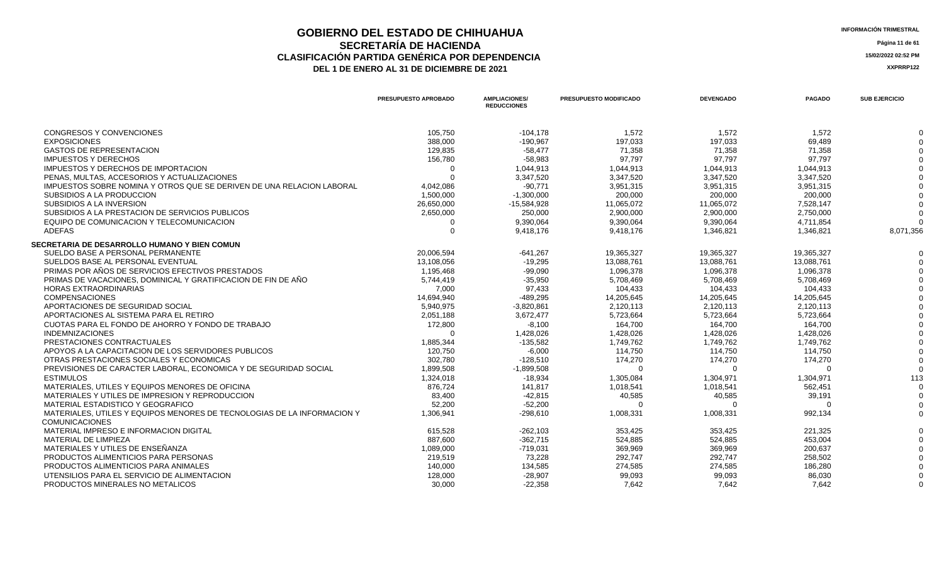### **GOBIERNO DEL ESTADO DE CHIHUAHUA** ESTADO E ESTADO E ESTADO E CHIHUAHUA **SECRETARÍA DE HACIENDA** Página 11 de 61<br>CON PARTIDA GENÉRICA POR DEPENDENCIA **CLASIFICACIÓN PARTIDA GENÉRICA POR DEPENDENCIA**<br> **THE 1 DE ENERO AL 31 DE DICIEMBRE DE 2021**<br> **ARREGISTION AND ACTEUR AUGENCIA DE PROPENTE DE 2021** DEL 1 DE ENERO AL 31 DE DICIEMBRE DE 2021

| CONGRESOS Y CONVENCIONES<br>105,750<br>$-104,178$<br>1,572<br>1,572<br>1,572<br>0<br><b>EXPOSICIONES</b><br>388,000<br>$-190,967$<br>197,033<br>197.033<br>69,489<br><b>GASTOS DE REPRESENTACION</b><br>129,835<br>$-58,477$<br>71,358<br>71,358<br>71,358<br><b>IMPUESTOS Y DERECHOS</b><br>156,780<br>$-58,983$<br>97,797<br>97,797<br>97,797<br>IMPUESTOS Y DERECHOS DE IMPORTACION<br>1,044,913<br>1,044,913<br>1,044,913<br>1,044,913<br>$\Omega$<br>PENAS, MULTAS, ACCESORIOS Y ACTUALIZACIONES<br>3,347,520<br>3,347,520<br>3,347,520<br>3,347,520<br>IMPUESTOS SOBRE NOMINA Y OTROS QUE SE DERIVEN DE UNA RELACION LABORAL<br>4,042,086<br>$-90.771$<br>3,951,315<br>3,951,315<br>3,951,315<br>SUBSIDIOS A LA PRODUCCION<br>200,000<br>200,000<br>200.000<br>1,500,000<br>$-1,300,000$<br>SUBSIDIOS A LA INVERSION<br>26,650,000<br>$-15,584,928$<br>11,065,072<br>11,065,072<br>7,528,147<br>SUBSIDIOS A LA PRESTACION DE SERVICIOS PUBLICOS<br>250,000<br>2,900,000<br>2,900,000<br>2,750,000<br>2,650,000<br>$\Omega$<br>EQUIPO DE COMUNICACION Y TELECOMUNICACION<br>9,390,064<br>9,390,064<br>9,390,064<br>4,711,854<br>$\Omega$<br><b>ADEFAS</b><br>$\Omega$<br>9,418,176<br>9,418,176<br>1,346,821<br>1,346,821<br>8,071,356<br>SECRETARIA DE DESARROLLO HUMANO Y BIEN COMUN<br>SUELDO BASE A PERSONAL PERMANENTE<br>20,006,594<br>$-641,267$<br>19,365,327<br>19,365,327<br>19,365,327<br>SUELDOS BASE AL PERSONAL EVENTUAL<br>13,108,056<br>$-19,295$<br>13,088,761<br>13,088,761<br>13,088,761<br>PRIMAS POR AÑOS DE SERVICIOS EFECTIVOS PRESTADOS<br>1,195,468<br>$-99,090$<br>1,096,378<br>1,096,378<br>1,096,378<br>PRIMAS DE VACACIONES, DOMINICAL Y GRATIFICACION DE FIN DE AÑO<br>5,744,419<br>$-35,950$<br>5,708,469<br>5,708,469<br>5,708,469<br>104.433<br><b>HORAS EXTRAORDINARIAS</b><br>7.000<br>97.433<br>104.433<br>104.433<br><b>COMPENSACIONES</b><br>14,694,940<br>$-489,295$<br>14,205,645<br>14,205,645<br>14,205,645<br>APORTACIONES DE SEGURIDAD SOCIAL<br>5,940,975<br>$-3,820,861$<br>2,120,113<br>2,120,113<br>2,120,113<br>APORTACIONES AL SISTEMA PARA EL RETIRO<br>2,051,188<br>5,723,664<br>5,723,664<br>5,723,664<br>3,672,477<br>CUOTAS PARA EL FONDO DE AHORRO Y FONDO DE TRABAJO<br>172,800<br>$-8,100$<br>164,700<br>164,700<br>164,700<br><b>INDEMNIZACIONES</b><br>1,428,026<br>1,428,026<br>1,428,026<br>1,428,026<br>PRESTACIONES CONTRACTUALES<br>1,885,344<br>$-135,582$<br>1,749,762<br>1,749,762<br>1,749,762<br>APOYOS A LA CAPACITACION DE LOS SERVIDORES PUBLICOS<br>114,750<br>120,750<br>$-6,000$<br>114,750<br>114,750<br>302.780<br>174,270<br>OTRAS PRESTACIONES SOCIALES Y ECONOMICAS<br>$-128.510$<br>174,270<br>174.270<br>PREVISIONES DE CARACTER LABORAL, ECONOMICA Y DE SEGURIDAD SOCIAL<br>1,899,508<br>$-1,899,508$<br>$\Omega$<br>$\Omega$<br>$\Omega$<br>$\Omega$<br>1,324,018<br><b>ESTIMULOS</b><br>$-18,934$<br>1,305,084<br>1,304,971<br>1,304,971<br>113<br>876,724<br>MATERIALES, UTILES Y EQUIPOS MENORES DE OFICINA<br>141,817<br>1,018,541<br>1,018,541<br>562,451<br>$\Omega$<br>40,585<br>40,585<br>MATERIALES Y UTILES DE IMPRESION Y REPRODUCCION<br>83,400<br>$-42,815$<br>39,191<br>$\Omega$<br>MATERIAL ESTADISTICO Y GEOGRAFICO<br>52,200<br>$-52,200$<br>$\Omega$<br>$\Omega$<br>$\Omega$<br>MATERIALES, UTILES Y EQUIPOS MENORES DE TECNOLOGIAS DE LA INFORMACION Y<br>1,306,941<br>1,008,331<br>992,134<br>$-298,610$<br>1,008,331<br>$\Omega$<br><b>COMUNICACIONES</b><br>MATERIAL IMPRESO E INFORMACION DIGITAL<br>615,528<br>$-262,103$<br>353,425<br>221,325<br>353,425<br>MATERIAL DE LIMPIEZA<br>887,600<br>$-362,715$<br>524,885<br>524.885<br>453.004<br>$\Omega$<br>MATERIALES Y UTILES DE ENSEÑANZA<br>369,969<br>369.969<br>200.637<br>1,089,000<br>$-719,031$<br>PRODUCTOS ALIMENTICIOS PARA PERSONAS<br>219,519<br>73,228<br>292,747<br>292,747<br>258,502<br>PRODUCTOS ALIMENTICIOS PARA ANIMALES<br>134,585<br>274,585<br>274,585<br>140,000<br>186,280<br>UTENSILIOS PARA EL SERVICIO DE ALIMENTACION<br>128,000<br>$-28,907$<br>99,093<br>99,093<br>86,030 |                                  | PRESUPUESTO APROBADO | <b>AMPLIACIONES/</b><br><b>REDUCCIONES</b> | PRESUPUESTO MODIFICADO | <b>DEVENGADO</b> | <b>PAGADO</b> | <b>SUB EJERCICIO</b> |
|------------------------------------------------------------------------------------------------------------------------------------------------------------------------------------------------------------------------------------------------------------------------------------------------------------------------------------------------------------------------------------------------------------------------------------------------------------------------------------------------------------------------------------------------------------------------------------------------------------------------------------------------------------------------------------------------------------------------------------------------------------------------------------------------------------------------------------------------------------------------------------------------------------------------------------------------------------------------------------------------------------------------------------------------------------------------------------------------------------------------------------------------------------------------------------------------------------------------------------------------------------------------------------------------------------------------------------------------------------------------------------------------------------------------------------------------------------------------------------------------------------------------------------------------------------------------------------------------------------------------------------------------------------------------------------------------------------------------------------------------------------------------------------------------------------------------------------------------------------------------------------------------------------------------------------------------------------------------------------------------------------------------------------------------------------------------------------------------------------------------------------------------------------------------------------------------------------------------------------------------------------------------------------------------------------------------------------------------------------------------------------------------------------------------------------------------------------------------------------------------------------------------------------------------------------------------------------------------------------------------------------------------------------------------------------------------------------------------------------------------------------------------------------------------------------------------------------------------------------------------------------------------------------------------------------------------------------------------------------------------------------------------------------------------------------------------------------------------------------------------------------------------------------------------------------------------------------------------------------------------------------------------------------------------------------------------------------------------------------------------------------------------------------------------------------------------------------------------------------------------------------------------------------------------------------------------------------------------------------------------------------------------------------------------------------------------------------------------------------------------------------------------------------------------------------------------------------------------------------------------------------------------------------------------------------------------------------------------------------------------------------------------------------------------------------------------------|----------------------------------|----------------------|--------------------------------------------|------------------------|------------------|---------------|----------------------|
|                                                                                                                                                                                                                                                                                                                                                                                                                                                                                                                                                                                                                                                                                                                                                                                                                                                                                                                                                                                                                                                                                                                                                                                                                                                                                                                                                                                                                                                                                                                                                                                                                                                                                                                                                                                                                                                                                                                                                                                                                                                                                                                                                                                                                                                                                                                                                                                                                                                                                                                                                                                                                                                                                                                                                                                                                                                                                                                                                                                                                                                                                                                                                                                                                                                                                                                                                                                                                                                                                                                                                                                                                                                                                                                                                                                                                                                                                                                                                                                                                                                                              |                                  |                      |                                            |                        |                  |               |                      |
|                                                                                                                                                                                                                                                                                                                                                                                                                                                                                                                                                                                                                                                                                                                                                                                                                                                                                                                                                                                                                                                                                                                                                                                                                                                                                                                                                                                                                                                                                                                                                                                                                                                                                                                                                                                                                                                                                                                                                                                                                                                                                                                                                                                                                                                                                                                                                                                                                                                                                                                                                                                                                                                                                                                                                                                                                                                                                                                                                                                                                                                                                                                                                                                                                                                                                                                                                                                                                                                                                                                                                                                                                                                                                                                                                                                                                                                                                                                                                                                                                                                                              |                                  |                      |                                            |                        |                  |               |                      |
|                                                                                                                                                                                                                                                                                                                                                                                                                                                                                                                                                                                                                                                                                                                                                                                                                                                                                                                                                                                                                                                                                                                                                                                                                                                                                                                                                                                                                                                                                                                                                                                                                                                                                                                                                                                                                                                                                                                                                                                                                                                                                                                                                                                                                                                                                                                                                                                                                                                                                                                                                                                                                                                                                                                                                                                                                                                                                                                                                                                                                                                                                                                                                                                                                                                                                                                                                                                                                                                                                                                                                                                                                                                                                                                                                                                                                                                                                                                                                                                                                                                                              |                                  |                      |                                            |                        |                  |               |                      |
|                                                                                                                                                                                                                                                                                                                                                                                                                                                                                                                                                                                                                                                                                                                                                                                                                                                                                                                                                                                                                                                                                                                                                                                                                                                                                                                                                                                                                                                                                                                                                                                                                                                                                                                                                                                                                                                                                                                                                                                                                                                                                                                                                                                                                                                                                                                                                                                                                                                                                                                                                                                                                                                                                                                                                                                                                                                                                                                                                                                                                                                                                                                                                                                                                                                                                                                                                                                                                                                                                                                                                                                                                                                                                                                                                                                                                                                                                                                                                                                                                                                                              |                                  |                      |                                            |                        |                  |               |                      |
|                                                                                                                                                                                                                                                                                                                                                                                                                                                                                                                                                                                                                                                                                                                                                                                                                                                                                                                                                                                                                                                                                                                                                                                                                                                                                                                                                                                                                                                                                                                                                                                                                                                                                                                                                                                                                                                                                                                                                                                                                                                                                                                                                                                                                                                                                                                                                                                                                                                                                                                                                                                                                                                                                                                                                                                                                                                                                                                                                                                                                                                                                                                                                                                                                                                                                                                                                                                                                                                                                                                                                                                                                                                                                                                                                                                                                                                                                                                                                                                                                                                                              |                                  |                      |                                            |                        |                  |               |                      |
|                                                                                                                                                                                                                                                                                                                                                                                                                                                                                                                                                                                                                                                                                                                                                                                                                                                                                                                                                                                                                                                                                                                                                                                                                                                                                                                                                                                                                                                                                                                                                                                                                                                                                                                                                                                                                                                                                                                                                                                                                                                                                                                                                                                                                                                                                                                                                                                                                                                                                                                                                                                                                                                                                                                                                                                                                                                                                                                                                                                                                                                                                                                                                                                                                                                                                                                                                                                                                                                                                                                                                                                                                                                                                                                                                                                                                                                                                                                                                                                                                                                                              |                                  |                      |                                            |                        |                  |               |                      |
|                                                                                                                                                                                                                                                                                                                                                                                                                                                                                                                                                                                                                                                                                                                                                                                                                                                                                                                                                                                                                                                                                                                                                                                                                                                                                                                                                                                                                                                                                                                                                                                                                                                                                                                                                                                                                                                                                                                                                                                                                                                                                                                                                                                                                                                                                                                                                                                                                                                                                                                                                                                                                                                                                                                                                                                                                                                                                                                                                                                                                                                                                                                                                                                                                                                                                                                                                                                                                                                                                                                                                                                                                                                                                                                                                                                                                                                                                                                                                                                                                                                                              |                                  |                      |                                            |                        |                  |               |                      |
|                                                                                                                                                                                                                                                                                                                                                                                                                                                                                                                                                                                                                                                                                                                                                                                                                                                                                                                                                                                                                                                                                                                                                                                                                                                                                                                                                                                                                                                                                                                                                                                                                                                                                                                                                                                                                                                                                                                                                                                                                                                                                                                                                                                                                                                                                                                                                                                                                                                                                                                                                                                                                                                                                                                                                                                                                                                                                                                                                                                                                                                                                                                                                                                                                                                                                                                                                                                                                                                                                                                                                                                                                                                                                                                                                                                                                                                                                                                                                                                                                                                                              |                                  |                      |                                            |                        |                  |               |                      |
|                                                                                                                                                                                                                                                                                                                                                                                                                                                                                                                                                                                                                                                                                                                                                                                                                                                                                                                                                                                                                                                                                                                                                                                                                                                                                                                                                                                                                                                                                                                                                                                                                                                                                                                                                                                                                                                                                                                                                                                                                                                                                                                                                                                                                                                                                                                                                                                                                                                                                                                                                                                                                                                                                                                                                                                                                                                                                                                                                                                                                                                                                                                                                                                                                                                                                                                                                                                                                                                                                                                                                                                                                                                                                                                                                                                                                                                                                                                                                                                                                                                                              |                                  |                      |                                            |                        |                  |               |                      |
|                                                                                                                                                                                                                                                                                                                                                                                                                                                                                                                                                                                                                                                                                                                                                                                                                                                                                                                                                                                                                                                                                                                                                                                                                                                                                                                                                                                                                                                                                                                                                                                                                                                                                                                                                                                                                                                                                                                                                                                                                                                                                                                                                                                                                                                                                                                                                                                                                                                                                                                                                                                                                                                                                                                                                                                                                                                                                                                                                                                                                                                                                                                                                                                                                                                                                                                                                                                                                                                                                                                                                                                                                                                                                                                                                                                                                                                                                                                                                                                                                                                                              |                                  |                      |                                            |                        |                  |               |                      |
|                                                                                                                                                                                                                                                                                                                                                                                                                                                                                                                                                                                                                                                                                                                                                                                                                                                                                                                                                                                                                                                                                                                                                                                                                                                                                                                                                                                                                                                                                                                                                                                                                                                                                                                                                                                                                                                                                                                                                                                                                                                                                                                                                                                                                                                                                                                                                                                                                                                                                                                                                                                                                                                                                                                                                                                                                                                                                                                                                                                                                                                                                                                                                                                                                                                                                                                                                                                                                                                                                                                                                                                                                                                                                                                                                                                                                                                                                                                                                                                                                                                                              |                                  |                      |                                            |                        |                  |               |                      |
|                                                                                                                                                                                                                                                                                                                                                                                                                                                                                                                                                                                                                                                                                                                                                                                                                                                                                                                                                                                                                                                                                                                                                                                                                                                                                                                                                                                                                                                                                                                                                                                                                                                                                                                                                                                                                                                                                                                                                                                                                                                                                                                                                                                                                                                                                                                                                                                                                                                                                                                                                                                                                                                                                                                                                                                                                                                                                                                                                                                                                                                                                                                                                                                                                                                                                                                                                                                                                                                                                                                                                                                                                                                                                                                                                                                                                                                                                                                                                                                                                                                                              |                                  |                      |                                            |                        |                  |               |                      |
|                                                                                                                                                                                                                                                                                                                                                                                                                                                                                                                                                                                                                                                                                                                                                                                                                                                                                                                                                                                                                                                                                                                                                                                                                                                                                                                                                                                                                                                                                                                                                                                                                                                                                                                                                                                                                                                                                                                                                                                                                                                                                                                                                                                                                                                                                                                                                                                                                                                                                                                                                                                                                                                                                                                                                                                                                                                                                                                                                                                                                                                                                                                                                                                                                                                                                                                                                                                                                                                                                                                                                                                                                                                                                                                                                                                                                                                                                                                                                                                                                                                                              |                                  |                      |                                            |                        |                  |               |                      |
|                                                                                                                                                                                                                                                                                                                                                                                                                                                                                                                                                                                                                                                                                                                                                                                                                                                                                                                                                                                                                                                                                                                                                                                                                                                                                                                                                                                                                                                                                                                                                                                                                                                                                                                                                                                                                                                                                                                                                                                                                                                                                                                                                                                                                                                                                                                                                                                                                                                                                                                                                                                                                                                                                                                                                                                                                                                                                                                                                                                                                                                                                                                                                                                                                                                                                                                                                                                                                                                                                                                                                                                                                                                                                                                                                                                                                                                                                                                                                                                                                                                                              |                                  |                      |                                            |                        |                  |               |                      |
|                                                                                                                                                                                                                                                                                                                                                                                                                                                                                                                                                                                                                                                                                                                                                                                                                                                                                                                                                                                                                                                                                                                                                                                                                                                                                                                                                                                                                                                                                                                                                                                                                                                                                                                                                                                                                                                                                                                                                                                                                                                                                                                                                                                                                                                                                                                                                                                                                                                                                                                                                                                                                                                                                                                                                                                                                                                                                                                                                                                                                                                                                                                                                                                                                                                                                                                                                                                                                                                                                                                                                                                                                                                                                                                                                                                                                                                                                                                                                                                                                                                                              |                                  |                      |                                            |                        |                  |               |                      |
|                                                                                                                                                                                                                                                                                                                                                                                                                                                                                                                                                                                                                                                                                                                                                                                                                                                                                                                                                                                                                                                                                                                                                                                                                                                                                                                                                                                                                                                                                                                                                                                                                                                                                                                                                                                                                                                                                                                                                                                                                                                                                                                                                                                                                                                                                                                                                                                                                                                                                                                                                                                                                                                                                                                                                                                                                                                                                                                                                                                                                                                                                                                                                                                                                                                                                                                                                                                                                                                                                                                                                                                                                                                                                                                                                                                                                                                                                                                                                                                                                                                                              |                                  |                      |                                            |                        |                  |               |                      |
|                                                                                                                                                                                                                                                                                                                                                                                                                                                                                                                                                                                                                                                                                                                                                                                                                                                                                                                                                                                                                                                                                                                                                                                                                                                                                                                                                                                                                                                                                                                                                                                                                                                                                                                                                                                                                                                                                                                                                                                                                                                                                                                                                                                                                                                                                                                                                                                                                                                                                                                                                                                                                                                                                                                                                                                                                                                                                                                                                                                                                                                                                                                                                                                                                                                                                                                                                                                                                                                                                                                                                                                                                                                                                                                                                                                                                                                                                                                                                                                                                                                                              |                                  |                      |                                            |                        |                  |               |                      |
|                                                                                                                                                                                                                                                                                                                                                                                                                                                                                                                                                                                                                                                                                                                                                                                                                                                                                                                                                                                                                                                                                                                                                                                                                                                                                                                                                                                                                                                                                                                                                                                                                                                                                                                                                                                                                                                                                                                                                                                                                                                                                                                                                                                                                                                                                                                                                                                                                                                                                                                                                                                                                                                                                                                                                                                                                                                                                                                                                                                                                                                                                                                                                                                                                                                                                                                                                                                                                                                                                                                                                                                                                                                                                                                                                                                                                                                                                                                                                                                                                                                                              |                                  |                      |                                            |                        |                  |               |                      |
|                                                                                                                                                                                                                                                                                                                                                                                                                                                                                                                                                                                                                                                                                                                                                                                                                                                                                                                                                                                                                                                                                                                                                                                                                                                                                                                                                                                                                                                                                                                                                                                                                                                                                                                                                                                                                                                                                                                                                                                                                                                                                                                                                                                                                                                                                                                                                                                                                                                                                                                                                                                                                                                                                                                                                                                                                                                                                                                                                                                                                                                                                                                                                                                                                                                                                                                                                                                                                                                                                                                                                                                                                                                                                                                                                                                                                                                                                                                                                                                                                                                                              |                                  |                      |                                            |                        |                  |               |                      |
|                                                                                                                                                                                                                                                                                                                                                                                                                                                                                                                                                                                                                                                                                                                                                                                                                                                                                                                                                                                                                                                                                                                                                                                                                                                                                                                                                                                                                                                                                                                                                                                                                                                                                                                                                                                                                                                                                                                                                                                                                                                                                                                                                                                                                                                                                                                                                                                                                                                                                                                                                                                                                                                                                                                                                                                                                                                                                                                                                                                                                                                                                                                                                                                                                                                                                                                                                                                                                                                                                                                                                                                                                                                                                                                                                                                                                                                                                                                                                                                                                                                                              |                                  |                      |                                            |                        |                  |               |                      |
|                                                                                                                                                                                                                                                                                                                                                                                                                                                                                                                                                                                                                                                                                                                                                                                                                                                                                                                                                                                                                                                                                                                                                                                                                                                                                                                                                                                                                                                                                                                                                                                                                                                                                                                                                                                                                                                                                                                                                                                                                                                                                                                                                                                                                                                                                                                                                                                                                                                                                                                                                                                                                                                                                                                                                                                                                                                                                                                                                                                                                                                                                                                                                                                                                                                                                                                                                                                                                                                                                                                                                                                                                                                                                                                                                                                                                                                                                                                                                                                                                                                                              |                                  |                      |                                            |                        |                  |               |                      |
|                                                                                                                                                                                                                                                                                                                                                                                                                                                                                                                                                                                                                                                                                                                                                                                                                                                                                                                                                                                                                                                                                                                                                                                                                                                                                                                                                                                                                                                                                                                                                                                                                                                                                                                                                                                                                                                                                                                                                                                                                                                                                                                                                                                                                                                                                                                                                                                                                                                                                                                                                                                                                                                                                                                                                                                                                                                                                                                                                                                                                                                                                                                                                                                                                                                                                                                                                                                                                                                                                                                                                                                                                                                                                                                                                                                                                                                                                                                                                                                                                                                                              |                                  |                      |                                            |                        |                  |               |                      |
|                                                                                                                                                                                                                                                                                                                                                                                                                                                                                                                                                                                                                                                                                                                                                                                                                                                                                                                                                                                                                                                                                                                                                                                                                                                                                                                                                                                                                                                                                                                                                                                                                                                                                                                                                                                                                                                                                                                                                                                                                                                                                                                                                                                                                                                                                                                                                                                                                                                                                                                                                                                                                                                                                                                                                                                                                                                                                                                                                                                                                                                                                                                                                                                                                                                                                                                                                                                                                                                                                                                                                                                                                                                                                                                                                                                                                                                                                                                                                                                                                                                                              |                                  |                      |                                            |                        |                  |               |                      |
|                                                                                                                                                                                                                                                                                                                                                                                                                                                                                                                                                                                                                                                                                                                                                                                                                                                                                                                                                                                                                                                                                                                                                                                                                                                                                                                                                                                                                                                                                                                                                                                                                                                                                                                                                                                                                                                                                                                                                                                                                                                                                                                                                                                                                                                                                                                                                                                                                                                                                                                                                                                                                                                                                                                                                                                                                                                                                                                                                                                                                                                                                                                                                                                                                                                                                                                                                                                                                                                                                                                                                                                                                                                                                                                                                                                                                                                                                                                                                                                                                                                                              |                                  |                      |                                            |                        |                  |               |                      |
|                                                                                                                                                                                                                                                                                                                                                                                                                                                                                                                                                                                                                                                                                                                                                                                                                                                                                                                                                                                                                                                                                                                                                                                                                                                                                                                                                                                                                                                                                                                                                                                                                                                                                                                                                                                                                                                                                                                                                                                                                                                                                                                                                                                                                                                                                                                                                                                                                                                                                                                                                                                                                                                                                                                                                                                                                                                                                                                                                                                                                                                                                                                                                                                                                                                                                                                                                                                                                                                                                                                                                                                                                                                                                                                                                                                                                                                                                                                                                                                                                                                                              |                                  |                      |                                            |                        |                  |               |                      |
|                                                                                                                                                                                                                                                                                                                                                                                                                                                                                                                                                                                                                                                                                                                                                                                                                                                                                                                                                                                                                                                                                                                                                                                                                                                                                                                                                                                                                                                                                                                                                                                                                                                                                                                                                                                                                                                                                                                                                                                                                                                                                                                                                                                                                                                                                                                                                                                                                                                                                                                                                                                                                                                                                                                                                                                                                                                                                                                                                                                                                                                                                                                                                                                                                                                                                                                                                                                                                                                                                                                                                                                                                                                                                                                                                                                                                                                                                                                                                                                                                                                                              |                                  |                      |                                            |                        |                  |               |                      |
|                                                                                                                                                                                                                                                                                                                                                                                                                                                                                                                                                                                                                                                                                                                                                                                                                                                                                                                                                                                                                                                                                                                                                                                                                                                                                                                                                                                                                                                                                                                                                                                                                                                                                                                                                                                                                                                                                                                                                                                                                                                                                                                                                                                                                                                                                                                                                                                                                                                                                                                                                                                                                                                                                                                                                                                                                                                                                                                                                                                                                                                                                                                                                                                                                                                                                                                                                                                                                                                                                                                                                                                                                                                                                                                                                                                                                                                                                                                                                                                                                                                                              |                                  |                      |                                            |                        |                  |               |                      |
|                                                                                                                                                                                                                                                                                                                                                                                                                                                                                                                                                                                                                                                                                                                                                                                                                                                                                                                                                                                                                                                                                                                                                                                                                                                                                                                                                                                                                                                                                                                                                                                                                                                                                                                                                                                                                                                                                                                                                                                                                                                                                                                                                                                                                                                                                                                                                                                                                                                                                                                                                                                                                                                                                                                                                                                                                                                                                                                                                                                                                                                                                                                                                                                                                                                                                                                                                                                                                                                                                                                                                                                                                                                                                                                                                                                                                                                                                                                                                                                                                                                                              |                                  |                      |                                            |                        |                  |               |                      |
|                                                                                                                                                                                                                                                                                                                                                                                                                                                                                                                                                                                                                                                                                                                                                                                                                                                                                                                                                                                                                                                                                                                                                                                                                                                                                                                                                                                                                                                                                                                                                                                                                                                                                                                                                                                                                                                                                                                                                                                                                                                                                                                                                                                                                                                                                                                                                                                                                                                                                                                                                                                                                                                                                                                                                                                                                                                                                                                                                                                                                                                                                                                                                                                                                                                                                                                                                                                                                                                                                                                                                                                                                                                                                                                                                                                                                                                                                                                                                                                                                                                                              |                                  |                      |                                            |                        |                  |               |                      |
|                                                                                                                                                                                                                                                                                                                                                                                                                                                                                                                                                                                                                                                                                                                                                                                                                                                                                                                                                                                                                                                                                                                                                                                                                                                                                                                                                                                                                                                                                                                                                                                                                                                                                                                                                                                                                                                                                                                                                                                                                                                                                                                                                                                                                                                                                                                                                                                                                                                                                                                                                                                                                                                                                                                                                                                                                                                                                                                                                                                                                                                                                                                                                                                                                                                                                                                                                                                                                                                                                                                                                                                                                                                                                                                                                                                                                                                                                                                                                                                                                                                                              |                                  |                      |                                            |                        |                  |               |                      |
|                                                                                                                                                                                                                                                                                                                                                                                                                                                                                                                                                                                                                                                                                                                                                                                                                                                                                                                                                                                                                                                                                                                                                                                                                                                                                                                                                                                                                                                                                                                                                                                                                                                                                                                                                                                                                                                                                                                                                                                                                                                                                                                                                                                                                                                                                                                                                                                                                                                                                                                                                                                                                                                                                                                                                                                                                                                                                                                                                                                                                                                                                                                                                                                                                                                                                                                                                                                                                                                                                                                                                                                                                                                                                                                                                                                                                                                                                                                                                                                                                                                                              |                                  |                      |                                            |                        |                  |               |                      |
|                                                                                                                                                                                                                                                                                                                                                                                                                                                                                                                                                                                                                                                                                                                                                                                                                                                                                                                                                                                                                                                                                                                                                                                                                                                                                                                                                                                                                                                                                                                                                                                                                                                                                                                                                                                                                                                                                                                                                                                                                                                                                                                                                                                                                                                                                                                                                                                                                                                                                                                                                                                                                                                                                                                                                                                                                                                                                                                                                                                                                                                                                                                                                                                                                                                                                                                                                                                                                                                                                                                                                                                                                                                                                                                                                                                                                                                                                                                                                                                                                                                                              |                                  |                      |                                            |                        |                  |               |                      |
|                                                                                                                                                                                                                                                                                                                                                                                                                                                                                                                                                                                                                                                                                                                                                                                                                                                                                                                                                                                                                                                                                                                                                                                                                                                                                                                                                                                                                                                                                                                                                                                                                                                                                                                                                                                                                                                                                                                                                                                                                                                                                                                                                                                                                                                                                                                                                                                                                                                                                                                                                                                                                                                                                                                                                                                                                                                                                                                                                                                                                                                                                                                                                                                                                                                                                                                                                                                                                                                                                                                                                                                                                                                                                                                                                                                                                                                                                                                                                                                                                                                                              |                                  |                      |                                            |                        |                  |               |                      |
|                                                                                                                                                                                                                                                                                                                                                                                                                                                                                                                                                                                                                                                                                                                                                                                                                                                                                                                                                                                                                                                                                                                                                                                                                                                                                                                                                                                                                                                                                                                                                                                                                                                                                                                                                                                                                                                                                                                                                                                                                                                                                                                                                                                                                                                                                                                                                                                                                                                                                                                                                                                                                                                                                                                                                                                                                                                                                                                                                                                                                                                                                                                                                                                                                                                                                                                                                                                                                                                                                                                                                                                                                                                                                                                                                                                                                                                                                                                                                                                                                                                                              |                                  |                      |                                            |                        |                  |               |                      |
|                                                                                                                                                                                                                                                                                                                                                                                                                                                                                                                                                                                                                                                                                                                                                                                                                                                                                                                                                                                                                                                                                                                                                                                                                                                                                                                                                                                                                                                                                                                                                                                                                                                                                                                                                                                                                                                                                                                                                                                                                                                                                                                                                                                                                                                                                                                                                                                                                                                                                                                                                                                                                                                                                                                                                                                                                                                                                                                                                                                                                                                                                                                                                                                                                                                                                                                                                                                                                                                                                                                                                                                                                                                                                                                                                                                                                                                                                                                                                                                                                                                                              |                                  |                      |                                            |                        |                  |               |                      |
|                                                                                                                                                                                                                                                                                                                                                                                                                                                                                                                                                                                                                                                                                                                                                                                                                                                                                                                                                                                                                                                                                                                                                                                                                                                                                                                                                                                                                                                                                                                                                                                                                                                                                                                                                                                                                                                                                                                                                                                                                                                                                                                                                                                                                                                                                                                                                                                                                                                                                                                                                                                                                                                                                                                                                                                                                                                                                                                                                                                                                                                                                                                                                                                                                                                                                                                                                                                                                                                                                                                                                                                                                                                                                                                                                                                                                                                                                                                                                                                                                                                                              |                                  |                      |                                            |                        |                  |               |                      |
|                                                                                                                                                                                                                                                                                                                                                                                                                                                                                                                                                                                                                                                                                                                                                                                                                                                                                                                                                                                                                                                                                                                                                                                                                                                                                                                                                                                                                                                                                                                                                                                                                                                                                                                                                                                                                                                                                                                                                                                                                                                                                                                                                                                                                                                                                                                                                                                                                                                                                                                                                                                                                                                                                                                                                                                                                                                                                                                                                                                                                                                                                                                                                                                                                                                                                                                                                                                                                                                                                                                                                                                                                                                                                                                                                                                                                                                                                                                                                                                                                                                                              |                                  |                      |                                            |                        |                  |               |                      |
|                                                                                                                                                                                                                                                                                                                                                                                                                                                                                                                                                                                                                                                                                                                                                                                                                                                                                                                                                                                                                                                                                                                                                                                                                                                                                                                                                                                                                                                                                                                                                                                                                                                                                                                                                                                                                                                                                                                                                                                                                                                                                                                                                                                                                                                                                                                                                                                                                                                                                                                                                                                                                                                                                                                                                                                                                                                                                                                                                                                                                                                                                                                                                                                                                                                                                                                                                                                                                                                                                                                                                                                                                                                                                                                                                                                                                                                                                                                                                                                                                                                                              |                                  |                      |                                            |                        |                  |               |                      |
|                                                                                                                                                                                                                                                                                                                                                                                                                                                                                                                                                                                                                                                                                                                                                                                                                                                                                                                                                                                                                                                                                                                                                                                                                                                                                                                                                                                                                                                                                                                                                                                                                                                                                                                                                                                                                                                                                                                                                                                                                                                                                                                                                                                                                                                                                                                                                                                                                                                                                                                                                                                                                                                                                                                                                                                                                                                                                                                                                                                                                                                                                                                                                                                                                                                                                                                                                                                                                                                                                                                                                                                                                                                                                                                                                                                                                                                                                                                                                                                                                                                                              | PRODUCTOS MINERALES NO METALICOS | 30.000               | $-22,358$                                  | 7.642                  | 7.642            | 7.642         | $\Omega$             |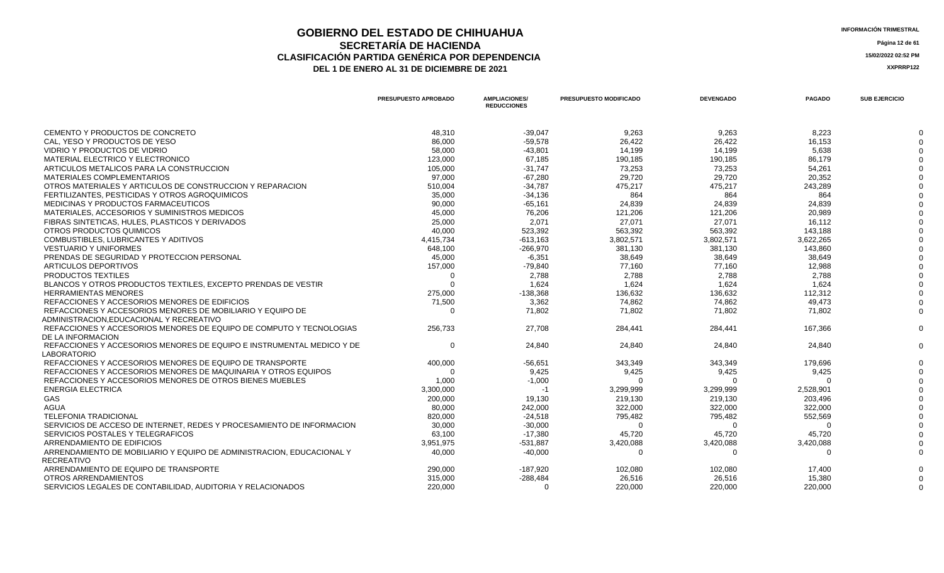### **GOBIERNO DEL ESTADO DE CHIHUAHUA**<br> **GEOBERNO DEL ESTADO DE CHIHUAHUA**<br> **INFORMACIÓN TRIMESTRAL SECRETARÍA DE HACIENDA** Página 12 de 61<br>IÓN PARTIDA GENÉRICA POR DEPENDENCIA **CLASIFICACIÓN PARTIDA GENÉRICA POR DEPENDENCIA**<br> **THE 1 DE ENERO AL 31 DE DICIEMBRE DE 2021**<br> **ARREGISTION AND ACTEUR AUGENCIA DE PROPENTE DE 2021** DEL 1 DE ENERO AL 31 DE DICIEMBRE DE 2021

|                                                                                            | PRESUPUESTO APROBADO | <b>AMPLIACIONES/</b><br><b>REDUCCIONES</b> | PRESUPUESTO MODIFICADO | <b>DEVENGADO</b> | <b>PAGADO</b> | <b>SUB EJERCICIO</b> |
|--------------------------------------------------------------------------------------------|----------------------|--------------------------------------------|------------------------|------------------|---------------|----------------------|
| CEMENTO Y PRODUCTOS DE CONCRETO                                                            | 48,310               | $-39,047$                                  | 9,263                  | 9,263            | 8,223         |                      |
| CAL, YESO Y PRODUCTOS DE YESO                                                              | 86,000               | $-59,578$                                  | 26,422                 | 26,422           | 16,153        |                      |
| VIDRIO Y PRODUCTOS DE VIDRIO                                                               | 58,000               | $-43.801$                                  | 14,199                 | 14,199           | 5,638         |                      |
| <b>MATERIAL ELECTRICO Y ELECTRONICO</b>                                                    | 123,000              | 67,185                                     | 190,185                | 190,185          | 86,179        |                      |
| ARTICULOS METALICOS PARA LA CONSTRUCCION                                                   | 105,000              | $-31,747$                                  | 73,253                 | 73,253           | 54,261        |                      |
| MATERIALES COMPLEMENTARIOS                                                                 | 97,000               | $-67,280$                                  | 29,720                 | 29,720           | 20,352        |                      |
| OTROS MATERIALES Y ARTICULOS DE CONSTRUCCION Y REPARACION                                  | 510,004              | $-34,787$                                  | 475,217                | 475,217          | 243,289       |                      |
| FERTILIZANTES. PESTICIDAS Y OTROS AGROQUIMICOS                                             | 35,000               | $-34,136$                                  | 864                    | 864              | 864           |                      |
| MEDICINAS Y PRODUCTOS FARMACEUTICOS                                                        | 90,000               | $-65,161$                                  | 24,839                 | 24,839           | 24,839        |                      |
| MATERIALES, ACCESORIOS Y SUMINISTROS MEDICOS                                               | 45,000               | 76,206                                     | 121,206                | 121,206          | 20,989        |                      |
| FIBRAS SINTETICAS, HULES, PLASTICOS Y DERIVADOS                                            | 25,000               | 2,071                                      | 27,071                 | 27,071           | 16,112        |                      |
| OTROS PRODUCTOS QUIMICOS                                                                   | 40,000               | 523,392                                    | 563,392                | 563,392          | 143,188       |                      |
| COMBUSTIBLES, LUBRICANTES Y ADITIVOS                                                       | 4,415,734            | $-613,163$                                 | 3,802,571              | 3,802,571        | 3,622,265     |                      |
| <b>VESTUARIO Y UNIFORMES</b>                                                               | 648,100              | -266,970                                   | 381,130                | 381,130          | 143,860       |                      |
| PRENDAS DE SEGURIDAD Y PROTECCION PERSONAL                                                 | 45,000               | $-6,351$                                   | 38,649                 | 38,649           | 38,649        |                      |
| ARTICULOS DEPORTIVOS                                                                       | 157,000              | $-79,840$                                  | 77,160                 | 77,160           | 12,988        |                      |
| <b>PRODUCTOS TEXTILES</b>                                                                  | $\Omega$             | 2,788                                      | 2,788                  | 2,788            | 2,788         |                      |
| BLANCOS Y OTROS PRODUCTOS TEXTILES. EXCEPTO PRENDAS DE VESTIR                              | $\Omega$             | 1.624                                      | 1.624                  | 1.624            | 1.624         |                      |
| <b>HERRAMIENTAS MENORES</b>                                                                | 275,000              | $-138,368$                                 | 136,632                | 136,632          | 112,312       |                      |
| REFACCIONES Y ACCESORIOS MENORES DE EDIFICIOS                                              | 71,500               | 3,362                                      | 74,862                 | 74,862           | 49,473        |                      |
| REFACCIONES Y ACCESORIOS MENORES DE MOBILIARIO Y EQUIPO DE                                 | $\Omega$             | 71,802                                     | 71,802                 | 71,802           | 71.802        |                      |
| ADMINISTRACION.EDUCACIONAL Y RECREATIVO                                                    |                      |                                            |                        |                  |               |                      |
| REFACCIONES Y ACCESORIOS MENORES DE EQUIPO DE COMPUTO Y TECNOLOGIAS                        | 256,733              | 27,708                                     | 284,441                | 284,441          | 167,366       |                      |
| DE LA INFORMACION                                                                          |                      |                                            |                        |                  |               |                      |
| REFACCIONES Y ACCESORIOS MENORES DE EQUIPO E INSTRUMENTAL MEDICO Y DE<br>LABORATORIO       | $\Omega$             | 24,840                                     | 24,840                 | 24,840           | 24,840        |                      |
| REFACCIONES Y ACCESORIOS MENORES DE EQUIPO DE TRANSPORTE                                   | 400,000              | -56,651                                    | 343,349                | 343,349          | 179,696       |                      |
| REFACCIONES Y ACCESORIOS MENORES DE MAQUINARIA Y OTROS EQUIPOS                             | $\Omega$             | 9,425                                      | 9,425                  | 9,425            | 9,425         |                      |
| REFACCIONES Y ACCESORIOS MENORES DE OTROS BIENES MUEBLES                                   | 1,000                | $-1,000$                                   | $\Omega$               | $\Omega$         | $\Omega$      |                      |
| <b>ENERGIA ELECTRICA</b>                                                                   | 3,300,000            | -1                                         | 3,299,999              | 3,299,999        | 2,528,901     |                      |
| GAS                                                                                        | 200,000              | 19,130                                     | 219,130                | 219,130          | 203,496       |                      |
| <b>AGUA</b>                                                                                | 80,000               | 242,000                                    | 322,000                | 322,000          | 322,000       |                      |
| <b>TELEFONIA TRADICIONAL</b>                                                               | 820,000              | $-24,518$                                  | 795,482                | 795,482          | 552,569       |                      |
| SERVICIOS DE ACCESO DE INTERNET, REDES Y PROCESAMIENTO DE INFORMACION                      | 30,000               | $-30,000$                                  | $\Omega$               | $\Omega$         | $\Omega$      |                      |
| SERVICIOS POSTALES Y TELEGRAFICOS                                                          | 63,100               | $-17,380$                                  | 45,720                 | 45,720           | 45,720        |                      |
| ARRENDAMIENTO DE EDIFICIOS                                                                 | 3,951,975            | $-531,887$                                 | 3,420,088              | 3,420,088        | 3,420,088     |                      |
| ARRENDAMIENTO DE MOBILIARIO Y EQUIPO DE ADMINISTRACION. EDUCACIONAL Y<br><b>RECREATIVO</b> | 40,000               | $-40,000$                                  | $\Omega$               | $\Omega$         | $\Omega$      |                      |
| ARRENDAMIENTO DE EQUIPO DE TRANSPORTE                                                      | 290,000              | -187,920                                   | 102,080                | 102,080          | 17,400        |                      |
| OTROS ARRENDAMIENTOS                                                                       | 315,000              | $-288,484$                                 | 26.516                 | 26.516           | 15,380        |                      |
| SERVICIOS LEGALES DE CONTABILIDAD, AUDITORIA Y RELACIONADOS                                | 220,000              | $\Omega$                                   | 220,000                | 220,000          | 220,000       |                      |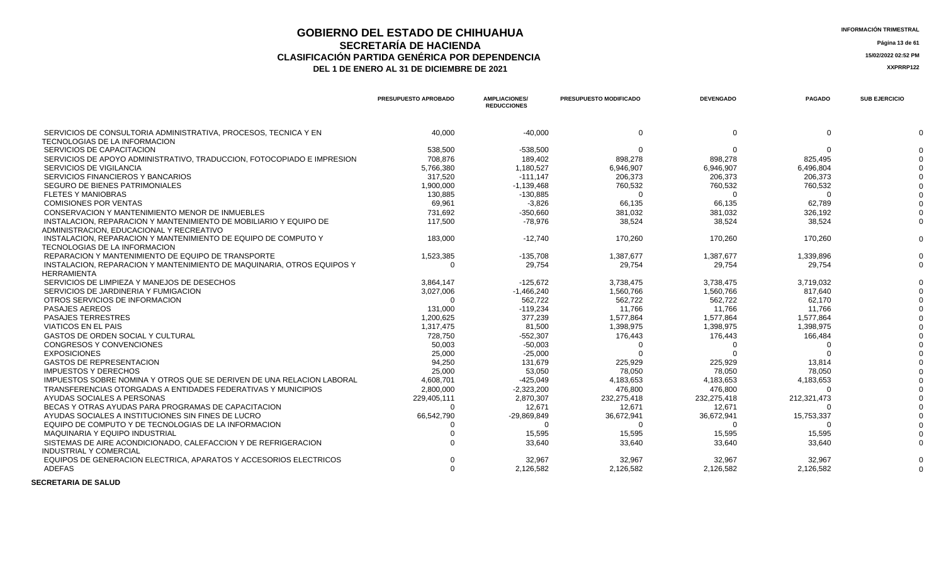## **GOBIERNO DEL ESTADO DE CHIHUAHUA** ESTADO E ESTADO E ESTADO E CHIHUAHUA **SECRETARÍA DE HACIENDA** Página 13 de 61<br>CON PARTIDA GENÉRICA POR DEPENDENCIA **CLASIFICACIÓN PARTIDA GENÉRICA POR DEPENDENCIA**<br> **THE 1 DE ENERO AL 31 DE DICIEMBRE DE 2021**<br> **ARREGISTIVA DE LA DE ENERO AL 31 DE DICIEMBRE DE 2021**

DEL 1 DE ENERO AL 31 DE DICIEMBRE DE 2021

|                                                                                              | PRESUPUESTO APROBADO | <b>AMPLIACIONES/</b><br><b>REDUCCIONES</b> | PRESUPUESTO MODIFICADO | <b>DEVENGADO</b> | <b>PAGADO</b> | <b>SUB EJERCICIO</b> |
|----------------------------------------------------------------------------------------------|----------------------|--------------------------------------------|------------------------|------------------|---------------|----------------------|
| SERVICIOS DE CONSULTORIA ADMINISTRATIVA, PROCESOS, TECNICA Y EN                              | 40,000               | $-40,000$                                  | $\Omega$               | $\Omega$         | $\Omega$      |                      |
| TECNOLOGIAS DE LA INFORMACION<br>SERVICIOS DE CAPACITACION                                   | 538,500              | $-538,500$                                 | $\Omega$               | $\Omega$         | $\Omega$      |                      |
| SERVICIOS DE APOYO ADMINISTRATIVO, TRADUCCION, FOTOCOPIADO E IMPRESION                       | 708.876              | 189.402                                    | 898,278                | 898,278          | 825,495       |                      |
| SERVICIOS DE VIGILANCIA                                                                      |                      | 1,180,527                                  | 6,946,907              | 6,946,907        | 6,496,804     |                      |
|                                                                                              | 5,766,380            |                                            |                        |                  |               |                      |
| SERVICIOS FINANCIEROS Y BANCARIOS<br><b>SEGURO DE BIENES PATRIMONIALES</b>                   | 317,520              | $-111,147$                                 | 206,373                | 206,373          | 206,373       |                      |
| <b>FLETES Y MANIOBRAS</b>                                                                    | 1,900,000            | $-1,139,468$                               | 760,532                | 760,532          | 760,532       |                      |
|                                                                                              | 130,885              | $-130,885$                                 | ∩                      |                  |               |                      |
| <b>COMISIONES POR VENTAS</b>                                                                 | 69,961               | $-3,826$                                   | 66,135                 | 66,135           | 62,789        |                      |
| CONSERVACION Y MANTENIMIENTO MENOR DE INMUEBLES                                              | 731,692              | $-350,660$                                 | 381,032                | 381,032          | 326,192       |                      |
| INSTALACION. REPARACION Y MANTENIMIENTO DE MOBILIARIO Y EQUIPO DE                            | 117,500              | $-78,976$                                  | 38,524                 | 38,524           | 38,524        |                      |
| ADMINISTRACION, EDUCACIONAL Y RECREATIVO                                                     |                      |                                            |                        |                  |               |                      |
| INSTALACION, REPARACION Y MANTENIMIENTO DE EQUIPO DE COMPUTO Y                               | 183,000              | $-12,740$                                  | 170,260                | 170,260          | 170,260       |                      |
| TECNOLOGIAS DE LA INFORMACION                                                                |                      |                                            |                        |                  |               |                      |
| REPARACION Y MANTENIMIENTO DE EQUIPO DE TRANSPORTE                                           | 1,523,385            | $-135,708$                                 | 1,387,677              | 1,387,677        | 1,339,896     |                      |
| INSTALACION, REPARACION Y MANTENIMIENTO DE MAQUINARIA, OTROS EQUIPOS Y<br><b>HERRAMIENTA</b> | $\Omega$             | 29,754                                     | 29,754                 | 29,754           | 29,754        |                      |
| SERVICIOS DE LIMPIEZA Y MANEJOS DE DESECHOS                                                  | 3,864,147            | $-125,672$                                 | 3,738,475              | 3,738,475        | 3,719,032     |                      |
| SERVICIOS DE JARDINERIA Y FUMIGACION                                                         | 3,027,006            | $-1,466,240$                               | 1,560,766              | 1,560,766        | 817,640       |                      |
| OTROS SERVICIOS DE INFORMACION                                                               | ∩                    | 562,722                                    | 562,722                | 562,722          | 62,170        |                      |
| <b>PASAJES AEREOS</b>                                                                        | 131,000              | $-119.234$                                 | 11.766                 | 11.766           | 11.766        |                      |
| <b>PASAJES TERRESTRES</b>                                                                    | 1,200,625            | 377,239                                    | 1,577,864              | 1,577,864        | 1,577,864     |                      |
| <b>VIATICOS EN EL PAIS</b>                                                                   | 1,317,475            | 81,500                                     | 1,398,975              | 1,398,975        | 1,398,975     |                      |
| <b>GASTOS DE ORDEN SOCIAL Y CULTURAL</b>                                                     | 728,750              | $-552,307$                                 | 176,443                | 176,443          | 166,484       |                      |
| <b>CONGRESOS Y CONVENCIONES</b>                                                              | 50.003               | $-50.003$                                  | ∩                      |                  |               |                      |
| <b>EXPOSICIONES</b>                                                                          | 25,000               | $-25,000$                                  |                        |                  |               |                      |
| <b>GASTOS DE REPRESENTACION</b>                                                              | 94,250               | 131,679                                    | 225,929                | 225,929          | 13,814        |                      |
| <b>IMPUESTOS Y DERECHOS</b>                                                                  | 25,000               | 53,050                                     | 78.050                 | 78.050           | 78.050        |                      |
| IMPUESTOS SOBRE NOMINA Y OTROS QUE SE DERIVEN DE UNA RELACION LABORAL                        | 4,608,701            | $-425,049$                                 | 4,183,653              | 4,183,653        | 4,183,653     |                      |
| TRANSFERENCIAS OTORGADAS A ENTIDADES FEDERATIVAS Y MUNICIPIOS                                | 2,800,000            | $-2,323,200$                               | 476,800                | 476,800          | ∩             |                      |
| AYUDAS SOCIALES A PERSONAS                                                                   | 229,405,111          | 2,870,307                                  | 232,275,418            | 232,275,418      | 212,321,473   |                      |
| BECAS Y OTRAS AYUDAS PARA PROGRAMAS DE CAPACITACION                                          |                      | 12,671                                     | 12,671                 | 12,671           |               |                      |
| AYUDAS SOCIALES A INSTITUCIONES SIN FINES DE LUCRO                                           | 66,542,790           | -29,869,849                                | 36,672,941             | 36,672,941       | 15,753,337    |                      |
| EQUIPO DE COMPUTO Y DE TECNOLOGIAS DE LA INFORMACION                                         |                      | $\Omega$                                   |                        |                  |               |                      |
| <b>MAQUINARIA Y EQUIPO INDUSTRIAL</b>                                                        |                      | 15,595                                     | 15,595                 | 15,595           | 15,595        |                      |
| SISTEMAS DE AIRE ACONDICIONADO, CALEFACCION Y DE REFRIGERACION                               |                      | 33,640                                     | 33,640                 | 33,640           | 33,640        |                      |
| <b>INDUSTRIAL Y COMERCIAL</b>                                                                |                      |                                            |                        |                  |               |                      |
| EQUIPOS DE GENERACION ELECTRICA. APARATOS Y ACCESORIOS ELECTRICOS                            |                      | 32,967                                     | 32,967                 | 32,967           | 32,967        |                      |
| <b>ADEFAS</b>                                                                                | $\Omega$             | 2,126,582                                  | 2,126,582              | 2,126,582        | 2,126,582     |                      |
|                                                                                              |                      |                                            |                        |                  |               |                      |

 **SECRETARIA DE SALUD**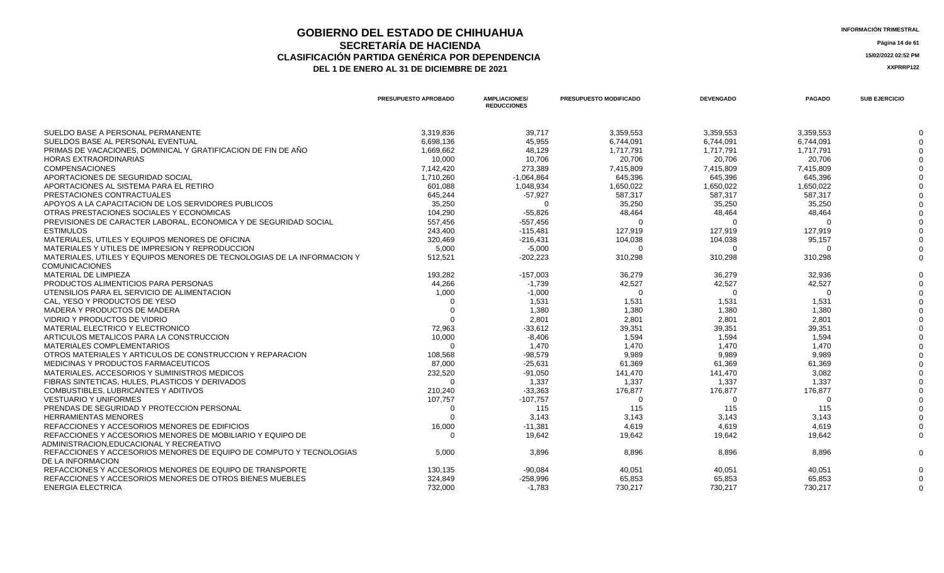### **GOBIERNO DEL ESTADO DE CHIHUAHUA**<br> **INFORMACIÓN TRIMESTRAL**<br> **INFORMACIÓN TRIMESTRAL SECRETARÍA DE HACIENDA** Página 14 de 61<br>CON PARTIDA GENÉRICA POR DEPENDENCIA **CLASIFICACIÓN PARTIDA GENÉRICA POR DEPENDENCIA 15/02/2022 02:52 PM** DEL 1 DE ENERO AL 31 DE DICIEMBRE DE 2021

|                                                                                                       | PRESUPUESTO APROBADO | <b>AMPLIACIONES/</b><br><b>REDUCCIONES</b> | PRESUPUESTO MODIFICADO | <b>DEVENGADO</b> | <b>PAGADO</b> | <b>SUB EJERCICIO</b> |
|-------------------------------------------------------------------------------------------------------|----------------------|--------------------------------------------|------------------------|------------------|---------------|----------------------|
| SUELDO BASE A PERSONAL PERMANENTE                                                                     | 3,319,836            | 39,717                                     | 3,359,553              | 3,359,553        | 3,359,553     |                      |
| SUELDOS BASE AL PERSONAL EVENTUAL                                                                     | 6,698,136            | 45,955                                     | 6,744,091              | 6,744,091        | 6,744,091     |                      |
| PRIMAS DE VACACIONES, DOMINICAL Y GRATIFICACION DE FIN DE AÑO                                         | 1,669,662            | 48.129                                     | 1,717,791              | 1,717,791        | 1,717,791     |                      |
| <b>HORAS EXTRAORDINARIAS</b>                                                                          | 10,000               | 10,706                                     | 20,706                 | 20,706           | 20,706        |                      |
| <b>COMPENSACIONES</b>                                                                                 | 7,142,420            | 273,389                                    | 7,415,809              | 7,415,809        | 7,415,809     |                      |
| APORTACIONES DE SEGURIDAD SOCIAL                                                                      | 1,710,260            | $-1,064,864$                               | 645,396                | 645,396          | 645,396       |                      |
| APORTACIONES AL SISTEMA PARA EL RETIRO                                                                | 601,088              | 1,048,934                                  | 1,650,022              | 1,650,022        | 1,650,022     |                      |
| PRESTACIONES CONTRACTUALES                                                                            | 645,244              | $-57,927$                                  | 587,317                | 587,317          | 587,317       |                      |
| APOYOS A LA CAPACITACION DE LOS SERVIDORES PUBLICOS                                                   | 35,250               |                                            | 35,250                 | 35,250           | 35,250        |                      |
| OTRAS PRESTACIONES SOCIALES Y ECONOMICAS                                                              | 104,290              | $-55,826$                                  | 48,464                 | 48,464           | 48,464        |                      |
| PREVISIONES DE CARACTER LABORAL. ECONOMICA Y DE SEGURIDAD SOCIAL                                      | 557,456              | $-557,456$                                 |                        |                  |               |                      |
| <b>ESTIMULOS</b>                                                                                      | 243,400              | $-115,481$                                 | 127,919                | 127,919          | 127,919       |                      |
| MATERIALES, UTILES Y EQUIPOS MENORES DE OFICINA                                                       | 320,469              | $-216,431$                                 | 104,038                | 104,038          | 95,157        |                      |
| MATERIALES Y UTILES DE IMPRESION Y REPRODUCCION                                                       | 5,000                | $-5,000$                                   | $\Omega$               | - 0              | $\Omega$      |                      |
| MATERIALES. UTILES Y EQUIPOS MENORES DE TECNOLOGIAS DE LA INFORMACION Y                               | 512,521              | $-202,223$                                 | 310,298                | 310,298          | 310,298       |                      |
| <b>COMUNICACIONES</b>                                                                                 |                      |                                            |                        |                  |               |                      |
| MATERIAL DE LIMPIEZA                                                                                  | 193,282              | $-157,003$                                 | 36,279                 | 36,279           | 32,936        |                      |
| PRODUCTOS ALIMENTICIOS PARA PERSONAS                                                                  | 44.266               | $-1,739$                                   | 42,527                 | 42,527           | 42,527        |                      |
| UTENSILIOS PARA EL SERVICIO DE ALIMENTACION                                                           | 1,000                | $-1,000$                                   | $\Omega$               | $\Omega$         | $\Omega$      |                      |
| CAL. YESO Y PRODUCTOS DE YESO                                                                         |                      | 1,531                                      | 1,531                  | 1,531            | 1,531         |                      |
| MADERA Y PRODUCTOS DE MADERA                                                                          | $\Omega$             | 1,380                                      | 1,380                  | 1,380            | 1,380         |                      |
| VIDRIO Y PRODUCTOS DE VIDRIO                                                                          |                      | 2,801                                      | 2,801                  | 2,801            | 2,801         |                      |
| MATERIAL ELECTRICO Y ELECTRONICO                                                                      | 72,963               | $-33,612$                                  | 39,351                 | 39,351           | 39,351        |                      |
| ARTICULOS METALICOS PARA LA CONSTRUCCION                                                              | 10,000               | $-8,406$                                   | 1,594                  | 1,594            | 1,594         |                      |
| MATERIALES COMPLEMENTARIOS                                                                            | $\Omega$             | 1.470                                      | 1.470                  | 1.470            | 1.470         |                      |
| OTROS MATERIALES Y ARTICULOS DE CONSTRUCCION Y REPARACION                                             | 108,568              | $-98,579$                                  | 9,989                  | 9,989            | 9,989         |                      |
| MEDICINAS Y PRODUCTOS FARMACEUTICOS                                                                   | 87,000               | $-25,631$                                  | 61,369                 | 61,369           | 61,369        |                      |
| MATERIALES. ACCESORIOS Y SUMINISTROS MEDICOS                                                          | 232,520              | $-91,050$                                  | 141,470                | 141,470          | 3.082         |                      |
| FIBRAS SINTETICAS, HULES, PLASTICOS Y DERIVADOS                                                       |                      | 1,337                                      | 1,337                  | 1,337            | 1,337         |                      |
| COMBUSTIBLES, LUBRICANTES Y ADITIVOS                                                                  | 210,240              | $-33,363$                                  | 176,877                | 176,877          | 176,877       |                      |
| <b>VESTUARIO Y UNIFORMES</b>                                                                          | 107,757              | $-107,757$                                 | $\Omega$               | $\Omega$         | $\Omega$      |                      |
| PRENDAS DE SEGURIDAD Y PROTECCION PERSONAL                                                            | ∩                    | 115                                        | 115                    | 115              | 115           |                      |
| <b>HERRAMIENTAS MENORES</b>                                                                           |                      | 3,143                                      | 3,143                  | 3,143            | 3,143         |                      |
| REFACCIONES Y ACCESORIOS MENORES DE EDIFICIOS                                                         | 16,000               | $-11,381$                                  | 4,619                  | 4,619            | 4,619         |                      |
| REFACCIONES Y ACCESORIOS MENORES DE MOBILIARIO Y EQUIPO DE<br>ADMINISTRACION.EDUCACIONAL Y RECREATIVO | $\Omega$             | 19,642                                     | 19,642                 | 19,642           | 19,642        |                      |
| REFACCIONES Y ACCESORIOS MENORES DE EQUIPO DE COMPUTO Y TECNOLOGIAS<br>DE LA INFORMACION              | 5,000                | 3,896                                      | 8,896                  | 8,896            | 8,896         |                      |
| REFACCIONES Y ACCESORIOS MENORES DE EQUIPO DE TRANSPORTE                                              | 130.135              | -90.084                                    | 40.051                 | 40.051           | 40.051        |                      |
| REFACCIONES Y ACCESORIOS MENORES DE OTROS BIENES MUEBLES                                              | 324,849              | $-258,996$                                 | 65,853                 | 65,853           | 65,853        |                      |
| <b>ENERGIA ELECTRICA</b>                                                                              | 732,000              | $-1,783$                                   | 730,217                | 730,217          | 730,217       |                      |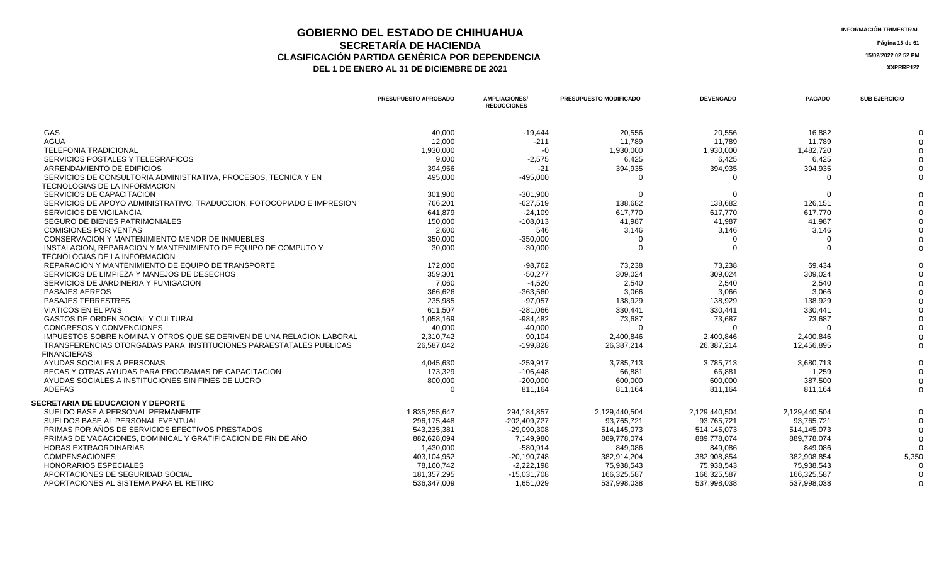### **GOBIERNO DEL ESTADO DE CHIHUAHUA INFORMACIÓN TRIMESTRAL SECRETARÍA DE HACIENDA** Página 15 de 61<br>CON PARTIDA GENÉRICA POR DEPENDENCIA **CLASIFICACIÓN PARTIDA GENÉRICA POR DEPENDENCIA**<br> **THE 1 DE ENERO AL 31 DE DICIEMBRE DE 2021**<br> **ARREGISTION AND ACTEUR AUGENCIA DE PROPENTE DE 2021** DEL 1 DE ENERO AL 31 DE DICIEMBRE DE 2021

|                                                                                                 | <b>PRESUPUESTO APROBADO</b> | <b>AMPLIACIONES/</b><br><b>REDUCCIONES</b> | <b>PRESUPUESTO MODIFICADO</b> | <b>DEVENGADO</b> | <b>PAGADO</b> | <b>SUB EJERCICIO</b> |
|-------------------------------------------------------------------------------------------------|-----------------------------|--------------------------------------------|-------------------------------|------------------|---------------|----------------------|
| GAS                                                                                             | 40,000                      | $-19,444$                                  | 20,556                        | 20,556           | 16,882        |                      |
| <b>AGUA</b>                                                                                     | 12,000                      | $-211$                                     | 11,789                        | 11.789           | 11,789        |                      |
| <b>TELEFONIA TRADICIONAL</b>                                                                    | 1,930,000                   | $-0$                                       | 1,930,000                     | 1,930,000        | 1,482,720     |                      |
| SERVICIOS POSTALES Y TELEGRAFICOS                                                               | 9.000                       | $-2,575$                                   | 6,425                         | 6,425            | 6.425         |                      |
| ARRENDAMIENTO DE EDIFICIOS                                                                      | 394,956                     | $-21$                                      | 394,935                       | 394,935          | 394,935       |                      |
| SERVICIOS DE CONSULTORIA ADMINISTRATIVA, PROCESOS, TECNICA Y EN                                 | 495,000                     | $-495,000$                                 | $\Omega$                      |                  |               |                      |
| TECNOLOGIAS DE LA INFORMACION                                                                   |                             |                                            |                               |                  |               |                      |
| SERVICIOS DE CAPACITACION                                                                       | 301,900                     | $-301,900$                                 | $\Omega$                      | $\Omega$         | $\Omega$      |                      |
| SERVICIOS DE APOYO ADMINISTRATIVO, TRADUCCION, FOTOCOPIADO E IMPRESION                          | 766,201                     | $-627,519$                                 | 138,682                       | 138,682          | 126,151       |                      |
| SERVICIOS DE VIGILANCIA                                                                         | 641,879                     | $-24,109$                                  | 617,770                       | 617,770          | 617,770       |                      |
| SEGURO DE BIENES PATRIMONIALES                                                                  | 150,000                     | $-108,013$                                 | 41,987                        | 41,987           | 41,987        |                      |
| <b>COMISIONES POR VENTAS</b>                                                                    | 2,600                       | 546                                        | 3,146                         | 3,146            | 3,146         |                      |
| CONSERVACION Y MANTENIMIENTO MENOR DE INMUEBLES                                                 | 350,000                     | $-350,000$                                 | $\Omega$                      |                  |               |                      |
| INSTALACION, REPARACION Y MANTENIMIENTO DE EQUIPO DE COMPUTO Y<br>TECNOLOGIAS DE LA INFORMACION | 30,000                      | $-30,000$                                  | $\Omega$                      | $\Omega$         | $\Omega$      |                      |
| REPARACION Y MANTENIMIENTO DE EQUIPO DE TRANSPORTE                                              | 172,000                     | $-98,762$                                  | 73,238                        | 73,238           | 69,434        |                      |
| SERVICIOS DE LIMPIEZA Y MANEJOS DE DESECHOS                                                     | 359,301                     | $-50,277$                                  | 309,024                       | 309,024          | 309.024       |                      |
| SERVICIOS DE JARDINERIA Y FUMIGACION                                                            | 7.060                       | $-4,520$                                   | 2,540                         | 2,540            | 2,540         |                      |
| PASAJES AEREOS                                                                                  | 366.626                     | $-363,560$                                 | 3,066                         | 3.066            | 3.066         |                      |
| <b>PASAJES TERRESTRES</b>                                                                       | 235.985                     | $-97.057$                                  | 138,929                       | 138.929          | 138.929       |                      |
| <b>VIATICOS EN EL PAIS</b>                                                                      | 611,507                     | $-281,066$                                 | 330,441                       | 330,441          | 330.441       |                      |
| <b>GASTOS DE ORDEN SOCIAL Y CULTURAL</b>                                                        | 1,058,169                   | $-984,482$                                 | 73,687                        | 73,687           | 73,687        |                      |
| CONGRESOS Y CONVENCIONES                                                                        | 40,000                      | $-40,000$                                  | $\Omega$                      |                  |               |                      |
| IMPUESTOS SOBRE NOMINA Y OTROS QUE SE DERIVEN DE UNA RELACION LABORAL                           | 2,310,742                   | 90,104                                     | 2,400,846                     | 2,400,846        | 2,400,846     |                      |
| TRANSFERENCIAS OTORGADAS PARA INSTITUCIONES PARAESTATALES PUBLICAS                              | 26,587,042                  | $-199,828$                                 | 26,387,214                    | 26,387,214       | 12,456,895    |                      |
| <b>FINANCIERAS</b>                                                                              |                             |                                            |                               |                  |               |                      |
| AYUDAS SOCIALES A PERSONAS                                                                      | 4.045.630                   | $-259.917$                                 | 3,785,713                     | 3,785,713        | 3.680.713     |                      |
| BECAS Y OTRAS AYUDAS PARA PROGRAMAS DE CAPACITACION                                             | 173,329                     | $-106,448$                                 | 66,881                        | 66,881           | 1,259         |                      |
| AYUDAS SOCIALES A INSTITUCIONES SIN FINES DE LUCRO                                              | 800,000                     | $-200,000$                                 | 600,000                       | 600,000          | 387,500       |                      |
| <b>ADEFAS</b>                                                                                   | $\Omega$                    | 811,164                                    | 811,164                       | 811,164          | 811.164       |                      |
| <b>SECRETARIA DE EDUCACION Y DEPORTE</b>                                                        |                             |                                            |                               |                  |               |                      |
| SUELDO BASE A PERSONAL PERMANENTE                                                               | 1.835.255.647               | 294,184,857                                | 2,129,440,504                 | 2.129.440.504    | 2.129.440.504 |                      |
| SUELDOS BASE AL PERSONAL EVENTUAL                                                               | 296,175,448                 | $-202,409,727$                             | 93,765,721                    | 93,765,721       | 93.765.721    |                      |
| PRIMAS POR AÑOS DE SERVICIOS EFECTIVOS PRESTADOS                                                | 543,235,381                 | $-29,090,308$                              | 514,145,073                   | 514,145,073      | 514.145.073   |                      |
| PRIMAS DE VACACIONES. DOMINICAL Y GRATIFICACION DE FIN DE AÑO                                   | 882.628.094                 | 7.149.980                                  | 889.778.074                   | 889.778.074      | 889.778.074   |                      |
| <b>HORAS EXTRAORDINARIAS</b>                                                                    | 1,430,000                   | $-580,914$                                 | 849,086                       | 849,086          | 849,086       |                      |
| <b>COMPENSACIONES</b>                                                                           | 403,104,952                 | $-20,190,748$                              | 382,914,204                   | 382,908,854      | 382,908,854   | 5,350                |
| <b>HONORARIOS ESPECIALES</b>                                                                    | 78,160,742                  | $-2,222,198$                               | 75,938,543                    | 75,938,543       | 75,938,543    |                      |
| APORTACIONES DE SEGURIDAD SOCIAL                                                                | 181,357,295                 | $-15,031,708$                              | 166,325,587                   | 166,325,587      | 166,325,587   |                      |
| APORTACIONES AL SISTEMA PARA EL RETIRO                                                          | 536.347.009                 | 1,651,029                                  | 537.998.038                   | 537.998.038      | 537.998.038   |                      |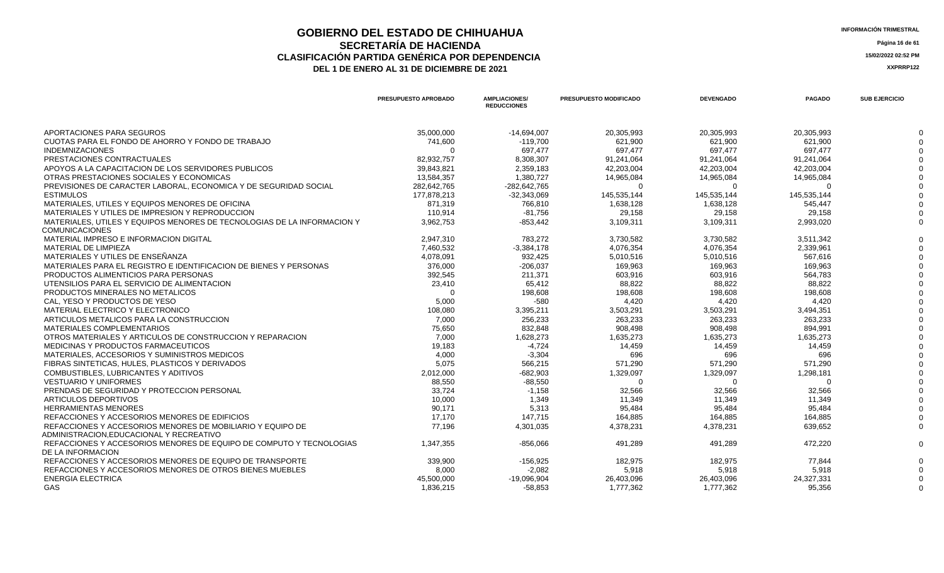## **GOBIERNO DEL ESTADO DE CHIHUAHUA** INFORMACIÓN TRIMESTRAL<br> **INFORMACIÓN TRIMESTRAL**<br> **Información trimestral SECRETARÍA DE HACIENDA** Página 16 de 61<br>CON PARTIDA GENÉRICA POR DEPENDENCIA **CLASIFICACIÓN PARTIDA GENÉRICA POR DEPENDENCIA 15/02/2022 02:52 PM**

|                                                                                                        | <b>PRESUPUESTO APROBADO</b> | <b>AMPLIACIONES/</b><br><b>REDUCCIONES</b> | <b>PRESUPUESTO MODIFICADO</b> | <b>DEVENGADO</b> | <b>PAGADO</b> | <b>SUB EJERCICIO</b> |
|--------------------------------------------------------------------------------------------------------|-----------------------------|--------------------------------------------|-------------------------------|------------------|---------------|----------------------|
| APORTACIONES PARA SEGUROS                                                                              | 35,000,000                  | $-14,694,007$                              | 20,305,993                    | 20,305,993       | 20,305,993    |                      |
| CUOTAS PARA EL FONDO DE AHORRO Y FONDO DE TRABAJO                                                      | 741,600                     | $-119,700$                                 | 621,900                       | 621,900          | 621,900       |                      |
| <b>INDEMNIZACIONES</b>                                                                                 | $\Omega$                    | 697,477                                    | 697,477                       | 697,477          | 697,477       |                      |
| PRESTACIONES CONTRACTUALES                                                                             | 82.932.757                  | 8,308,307                                  | 91,241,064                    | 91.241.064       | 91.241.064    |                      |
| APOYOS A LA CAPACITACION DE LOS SERVIDORES PUBLICOS                                                    | 39,843,821                  | 2,359,183                                  | 42,203,004                    | 42,203,004       | 42,203,004    |                      |
| OTRAS PRESTACIONES SOCIALES Y ECONOMICAS                                                               | 13.584.357                  | 1.380.727                                  | 14,965,084                    | 14,965,084       | 14,965,084    |                      |
| PREVISIONES DE CARACTER LABORAL. ECONOMICA Y DE SEGURIDAD SOCIAL                                       | 282,642,765                 | -282,642,765                               | $\Omega$                      | $\Omega$         | $\Omega$      |                      |
| <b>ESTIMULOS</b>                                                                                       | 177.878.213                 | $-32.343.069$                              | 145,535,144                   | 145,535,144      | 145.535.144   |                      |
| MATERIALES, UTILES Y EQUIPOS MENORES DE OFICINA                                                        | 871,319                     | 766,810                                    | 1,638,128                     | 1,638,128        | 545,447       |                      |
| MATERIALES Y UTILES DE IMPRESION Y REPRODUCCION                                                        | 110.914                     | $-81.756$                                  | 29,158                        | 29,158           | 29.158        |                      |
| MATERIALES, UTILES Y EQUIPOS MENORES DE TECNOLOGIAS DE LA INFORMACION Y                                | 3.962.753                   | $-853.442$                                 | 3,109,311                     | 3,109,311        | 2,993,020     |                      |
| <b>COMUNICACIONES</b>                                                                                  |                             |                                            |                               |                  |               |                      |
| MATERIAL IMPRESO E INFORMACION DIGITAL                                                                 | 2.947.310                   | 783.272                                    | 3,730,582                     | 3.730.582        | 3.511.342     |                      |
| MATERIAL DE LIMPIEZA                                                                                   | 7,460,532                   | $-3,384,178$                               | 4,076,354                     | 4,076,354        | 2,339,961     |                      |
| MATERIALES Y UTILES DE ENSEÑANZA                                                                       | 4,078,091                   | 932,425                                    | 5,010,516                     | 5,010,516        | 567,616       |                      |
| MATERIALES PARA EL REGISTRO E IDENTIFICACION DE BIENES Y PERSONAS                                      | 376,000                     | $-206,037$                                 | 169,963                       | 169,963          | 169,963       |                      |
| PRODUCTOS ALIMENTICIOS PARA PERSONAS                                                                   | 392,545                     | 211,371                                    | 603.916                       | 603.916          | 564.783       |                      |
| UTENSILIOS PARA EL SERVICIO DE ALIMENTACION                                                            | 23,410                      | 65,412                                     | 88,822                        | 88,822           | 88,822        |                      |
| PRODUCTOS MINERALES NO METALICOS                                                                       | $\Omega$                    | 198,608                                    | 198.608                       | 198.608          | 198.608       |                      |
| CAL. YESO Y PRODUCTOS DE YESO                                                                          | 5,000                       | $-580$                                     | 4,420                         | 4,420            | 4,420         |                      |
| MATERIAL ELECTRICO Y ELECTRONICO                                                                       | 108,080                     | 3,395,211                                  | 3,503,291                     | 3,503,291        | 3,494,351     |                      |
| ARTICULOS METALICOS PARA LA CONSTRUCCION                                                               | 7,000                       | 256,233                                    | 263,233                       | 263,233          | 263,233       |                      |
| MATERIALES COMPLEMENTARIOS                                                                             | 75,650                      | 832,848                                    | 908,498                       | 908,498          | 894,991       |                      |
| OTROS MATERIALES Y ARTICULOS DE CONSTRUCCION Y REPARACION                                              | 7,000                       | 1,628,273                                  | 1,635,273                     | 1,635,273        | 1,635,273     |                      |
| MEDICINAS Y PRODUCTOS FARMACEUTICOS                                                                    | 19,183                      | $-4.724$                                   | 14.459                        | 14.459           | 14.459        |                      |
| MATERIALES, ACCESORIOS Y SUMINISTROS MEDICOS                                                           | 4,000                       | $-3,304$                                   | 696                           | 696              | 696           |                      |
| FIBRAS SINTETICAS, HULES, PLASTICOS Y DERIVADOS                                                        | 5,075                       | 566.215                                    | 571.290                       | 571,290          | 571.290       |                      |
| COMBUSTIBLES, LUBRICANTES Y ADITIVOS                                                                   | 2,012,000                   | $-682,903$                                 | 1,329,097                     | 1,329,097        | 1,298,181     |                      |
| <b>VESTUARIO Y UNIFORMES</b>                                                                           | 88,550                      | $-88,550$                                  | $\Omega$                      | $\Omega$         | $\Omega$      |                      |
| PRENDAS DE SEGURIDAD Y PROTECCION PERSONAL                                                             | 33,724                      | $-1,158$                                   | 32,566                        | 32,566           | 32,566        |                      |
| ARTICULOS DEPORTIVOS                                                                                   | 10,000                      | 1,349                                      | 11,349                        | 11,349           | 11,349        |                      |
| <b>HERRAMIENTAS MENORES</b>                                                                            | 90.171                      | 5,313                                      | 95,484                        | 95.484           | 95,484        |                      |
| REFACCIONES Y ACCESORIOS MENORES DE EDIFICIOS                                                          | 17,170                      | 147,715                                    | 164,885                       | 164,885          | 164,885       |                      |
| REFACCIONES Y ACCESORIOS MENORES DE MOBILIARIO Y EQUIPO DE<br>ADMINISTRACION, EDUCACIONAL Y RECREATIVO | 77.196                      | 4,301,035                                  | 4,378,231                     | 4,378,231        | 639,652       |                      |
| REFACCIONES Y ACCESORIOS MENORES DE EQUIPO DE COMPUTO Y TECNOLOGIAS<br>DE LA INFORMACION               | 1.347.355                   | $-856.066$                                 | 491.289                       | 491,289          | 472,220       |                      |
| REFACCIONES Y ACCESORIOS MENORES DE EQUIPO DE TRANSPORTE                                               | 339,900                     | $-156,925$                                 | 182,975                       | 182,975          | 77.844        |                      |
| REFACCIONES Y ACCESORIOS MENORES DE OTROS BIENES MUEBLES                                               | 8,000                       | $-2,082$                                   | 5,918                         | 5,918            | 5,918         |                      |
| <b>ENERGIA ELECTRICA</b>                                                                               | 45.500.000                  | $-19,096,904$                              | 26,403,096                    | 26,403,096       | 24,327,331    |                      |
| GAS                                                                                                    | 1,836,215                   | $-58,853$                                  | 1,777,362                     | 1,777,362        | 95,356        | $\Omega$             |
|                                                                                                        |                             |                                            |                               |                  |               |                      |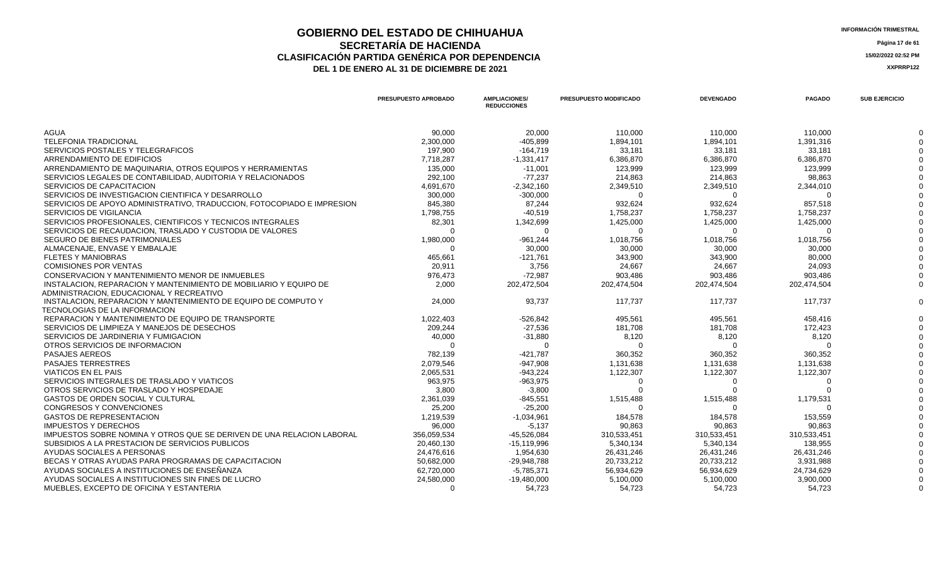### **GOBIERNO DEL ESTADO DE CHIHUAHUA**<br> **INFORMACIÓN TRIMESTRAL**<br> **INFORMACIÓN TRIMESTRAL**<br> **Información trimestral SECRETARÍA DE HACIENDA** Página 17 de 61<br>IÓN PARTIDA GENÉRICA POR DEPENDENCIA **CLASIFICACIÓN PARTIDA GENÉRICA POR DEPENDENCIA**<br> **THE 1 DE ENERO AL 31 DE DICIEMBRE DE 2021**<br> **ARREGISTION AND ACTEUR AUGENCIA DE PROPENTE DE 2021** DEL 1 DE ENERO AL 31 DE DICIEMBRE DE 2021

|                                                                                                               | PRESUPUESTO APROBADO | <b>AMPLIACIONES/</b><br><b>REDUCCIONES</b> | PRESUPUESTO MODIFICADO | <b>DEVENGADO</b> | <b>PAGADO</b> | <b>SUB EJERCICIO</b> |
|---------------------------------------------------------------------------------------------------------------|----------------------|--------------------------------------------|------------------------|------------------|---------------|----------------------|
| <b>AGUA</b>                                                                                                   | 90,000               | 20,000                                     | 110,000                | 110,000          | 110,000       |                      |
| <b>TELEFONIA TRADICIONAL</b>                                                                                  | 2,300,000            | $-405,899$                                 | 1,894,101              | 1,894,101        | 1,391,316     |                      |
| SERVICIOS POSTALES Y TELEGRAFICOS                                                                             | 197,900              | $-164,719$                                 | 33,181                 | 33,181           | 33,181        |                      |
| ARRENDAMIENTO DE EDIFICIOS                                                                                    | 7,718,287            | $-1,331,417$                               | 6,386,870              | 6,386,870        | 6,386,870     |                      |
| ARRENDAMIENTO DE MAQUINARIA, OTROS EQUIPOS Y HERRAMIENTAS                                                     | 135,000              | $-11,001$                                  | 123,999                | 123,999          | 123,999       |                      |
| SERVICIOS LEGALES DE CONTABILIDAD. AUDITORIA Y RELACIONADOS                                                   | 292,100              | $-77.237$                                  | 214,863                | 214,863          | 98,863        |                      |
| SERVICIOS DE CAPACITACION                                                                                     | 4,691,670            | $-2,342,160$                               | 2,349,510              | 2,349,510        | 2,344,010     |                      |
| SERVICIOS DE INVESTIGACION CIENTIFICA Y DESARROLLO                                                            | 300,000              | $-300,000$                                 | $\Omega$               | $\Omega$         | $\Omega$      |                      |
| SERVICIOS DE APOYO ADMINISTRATIVO, TRADUCCION, FOTOCOPIADO E IMPRESION                                        | 845,380              | 87,244                                     | 932,624                | 932,624          | 857,518       |                      |
| <b>SERVICIOS DE VIGILANCIA</b>                                                                                | 1,798,755            | $-40,519$                                  | 1,758,237              | 1,758,237        | 1,758,237     |                      |
| SERVICIOS PROFESIONALES, CIENTIFICOS Y TECNICOS INTEGRALES                                                    | 82,301               | 1,342,699                                  | 1,425,000              | 1,425,000        | 1,425,000     |                      |
| SERVICIOS DE RECAUDACION. TRASLADO Y CUSTODIA DE VALORES                                                      |                      |                                            | $\Omega$               |                  |               |                      |
| SEGURO DE BIENES PATRIMONIALES                                                                                | 1,980,000            | $-961,244$                                 | 1,018,756              | 1,018,756        | 1,018,756     |                      |
| ALMACENAJE. ENVASE Y EMBALAJE                                                                                 |                      | 30,000                                     | 30,000                 | 30,000           | 30,000        |                      |
| <b>FLETES Y MANIOBRAS</b>                                                                                     | 465,661              | $-121,761$                                 | 343,900                | 343,900          | 80,000        |                      |
| <b>COMISIONES POR VENTAS</b>                                                                                  | 20,911               | 3,756                                      | 24,667                 | 24,667           | 24,093        |                      |
| CONSERVACION Y MANTENIMIENTO MENOR DE INMUEBLES                                                               | 976,473              | $-72,987$                                  | 903,486                | 903,486          | 903,486       |                      |
| INSTALACION, REPARACION Y MANTENIMIENTO DE MOBILIARIO Y EQUIPO DE<br>ADMINISTRACION, EDUCACIONAL Y RECREATIVO | 2,000                | 202,472,504                                | 202.474.504            | 202.474.504      | 202.474.504   |                      |
| INSTALACION, REPARACION Y MANTENIMIENTO DE EQUIPO DE COMPUTO Y<br>TECNOLOGIAS DE LA INFORMACION               | 24,000               | 93,737                                     | 117,737                | 117,737          | 117,737       |                      |
| REPARACION Y MANTENIMIENTO DE EQUIPO DE TRANSPORTE                                                            | 1,022,403            | $-526,842$                                 | 495,561                | 495,561          | 458.416       |                      |
| SERVICIOS DE LIMPIEZA Y MANEJOS DE DESECHOS                                                                   | 209,244              | $-27,536$                                  | 181,708                | 181,708          | 172,423       |                      |
| SERVICIOS DE JARDINERIA Y FUMIGACION                                                                          | 40,000               | $-31,880$                                  | 8,120                  | 8,120            | 8,120         |                      |
| OTROS SERVICIOS DE INFORMACION                                                                                |                      | $\Omega$                                   | $\Omega$               | $\Omega$         |               |                      |
| <b>PASAJES AEREOS</b>                                                                                         | 782,139              | $-421,787$                                 | 360,352                | 360,352          | 360,352       |                      |
| <b>PASAJES TERRESTRES</b>                                                                                     | 2,079,546            | $-947,908$                                 | 1,131,638              | 1,131,638        | 1,131,638     |                      |
| <b>VIATICOS EN EL PAIS</b>                                                                                    | 2,065,531            | $-943,224$                                 | 1,122,307              | 1,122,307        | 1,122,307     |                      |
| SERVICIOS INTEGRALES DE TRASLADO Y VIATICOS                                                                   | 963,975              | $-963,975$                                 | $\Omega$               | $\Omega$         | $\Omega$      |                      |
| OTROS SERVICIOS DE TRASLADO Y HOSPEDAJE                                                                       | 3,800                | $-3,800$                                   |                        |                  |               |                      |
| <b>GASTOS DE ORDEN SOCIAL Y CULTURAL</b>                                                                      | 2,361,039            | $-845,551$                                 | 1,515,488              | 1,515,488        | 1,179,531     |                      |
| <b>CONGRESOS Y CONVENCIONES</b>                                                                               | 25,200               | $-25,200$                                  |                        |                  |               |                      |
| <b>GASTOS DE REPRESENTACION</b>                                                                               | 1,219,539            | $-1,034,961$                               | 184,578                | 184,578          | 153,559       |                      |
| <b>IMPUESTOS Y DERECHOS</b>                                                                                   | 96,000               | $-5,137$                                   | 90.863                 | 90.863           | 90.863        |                      |
| IMPUESTOS SOBRE NOMINA Y OTROS QUE SE DERIVEN DE UNA RELACION LABORAL                                         | 356,059,534          | $-45,526,084$                              | 310,533,451            | 310,533,451      | 310,533,451   |                      |
| SUBSIDIOS A LA PRESTACION DE SERVICIOS PUBLICOS                                                               | 20,460,130           | $-15, 119, 996$                            | 5,340,134              | 5,340,134        | 138,955       |                      |
| AYUDAS SOCIALES A PERSONAS                                                                                    | 24,476,616           | 1,954,630                                  | 26,431,246             | 26,431,246       | 26,431,246    |                      |
| BECAS Y OTRAS AYUDAS PARA PROGRAMAS DE CAPACITACION                                                           | 50,682,000           | $-29,948,788$                              | 20,733,212             | 20,733,212       | 3,931,988     |                      |
| AYUDAS SOCIALES A INSTITUCIONES DE ENSEÑANZA                                                                  | 62,720,000           | $-5,785,371$                               | 56,934,629             | 56,934,629       | 24,734,629    |                      |
| AYUDAS SOCIALES A INSTITUCIONES SIN FINES DE LUCRO                                                            | 24,580,000           | $-19,480,000$                              | 5,100,000              | 5,100,000        | 3,900,000     |                      |
| MUEBLES. EXCEPTO DE OFICINA Y ESTANTERIA                                                                      | $\Omega$             | 54.723                                     | 54,723                 | 54,723           | 54,723        |                      |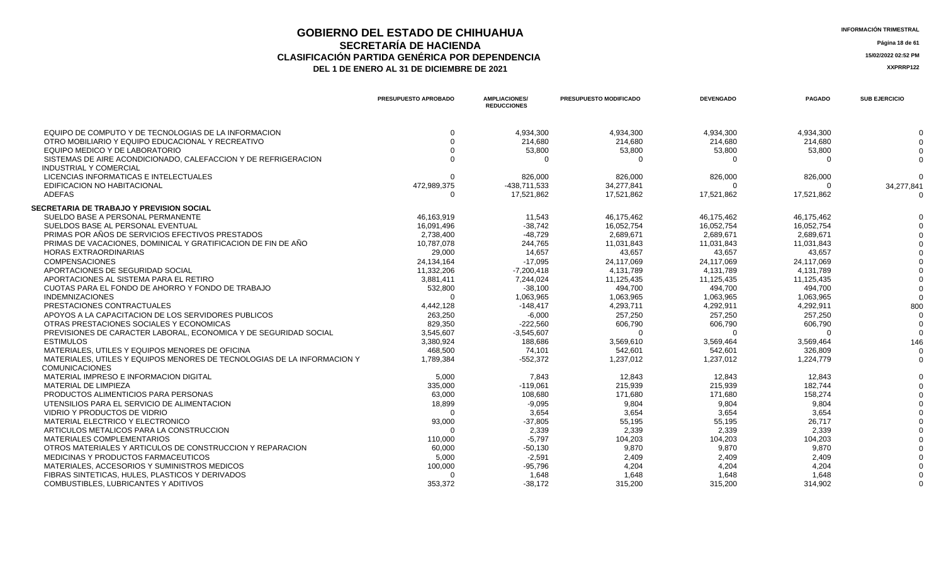## **GOBIERNO DEL ESTADO DE CHIHUAHUA**<br> **INFORMACIÓN TRIMESTRAL**<br> **INFORMACIÓN TRIMESTRAL SECRETARÍA DE HACIENDA** Página 18 de 61<br>CON PARTIDA GENÉRICA POR DEPENDENCIA **CLASIFICACIÓN PARTIDA GENÉRICA POR DEPENDENCIA 15/02/2022 02:52 PM**

| <b>INFORMACION TRIM</b> |  |
|-------------------------|--|
|                         |  |

|                                                                                                 | <b>PRESUPUESTO APROBADO</b> | <b>AMPLIACIONES/</b><br><b>REDUCCIONES</b> | <b>PRESUPUESTO MODIFICADO</b> | <b>DEVENGADO</b> | <b>PAGADO</b> | <b>SUB EJERCICIO</b> |
|-------------------------------------------------------------------------------------------------|-----------------------------|--------------------------------------------|-------------------------------|------------------|---------------|----------------------|
| EQUIPO DE COMPUTO Y DE TECNOLOGIAS DE LA INFORMACION                                            |                             | 4,934,300                                  | 4,934,300                     | 4.934.300        | 4,934,300     |                      |
| OTRO MOBILIARIO Y EQUIPO EDUCACIONAL Y RECREATIVO                                               |                             | 214,680                                    | 214,680                       | 214,680          | 214,680       |                      |
| EQUIPO MEDICO Y DE LABORATORIO                                                                  |                             | 53,800                                     | 53,800                        | 53,800           | 53,800        | $\Omega$             |
| SISTEMAS DE AIRE ACONDICIONADO, CALEFACCION Y DE REFRIGERACION<br><b>INDUSTRIAL Y COMERCIAL</b> |                             | - 0                                        | ∩                             | $\Omega$         | $\cap$        |                      |
| LICENCIAS INFORMATICAS E INTELECTUALES                                                          |                             | 826,000                                    | 826,000                       | 826,000          | 826,000       | $\Omega$             |
| EDIFICACION NO HABITACIONAL                                                                     | 472,989,375                 | -438,711,533                               | 34.277.841                    | $\Omega$         |               | 34,277,841           |
| <b>ADEFAS</b>                                                                                   | 0                           | 17,521,862                                 | 17,521,862                    | 17,521,862       | 17,521,862    | $\Omega$             |
| <b>SECRETARIA DE TRABAJO Y PREVISION SOCIAL</b>                                                 |                             |                                            |                               |                  |               |                      |
| SUELDO BASE A PERSONAL PERMANENTE                                                               | 46,163,919                  | 11,543                                     | 46,175,462                    | 46,175,462       | 46,175,462    |                      |
| SUELDOS BASE AL PERSONAL EVENTUAL                                                               | 16,091,496                  | $-38,742$                                  | 16,052,754                    | 16,052,754       | 16,052,754    |                      |
| PRIMAS POR AÑOS DE SERVICIOS EFECTIVOS PRESTADOS                                                | 2,738,400                   | $-48,729$                                  | 2,689,671                     | 2.689.671        | 2,689,671     |                      |
| PRIMAS DE VACACIONES, DOMINICAL Y GRATIFICACION DE FIN DE AÑO                                   | 10,787,078                  | 244,765                                    | 11,031,843                    | 11,031,843       | 11,031,843    |                      |
| <b>HORAS EXTRAORDINARIAS</b>                                                                    | 29,000                      | 14,657                                     | 43,657                        | 43,657           | 43,657        |                      |
| <b>COMPENSACIONES</b>                                                                           | 24,134,164                  | $-17,095$                                  | 24,117,069                    | 24,117,069       | 24,117,069    |                      |
| APORTACIONES DE SEGURIDAD SOCIAL                                                                | 11,332,206                  | $-7,200,418$                               | 4,131,789                     | 4,131,789        | 4,131,789     |                      |
| APORTACIONES AL SISTEMA PARA EL RETIRO                                                          | 3,881,411                   | 7,244,024                                  | 11,125,435                    | 11,125,435       | 11,125,435    |                      |
| CUOTAS PARA EL FONDO DE AHORRO Y FONDO DE TRABAJO                                               | 532,800                     | $-38,100$                                  | 494,700                       | 494,700          | 494,700       |                      |
| <b>INDEMNIZACIONES</b>                                                                          |                             | 1,063,965                                  | 1,063,965                     | 1,063,965        | 1,063,965     | $\Omega$             |
| PRESTACIONES CONTRACTUALES                                                                      | 4,442,128                   | $-148,417$                                 | 4,293,711                     | 4,292,911        | 4,292,911     | 800                  |
| APOYOS A LA CAPACITACION DE LOS SERVIDORES PUBLICOS                                             | 263,250                     | $-6,000$                                   | 257,250                       | 257,250          | 257,250       | $\Omega$             |
| OTRAS PRESTACIONES SOCIALES Y ECONOMICAS                                                        | 829,350                     | $-222,560$                                 | 606,790                       | 606,790          | 606,790       | $\Omega$             |
| PREVISIONES DE CARACTER LABORAL, ECONOMICA Y DE SEGURIDAD SOCIAL                                | 3,545,607                   | $-3,545,607$                               |                               |                  |               |                      |
| <b>ESTIMULOS</b>                                                                                | 3,380,924                   | 188,686                                    | 3,569,610                     | 3,569,464        | 3,569,464     | 146                  |
| MATERIALES, UTILES Y EQUIPOS MENORES DE OFICINA                                                 | 468,500                     | 74,101                                     | 542,601                       | 542,601          | 326,809       | $\overline{0}$       |
| MATERIALES, UTILES Y EQUIPOS MENORES DE TECNOLOGIAS DE LA INFORMACION Y                         | 1,789,384                   | $-552,372$                                 | 1,237,012                     | 1,237,012        | 1,224,779     | $\Omega$             |
| <b>COMUNICACIONES</b>                                                                           |                             |                                            |                               |                  |               |                      |
| MATERIAL IMPRESO E INFORMACION DIGITAL                                                          | 5,000                       | 7,843                                      | 12,843                        | 12,843           | 12,843        |                      |
| MATERIAL DE LIMPIEZA                                                                            | 335,000                     | $-119,061$                                 | 215,939                       | 215,939          | 182,744       |                      |
| PRODUCTOS ALIMENTICIOS PARA PERSONAS                                                            | 63,000                      | 108,680                                    | 171,680                       | 171,680          | 158,274       |                      |
| UTENSILIOS PARA EL SERVICIO DE ALIMENTACION                                                     | 18,899                      | $-9,095$                                   | 9,804                         | 9,804            | 9,804         |                      |
| VIDRIO Y PRODUCTOS DE VIDRIO                                                                    | $\Omega$                    | 3.654                                      | 3,654                         | 3.654            | 3.654         |                      |
| MATERIAL ELECTRICO Y ELECTRONICO                                                                | 93,000                      | $-37,805$                                  | 55,195                        | 55,195           | 26,717        |                      |
| ARTICULOS METALICOS PARA LA CONSTRUCCION                                                        | $\Omega$                    | 2,339                                      | 2,339                         | 2,339            | 2,339         |                      |
| <b>MATERIALES COMPLEMENTARIOS</b>                                                               | 110,000                     | $-5,797$                                   | 104,203                       | 104,203          | 104,203       |                      |
| OTROS MATERIALES Y ARTICULOS DE CONSTRUCCION Y REPARACION                                       | 60,000                      | $-50,130$                                  | 9,870                         | 9,870            | 9,870         |                      |
| MEDICINAS Y PRODUCTOS FARMACEUTICOS                                                             | 5,000                       | $-2,591$                                   | 2,409                         | 2,409            | 2,409         |                      |
| MATERIALES, ACCESORIOS Y SUMINISTROS MEDICOS                                                    | 100,000                     | $-95,796$                                  | 4,204                         | 4.204            | 4.204         |                      |
| FIBRAS SINTETICAS, HULES, PLASTICOS Y DERIVADOS                                                 |                             | 1,648                                      | 1,648                         | 1,648            | 1,648         |                      |
| COMBUSTIBLES, LUBRICANTES Y ADITIVOS                                                            | 353,372                     | $-38,172$                                  | 315,200                       | 315,200          | 314.902       | $\Omega$             |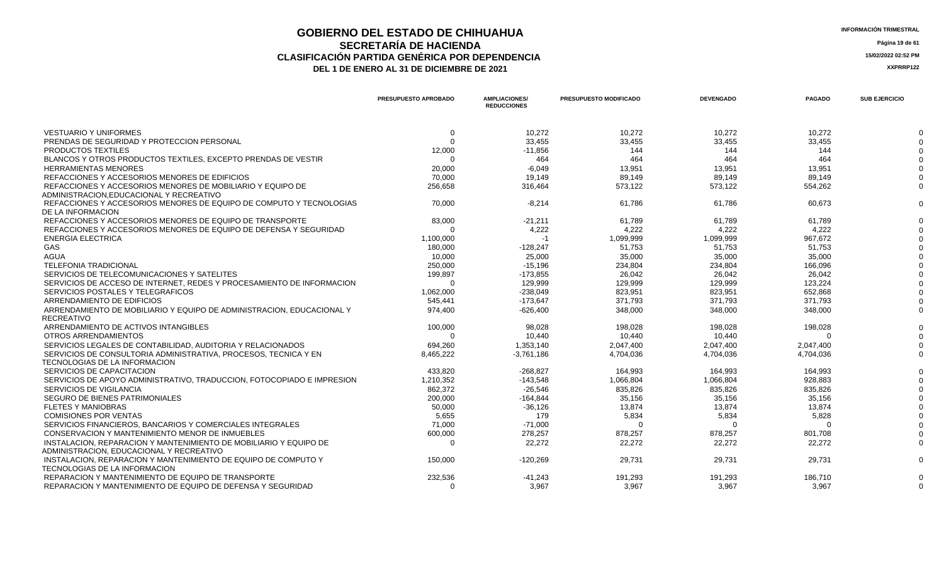## **GOBIERNO DEL ESTADO DE CHIHUAHUA** INFORMACIÓN TRIMESTRAL<br> **INFORMACIÓN TRIMESTRAL**<br> **Información trimestral SECRETARÍA DE HACIENDA** Página 19 de 61<br>IÓN PARTIDA GENÉRICA POR DEPENDENCIA **CLASIFICACIÓN PARTIDA GENÉRICA POR DEPENDENCIA 15/02/2022 02:52 PM**

| NFORMACION TRIMESTRAL |  |
|-----------------------|--|
|-----------------------|--|

|                                                                                                  | PRESUPUESTO APROBADO | <b>AMPLIACIONES/</b><br><b>REDUCCIONES</b> | <b>PRESUPUESTO MODIFICADO</b> | <b>DEVENGADO</b> | <b>PAGADO</b> | <b>SUB EJERCICIO</b> |
|--------------------------------------------------------------------------------------------------|----------------------|--------------------------------------------|-------------------------------|------------------|---------------|----------------------|
| <b>VESTUARIO Y UNIFORMES</b>                                                                     | $\Omega$             | 10,272                                     | 10,272                        | 10,272           | 10,272        |                      |
| PRENDAS DE SEGURIDAD Y PROTECCION PERSONAL                                                       | $\Omega$             | 33,455                                     | 33,455                        | 33,455           | 33,455        |                      |
| PRODUCTOS TEXTILES                                                                               | 12,000               | $-11,856$                                  | 144                           | 144              | 144           |                      |
| BLANCOS Y OTROS PRODUCTOS TEXTILES, EXCEPTO PRENDAS DE VESTIR                                    | $\Omega$             | 464                                        | 464                           | 464              | 464           |                      |
| <b>HERRAMIENTAS MENORES</b>                                                                      | 20,000               | $-6,049$                                   | 13,951                        | 13,951           | 13,951        |                      |
| REFACCIONES Y ACCESORIOS MENORES DE EDIFICIOS                                                    | 70.000               | 19,149                                     | 89.149                        | 89.149           | 89.149        |                      |
| REFACCIONES Y ACCESORIOS MENORES DE MOBILIARIO Y EQUIPO DE                                       | 256,658              | 316,464                                    | 573,122                       | 573,122          | 554,262       |                      |
| ADMINISTRACION.EDUCACIONAL Y RECREATIVO                                                          |                      |                                            |                               |                  |               |                      |
| REFACCIONES Y ACCESORIOS MENORES DE EQUIPO DE COMPUTO Y TECNOLOGIAS<br>DE LA INFORMACION         | 70,000               | $-8,214$                                   | 61,786                        | 61,786           | 60,673        |                      |
| REFACCIONES Y ACCESORIOS MENORES DE EQUIPO DE TRANSPORTE                                         | 83,000               | $-21,211$                                  | 61,789                        | 61,789           | 61,789        |                      |
| REFACCIONES Y ACCESORIOS MENORES DE EQUIPO DE DEFENSA Y SEGURIDAD                                |                      | 4,222                                      | 4,222                         | 4,222            | 4,222         |                      |
| <b>ENERGIA ELECTRICA</b>                                                                         | 1,100,000            | $-1$                                       | 1,099,999                     | 1.099.999        | 967.672       |                      |
| GAS                                                                                              | 180,000              | $-128,247$                                 | 51,753                        | 51,753           | 51,753        |                      |
| <b>AGUA</b>                                                                                      | 10.000               | 25,000                                     | 35.000                        | 35.000           | 35.000        |                      |
| <b>TELEFONIA TRADICIONAL</b>                                                                     | 250,000              | $-15,196$                                  | 234,804                       | 234,804          | 166,096       |                      |
| SERVICIOS DE TELECOMUNICACIONES Y SATELITES                                                      | 199,897              | $-173,855$                                 | 26,042                        | 26,042           | 26,042        |                      |
| SERVICIOS DE ACCESO DE INTERNET. REDES Y PROCESAMIENTO DE INFORMACION                            |                      | 129.999                                    | 129.999                       | 129.999          | 123.224       |                      |
| SERVICIOS POSTALES Y TELEGRAFICOS                                                                | 1,062,000            | $-238,049$                                 | 823,951                       | 823,951          | 652,868       |                      |
| ARRENDAMIENTO DE EDIFICIOS                                                                       | 545.441              | $-173.647$                                 | 371.793                       | 371.793          | 371,793       |                      |
| ARRENDAMIENTO DE MOBILIARIO Y EQUIPO DE ADMINISTRACION. EDUCACIONAL Y                            | 974,400              | $-626,400$                                 | 348,000                       | 348,000          | 348,000       |                      |
| <b>RECREATIVO</b>                                                                                |                      |                                            |                               |                  |               |                      |
| ARRENDAMIENTO DE ACTIVOS INTANGIBLES                                                             | 100,000              | 98,028                                     | 198,028                       | 198,028          | 198,028       |                      |
| OTROS ARRENDAMIENTOS                                                                             |                      | 10,440                                     | 10,440                        | 10,440           |               |                      |
| SERVICIOS LEGALES DE CONTABILIDAD. AUDITORIA Y RELACIONADOS                                      | 694.260              | 1.353.140                                  | 2.047.400                     | 2.047.400        | 2.047.400     |                      |
| SERVICIOS DE CONSULTORIA ADMINISTRATIVA, PROCESOS, TECNICA Y EN<br>TECNOLOGIAS DE LA INFORMACION | 8,465,222            | $-3,761,186$                               | 4,704,036                     | 4,704,036        | 4,704,036     |                      |
| SERVICIOS DE CAPACITACION                                                                        | 433.820              | $-268.827$                                 | 164.993                       | 164.993          | 164.993       |                      |
| SERVICIOS DE APOYO ADMINISTRATIVO, TRADUCCION, FOTOCOPIADO E IMPRESION                           | 1,210,352            | $-143,548$                                 | 1,066,804                     | 1,066,804        | 928,883       |                      |
| <b>SERVICIOS DE VIGILANCIA</b>                                                                   | 862,372              | $-26,546$                                  | 835,826                       | 835,826          | 835,826       |                      |
| <b>SEGURO DE BIENES PATRIMONIALES</b>                                                            | 200.000              | $-164.844$                                 | 35,156                        | 35,156           | 35,156        |                      |
| <b>FLETES Y MANIOBRAS</b>                                                                        | 50,000               | $-36,126$                                  | 13,874                        | 13,874           | 13,874        |                      |
| <b>COMISIONES POR VENTAS</b>                                                                     | 5,655                | 179                                        | 5,834                         | 5,834            | 5,828         |                      |
| SERVICIOS FINANCIEROS, BANCARIOS Y COMERCIALES INTEGRALES                                        | 71,000               | $-71,000$                                  | $\Omega$                      | $\Omega$         | $\Omega$      |                      |
| CONSERVACION Y MANTENIMIENTO MENOR DE INMUEBLES                                                  | 600,000              | 278,257                                    | 878,257                       | 878,257          | 801,708       |                      |
| INSTALACION, REPARACION Y MANTENIMIENTO DE MOBILIARIO Y EQUIPO DE                                | $\Omega$             | 22,272                                     | 22,272                        | 22,272           | 22,272        |                      |
| ADMINISTRACION, EDUCACIONAL Y RECREATIVO                                                         |                      |                                            |                               |                  |               |                      |
| INSTALACION, REPARACION Y MANTENIMIENTO DE EQUIPO DE COMPUTO Y<br>TECNOLOGIAS DE LA INFORMACION  | 150.000              | $-120,269$                                 | 29.731                        | 29,731           | 29,731        |                      |
| REPARACION Y MANTENIMIENTO DE EQUIPO DE TRANSPORTE                                               | 232,536              | $-41,243$                                  | 191,293                       | 191,293          | 186,710       |                      |
| REPARACION Y MANTENIMIENTO DE EQUIPO DE DEFENSA Y SEGURIDAD                                      | $\Omega$             | 3,967                                      | 3.967                         | 3.967            | 3.967         |                      |
|                                                                                                  |                      |                                            |                               |                  |               |                      |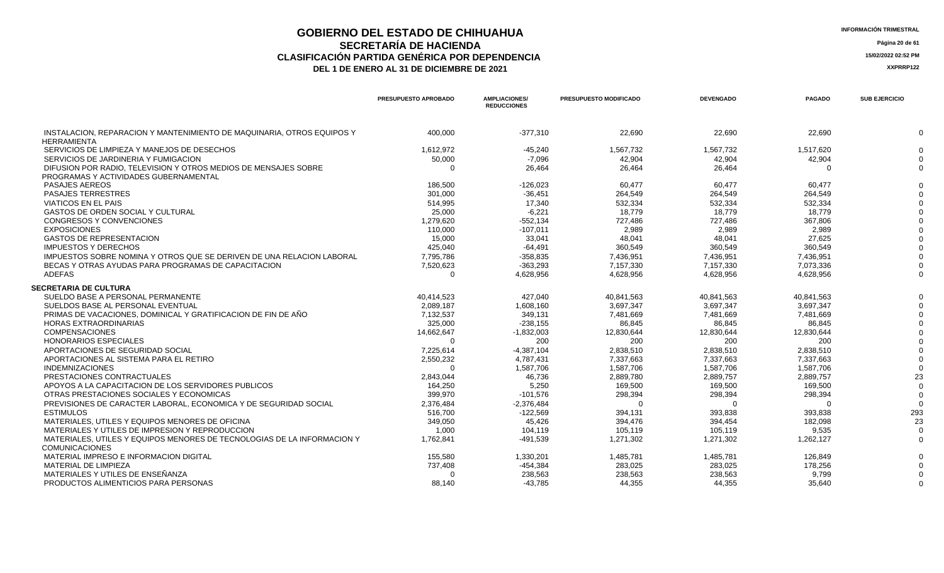## **GOBIERNO DEL ESTADO DE CHIHUAHUA**<br> **GEORETARÍA DE HACIENDA SECRETARÍA DE HACIENDA Página 20 de 61 CLASIFICACIÓN PARTIDA GENÉRICA POR DEPENDENCIA 15/02/2022 02:52 PM**

**DEL 1 DE ENERO AL 31 DE DICIEMBRE DE 2021 XXPRRP122** 

 **SECRETARIA DE CULTURA**

|                                                                                                          | PRESUPUESTO APROBADO | <b>AMPLIACIONES/</b><br><b>REDUCCIONES</b> | PRESUPUESTO MODIFICADO | <b>DEVENGADO</b> | <b>PAGADO</b> | <b>SUB EJERCICIO</b> |
|----------------------------------------------------------------------------------------------------------|----------------------|--------------------------------------------|------------------------|------------------|---------------|----------------------|
|                                                                                                          |                      |                                            |                        |                  |               |                      |
| INSTALACION, REPARACION Y MANTENIMIENTO DE MAQUINARIA, OTROS EQUIPOS Y<br><b>HERRAMIENTA</b>             | 400.000              | $-377,310$                                 | 22,690                 | 22,690           | 22,690        | $\mathbf{0}$         |
| SERVICIOS DE LIMPIEZA Y MANEJOS DE DESECHOS                                                              | 1,612,972            | $-45,240$                                  | 1.567.732              | 1,567,732        | 1,517,620     | $\Omega$             |
| SERVICIOS DE JARDINERIA Y FUMIGACION                                                                     | 50,000               | $-7,096$                                   | 42.904                 | 42,904           | 42,904        | $\Omega$             |
| DIFUSION POR RADIO, TELEVISION Y OTROS MEDIOS DE MENSAJES SOBRE<br>PROGRAMAS Y ACTIVIDADES GUBERNAMENTAL |                      | 26,464                                     | 26,464                 | 26,464           |               | $\Omega$             |
| <b>PASAJES AEREOS</b>                                                                                    | 186,500              | $-126,023$                                 | 60.477                 | 60,477           | 60,477        | $\Omega$             |
| <b>PASAJES TERRESTRES</b>                                                                                | 301,000              | $-36,451$                                  | 264.549                | 264,549          | 264,549       |                      |
| VIATICOS EN EL PAIS                                                                                      | 514,995              | 17,340                                     | 532,334                | 532,334          | 532.334       |                      |
| <b>GASTOS DE ORDEN SOCIAL Y CULTURAL</b>                                                                 | 25,000               | $-6,221$                                   | 18.779                 | 18,779           | 18.779        |                      |
| <b>CONGRESOS Y CONVENCIONES</b>                                                                          | 1,279,620            | $-552,134$                                 | 727.486                | 727.486          | 367.806       |                      |
| <b>EXPOSICIONES</b>                                                                                      | 110.000              | $-107,011$                                 | 2.989                  | 2.989            | 2.989         |                      |
| <b>GASTOS DE REPRESENTACION</b>                                                                          | 15,000               | 33,041                                     | 48,041                 | 48,041           | 27,625        |                      |
| <b>IMPUESTOS Y DERECHOS</b>                                                                              | 425,040              | $-64,491$                                  | 360,549                | 360,549          | 360,549       |                      |
| IMPUESTOS SOBRE NOMINA Y OTROS QUE SE DERIVEN DE UNA RELACION LABORAL                                    | 7.795.786            | $-358.835$                                 | 7.436.951              | 7.436.951        | 7.436.951     |                      |
| BECAS Y OTRAS AYUDAS PARA PROGRAMAS DE CAPACITACION                                                      | 7,520,623            | $-363,293$                                 | 7.157.330              | 7.157.330        | 7.073.336     | $\Omega$             |
| <b>ADEFAS</b>                                                                                            |                      | 4,628,956                                  | 4,628,956              | 4,628,956        | 4,628,956     | $\Omega$             |
| ECRETARIA DE CULTURA                                                                                     |                      |                                            |                        |                  |               |                      |
| SUELDO BASE A PERSONAL PERMANENTE                                                                        | 40.414.523           | 427.040                                    | 40.841.563             | 40.841.563       | 40.841.563    | $\Omega$             |
| SUELDOS BASE AL PERSONAL EVENTUAL                                                                        | 2,089,187            | 1,608,160                                  | 3.697.347              | 3.697.347        | 3.697.347     | $\Omega$             |
| PRIMAS DE VACACIONES, DOMINICAL Y GRATIFICACION DE FIN DE AÑO                                            | 7,132,537            | 349,131                                    | 7,481,669              | 7,481,669        | 7,481,669     |                      |
| <b>HORAS EXTRAORDINARIAS</b>                                                                             | 325,000              | $-238,155$                                 | 86,845                 | 86,845           | 86,845        |                      |
| <b>COMPENSACIONES</b>                                                                                    | 14,662,647           | $-1,832,003$                               | 12,830,644             | 12,830,644       | 12,830,644    |                      |
| <b>HONORARIOS ESPECIALES</b>                                                                             |                      | 200                                        | 200                    | 200              | 200           |                      |
| APORTACIONES DE SEGURIDAD SOCIAL                                                                         | 7,225,614            | $-4,387,104$                               | 2,838,510              | 2,838,510        | 2,838,510     |                      |
| APORTACIONES AL SISTEMA PARA EL RETIRO                                                                   | 2,550,232            | 4,787,431                                  | 7.337.663              | 7,337,663        | 7.337.663     |                      |
| <b>INDEMNIZACIONES</b>                                                                                   |                      | 1,587,706                                  | 1,587,706              | 1,587,706        | 1,587,706     |                      |
| . <b>. .</b>                                                                                             |                      |                                            |                        |                  |               |                      |

|                                                                         |           | .            | .         | .         | .         |     |
|-------------------------------------------------------------------------|-----------|--------------|-----------|-----------|-----------|-----|
| PRESTACIONES CONTRACTUALES                                              | 2.843.044 | 46,736       | 2.889.780 | 2.889.757 | 2,889,757 | 23  |
| APOYOS A LA CAPACITACION DE LOS SERVIDORES PUBLICOS                     | 164.250   | 5.250        | 169,500   | 169.500   | 169.500   |     |
| OTRAS PRESTACIONES SOCIALES Y ECONOMICAS                                | 399.970   | -101.576     | 298.394   | 298.394   | 298.394   |     |
| PREVISIONES DE CARACTER LABORAL. ECONOMICA Y DE SEGURIDAD SOCIAL        | 2.376.484 | $-2.376.484$ |           |           |           |     |
| <b>ESTIMULOS</b>                                                        | 516.700   | $-122.569$   | 394.131   | 393.838   | 393.838   | 293 |
| MATERIALES, UTILES Y EQUIPOS MENORES DE OFICINA                         | 349.050   | 45.426       | 394.476   | 394.454   | 182.098   | 23  |
| MATERIALES Y UTILES DE IMPRESION Y REPRODUCCION                         | 1.000     | 104.119      | 105.119   | 105.119   | 9.535     |     |
| MATERIALES, UTILES Y EQUIPOS MENORES DE TECNOLOGIAS DE LA INFORMACION Y | .762.841  | -491.539     | 1,271,302 | 1.271.302 | 1.262.127 |     |
| <b>COMUNICACIONES</b>                                                   |           |              |           |           |           |     |
| MATERIAL IMPRESO E INFORMACION DIGITAL                                  | 155.580   | .330.201     | 1.485.781 | 1.485.781 | 126.849   |     |
| MATERIAL DE LIMPIEZA                                                    | 737.408   | -454.384     | 283.025   | 283.025   | 178.256   |     |
| MATERIALES Y UTILES DE ENSEÑANZA                                        |           | 238.563      | 238.563   | 238.563   | 9.799     |     |
| PRODUCTOS ALIMENTICIOS PARA PERSONAS                                    | 88.140    | -43.785      | 44.355    | 44.355    | 35,640    |     |
|                                                                         |           |              |           |           |           |     |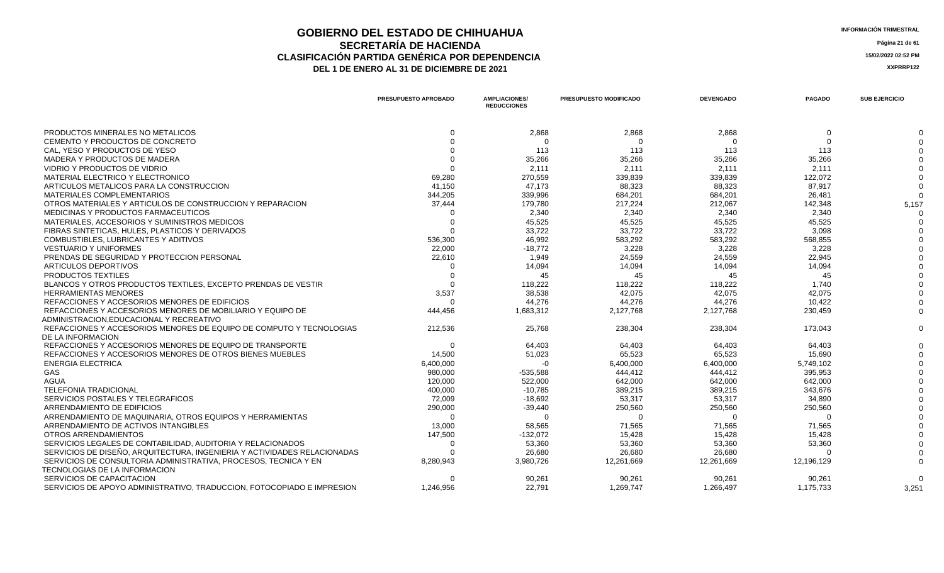### **GOBIERNO DEL ESTADO DE CHIHUAHUA** ESTADO E ESTADO E ESTADO E CHIHUAHUA **SECRETARÍA DE HACIENDA** Página 21 de 61<br>IÓN PARTIDA GENÉRICA POR DEPENDENCIA **CLASIFICACIÓN PARTIDA GENÉRICA POR DEPENDENCIA 15/02/2022 02:52 PM** DEL 1 DE ENERO AL 31 DE DICIEMBRE DE 2021

|                                                                          | <b>PRESUPUESTO APROBADO</b> | <b>AMPLIACIONES/</b><br><b>REDUCCIONES</b> | <b>PRESUPUESTO MODIFICADO</b> | <b>DEVENGADO</b> | <b>PAGADO</b> | <b>SUB EJERCICIO</b> |
|--------------------------------------------------------------------------|-----------------------------|--------------------------------------------|-------------------------------|------------------|---------------|----------------------|
| PRODUCTOS MINERALES NO METALICOS                                         | $\Omega$                    | 2,868                                      | 2,868                         | 2.868            | $\Omega$      |                      |
| CEMENTO Y PRODUCTOS DE CONCRETO                                          | $\Omega$                    | $\Omega$                                   |                               | $\Omega$         | $\Omega$      |                      |
| CAL. YESO Y PRODUCTOS DE YESO                                            |                             | 113                                        | 113                           | 113              | 113           |                      |
| MADERA Y PRODUCTOS DE MADERA                                             |                             | 35,266                                     | 35,266                        | 35,266           | 35,266        |                      |
| VIDRIO Y PRODUCTOS DE VIDRIO                                             |                             | 2,111                                      | 2,111                         | 2,111            | 2,111         |                      |
| MATERIAL ELECTRICO Y ELECTRONICO                                         | 69,280                      | 270,559                                    | 339,839                       | 339.839          | 122,072       |                      |
| ARTICULOS METALICOS PARA LA CONSTRUCCION                                 | 41,150                      | 47,173                                     | 88,323                        | 88,323           | 87,917        |                      |
| MATERIALES COMPLEMENTARIOS                                               | 344,205                     | 339,996                                    | 684,201                       | 684,201          | 26,481        |                      |
| OTROS MATERIALES Y ARTICULOS DE CONSTRUCCION Y REPARACION                | 37,444                      | 179,780                                    | 217,224                       | 212,067          | 142,348       | 5,157                |
| <b>MEDICINAS Y PRODUCTOS FARMACEUTICOS</b>                               |                             | 2.340                                      | 2.340                         | 2.340            | 2.340         |                      |
| MATERIALES, ACCESORIOS Y SUMINISTROS MEDICOS                             | $\Omega$                    | 45,525                                     | 45.525                        | 45.525           | 45,525        |                      |
| FIBRAS SINTETICAS, HULES, PLASTICOS Y DERIVADOS                          | $\Omega$                    | 33,722                                     | 33,722                        | 33,722           | 3,098         |                      |
| COMBUSTIBLES, LUBRICANTES Y ADITIVOS                                     | 536,300                     | 46,992                                     | 583,292                       | 583,292          | 568,855       |                      |
| <b>VESTUARIO Y UNIFORMES</b>                                             | 22,000                      | $-18,772$                                  | 3,228                         | 3.228            | 3,228         |                      |
| PRENDAS DE SEGURIDAD Y PROTECCION PERSONAL                               | 22,610                      | 1,949                                      | 24,559                        | 24,559           | 22,945        |                      |
| ARTICULOS DEPORTIVOS                                                     |                             | 14,094                                     | 14,094                        | 14,094           | 14,094        |                      |
| PRODUCTOS TEXTILES                                                       |                             | 45                                         | 45                            | 45               | 45            |                      |
| BLANCOS Y OTROS PRODUCTOS TEXTILES, EXCEPTO PRENDAS DE VESTIR            |                             | 118,222                                    | 118.222                       | 118,222          | 1.740         |                      |
| <b>HERRAMIENTAS MENORES</b>                                              | 3,537                       | 38,538                                     | 42.075                        | 42.075           | 42.075        |                      |
| REFACCIONES Y ACCESORIOS MENORES DE EDIFICIOS                            | $\Omega$                    | 44,276                                     | 44,276                        | 44,276           | 10,422        |                      |
| REFACCIONES Y ACCESORIOS MENORES DE MOBILIARIO Y EQUIPO DE               | 444,456                     | 1,683,312                                  | 2,127,768                     | 2,127,768        | 230,459       |                      |
| ADMINISTRACION.EDUCACIONAL Y RECREATIVO                                  |                             |                                            |                               |                  |               |                      |
| REFACCIONES Y ACCESORIOS MENORES DE EQUIPO DE COMPUTO Y TECNOLOGIAS      | 212,536                     | 25,768                                     | 238,304                       | 238,304          | 173,043       |                      |
| DE LA INFORMACION                                                        |                             |                                            |                               |                  |               |                      |
| REFACCIONES Y ACCESORIOS MENORES DE EQUIPO DE TRANSPORTE                 | - 0                         | 64,403                                     | 64,403                        | 64,403           | 64,403        |                      |
| REFACCIONES Y ACCESORIOS MENORES DE OTROS BIENES MUEBLES                 | 14,500                      | 51,023                                     | 65,523                        | 65,523           | 15,690        |                      |
| <b>ENERGIA ELECTRICA</b>                                                 | 6,400,000                   | $-0$                                       | 6,400,000                     | 6,400,000        | 5,749,102     |                      |
| GAS                                                                      | 980,000                     | $-535,588$                                 | 444,412                       | 444,412          | 395,953       |                      |
| <b>AGUA</b>                                                              | 120,000                     | 522,000                                    | 642,000                       | 642,000          | 642,000       |                      |
| TELEFONIA TRADICIONAL                                                    | 400,000                     | $-10,785$                                  | 389,215                       | 389,215          | 343,676       |                      |
| SERVICIOS POSTALES Y TELEGRAFICOS                                        | 72,009                      | $-18,692$                                  | 53,317                        | 53,317           | 34,890        |                      |
| ARRENDAMIENTO DE EDIFICIOS                                               | 290,000                     | $-39,440$                                  | 250,560                       | 250,560          | 250,560       |                      |
| ARRENDAMIENTO DE MAQUINARIA, OTROS EQUIPOS Y HERRAMIENTAS                | $\Omega$                    | - 0                                        |                               | $\Omega$         | $\Omega$      |                      |
| ARRENDAMIENTO DE ACTIVOS INTANGIBLES                                     | 13,000                      | 58,565                                     | 71,565                        | 71,565           | 71,565        |                      |
| OTROS ARRENDAMIENTOS                                                     | 147,500                     | $-132.072$                                 | 15.428                        | 15.428           | 15.428        |                      |
| SERVICIOS LEGALES DE CONTABILIDAD, AUDITORIA Y RELACIONADOS              | $\Omega$                    | 53,360                                     | 53,360                        | 53,360           | 53,360        |                      |
| SERVICIOS DE DISEÑO, ARQUITECTURA, INGENIERIA Y ACTIVIDADES RELACIONADAS |                             | 26,680                                     | 26,680                        | 26,680           | $\Omega$      |                      |
| SERVICIOS DE CONSULTORIA ADMINISTRATIVA, PROCESOS, TECNICA Y EN          | 8,280,943                   | 3,980,726                                  | 12,261,669                    | 12,261,669       | 12,196,129    |                      |
| TECNOLOGIAS DE LA INFORMACION                                            |                             |                                            |                               |                  |               |                      |
| SERVICIOS DE CAPACITACION                                                | $\Omega$                    | 90,261                                     | 90,261                        | 90,261           | 90,261        |                      |
| SERVICIOS DE APOYO ADMINISTRATIVO. TRADUCCION. FOTOCOPIADO E IMPRESION   | 1.246.956                   | 22.791                                     | 1.269.747                     | 1.266.497        | 1,175,733     | 3,251                |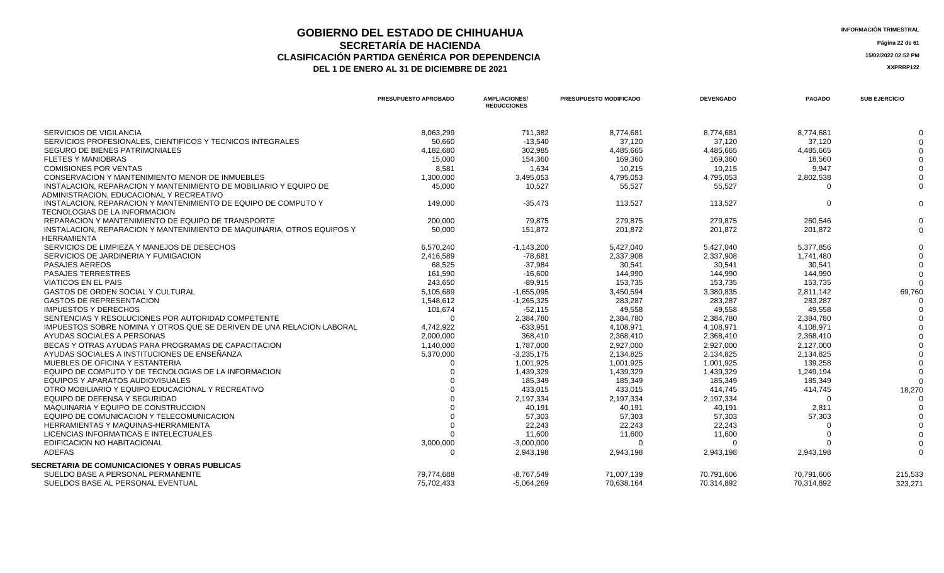## **GOBIERNO DEL ESTADO DE CHIHUAHUA**<br>
SECRETARÍA DE HACIENDA **SECRETARÍA DE HACIENDA** Página 22 de 61<br>IÓN PARTIDA GENÉRICA POR DEPENDENCIA **CLASIFICACIÓN PARTIDA GENÉRICA POR DEPENDENCIA 15/02/2022 02:52 PM**

|                                                                        | PRESUPUESTO APROBADO | <b>AMPLIACIONES/</b><br><b>REDUCCIONES</b> | PRESUPUESTO MODIFICADO | <b>DEVENGADO</b> | <b>PAGADO</b> | <b>SUB EJERCICIO</b> |
|------------------------------------------------------------------------|----------------------|--------------------------------------------|------------------------|------------------|---------------|----------------------|
| SERVICIOS DE VIGILANCIA                                                | 8,063,299            | 711,382                                    | 8,774,681              | 8,774,681        | 8,774,681     | $\Omega$             |
| SERVICIOS PROFESIONALES, CIENTIFICOS Y TECNICOS INTEGRALES             | 50,660               | $-13,540$                                  | 37,120                 | 37,120           | 37,120        |                      |
| SEGURO DE BIENES PATRIMONIALES                                         | 4,182,680            | 302,985                                    | 4,485,665              | 4,485,665        | 4,485,665     |                      |
| <b>FLETES Y MANIOBRAS</b>                                              | 15,000               | 154,360                                    | 169,360                | 169,360          | 18,560        |                      |
| <b>COMISIONES POR VENTAS</b>                                           | 8.581                | 1.634                                      | 10,215                 | 10.215           | 9.947         |                      |
| CONSERVACION Y MANTENIMIENTO MENOR DE INMUEBLES                        | 1,300,000            | 3,495,053                                  | 4,795,053              | 4,795,053        | 2,802,538     |                      |
| INSTALACION. REPARACION Y MANTENIMIENTO DE MOBILIARIO Y EQUIPO DE      | 45,000               | 10,527                                     | 55,527                 | 55,527           | $\Omega$      | $\Omega$             |
| ADMINISTRACION, EDUCACIONAL Y RECREATIVO                               |                      |                                            |                        |                  |               |                      |
| INSTALACION, REPARACION Y MANTENIMIENTO DE EQUIPO DE COMPUTO Y         | 149,000              | $-35,473$                                  | 113,527                | 113,527          | $\Omega$      | $\mathbf{0}$         |
| TECNOLOGIAS DE LA INFORMACION                                          |                      |                                            |                        |                  |               |                      |
| REPARACION Y MANTENIMIENTO DE EQUIPO DE TRANSPORTE                     | 200,000              | 79.875                                     | 279.875                | 279.875          | 260.546       | $\Omega$             |
| INSTALACION, REPARACION Y MANTENIMIENTO DE MAQUINARIA, OTROS EQUIPOS Y | 50,000               | 151,872                                    | 201.872                | 201.872          | 201,872       | $\Omega$             |
| HERRAMIENTA                                                            |                      |                                            |                        |                  |               |                      |
| SERVICIOS DE LIMPIEZA Y MANEJOS DE DESECHOS                            | 6,570,240            | $-1,143,200$                               | 5,427,040              | 5,427,040        | 5,377,856     |                      |
| SERVICIOS DE JARDINERIA Y FUMIGACION                                   | 2,416,589            | $-78,681$                                  | 2,337,908              | 2,337,908        | 1,741,480     |                      |
| <b>PASAJES AEREOS</b>                                                  | 68,525               | $-37,984$                                  | 30,541                 | 30,541           | 30,541        |                      |
| <b>PASAJES TERRESTRES</b>                                              | 161,590              | $-16,600$                                  | 144.990                | 144.990          | 144.990       |                      |
| <b>VIATICOS EN EL PAIS</b>                                             | 243,650              | $-89,915$                                  | 153,735                | 153,735          | 153,735       | $\Omega$             |
| <b>GASTOS DE ORDEN SOCIAL Y CULTURAL</b>                               | 5,105,689            | $-1,655,095$                               | 3,450,594              | 3,380,835        | 2,811,142     | 69,760               |
| <b>GASTOS DE REPRESENTACION</b>                                        | 1,548,612            | $-1,265,325$                               | 283,287                | 283,287          | 283,287       |                      |
| <b>IMPUESTOS Y DERECHOS</b>                                            | 101,674              | $-52,115$                                  | 49,558                 | 49,558           | 49,558        |                      |
| SENTENCIAS Y RESOLUCIONES POR AUTORIDAD COMPETENTE                     | $\Omega$             | 2,384,780                                  | 2,384,780              | 2,384,780        | 2,384,780     |                      |
| IMPUESTOS SOBRE NOMINA Y OTROS QUE SE DERIVEN DE UNA RELACION LABORAL  | 4,742,922            | $-633,951$                                 | 4,108,971              | 4,108,971        | 4,108,971     |                      |
| AYUDAS SOCIALES A PERSONAS                                             | 2,000,000            | 368,410                                    | 2,368,410              | 2,368,410        | 2,368,410     |                      |
| BECAS Y OTRAS AYUDAS PARA PROGRAMAS DE CAPACITACION                    | 1,140,000            | 1,787,000                                  | 2,927,000              | 2,927,000        | 2,127,000     |                      |
| AYUDAS SOCIALES A INSTITUCIONES DE ENSEÑANZA                           | 5,370,000            | $-3,235,175$                               | 2,134,825              | 2,134,825        | 2,134,825     |                      |
| MUEBLES DE OFICINA Y ESTANTERIA                                        |                      | 1,001,925                                  | 1,001,925              | 1,001,925        | 139,258       |                      |
| EQUIPO DE COMPUTO Y DE TECNOLOGIAS DE LA INFORMACION                   |                      | 1,439,329                                  | 1,439,329              | 1,439,329        | 1,249,194     |                      |
| EQUIPOS Y APARATOS AUDIOVISUALES                                       |                      | 185,349                                    | 185,349                | 185,349          | 185,349       | $\Omega$             |
| OTRO MOBILIARIO Y EQUIPO EDUCACIONAL Y RECREATIVO                      |                      | 433,015                                    | 433,015                | 414,745          | 414,745       | 18,270               |
| EQUIPO DE DEFENSA Y SEGURIDAD                                          |                      | 2,197,334                                  | 2,197,334              | 2,197,334        | $\Omega$      | $\Omega$             |
| MAQUINARIA Y EQUIPO DE CONSTRUCCION                                    |                      | 40,191                                     | 40.191                 | 40,191           | 2,811         |                      |
| EQUIPO DE COMUNICACION Y TELECOMUNICACION                              |                      | 57,303                                     | 57,303                 | 57,303           | 57,303        |                      |
| HERRAMIENTAS Y MAQUINAS-HERRAMIENTA                                    |                      | 22,243                                     | 22,243                 | 22,243           |               |                      |
| LICENCIAS INFORMATICAS E INTELECTUALES                                 |                      | 11,600                                     | 11,600                 | 11,600           |               |                      |
| EDIFICACION NO HABITACIONAL                                            | 3,000,000            | $-3,000,000$                               |                        | $\Omega$         |               |                      |
| <b>ADEFAS</b>                                                          | $\Omega$             | 2,943,198                                  | 2,943,198              | 2,943,198        | 2,943,198     | $\Omega$             |
| <b>SECRETARIA DE COMUNICACIONES Y OBRAS PUBLICAS</b>                   |                      |                                            |                        |                  |               |                      |
| SUELDO BASE A PERSONAL PERMANENTE                                      | 79,774,688           | $-8,767,549$                               | 71,007,139             | 70,791,606       | 70,791,606    | 215,533              |
| SUELDOS BASE AL PERSONAL EVENTUAL                                      | 75.702.433           | $-5.064.269$                               | 70,638,164             | 70.314.892       | 70.314.892    | 323,271              |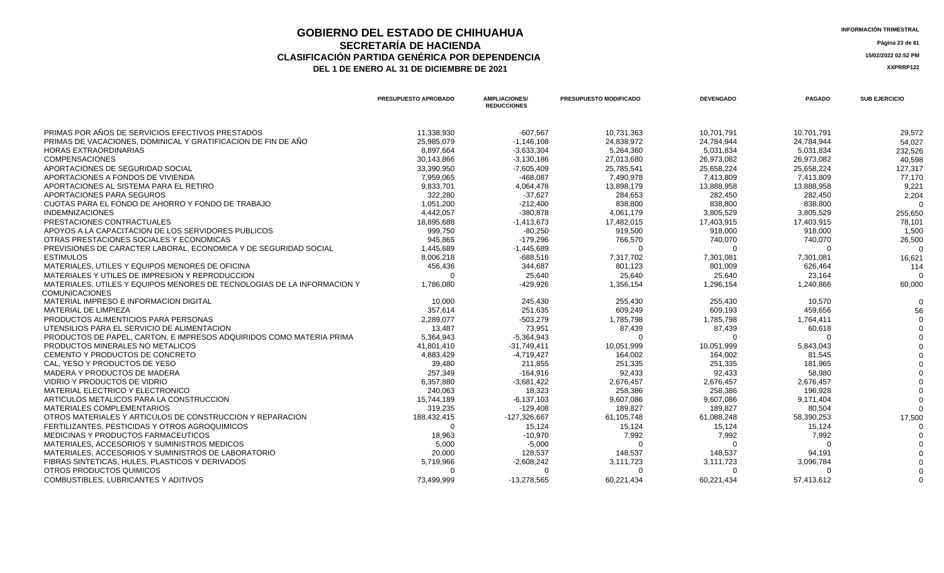### **GOBIERNO DEL ESTADO DE CHIHUAHUA**<br> **INFORMACIÓN TRIMESTRAL**<br> **INFORMACIÓN TRIMESTRAL**<br> **Información trimestral SECRETARÍA DE HACIENDA** Página 23 de 61<br>IÓN PARTIDA GENÉRICA POR DEPENDENCIA **CLASIFICACIÓN PARTIDA GENÉRICA POR DEPENDENCIA**<br> **THE 1 DE ENERO AL 31 DE DICIEMBRE DE 2021**<br> **ARREGISTIVA DE LA DE ENERO AL 31 DE DICIEMBRE DE 2021** DEL 1 DE ENERO AL 31 DE DICIEMBRE DE 2021

|                                                                         | <b>PRESUPUESTO APROBADO</b> | <b>AMPLIACIONES/</b><br><b>REDUCCIONES</b> | <b>PRESUPUESTO MODIFICADO</b> | <b>DEVENGADO</b> | <b>PAGADO</b> | <b>SUB EJERCICIO</b> |
|-------------------------------------------------------------------------|-----------------------------|--------------------------------------------|-------------------------------|------------------|---------------|----------------------|
| PRIMAS POR AÑOS DE SERVICIOS EFECTIVOS PRESTADOS                        | 11.338.930                  | $-607.567$                                 | 10.731.363                    | 10.701.791       | 10,701,791    | 29,572               |
| PRIMAS DE VACACIONES, DOMINICAL Y GRATIFICACION DE FIN DE AÑO           | 25,985,079                  | $-1,146,108$                               | 24,838,972                    | 24,784,944       | 24,784,944    | 54,027               |
| <b>HORAS EXTRAORDINARIAS</b>                                            | 8,897,664                   | $-3,633,304$                               | 5,264,360                     | 5,031,834        | 5,031,834     | 232,526              |
| <b>COMPENSACIONES</b>                                                   | 30,143,866                  | $-3,130,186$                               | 27,013,680                    | 26,973,082       | 26,973,082    | 40,598               |
| APORTACIONES DE SEGURIDAD SOCIAL                                        | 33,390,950                  | $-7,605,409$                               | 25,785,541                    | 25,658,224       | 25,658,224    | 127,317              |
| APORTACIONES A FONDOS DE VIVIENDA                                       | 7.959.065                   | $-468.087$                                 | 7.490.978                     | 7.413.809        | 7,413,809     | 77,170               |
| APORTACIONES AL SISTEMA PARA EL RETIRO                                  | 9,833,701                   | 4,064,478                                  | 13,898,179                    | 13,888,958       | 13,888,958    | 9,221                |
| APORTACIONES PARA SEGUROS                                               | 322,280                     | $-37,627$                                  | 284,653                       | 282,450          | 282,450       | 2,204                |
| CUOTAS PARA EL FONDO DE AHORRO Y FONDO DE TRABAJO                       | 1,051,200                   | $-212,400$                                 | 838,800                       | 838,800          | 838,800       | $\Omega$             |
| <b>INDEMNIZACIONES</b>                                                  | 4,442,057                   | $-380,878$                                 | 4,061,179                     | 3,805,529        | 3,805,529     | 255,650              |
| PRESTACIONES CONTRACTUALES                                              | 18,895,688                  | $-1,413,673$                               | 17,482,015                    | 17,403,915       | 17,403,915    | 78,101               |
| APOYOS A LA CAPACITACION DE LOS SERVIDORES PUBLICOS                     | 999,750                     | $-80,250$                                  | 919,500                       | 918,000          | 918,000       | 1,500                |
| OTRAS PRESTACIONES SOCIALES Y ECONOMICAS                                | 945.865                     | $-179.296$                                 | 766,570                       | 740,070          | 740,070       | 26,500               |
| PREVISIONES DE CARACTER LABORAL. ECONOMICA Y DE SEGURIDAD SOCIAL        | 1,445,689                   | $-1,445,689$                               | $\Omega$                      | $\Omega$         |               |                      |
| <b>ESTIMULOS</b>                                                        | 8,006,218                   | $-688,516$                                 | 7,317,702                     | 7,301,081        | 7,301,081     | 16,621               |
| MATERIALES, UTILES Y EQUIPOS MENORES DE OFICINA                         | 456,436                     | 344,687                                    | 801,123                       | 801,009          | 626,464       | 114                  |
| MATERIALES Y UTILES DE IMPRESION Y REPRODUCCION                         | $\Omega$                    | 25,640                                     | 25,640                        | 25,640           | 23,164        | $\Omega$             |
| MATERIALES, UTILES Y EQUIPOS MENORES DE TECNOLOGIAS DE LA INFORMACION Y | 1,786,080                   | $-429,926$                                 | 1,356,154                     | 1,296,154        | 1,240,866     | 60,000               |
| <b>COMUNICACIONES</b>                                                   |                             |                                            |                               |                  |               |                      |
| MATERIAL IMPRESO E INFORMACION DIGITAL                                  | 10.000                      | 245,430                                    | 255,430                       | 255,430          | 10,570        |                      |
| <b>MATERIAL DE LIMPIEZA</b>                                             | 357,614                     | 251,635                                    | 609,249                       | 609,193          | 459,656       | 56                   |
| PRODUCTOS ALIMENTICIOS PARA PERSONAS                                    | 2,289,077                   | $-503,279$                                 | 1,785,798                     | 1,785,798        | 1,764,411     |                      |
| UTENSILIOS PARA EL SERVICIO DE ALIMENTACION                             | 13,487                      | 73,951                                     | 87,439                        | 87,439           | 60,618        |                      |
| PRODUCTOS DE PAPEL, CARTON, E IMPRESOS ADQUIRIDOS COMO MATERIA PRIMA    | 5,364,943                   | $-5,364,943$                               | $\Omega$                      | ∩                |               |                      |
| PRODUCTOS MINERALES NO METALICOS                                        | 41.801.410                  | $-31.749.411$                              | 10,051,999                    | 10,051,999       | 5,843,043     |                      |
| CEMENTO Y PRODUCTOS DE CONCRETO                                         | 4,883,429                   | $-4,719,427$                               | 164.002                       | 164,002          | 81,545        |                      |
| CAL. YESO Y PRODUCTOS DE YESO                                           | 39.480                      | 211.855                                    | 251.335                       | 251,335          | 181.965       |                      |
| MADERA Y PRODUCTOS DE MADERA                                            | 257,349                     | $-164,916$                                 | 92,433                        | 92,433           | 58,980        |                      |
| VIDRIO Y PRODUCTOS DE VIDRIO                                            | 6,357,880                   | $-3,681,422$                               | 2,676,457                     | 2,676,457        | 2,676,457     |                      |
| MATERIAL ELECTRICO Y ELECTRONICO                                        | 240,063                     | 18,323                                     | 258,386                       | 258,386          | 196,928       |                      |
| ARTICULOS METALICOS PARA LA CONSTRUCCION                                | 15,744,189                  | $-6,137,103$                               | 9,607,086                     | 9,607,086        | 9,171,404     |                      |
| MATERIALES COMPLEMENTARIOS                                              | 319,235                     | $-129,408$                                 | 189,827                       | 189,827          | 80,504        |                      |
| OTROS MATERIALES Y ARTICULOS DE CONSTRUCCION Y REPARACION               | 188,432,415                 | -127,326,667                               | 61,105,748                    | 61,088,248       | 58,390,253    | 17,500               |
| FERTILIZANTES, PESTICIDAS Y OTROS AGROQUIMICOS                          | $\Omega$                    | 15,124                                     | 15,124                        | 15,124           | 15,124        |                      |
| MEDICINAS Y PRODUCTOS FARMACEUTICOS                                     | 18,963                      | $-10,970$                                  | 7,992                         | 7,992            | 7,992         |                      |
| MATERIALES, ACCESORIOS Y SUMINISTROS MEDICOS                            | 5,000                       | $-5,000$                                   |                               | $\Omega$         | $\Omega$      |                      |
| MATERIALES, ACCESORIOS Y SUMINISTROS DE LABORATORIO                     | 20,000                      | 128,537                                    | 148,537                       | 148,537          | 94,191        |                      |
| FIBRAS SINTETICAS, HULES, PLASTICOS Y DERIVADOS                         | 5,719,966                   | $-2,608,242$                               | 3,111,723                     | 3,111,723        | 3,096,784     |                      |
| OTROS PRODUCTOS QUIMICOS                                                | $\Omega$                    | $\Omega$                                   | $\Omega$                      | $\Omega$         | $\Omega$      |                      |
| COMBUSTIBLES, LUBRICANTES Y ADITIVOS                                    | 73,499,999                  | $-13,278,565$                              | 60,221,434                    | 60,221,434       | 57,413,612    |                      |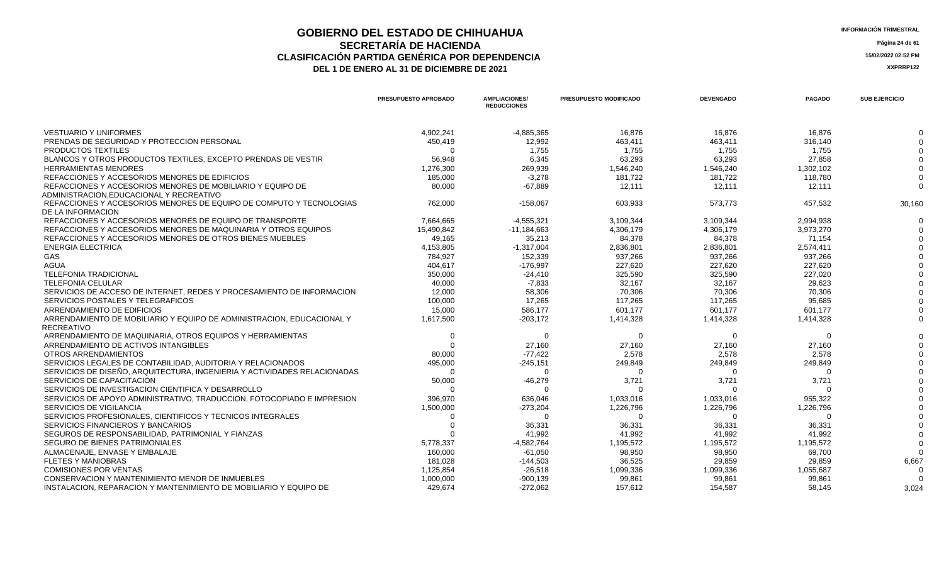#### **GOBIERNO DEL ESTADO DE CHIHUAHUA INFORMACIÓN TRIMESTRAL SECRETARÍA DE HACIENDA Página 24 de 61 CLASIFICACIÓN PARTIDA GENÉRICA POR DEPENDENCIA 15/02/2022 02:52 PM DEL 1 DE ENERO AL 31 DE DICIEMBRE DE 2021 XXPRRP122**

**PRESUPUESTO APROBADO AMPLIACIONES/ REDUCCIONES PRESUPUESTO MODIFICADO DEVENGADO PAGADO SUB EJERCICIO** VESTUARIO Y UNIFORMES 4,902,241 -4,885,365 16,876 16,876 16,876 0 PRENDAS DE SEGURIDAD Y PROTECCION PERSONAL 450,419 12,992 463,411 463,411 316,140 0 PRODUCTOS TEXTILES 0 1,755 1,755 1,755 1,755 0 BLANCOS Y OTROS PRODUCTOS TEXTILES, EXCEPTO PRENDAS DE VESTIR 56,948 6,345 63,293 63,293 27,858 0 HERRAMIENTAS MENORES 1,276,300 269,939 1,546,240 1,546,240 1,302,102 0 REFACCIONES Y ACCESORIOS MENORES DE EDIFICIOS 185,000 185,000 181,722 185,000 181,722 181,722 181,722 181,722 181,722 181,722 181,722 181,722 181,722 181,722 181,722 181,722 181,722 181,722 181,722 181,722 181,722 181,722 REFACCIONES Y ACCESORIOS MENORES DE MOBILIARIO Y EQUIPO DE ADMINISTRACION,EDUCACIONAL Y RECREATIVO 80,000 -67,889 12,111 12,111 12,111 0 REFACCIONES Y ACCESORIOS MENORES DE EQUIPO DE COMPUTO Y TECNOLOGIAS DE LA INFORMACION 762,000 -158,067 603,933 573,773 457,532 30,160 REFACCIONES Y ACCESORIOS MENORES DE EQUIPO DE TRANSPORTE  $7,664,665$   $4,555,321$   $3,109,344$   $3,109,344$   $2,994,938$   $0$ REFACCIONES Y ACCESORIOS MENORES DE MAQUINARIA Y OTROS EQUIPOS 15,490,842 11,184,663 4,306,179 4,306,179 4,306,179 3,973,270 3,973,270 0 REFACCIONES Y ACCESORIOS MENORES DE OTROS BIENES MUEBLES 49.165 49.165 35.213 84,378 84,378 84,378 71,154 71,154 0 ENERGIA ELECTRICA 4,153,805 -1,317,004 2,836,801 2,836,801 2,574,411 0 GAS 784,927 152,339 937,266 937,266 937,266 0 404,617 -176,997 -176,997 -176,997 -227,620 -227,620 -227,620 -227,620 -227,620 -227,620 -227,620 -227,620 -0 TELEFONIA TRADICIONAL 350,000 -24,410 325,590 325,590 227,020 0 TELEFONIA CELULAR 40,000 -7,833 32,167 32,167 29,623 0 SERVICIOS DE ACCESO DE INTERNET, REDES Y PROCESAMIENTO DE INFORMACION 12,000 58,306 70,306 70,306 70,306 0 SERVICIOS POSTALES Y TELEGRAFICOS 100,000 17,265 117,265 117,265 95,685 0 ARRENDAMIENTO DE EDIFICIOS **15,000** 15,000 586,177 5601,177 601,177 601,177 601,177 601,177 601,177 601,177 601,177 ARRENDAMIENTO DE MOBILIARIO Y EQUIPO DE ADMINISTRACION, EDUCACIONAL Y RECREATIVO 1,617,500 -203,172 1,414,328 1,414,328 1,414,328 0 ARRENDAMIENTO DE MAQUINARIA, OTROS EQUIPOS Y HERRAMIENTAS 0 0 0 0 0 0 ARRENDAMIENTO DE ACTIVOS INTANGIBLES 0 27,160 27,160 27,160 27,160 0 OTROS ARRENDAMIENTOS 80,000 -77,422 2,578 2,578 2,578 0 SERVICIOS LEGALES DE CONTABILIDAD, AUDITORIA Y RELACIONADOS 495,000 249,849 249,849 249,849 249,849 249,849 249,849 249,849 249,849 249,849 249,849 249,849 249,849 249,849 249,849 249, SERVICIOS DE DISEÑO, ARQUITECTURA, INGENIERIA Y ACTIVIDADES RELACIONADAS 0 0 0 0 0 0 SERVICIOS DE CAPACITACION 50,000 -46,279 3,721 3,721 3,721 0 SERVICIOS DE INVESTIGACION CIENTIFICA Y DESARROLLO  $\begin{array}{cccc} 0 & 0 & 0 & 0 & 0 \\ 0 & 0 & 0 & 0 & 0 \\ \end{array}$ SERVICIOS DE APOYO ADMINISTRATIVO, TRADUCCION, FOTOCOPIADO E IMPRESION 396,970 1,033,016 0<br>SERVICIOS DE VIGILANCIA 1,500,000 1,226,79 SERVICIOS DE VIGILANCIA 1,500,000 -273,204 1,226,796 1,226,796 1,226,796 0 SERVICIOS PROFESIONALES, CIENTIFICOS Y TECNICOS INTEGRALES 0 0 0 0 0 0 SERVICIOS FINANCIEROS Y BANCARIOS 0 36,331 36,331 36,331 36,331 0 SEGUROS DE RESPONSABILIDAD, PATRIMONIAL Y FIANZAS 41,992 0 SEGURO DE BIENES PATRIMONIALES 6,8778.37 5,778.337 5,778.337 5,778.337 5,178.32,764 5,195.572 1,195.572 1,195.572 1,195.572 1,195.572 1,195.572 1,195.572 1,195.572 1,195.572 1,195.572 1,195.572 1,195.572 1,195.572 1,195.57 ALMACENAJE, ENVASE Y EMBALAJE 160,000 -61,050 98,950 98,950 69,700 0 FLETES Y MANIOBRAS 181,028 -144,503 36,525 29,859 29,859 6,667 COMISIONES POR VENTAS 1,125,854 -26,518 1,099,336 1,099,336 1,055,687 0 CONSERVACION Y MANTENIMIENTO MENOR DE INMUEBLES 1,000,000 99,061 99,861 0 INSTALACION, REPARACION Y MANTENIMIENTO DE MOBILIARIO Y EQUIPO DE 429,674 429,674 272,062 157,612 157,612 154,587 58,145 58,145 3,024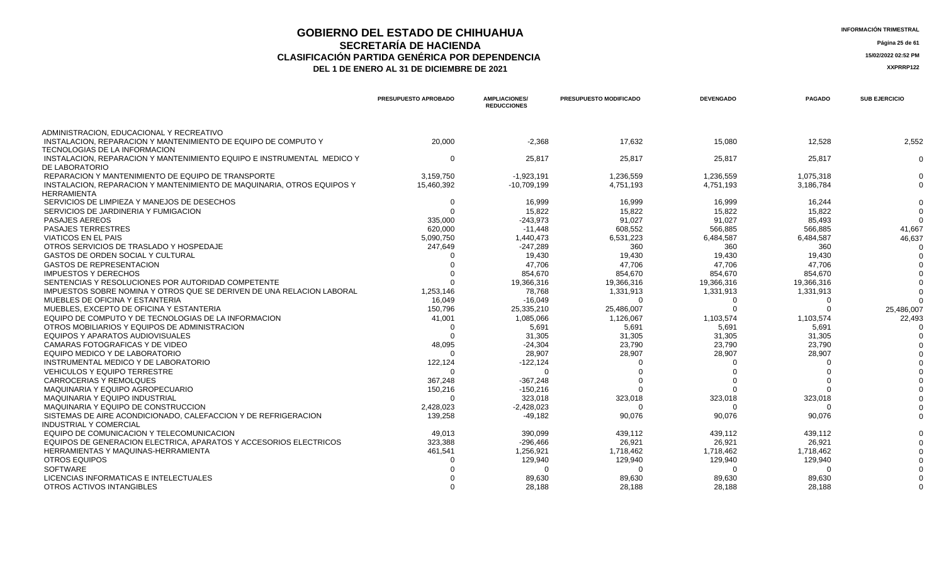## **GOBIERNO DEL ESTADO DE CHIHUAHUA**<br> **GEOBERNO DEL ESTADO DE CHIHUAHUA**<br> **INFORMACIÓN TRIMESTRAL SECRETARÍA DE HACIENDA Página 25 de 61 CLASIFICACIÓN PARTIDA GENÉRICA POR DEPENDENCIA**<br> **DEL 1 DE ENERO AL 31 DE DICIEMBRE DE 2021**<br> **ACCEDITE AL SER**ENCIA LA SERENTIZA

DEL 1 DE ENERO AL 31 DE DICIEMBRE DE 2021

|                                                                                                 | PRESUPUESTO APROBADO | <b>AMPLIACIONES/</b><br><b>REDUCCIONES</b> | PRESUPUESTO MODIFICADO | <b>DEVENGADO</b> | <b>PAGADO</b> | <b>SUB EJERCICIO</b> |
|-------------------------------------------------------------------------------------------------|----------------------|--------------------------------------------|------------------------|------------------|---------------|----------------------|
| ADMINISTRACION, EDUCACIONAL Y RECREATIVO                                                        |                      |                                            |                        |                  |               |                      |
| INSTALACION. REPARACION Y MANTENIMIENTO DE EQUIPO DE COMPUTO Y<br>TECNOLOGIAS DE LA INFORMACION | 20,000               | $-2.368$                                   | 17.632                 | 15.080           | 12.528        | 2.552                |
| INSTALACION. REPARACION Y MANTENIMIENTO EQUIPO E INSTRUMENTAL MEDICO Y<br>DE LABORATORIO        | $\Omega$             | 25,817                                     | 25,817                 | 25,817           | 25,817        | റ                    |
| REPARACION Y MANTENIMIENTO DE EQUIPO DE TRANSPORTE                                              | 3,159,750            | $-1,923,191$                               | 1,236,559              | 1,236,559        | 1,075,318     |                      |
| INSTALACION, REPARACION Y MANTENIMIENTO DE MAQUINARIA, OTROS EQUIPOS Y                          | 15,460,392           | $-10.709.199$                              | 4,751,193              | 4,751,193        | 3,186,784     |                      |
| <b>HERRAMIENTA</b>                                                                              |                      |                                            |                        |                  |               |                      |
| SERVICIOS DE LIMPIEZA Y MANEJOS DE DESECHOS                                                     | $\Omega$             | 16.999                                     | 16.999                 | 16.999           | 16.244        |                      |
| SERVICIOS DE JARDINERIA Y FUMIGACION                                                            | $\Omega$             | 15,822                                     | 15,822                 | 15,822           | 15,822        |                      |
| <b>PASAJES AEREOS</b>                                                                           | 335,000              | $-243,973$                                 | 91,027                 | 91,027           | 85.493        |                      |
| <b>PASAJES TERRESTRES</b>                                                                       | 620,000              | $-11,448$                                  | 608,552                | 566,885          | 566,885       | 41.667               |
| <b>VIATICOS EN EL PAIS</b>                                                                      | 5,090,750            | 1.440.473                                  | 6.531.223              | 6,484,587        | 6.484.587     | 46.637               |
| OTROS SERVICIOS DE TRASLADO Y HOSPEDAJE                                                         | 247,649              | $-247,289$                                 | 360                    | 360              | 360           |                      |
| <b>GASTOS DE ORDEN SOCIAL Y CULTURAL</b>                                                        |                      | 19,430                                     | 19,430                 | 19,430           | 19,430        |                      |
| <b>GASTOS DE REPRESENTACION</b>                                                                 |                      | 47,706                                     | 47,706                 | 47,706           | 47.706        |                      |
| <b>IMPUESTOS Y DERECHOS</b>                                                                     |                      | 854,670                                    | 854,670                | 854,670          | 854,670       |                      |
| SENTENCIAS Y RESOLUCIONES POR AUTORIDAD COMPETENTE                                              |                      | 19,366,316                                 | 19,366,316             | 19,366,316       | 19,366,316    |                      |
| IMPUESTOS SOBRE NOMINA Y OTROS QUE SE DERIVEN DE UNA RELACION LABORAL                           | 1,253,146            | 78,768                                     | 1,331,913              | 1,331,913        | 1,331,913     |                      |
| MUEBLES DE OFICINA Y ESTANTERIA                                                                 | 16,049               | $-16,049$                                  | $\Omega$               | $\Omega$         | $\Omega$      |                      |
| MUEBLES, EXCEPTO DE OFICINA Y ESTANTERIA                                                        | 150,796              | 25,335,210                                 | 25,486,007             |                  |               | 25,486,007           |
| EQUIPO DE COMPUTO Y DE TECNOLOGIAS DE LA INFORMACION                                            | 41,001               | 1,085,066                                  | 1,126,067              | 1,103,574        | 1,103,574     | 22,493               |
| OTROS MOBILIARIOS Y EQUIPOS DE ADMINISTRACION                                                   | $\Omega$             | 5,691                                      | 5,691                  | 5,691            | 5,691         |                      |
| EQUIPOS Y APARATOS AUDIOVISUALES                                                                |                      | 31,305                                     | 31,305                 | 31,305           | 31,305        |                      |
| CAMARAS FOTOGRAFICAS Y DE VIDEO                                                                 | 48,095               | $-24,304$                                  | 23,790                 | 23,790           | 23,790        |                      |
| EQUIPO MEDICO Y DE LABORATORIO                                                                  | $\Omega$             | 28,907                                     | 28,907                 | 28,907           | 28.907        |                      |
| INSTRUMENTAL MEDICO Y DE LABORATORIO                                                            | 122,124              | $-122, 124$                                |                        |                  |               |                      |
| <b>VEHICULOS Y EQUIPO TERRESTRE</b>                                                             |                      | $\cap$                                     |                        |                  |               |                      |
| <b>CARROCERIAS Y REMOLQUES</b>                                                                  | 367.248              | $-367.248$                                 |                        |                  |               |                      |
| MAQUINARIA Y EQUIPO AGROPECUARIO                                                                | 150,216              | $-150,216$                                 |                        |                  |               |                      |
| MAQUINARIA Y EQUIPO INDUSTRIAL                                                                  | $\Omega$             | 323.018                                    | 323,018                | 323,018          | 323,018       |                      |
| MAQUINARIA Y EQUIPO DE CONSTRUCCION                                                             | 2,428,023            | $-2,428,023$                               |                        |                  |               |                      |
| SISTEMAS DE AIRE ACONDICIONADO, CALEFACCION Y DE REFRIGERACION                                  | 139,258              | $-49,182$                                  | 90,076                 | 90,076           | 90,076        |                      |
| <b>INDUSTRIAL Y COMERCIAL</b>                                                                   |                      |                                            |                        |                  |               |                      |
| EQUIPO DE COMUNICACION Y TELECOMUNICACION                                                       | 49.013               | 390,099                                    | 439,112                | 439.112          | 439.112       |                      |
| EQUIPOS DE GENERACION ELECTRICA. APARATOS Y ACCESORIOS ELECTRICOS                               | 323,388              | $-296,466$                                 | 26,921                 | 26,921           | 26,921        |                      |
| <b>HERRAMIENTAS Y MAQUINAS-HERRAMIENTA</b>                                                      | 461,541              | 1,256,921                                  | 1,718,462              | 1.718.462        | 1,718,462     |                      |
| <b>OTROS EQUIPOS</b>                                                                            |                      | 129,940                                    | 129,940                | 129,940          | 129,940       |                      |
| <b>SOFTWARE</b>                                                                                 |                      | ∩                                          | $\Omega$               |                  | $\Omega$      |                      |

LICENCIAS INFORMATICAS E INTELECTUALES 0 89,630 89,630 89,630 89,630 0

OTROS ACTIVOS INTANGIBLES AND RESOLUTION OF THE SERVICE OF THE SERVICE OF THE SERVICE OF THE SERVICE OF THE SERVICE OF THE SERVICE OF THE SERVICE OF THE SERVICE OF THE SERVICE OF THE SERVICE OF THE SERVICE OF THE SERVICE O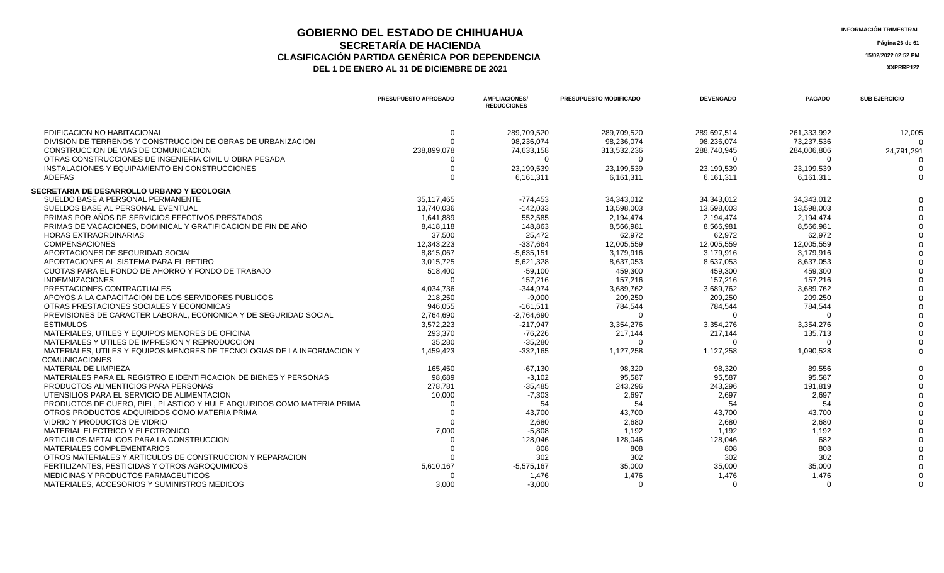## **GOBIERNO DEL ESTADO DE CHIHUAHUA**<br> **INFORMACIÓN TRIMESTRAL**<br> **INFORMACIÓN TRIMESTRAL**<br> **Información trimestral SECRETARÍA DE HACIENDA** Página 26 de 61<br>IÓN PARTIDA GENÉRICA POR DEPENDENCIA **CLASIFICACIÓN PARTIDA GENÉRICA POR DEPENDENCIA 15/02/2022 02:52 PM**

| <b>NFORMACIÓN TRIMESTRAL</b> |  |
|------------------------------|--|
|------------------------------|--|

|                                                                         | PRESUPUESTO APROBADO | <b>AMPLIACIONES/</b><br><b>REDUCCIONES</b> | PRESUPUESTO MODIFICADO | <b>DEVENGADO</b> | <b>PAGADO</b> | <b>SUB EJERCICIO</b> |
|-------------------------------------------------------------------------|----------------------|--------------------------------------------|------------------------|------------------|---------------|----------------------|
| EDIFICACION NO HABITACIONAL                                             | 0                    | 289,709,520                                | 289,709,520            | 289,697,514      | 261,333,992   | 12,005               |
| DIVISION DE TERRENOS Y CONSTRUCCION DE OBRAS DE URBANIZACION            |                      | 98,236,074                                 | 98,236,074             | 98,236,074       | 73,237,536    | $\Omega$             |
| CONSTRUCCION DE VIAS DE COMUNICACION                                    | 238,899,078          | 74,633,158                                 | 313,532,236            | 288.740.945      | 284.006.806   | 24,791,291           |
| OTRAS CONSTRUCCIONES DE INGENIERIA CIVIL U OBRA PESADA                  |                      | $\Omega$                                   |                        | $\Omega$         | $\Omega$      |                      |
| INSTALACIONES Y EQUIPAMIENTO EN CONSTRUCCIONES                          |                      | 23,199,539                                 | 23,199,539             | 23,199,539       | 23,199,539    |                      |
| <b>ADEFAS</b>                                                           |                      | 6,161,311                                  | 6,161,311              | 6,161,311        | 6,161,311     | $\Omega$             |
| SECRETARIA DE DESARROLLO URBANO Y ECOLOGIA                              |                      |                                            |                        |                  |               |                      |
| SUELDO BASE A PERSONAL PERMANENTE                                       | 35,117,465           | $-774,453$                                 | 34,343,012             | 34,343,012       | 34,343,012    |                      |
| SUELDOS BASE AL PERSONAL EVENTUAL                                       | 13.740.036           | $-142.033$                                 | 13.598.003             | 13.598.003       | 13.598.003    |                      |
| PRIMAS POR AÑOS DE SERVICIOS EFECTIVOS PRESTADOS                        | 1,641,889            | 552,585                                    | 2.194.474              | 2,194,474        | 2.194.474     |                      |
| PRIMAS DE VACACIONES, DOMINICAL Y GRATIFICACION DE FIN DE AÑO           | 8,418,118            | 148,863                                    | 8,566,981              | 8,566,981        | 8,566,981     |                      |
| <b>HORAS EXTRAORDINARIAS</b>                                            | 37,500               | 25,472                                     | 62,972                 | 62,972           | 62,972        |                      |
| <b>COMPENSACIONES</b>                                                   | 12,343,223           | $-337,664$                                 | 12,005,559             | 12,005,559       | 12,005,559    |                      |
| APORTACIONES DE SEGURIDAD SOCIAL                                        | 8,815,067            | $-5.635.151$                               | 3.179.916              | 3.179.916        | 3.179.916     |                      |
| APORTACIONES AL SISTEMA PARA EL RETIRO                                  | 3,015,725            | 5,621,328                                  | 8,637,053              | 8,637,053        | 8,637,053     |                      |
| CUOTAS PARA EL FONDO DE AHORRO Y FONDO DE TRABAJO                       | 518,400              | $-59,100$                                  | 459.300                | 459,300          | 459.300       |                      |
| <b>INDEMNIZACIONES</b>                                                  | $\Omega$             | 157,216                                    | 157,216                | 157,216          | 157,216       |                      |
| PRESTACIONES CONTRACTUALES                                              | 4,034,736            | $-344.974$                                 | 3,689,762              | 3,689,762        | 3,689,762     |                      |
| APOYOS A LA CAPACITACION DE LOS SERVIDORES PUBLICOS                     | 218,250              | $-9,000$                                   | 209,250                | 209,250          | 209,250       |                      |
| OTRAS PRESTACIONES SOCIALES Y ECONOMICAS                                | 946,055              | $-161,511$                                 | 784,544                | 784,544          | 784,544       |                      |
| PREVISIONES DE CARACTER LABORAL. ECONOMICA Y DE SEGURIDAD SOCIAL        | 2.764.690            | $-2.764.690$                               |                        | $\Omega$         | $\Omega$      |                      |
| <b>ESTIMULOS</b>                                                        | 3,572,223            | $-217,947$                                 | 3,354,276              | 3,354,276        | 3,354,276     |                      |
| MATERIALES, UTILES Y EQUIPOS MENORES DE OFICINA                         | 293,370              | $-76,226$                                  | 217,144                | 217,144          | 135,713       |                      |
| MATERIALES Y UTILES DE IMPRESION Y REPRODUCCION                         | 35,280               | $-35.280$                                  |                        | $\Omega$         | $\Omega$      |                      |
| MATERIALES, UTILES Y EQUIPOS MENORES DE TECNOLOGIAS DE LA INFORMACION Y | 1,459,423            | $-332,165$                                 | 1,127,258              | 1,127,258        | 1,090,528     |                      |
| <b>COMUNICACIONES</b>                                                   |                      |                                            |                        |                  |               |                      |
| MATERIAL DE LIMPIEZA                                                    | 165.450              | $-67,130$                                  | 98,320                 | 98.320           | 89.556        |                      |
| MATERIALES PARA EL REGISTRO E IDENTIFICACION DE BIENES Y PERSONAS       | 98.689               | $-3.102$                                   | 95.587                 | 95.587           | 95.587        |                      |
| PRODUCTOS ALIMENTICIOS PARA PERSONAS                                    | 278,781              | $-35,485$                                  | 243,296                | 243,296          | 191,819       |                      |
| UTENSILIOS PARA EL SERVICIO DE ALIMENTACION                             | 10,000               | $-7,303$                                   | 2,697                  | 2,697            | 2.697         |                      |
| PRODUCTOS DE CUERO, PIEL, PLASTICO Y HULE ADQUIRIDOS COMO MATERIA PRIMA |                      | 54                                         | 54                     | 54               | 54            |                      |
| OTROS PRODUCTOS ADQUIRIDOS COMO MATERIA PRIMA                           |                      | 43,700                                     | 43,700                 | 43,700           | 43,700        |                      |
| VIDRIO Y PRODUCTOS DE VIDRIO                                            |                      | 2,680                                      | 2,680                  | 2,680            | 2,680         |                      |
| MATERIAL ELECTRICO Y ELECTRONICO                                        | 7.000                | $-5,808$                                   | 1,192                  | 1.192            | 1,192         |                      |
| ARTICULOS METALICOS PARA LA CONSTRUCCION                                |                      | 128,046                                    | 128,046                | 128.046          | 682           |                      |
| <b>MATERIALES COMPLEMENTARIOS</b>                                       |                      | 808                                        | 808                    | 808              | 808           |                      |
| OTROS MATERIALES Y ARTICULOS DE CONSTRUCCION Y REPARACION               |                      | 302                                        | 302                    | 302              | 302           |                      |
| FERTILIZANTES, PESTICIDAS Y OTROS AGROQUIMICOS                          | 5,610,167            | $-5,575,167$                               | 35,000                 | 35,000           | 35,000        |                      |
| MEDICINAS Y PRODUCTOS FARMACEUTICOS                                     |                      | 1,476                                      | 1,476                  | 1,476            | 1,476         |                      |
| MATERIALES, ACCESORIOS Y SUMINISTROS MEDICOS                            | 3.000                | $-3.000$                                   | $\Omega$               | $\Omega$         | $\Omega$      | U                    |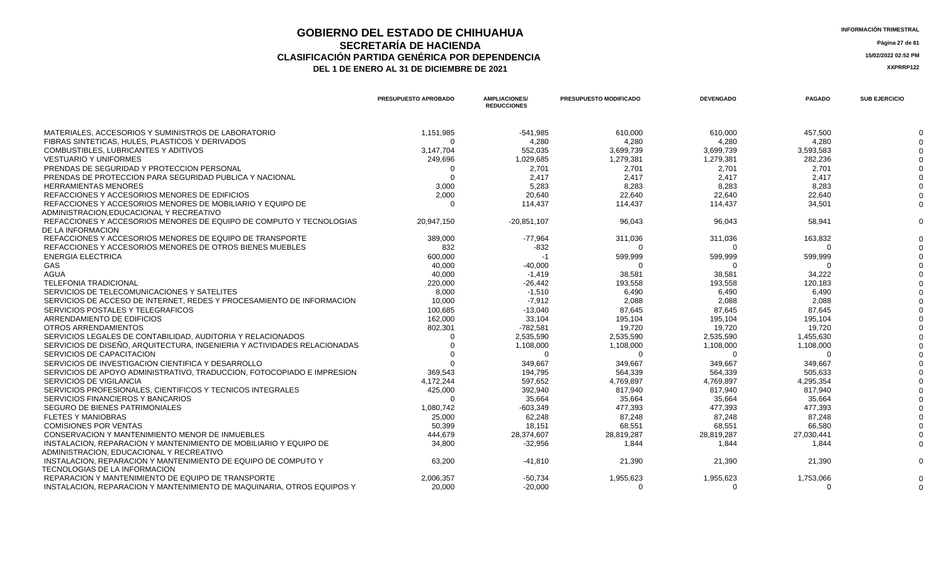## **GOBIERNO DEL ESTADO DE CHIHUAHUA**<br> **INFORMACIÓN TRIMESTRAL**<br> **INFORMACIÓN TRIMESTRAL**<br> **Información trimestral SECRETARÍA DE HACIENDA Página 27 de 61 CLASIFICACIÓN PARTIDA GENÉRICA POR DEPENDENCIA 15/02/2022 02:52 PM**

**DEL 1 DE ENERO AL 31 DE DICIEMBRE DE 2021 XXPRP122** 

|                                                                       | <b>PRESUPUESTO APROBADO</b> | <b>AMPLIACIONES/</b><br><b>REDUCCIONES</b> | <b>PRESUPUESTO MODIFICADO</b> | <b>DEVENGADO</b> | <b>PAGADO</b> | <b>SUB EJERCICIO</b> |
|-----------------------------------------------------------------------|-----------------------------|--------------------------------------------|-------------------------------|------------------|---------------|----------------------|
| MATERIALES, ACCESORIOS Y SUMINISTROS DE LABORATORIO                   | 1,151,985                   | $-541,985$                                 | 610,000                       | 610,000          | 457,500       |                      |
| FIBRAS SINTETICAS, HULES, PLASTICOS Y DERIVADOS                       |                             | 4.280                                      | 4.280                         | 4.280            | 4,280         |                      |
| COMBUSTIBLES, LUBRICANTES Y ADITIVOS                                  | 3,147,704                   | 552,035                                    | 3,699,739                     | 3,699,739        | 3,593,583     |                      |
| <b>VESTUARIO Y UNIFORMES</b>                                          | 249,696                     | 1,029,685                                  | 1,279,381                     | 1,279,381        | 282,236       |                      |
| PRENDAS DE SEGURIDAD Y PROTECCION PERSONAL                            |                             | 2.701                                      | 2.701                         | 2.701            | 2.701         |                      |
| PRENDAS DE PROTECCION PARA SEGURIDAD PUBLICA Y NACIONAL               |                             | 2.417                                      | 2.417                         | 2.417            | 2.417         |                      |
| <b>HERRAMIENTAS MENORES</b>                                           | 3,000                       | 5.283                                      | 8.283                         | 8,283            | 8.283         |                      |
| REFACCIONES Y ACCESORIOS MENORES DE EDIFICIOS                         | 2,000                       | 20,640                                     | 22,640                        | 22,640           | 22,640        |                      |
| REFACCIONES Y ACCESORIOS MENORES DE MOBILIARIO Y EQUIPO DE            |                             | 114,437                                    | 114.437                       | 114,437          | 34,501        |                      |
| ADMINISTRACION.EDUCACIONAL Y RECREATIVO                               |                             |                                            |                               |                  |               |                      |
| REFACCIONES Y ACCESORIOS MENORES DE EQUIPO DE COMPUTO Y TECNOLOGIAS   | 20,947,150                  | $-20,851,107$                              | 96,043                        | 96,043           | 58,941        |                      |
| DE LA INFORMACION                                                     |                             |                                            |                               |                  |               |                      |
| REFACCIONES Y ACCESORIOS MENORES DE EQUIPO DE TRANSPORTE              | 389,000                     | -77,964                                    | 311,036                       | 311,036          | 163,832       |                      |
| REFACCIONES Y ACCESORIOS MENORES DE OTROS BIENES MUEBLES              | 832                         | $-832$                                     |                               |                  |               |                      |
| <b>ENERGIA ELECTRICA</b>                                              | 600,000                     | -1                                         | 599,999                       | 599,999          | 599,999       |                      |
| GAS                                                                   | 40,000                      | $-40,000$                                  |                               |                  |               |                      |
| AGUA                                                                  | 40,000                      | $-1,419$                                   | 38,581                        | 38,581           | 34,222        |                      |
| <b>TELEFONIA TRADICIONAL</b>                                          | 220,000                     | $-26,442$                                  | 193,558                       | 193,558          | 120,183       |                      |
| SERVICIOS DE TELECOMUNICACIONES Y SATELITES                           | 8.000                       | $-1,510$                                   | 6.490                         | 6.490            | 6,490         |                      |
| SERVICIOS DE ACCESO DE INTERNET, REDES Y PROCESAMIENTO DE INFORMACION | 10.000                      | -7.912                                     | 2.088                         | 2.088            | 2.088         |                      |

| REFACCIONES Y ACCESORIOS MENORES DE OTROS BIENES MUEBLES                                                      | 832       | $-832$     | $\Omega$   |            |            |  |
|---------------------------------------------------------------------------------------------------------------|-----------|------------|------------|------------|------------|--|
| <b>ENERGIA ELECTRICA</b>                                                                                      | 600,000   | -1         | 599,999    | 599,999    | 599,999    |  |
| <b>GAS</b>                                                                                                    | 40,000    | $-40,000$  |            |            |            |  |
| <b>AGUA</b>                                                                                                   | 40,000    | $-1,419$   | 38,581     | 38,581     | 34,222     |  |
| <b>TELEFONIA TRADICIONAL</b>                                                                                  | 220,000   | $-26,442$  | 193,558    | 193,558    | 120,183    |  |
| SERVICIOS DE TELECOMUNICACIONES Y SATELITES                                                                   | 8,000     | $-1,510$   | 6,490      | 6,490      | 6.490      |  |
| SERVICIOS DE ACCESO DE INTERNET, REDES Y PROCESAMIENTO DE INFORMACION                                         | 10,000    | $-7,912$   | 2,088      | 2,088      | 2,088      |  |
| SERVICIOS POSTALES Y TELEGRAFICOS                                                                             | 100,685   | $-13,040$  | 87,645     | 87,645     | 87,645     |  |
| ARRENDAMIENTO DE EDIFICIOS                                                                                    | 162,000   | 33,104     | 195,104    | 195,104    | 195,104    |  |
| OTROS ARRENDAMIENTOS                                                                                          | 802,301   | -782,581   | 19,720     | 19,720     | 19,720     |  |
| SERVICIOS LEGALES DE CONTABILIDAD, AUDITORIA Y RELACIONADOS                                                   |           | 2,535,590  | 2,535,590  | 2,535,590  | 1,455,630  |  |
| SERVICIOS DE DISEÑO, ARQUITECTURA, INGENIERIA Y ACTIVIDADES RELACIONADAS                                      |           | 1,108,000  | 1,108,000  | 1,108,000  | 1,108,000  |  |
| SERVICIOS DE CAPACITACION                                                                                     |           |            |            |            |            |  |
| SERVICIOS DE INVESTIGACION CIENTIFICA Y DESARROLLO                                                            |           | 349,667    | 349,667    | 349,667    | 349,667    |  |
| SERVICIOS DE APOYO ADMINISTRATIVO, TRADUCCION, FOTOCOPIADO E IMPRESION                                        | 369,543   | 194,795    | 564,339    | 564,339    | 505,633    |  |
| <b>SERVICIOS DE VIGILANCIA</b>                                                                                | 4,172,244 | 597,652    | 4,769,897  | 4,769,897  | 4,295,354  |  |
| SERVICIOS PROFESIONALES, CIENTIFICOS Y TECNICOS INTEGRALES                                                    | 425,000   | 392,940    | 817.940    | 817,940    | 817,940    |  |
| SERVICIOS FINANCIEROS Y BANCARIOS                                                                             |           | 35.664     | 35.664     | 35.664     | 35,664     |  |
| SEGURO DE BIENES PATRIMONIALES                                                                                | 1,080,742 | $-603,349$ | 477,393    | 477,393    | 477,393    |  |
| <b>FLETES Y MANIOBRAS</b>                                                                                     | 25,000    | 62,248     | 87.248     | 87.248     | 87,248     |  |
| <b>COMISIONES POR VENTAS</b>                                                                                  | 50,399    | 18,151     | 68,551     | 68,551     | 66,580     |  |
| CONSERVACION Y MANTENIMIENTO MENOR DE INMUEBLES                                                               | 444,679   | 28,374,607 | 28,819,287 | 28,819,287 | 27,030,441 |  |
| INSTALACION. REPARACION Y MANTENIMIENTO DE MOBILIARIO Y EQUIPO DE<br>ADMINISTRACION, EDUCACIONAL Y RECREATIVO | 34,800    | $-32,956$  | 1,844      | 1,844      | 1,844      |  |
| INSTALACION, REPARACION Y MANTENIMIENTO DE EQUIPO DE COMPUTO Y<br>TECNOLOGIAS DE LA INFORMACION               | 63,200    | -41,810    | 21,390     | 21,390     | 21,390     |  |
| REPARACION Y MANTENIMIENTO DE EQUIPO DE TRANSPORTE                                                            | 2,006,357 | -50,734    | 1,955,623  | 1,955,623  | 1,753,066  |  |
| INSTALACION, REPARACION Y MANTENIMIENTO DE MAQUINARIA, OTROS EQUIPOS Y                                        | 20,000    | $-20.000$  |            |            |            |  |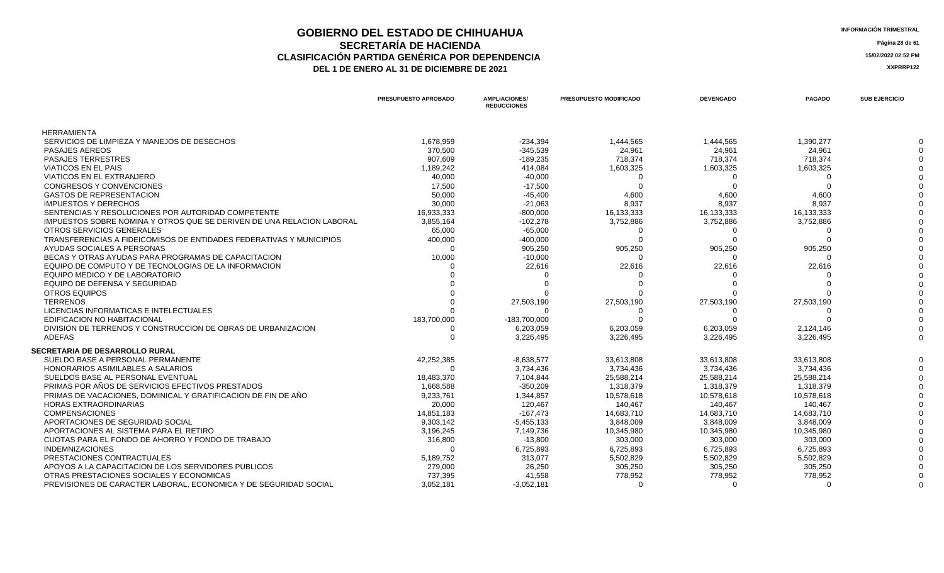### **GOBIERNO DEL ESTADO DE CHIHUAHUA**<br> **INFORMACIÓN TRIMESTRAL**<br> **INFORMACIÓN TRIMESTRAL**<br> **Información trimestral SECRETARÍA DE HACIENDA Página 28 de 61 CLASIFICACIÓN PARTIDA GENÉRICA POR DEPENDENCIA**<br> **THE 1 DE ENERO AL 31 DE DICIEMBRE DE 2021**<br> **ARREGISTION AND ACTEUR AUGENCIA DE PROPENTE DE 2021** DEL 1 DE ENERO AL 31 DE DICIEMBRE DE 2021

|                                                                       | PRESUPUESTO APROBADO | <b>AMPLIACIONES/</b><br><b>REDUCCIONES</b> | PRESUPUESTO MODIFICADO | <b>DEVENGADO</b> | <b>PAGADO</b> | <b>SUB EJERCICIO</b> |
|-----------------------------------------------------------------------|----------------------|--------------------------------------------|------------------------|------------------|---------------|----------------------|
| <b>HERRAMIENTA</b>                                                    |                      |                                            |                        |                  |               |                      |
| SERVICIOS DE LIMPIEZA Y MANEJOS DE DESECHOS                           | 1,678,959            | $-234,394$                                 | 1,444,565              | 1,444,565        | 1,390,277     |                      |
| <b>PASAJES AEREOS</b>                                                 | 370,500              | $-345,539$                                 | 24,961                 | 24,961           | 24,961        |                      |
| <b>PASAJES TERRESTRES</b>                                             | 907,609              | $-189,235$                                 | 718,374                | 718,374          | 718,374       |                      |
| <b>VIATICOS EN EL PAIS</b>                                            | 1,189,242            | 414,084                                    | 1,603,325              | 1,603,325        | 1,603,325     |                      |
| VIATICOS EN EL EXTRANJERO                                             | 40,000               | $-40,000$                                  |                        |                  |               |                      |
| <b>CONGRESOS Y CONVENCIONES</b>                                       | 17,500               | $-17,500$                                  | ∩                      |                  |               |                      |
| <b>GASTOS DE REPRESENTACION</b>                                       | 50,000               | $-45,400$                                  | 4,600                  | 4,600            | 4,600         |                      |
| <b>IMPUESTOS Y DERECHOS</b>                                           | 30,000               | $-21,063$                                  | 8,937                  | 8,937            | 8,937         |                      |
| SENTENCIAS Y RESOLUCIONES POR AUTORIDAD COMPETENTE                    | 16,933,333           | $-800,000$                                 | 16,133,333             | 16,133,333       | 16,133,333    |                      |
| IMPUESTOS SOBRE NOMINA Y OTROS QUE SE DERIVEN DE UNA RELACION LABORAL | 3,855,164            | $-102,278$                                 | 3,752,886              | 3,752,886        | 3,752,886     |                      |
| OTROS SERVICIOS GENERALES                                             | 65,000               | $-65,000$                                  | 0                      |                  |               |                      |
| TRANSFERENCIAS A FIDEICOMISOS DE ENTIDADES FEDERATIVAS Y MUNICIPIOS   | 400,000              | $-400,000$                                 | $\Omega$               |                  |               |                      |
| AYUDAS SOCIALES A PERSONAS                                            | $\Omega$             | 905,250                                    | 905,250                | 905,250          | 905,250       |                      |
| BECAS Y OTRAS AYUDAS PARA PROGRAMAS DE CAPACITACION                   | 10,000               | $-10,000$                                  | $\Omega$               |                  |               |                      |
| EQUIPO DE COMPUTO Y DE TECNOLOGIAS DE LA INFORMACION                  |                      | 22,616                                     | 22,616                 | 22,616           | 22,616        |                      |
| EQUIPO MEDICO Y DE LABORATORIO                                        |                      |                                            |                        |                  |               |                      |
| EQUIPO DE DEFENSA Y SEGURIDAD                                         |                      |                                            |                        |                  |               |                      |
| OTROS EQUIPOS                                                         |                      |                                            |                        |                  |               |                      |
| <b>TERRENOS</b>                                                       |                      | 27,503,190                                 | 27,503,190             | 27,503,190       | 27,503,190    |                      |
| LICENCIAS INFORMATICAS E INTELECTUALES                                |                      |                                            |                        |                  |               |                      |
| EDIFICACION NO HABITACIONAL                                           | 183,700,000          | $-183,700,000$                             | $\Omega$               |                  |               |                      |
| DIVISION DE TERRENOS Y CONSTRUCCION DE OBRAS DE URBANIZACION          |                      | 6,203,059                                  | 6,203,059              | 6,203,059        | 2,124,146     |                      |
| <b>ADEFAS</b>                                                         |                      | 3,226,495                                  | 3,226,495              | 3,226,495        | 3,226,495     |                      |
| <b>SECRETARIA DE DESARROLLO RURAL</b>                                 |                      |                                            |                        |                  |               |                      |
| SUELDO BASE A PERSONAL PERMANENTE                                     | 42,252,385           | $-8,638,577$                               | 33,613,808             | 33,613,808       | 33,613,808    |                      |
| HONORARIOS ASIMILABLES A SALARIOS                                     | $\Omega$             | 3,734,436                                  | 3,734,436              | 3,734,436        | 3,734,436     |                      |
| SUELDOS BASE AL PERSONAL EVENTUAL                                     | 18,483,370           | 7,104,844                                  | 25,588,214             | 25,588,214       | 25,588,214    |                      |
| PRIMAS POR AÑOS DE SERVICIOS EFECTIVOS PRESTADOS                      | 1,668,588            | $-350,209$                                 | 1,318,379              | 1,318,379        | 1,318,379     |                      |
| PRIMAS DE VACACIONES, DOMINICAL Y GRATIFICACION DE FIN DE AÑO         | 9,233,761            | 1,344,857                                  | 10,578,618             | 10,578,618       | 10,578,618    |                      |
| <b>HORAS EXTRAORDINARIAS</b>                                          | 20,000               | 120,467                                    | 140,467                | 140,467          | 140,467       |                      |
| <b>COMPENSACIONES</b>                                                 | 14,851,183           | $-167,473$                                 | 14,683,710             | 14,683,710       | 14,683,710    |                      |
| APORTACIONES DE SEGURIDAD SOCIAL                                      | 9,303,142            | $-5,455,133$                               | 3,848,009              | 3,848,009        | 3,848,009     |                      |
| APORTACIONES AL SISTEMA PARA EL RETIRO                                | 3,196,245            | 7,149,736                                  | 10,345,980             | 10,345,980       | 10,345,980    |                      |
| CUOTAS PARA EL FONDO DE AHORRO Y FONDO DE TRABAJO                     | 316,800              | $-13,800$                                  | 303,000                | 303,000          | 303,000       |                      |
| <b>INDEMNIZACIONES</b>                                                |                      | 6,725,893                                  | 6,725,893              | 6,725,893        | 6,725,893     |                      |
| PRESTACIONES CONTRACTUALES                                            | 5,189,752            | 313,077                                    | 5,502,829              | 5,502,829        | 5,502,829     |                      |
| APOYOS A LA CAPACITACION DE LOS SERVIDORES PUBLICOS                   | 279,000              | 26,250                                     | 305,250                | 305,250          | 305,250       |                      |
| OTRAS PRESTACIONES SOCIALES Y ECONOMICAS                              | 737,395              | 41,558                                     | 778,952                | 778,952          | 778,952       |                      |
| PREVISIONES DE CARACTER LABORAL, ECONOMICA Y DE SEGURIDAD SOCIAL      | 3,052,181            | $-3,052,181$                               | $\Omega$               | $\cap$           | ∩             |                      |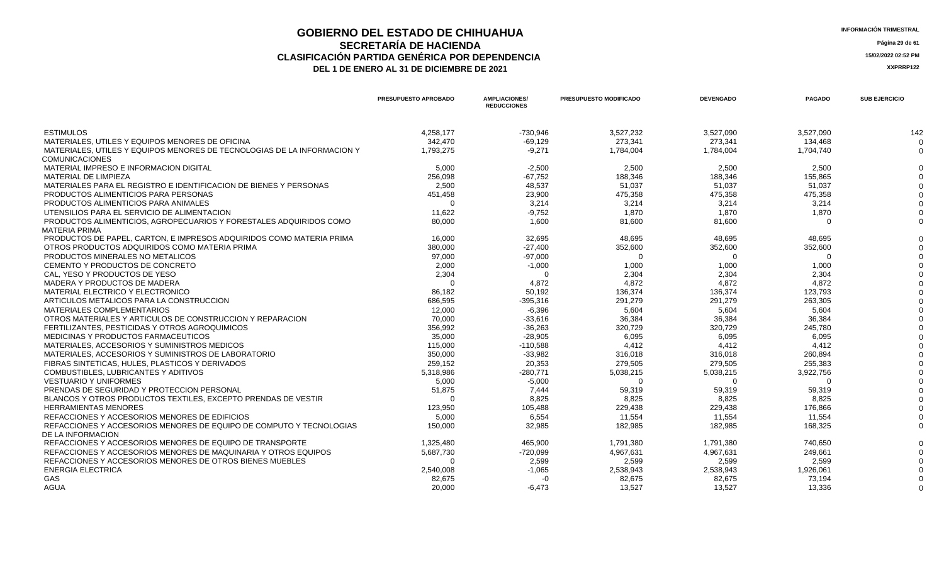## **GOBIERNO DEL ESTADO DE CHIHUAHUA INFORMACIÓN TRIMESTRAL SECRETARÍA DE HACIENDA** Página 29 de 61<br>IÓN PARTIDA GENÉRICA POR DEPENDENCIA **CLASIFICACIÓN PARTIDA GENÉRICA POR DEPENDENCIA 15/02/2022 02:52 PM**

| <b>INFORMACIÓN TRIMESTRAL</b> |  |
|-------------------------------|--|
|-------------------------------|--|

|                                                                                                  | PRESUPUESTO APROBADO | <b>AMPLIACIONES/</b><br><b>REDUCCIONES</b> | <b>PRESUPUESTO MODIFICADO</b> | <b>DEVENGADO</b> | <b>PAGADO</b> | <b>SUB EJERCICIO</b> |
|--------------------------------------------------------------------------------------------------|----------------------|--------------------------------------------|-------------------------------|------------------|---------------|----------------------|
| <b>ESTIMULOS</b>                                                                                 | 4,258,177            | $-730,946$                                 | 3,527,232                     | 3,527,090        | 3,527,090     | 142                  |
| MATERIALES, UTILES Y EQUIPOS MENORES DE OFICINA                                                  | 342,470              | $-69,129$                                  | 273,341                       | 273,341          | 134.468       | $\Omega$             |
| MATERIALES, UTILES Y EQUIPOS MENORES DE TECNOLOGIAS DE LA INFORMACION Y<br><b>COMUNICACIONES</b> | 1.793.275            | $-9.271$                                   | 1,784,004                     | 1,784,004        | 1,704,740     | $\Omega$             |
| MATERIAL IMPRESO E INFORMACION DIGITAL                                                           | 5.000                | $-2.500$                                   | 2.500                         | 2,500            | 2.500         |                      |
| <b>MATERIAL DE LIMPIEZA</b>                                                                      | 256,098              | $-67,752$                                  | 188,346                       | 188,346          | 155,865       |                      |
| MATERIALES PARA EL REGISTRO E IDENTIFICACION DE BIENES Y PERSONAS                                | 2,500                | 48.537                                     | 51,037                        | 51,037           | 51,037        |                      |
| PRODUCTOS ALIMENTICIOS PARA PERSONAS                                                             | 451,458              | 23,900                                     | 475,358                       | 475,358          | 475,358       |                      |
| PRODUCTOS ALIMENTICIOS PARA ANIMALES                                                             |                      | 3.214                                      | 3.214                         | 3.214            | 3.214         |                      |
| UTENSILIOS PARA EL SERVICIO DE ALIMENTACION                                                      | 11,622               | $-9,752$                                   | 1.870                         | 1.870            | 1,870         |                      |
| PRODUCTOS ALIMENTICIOS, AGROPECUARIOS Y FORESTALES ADQUIRIDOS COMO<br><b>MATERIA PRIMA</b>       | 80,000               | 1,600                                      | 81,600                        | 81,600           | O             |                      |
| PRODUCTOS DE PAPEL, CARTON, E IMPRESOS ADQUIRIDOS COMO MATERIA PRIMA                             | 16.000               | 32.695                                     | 48.695                        | 48,695           | 48,695        |                      |
| OTROS PRODUCTOS ADQUIRIDOS COMO MATERIA PRIMA                                                    | 380,000              | $-27.400$                                  | 352,600                       | 352,600          | 352,600       |                      |
| PRODUCTOS MINERALES NO METALICOS                                                                 | 97,000               | $-97,000$                                  | $\Omega$                      | $\Omega$         | 0             |                      |
| CEMENTO Y PRODUCTOS DE CONCRETO                                                                  | 2,000                | $-1,000$                                   | 1,000                         | 1,000            | 1,000         |                      |
| CAL. YESO Y PRODUCTOS DE YESO                                                                    | 2,304                | $\Omega$                                   | 2,304                         | 2,304            | 2,304         |                      |
| MADERA Y PRODUCTOS DE MADERA                                                                     |                      | 4,872                                      | 4,872                         | 4,872            | 4,872         |                      |
| MATERIAL ELECTRICO Y ELECTRONICO                                                                 | 86,182               | 50,192                                     | 136,374                       | 136,374          | 123,793       |                      |
| ARTICULOS METALICOS PARA LA CONSTRUCCION                                                         | 686,595              | $-395,316$                                 | 291,279                       | 291,279          | 263,305       |                      |
| MATERIALES COMPLEMENTARIOS                                                                       | 12.000               | $-6.396$                                   | 5.604                         | 5.604            | 5.604         |                      |
| OTROS MATERIALES Y ARTICULOS DE CONSTRUCCION Y REPARACION                                        | 70,000               | $-33,616$                                  | 36,384                        | 36,384           | 36,384        |                      |
| FERTILIZANTES, PESTICIDAS Y OTROS AGROQUIMICOS                                                   | 356,992              | $-36,263$                                  | 320,729                       | 320,729          | 245,780       |                      |
| MEDICINAS Y PRODUCTOS FARMACEUTICOS                                                              | 35,000               | $-28.905$                                  | 6.095                         | 6.095            | 6.095         |                      |
| MATERIALES, ACCESORIOS Y SUMINISTROS MEDICOS                                                     | 115,000              | $-110,588$                                 | 4,412                         | 4,412            | 4,412         |                      |
| MATERIALES, ACCESORIOS Y SUMINISTROS DE LABORATORIO                                              | 350,000              | $-33,982$                                  | 316,018                       | 316,018          | 260,894       |                      |
| FIBRAS SINTETICAS, HULES, PLASTICOS Y DERIVADOS                                                  | 259,152              | 20,353                                     | 279,505                       | 279,505          | 255,383       |                      |
| COMBUSTIBLES, LUBRICANTES Y ADITIVOS                                                             | 5,318,986            | $-280.771$                                 | 5,038,215                     | 5,038,215        | 3,922,756     |                      |
| <b>VESTUARIO Y UNIFORMES</b>                                                                     | 5,000                | $-5,000$                                   | $\Omega$                      | $\Omega$         | $\Omega$      |                      |
| PRENDAS DE SEGURIDAD Y PROTECCION PERSONAL                                                       | 51,875               | 7,444                                      | 59,319                        | 59,319           | 59,319        |                      |
| BLANCOS Y OTROS PRODUCTOS TEXTILES, EXCEPTO PRENDAS DE VESTIR                                    | $\Omega$             | 8.825                                      | 8.825                         | 8,825            | 8.825         |                      |
| <b>HERRAMIENTAS MENORES</b>                                                                      | 123,950              | 105,488                                    | 229,438                       | 229,438          | 176,866       |                      |
| REFACCIONES Y ACCESORIOS MENORES DE EDIFICIOS                                                    | 5,000                | 6,554                                      | 11.554                        | 11,554           | 11.554        |                      |
| REFACCIONES Y ACCESORIOS MENORES DE EQUIPO DE COMPUTO Y TECNOLOGIAS<br>DE LA INFORMACION         | 150,000              | 32,985                                     | 182,985                       | 182,985          | 168,325       |                      |
| REFACCIONES Y ACCESORIOS MENORES DE EQUIPO DE TRANSPORTE                                         | 1,325,480            | 465.900                                    | 1,791,380                     | 1,791,380        | 740.650       |                      |
| REFACCIONES Y ACCESORIOS MENORES DE MAQUINARIA Y OTROS EQUIPOS                                   | 5,687,730            | $-720,099$                                 | 4,967,631                     | 4,967,631        | 249,661       |                      |
| REFACCIONES Y ACCESORIOS MENORES DE OTROS BIENES MUEBLES                                         | $\Omega$             | 2,599                                      | 2,599                         | 2,599            | 2,599         |                      |
| <b>ENERGIA ELECTRICA</b>                                                                         | 2,540,008            | $-1,065$                                   | 2,538,943                     | 2,538,943        | 1,926,061     |                      |
| <b>GAS</b>                                                                                       | 82,675               | $-0$                                       | 82,675                        | 82,675           | 73.194        |                      |
| <b>AGUA</b>                                                                                      | 20,000               | $-6,473$                                   | 13,527                        | 13,527           | 13,336        | $\Omega$             |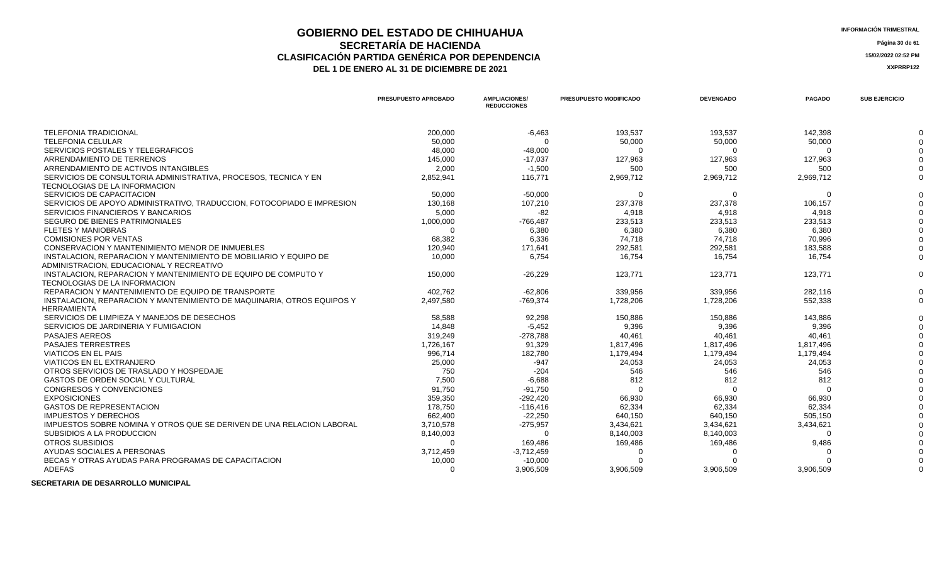## **GOBIERNO DEL ESTADO DE CHIHUAHUA**<br> **INFORMACIÓN TRIMESTRAL**<br> **INFORMACIÓN TRIMESTRAL**<br> **INFORMACIÓN TRIMESTRAL SECRETARÍA DE HACIENDA** Página 30 de 61<br>IÓN PARTIDA GENÉRICA POR DEPENDENCIA **CLASIFICACIÓN PARTIDA GENÉRICA POR DEPENDENCIA**<br> **DEL 1 DE ENERO AL 31 DE DICIEMBRE DE 2021**<br> **ACCEDITE 2021**

DEL 1 DE ENERO AL 31 DE DICIEMBRE DE 2021

|                                                                        | <b>PRESUPUESTO APROBADO</b> | <b>AMPLIACIONES/</b><br><b>REDUCCIONES</b> | <b>PRESUPUESTO MODIFICADO</b> | <b>DEVENGADO</b> | <b>PAGADO</b> | <b>SUB EJERCICIO</b> |
|------------------------------------------------------------------------|-----------------------------|--------------------------------------------|-------------------------------|------------------|---------------|----------------------|
| <b>TELEFONIA TRADICIONAL</b>                                           | 200,000                     | $-6,463$                                   | 193,537                       | 193,537          | 142,398       |                      |
| <b>TELEFONIA CELULAR</b>                                               | 50,000                      | $\Omega$                                   | 50,000                        | 50,000           | 50,000        |                      |
| SERVICIOS POSTALES Y TELEGRAFICOS                                      | 48,000                      | $-48.000$                                  | $\Omega$                      | $\Omega$         | $\Omega$      |                      |
| ARRENDAMIENTO DE TERRENOS                                              | 145,000                     | $-17,037$                                  | 127,963                       | 127,963          | 127,963       |                      |
| ARRENDAMIENTO DE ACTIVOS INTANGIBLES                                   | 2,000                       | $-1.500$                                   | 500                           | 500              | 500           |                      |
| SERVICIOS DE CONSULTORIA ADMINISTRATIVA, PROCESOS, TECNICA Y EN        | 2,852,941                   | 116,771                                    | 2,969,712                     | 2,969,712        | 2,969,712     |                      |
| TECNOLOGIAS DE LA INFORMACION                                          |                             |                                            |                               |                  |               |                      |
| SERVICIOS DE CAPACITACION                                              | 50,000                      | $-50,000$                                  | $\Omega$                      | $\Omega$         | $\Omega$      |                      |
| SERVICIOS DE APOYO ADMINISTRATIVO. TRADUCCION. FOTOCOPIADO E IMPRESION | 130.168                     | 107.210                                    | 237,378                       | 237,378          | 106,157       |                      |
| SERVICIOS FINANCIEROS Y BANCARIOS                                      | 5,000                       | -82                                        | 4,918                         | 4,918            | 4,918         |                      |
| <b>SEGURO DE BIENES PATRIMONIALES</b>                                  | 1,000,000                   | $-766,487$                                 | 233,513                       | 233,513          | 233,513       |                      |
| <b>FLETES Y MANIOBRAS</b>                                              |                             | 6,380                                      | 6,380                         | 6,380            | 6,380         |                      |
| <b>COMISIONES POR VENTAS</b>                                           | 68,382                      | 6,336                                      | 74.718                        | 74.718           | 70.996        |                      |
| CONSERVACION Y MANTENIMIENTO MENOR DE INMUEBLES                        | 120,940                     | 171,641                                    | 292,581                       | 292,581          | 183,588       |                      |
| INSTALACION. REPARACION Y MANTENIMIENTO DE MOBILIARIO Y EQUIPO DE      | 10,000                      | 6.754                                      | 16,754                        | 16,754           | 16,754        |                      |
| ADMINISTRACION, EDUCACIONAL Y RECREATIVO                               |                             |                                            |                               |                  |               |                      |
| INSTALACION. REPARACION Y MANTENIMIENTO DE EQUIPO DE COMPUTO Y         | 150.000                     | $-26.229$                                  | 123,771                       | 123.771          | 123,771       |                      |
| <b>TECNOLOGIAS DE LA INFORMACION</b>                                   |                             |                                            |                               |                  |               |                      |
| REPARACION Y MANTENIMIENTO DE EQUIPO DE TRANSPORTE                     | 402.762                     | $-62.806$                                  | 339.956                       | 339.956          | 282,116       | $\Omega$             |
| INSTALACION, REPARACION Y MANTENIMIENTO DE MAQUINARIA, OTROS EQUIPOS Y | 2,497,580                   | $-769,374$                                 | 1,728,206                     | 1,728,206        | 552,338       | $\Omega$             |
| <b>HERRAMIENTA</b>                                                     |                             |                                            |                               |                  |               |                      |
| SERVICIOS DE LIMPIEZA Y MANEJOS DE DESECHOS                            | 58,588                      | 92,298                                     | 150,886                       | 150,886          | 143,886       |                      |
| SERVICIOS DE JARDINERIA Y FUMIGACION                                   | 14.848                      | $-5,452$                                   | 9,396                         | 9,396            | 9.396         |                      |
| <b>PASAJES AEREOS</b>                                                  | 319,249                     | $-278,788$                                 | 40,461                        | 40,461           | 40,461        |                      |
| <b>PASAJES TERRESTRES</b>                                              | 1,726,167                   | 91,329                                     | 1,817,496                     | 1,817,496        | 1,817,496     |                      |
| <b>VIATICOS EN EL PAIS</b>                                             | 996,714                     | 182,780                                    | 1,179,494                     | 1,179,494        | 1,179,494     |                      |
| VIATICOS EN EL EXTRANJERO                                              | 25,000                      | $-947$                                     | 24,053                        | 24,053           | 24,053        |                      |
| OTROS SERVICIOS DE TRASLADO Y HOSPEDAJE                                | 750                         | $-204$                                     | 546                           | 546              | 546           |                      |
| <b>GASTOS DE ORDEN SOCIAL Y CULTURAL</b>                               | 7,500                       | $-6,688$                                   | 812                           | 812              | 812           |                      |
| <b>CONGRESOS Y CONVENCIONES</b>                                        | 91,750                      | $-91,750$                                  | $\Omega$                      | O                |               |                      |
| <b>EXPOSICIONES</b>                                                    | 359,350                     | $-292,420$                                 | 66,930                        | 66,930           | 66,930        |                      |
| <b>GASTOS DE REPRESENTACION</b>                                        | 178,750                     | $-116.416$                                 | 62,334                        | 62,334           | 62,334        |                      |
| <b>IMPUESTOS Y DERECHOS</b>                                            | 662,400                     | $-22,250$                                  | 640,150                       | 640,150          | 505,150       |                      |
| IMPUESTOS SOBRE NOMINA Y OTROS QUE SE DERIVEN DE UNA RELACION LABORAL  | 3,710,578                   | $-275,957$                                 | 3,434,621                     | 3,434,621        | 3,434,621     |                      |
| SUBSIDIOS A LA PRODUCCION                                              | 8,140,003                   | $\Omega$                                   | 8,140,003                     | 8,140,003        |               |                      |
| OTROS SUBSIDIOS                                                        | $\cap$                      | 169.486                                    | 169,486                       | 169,486          | 9,486         |                      |
| AYUDAS SOCIALES A PERSONAS                                             | 3,712,459                   | $-3,712,459$                               | $\Omega$                      | ∩                |               |                      |
| BECAS Y OTRAS AYUDAS PARA PROGRAMAS DE CAPACITACION                    | 10,000                      | $-10,000$                                  |                               |                  |               |                      |
| <b>ADEFAS</b>                                                          |                             | 3,906,509                                  | 3.906.509                     | 3,906,509        | 3,906,509     |                      |

 **SECRETARIA DE DESARROLLO MUNICIPAL**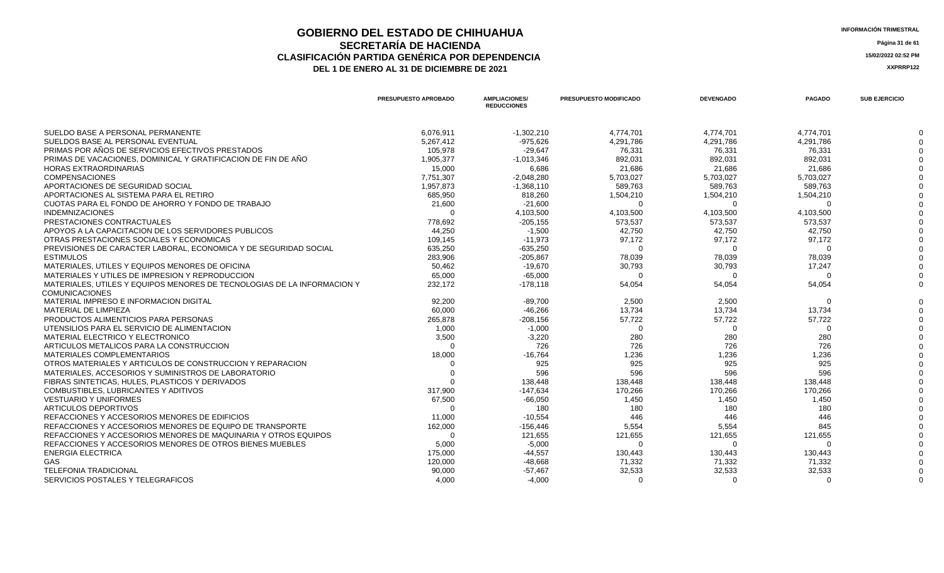### **GOBIERNO DEL ESTADO DE CHIHUAHUA**<br> **INFORMACIÓN TRIMESTRAL**<br> **INFORMACIÓN TRIMESTRAL**<br> **Información trimestral SECRETARÍA DE HACIENDA** Página 31 de 61<br>IÓN PARTIDA GENÉRICA POR DEPENDENCIA **CLASIFICACIÓN PARTIDA GENÉRICA POR DEPENDENCIA 15/02/2022 02:52 PM** DEL 1 DE ENERO AL 31 DE DICIEMBRE DE 2021

|                                                                         | PRESUPUESTO APROBADO | <b>AMPLIACIONES/</b><br><b>REDUCCIONES</b> | <b>PRESUPUESTO MODIFICADO</b> | <b>DEVENGADO</b> | <b>PAGADO</b> | <b>SUB EJERCICIO</b> |
|-------------------------------------------------------------------------|----------------------|--------------------------------------------|-------------------------------|------------------|---------------|----------------------|
| SUELDO BASE A PERSONAL PERMANENTE                                       | 6,076,911            | $-1,302,210$                               | 4,774,701                     | 4.774.701        | 4.774.701     |                      |
| SUELDOS BASE AL PERSONAL EVENTUAL                                       | 5,267,412            | $-975,626$                                 | 4,291,786                     | 4,291,786        | 4,291,786     |                      |
| PRIMAS POR AÑOS DE SERVICIOS EFECTIVOS PRESTADOS                        | 105,978              | $-29,647$                                  | 76,331                        | 76,331           | 76,331        |                      |
| PRIMAS DE VACACIONES. DOMINICAL Y GRATIFICACION DE FIN DE AÑO           | 1,905,377            | $-1,013,346$                               | 892.031                       | 892.031          | 892.031       |                      |
| <b>HORAS EXTRAORDINARIAS</b>                                            | 15.000               | 6,686                                      | 21,686                        | 21.686           | 21.686        |                      |
| <b>COMPENSACIONES</b>                                                   | 7,751,307            | $-2.048.280$                               | 5,703,027                     | 5,703,027        | 5,703,027     |                      |
| APORTACIONES DE SEGURIDAD SOCIAL                                        | 1,957,873            | $-1,368,110$                               | 589,763                       | 589,763          | 589,763       |                      |
| APORTACIONES AL SISTEMA PARA EL RETIRO                                  | 685,950              | 818,260                                    | 1,504,210                     | 1,504,210        | 1,504,210     |                      |
| CUOTAS PARA EL FONDO DE AHORRO Y FONDO DE TRABAJO                       | 21,600               | $-21,600$                                  | $\Omega$                      | - 0              | $\Omega$      |                      |
| <b>INDEMNIZACIONES</b>                                                  |                      | 4,103,500                                  | 4,103,500                     | 4,103,500        | 4,103,500     |                      |
| PRESTACIONES CONTRACTUALES                                              | 778.692              | $-205, 155$                                | 573,537                       | 573,537          | 573.537       |                      |
| APOYOS A LA CAPACITACION DE LOS SERVIDORES PUBLICOS                     | 44,250               | $-1,500$                                   | 42,750                        | 42,750           | 42,750        |                      |
| OTRAS PRESTACIONES SOCIALES Y ECONOMICAS                                | 109,145              | $-11,973$                                  | 97,172                        | 97,172           | 97,172        |                      |
| PREVISIONES DE CARACTER LABORAL, ECONOMICA Y DE SEGURIDAD SOCIAL        | 635,250              | $-635,250$                                 |                               |                  |               |                      |
| <b>ESTIMULOS</b>                                                        | 283,906              | $-205,867$                                 | 78,039                        | 78,039           | 78,039        |                      |
| MATERIALES. UTILES Y EQUIPOS MENORES DE OFICINA                         | 50,462               | $-19,670$                                  | 30,793                        | 30,793           | 17,247        |                      |
| MATERIALES Y UTILES DE IMPRESION Y REPRODUCCION                         | 65.000               | $-65.000$                                  | - വ                           | - 0              | $\Omega$      |                      |
| MATERIALES, UTILES Y EQUIPOS MENORES DE TECNOLOGIAS DE LA INFORMACION Y | 232,172              | $-178,118$                                 | 54,054                        | 54,054           | 54,054        |                      |
| <b>COMUNICACIONES</b>                                                   |                      |                                            |                               |                  |               |                      |
| MATERIAL IMPRESO E INFORMACION DIGITAL                                  | 92,200               | $-89,700$                                  | 2,500                         | 2,500            | റ             |                      |
| <b>MATERIAL DE LIMPIEZA</b>                                             | 60,000               | $-46,266$                                  | 13,734                        | 13,734           | 13,734        |                      |
| PRODUCTOS ALIMENTICIOS PARA PERSONAS                                    | 265,878              | $-208,156$                                 | 57,722                        | 57,722           | 57,722        |                      |
| UTENSILIOS PARA EL SERVICIO DE ALIMENTACION                             | 1,000                | $-1,000$                                   | $\Omega$                      | - 0              | $\Omega$      |                      |
| MATERIAL ELECTRICO Y ELECTRONICO                                        | 3,500                | $-3,220$                                   | 280                           | 280              | 280           |                      |
| ARTICULOS METALICOS PARA LA CONSTRUCCION                                | $\Omega$             | 726                                        | 726                           | 726              | 726           |                      |
| <b>MATERIALES COMPLEMENTARIOS</b>                                       | 18,000               | $-16,764$                                  | 1,236                         | 1,236            | 1,236         |                      |
| OTROS MATERIALES Y ARTICULOS DE CONSTRUCCION Y REPARACION               |                      | 925                                        | 925                           | 925              | 925           |                      |
| MATERIALES, ACCESORIOS Y SUMINISTROS DE LABORATORIO                     |                      | 596                                        | 596                           | 596              | 596           |                      |
| FIBRAS SINTETICAS, HULES, PLASTICOS Y DERIVADOS                         |                      | 138,448                                    | 138,448                       | 138,448          | 138,448       |                      |
| COMBUSTIBLES, LUBRICANTES Y ADITIVOS                                    | 317,900              | $-147.634$                                 | 170,266                       | 170,266          | 170,266       |                      |
| <b>VESTUARIO Y UNIFORMES</b>                                            | 67,500               | $-66.050$                                  | 1,450                         | 1,450            | 1,450         |                      |
| ARTICULOS DEPORTIVOS                                                    | $\Omega$             | 180                                        | 180                           | 180              | 180           |                      |
| REFACCIONES Y ACCESORIOS MENORES DE EDIFICIOS                           | 11.000               | $-10.554$                                  | 446                           | 446              | 446           |                      |
| REFACCIONES Y ACCESORIOS MENORES DE EQUIPO DE TRANSPORTE                | 162,000              | $-156,446$                                 | 5,554                         | 5,554            | 845           |                      |
| REFACCIONES Y ACCESORIOS MENORES DE MAQUINARIA Y OTROS EQUIPOS          |                      | 121,655                                    | 121,655                       | 121,655          | 121,655       |                      |
| REFACCIONES Y ACCESORIOS MENORES DE OTROS BIENES MUEBLES                | 5,000                | $-5,000$                                   | - വ                           | - ೧              | $\Omega$      |                      |
| <b>ENERGIA ELECTRICA</b>                                                | 175.000              | $-44,557$                                  | 130,443                       | 130,443          | 130,443       |                      |
| GAS                                                                     | 120,000              | $-48,668$                                  | 71,332                        | 71,332           | 71,332        |                      |
| <b>TELEFONIA TRADICIONAL</b>                                            | 90,000               | $-57,467$                                  | 32,533                        | 32,533           | 32,533        |                      |
| SERVICIOS POSTALES Y TELEGRAFICOS                                       | 4.000                | $-4.000$                                   | $\Omega$                      | - 0              | $\Omega$      |                      |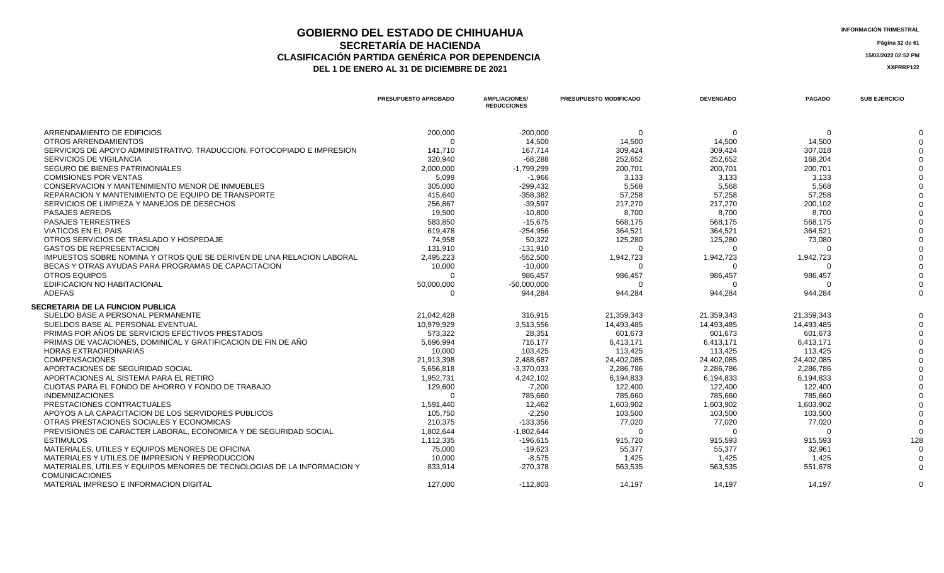### **GOBIERNO DEL ESTADO DE CHIHUAHUA**<br> **GEORETARÍA DE HACIENDA SECRETARÍA DE HACIENDA** Página 32 de 61<br>IÓN PARTIDA GENÉRICA POR DEPENDENCIA **CLASIFICACIÓN PARTIDA GENÉRICA POR DEPENDENCIA**<br> **DEL 1 DE ENERO AL 31 DE DICIEMBRE DE 2021**<br> **ACCEDITE AL SER**ENCIA LA SERENTIZA DEL 1 DE ENERO AL 31 DE DICIEMBRE DE 2021

|                                                                         | PRESUPUESTO APROBADO | <b>AMPLIACIONES/</b><br><b>REDUCCIONES</b> | <b>PRESUPUESTO MODIFICADO</b> | <b>DEVENGADO</b> | <b>PAGADO</b> | <b>SUB EJERCICIO</b> |
|-------------------------------------------------------------------------|----------------------|--------------------------------------------|-------------------------------|------------------|---------------|----------------------|
| ARRENDAMIENTO DE EDIFICIOS                                              | 200,000              | $-200,000$                                 | $\Omega$                      | $\Omega$         | $\Omega$      |                      |
| OTROS ARRENDAMIENTOS                                                    | $\Omega$             | 14,500                                     | 14,500                        | 14,500           | 14,500        |                      |
| SERVICIOS DE APOYO ADMINISTRATIVO. TRADUCCION. FOTOCOPIADO E IMPRESION  | 141,710              | 167.714                                    | 309,424                       | 309,424          | 307,018       |                      |
| SERVICIOS DE VIGILANCIA                                                 | 320,940              | $-68,288$                                  | 252,652                       | 252,652          | 168,204       |                      |
| SEGURO DE BIENES PATRIMONIALES                                          | 2,000,000            | $-1,799,299$                               | 200,701                       | 200,701          | 200,701       |                      |
| <b>COMISIONES POR VENTAS</b>                                            | 5,099                | $-1,966$                                   | 3,133                         | 3,133            | 3,133         |                      |
| CONSERVACION Y MANTENIMIENTO MENOR DE INMUEBLES                         | 305,000              | $-299,432$                                 | 5,568                         | 5,568            | 5,568         |                      |
| REPARACION Y MANTENIMIENTO DE EQUIPO DE TRANSPORTE                      | 415,640              | $-358,382$                                 | 57,258                        | 57,258           | 57,258        |                      |
| SERVICIOS DE LIMPIEZA Y MANEJOS DE DESECHOS                             | 256,867              | $-39,597$                                  | 217,270                       | 217,270          | 200,102       |                      |
| <b>PASAJES AEREOS</b>                                                   | 19,500               | $-10,800$                                  | 8,700                         | 8,700            | 8,700         |                      |
| <b>PASAJES TERRESTRES</b>                                               | 583,850              | $-15,675$                                  | 568,175                       | 568,175          | 568,175       |                      |
| <b>VIATICOS EN EL PAIS</b>                                              | 619,478              | $-254,956$                                 | 364,521                       | 364,521          | 364,521       |                      |
| OTROS SERVICIOS DE TRASLADO Y HOSPEDAJE                                 | 74,958               | 50,322                                     | 125,280                       | 125,280          | 73,080        |                      |
| <b>GASTOS DE REPRESENTACION</b>                                         | 131,910              | $-131,910$                                 |                               |                  |               |                      |
| IMPUESTOS SOBRE NOMINA Y OTROS QUE SE DERIVEN DE UNA RELACION LABORAL   | 2,495,223            | $-552,500$                                 | 1,942,723                     | 1,942,723        | 1,942,723     |                      |
| BECAS Y OTRAS AYUDAS PARA PROGRAMAS DE CAPACITACION                     | 10,000               | $-10,000$                                  | $\Omega$                      |                  | $\Omega$      |                      |
| OTROS EQUIPOS                                                           | $\Omega$             | 986,457                                    | 986,457                       | 986,457          | 986,457       |                      |
| EDIFICACION NO HABITACIONAL                                             | 50,000,000           | $-50,000,000$                              | 0                             |                  | ∩             |                      |
| <b>ADEFAS</b>                                                           | $\Omega$             | 944,284                                    | 944,284                       | 944,284          | 944,284       |                      |
| <b>SECRETARIA DE LA FUNCION PUBLICA</b>                                 |                      |                                            |                               |                  |               |                      |
| SUELDO BASE A PERSONAL PERMANENTE                                       | 21,042,428           | 316,915                                    | 21,359,343                    | 21,359,343       | 21,359,343    |                      |
| SUELDOS BASE AL PERSONAL EVENTUAL                                       | 10,979,929           | 3,513,556                                  | 14,493,485                    | 14,493,485       | 14,493,485    |                      |
| PRIMAS POR AÑOS DE SERVICIOS EFECTIVOS PRESTADOS                        | 573,322              | 28,351                                     | 601,673                       | 601,673          | 601,673       |                      |
| PRIMAS DE VACACIONES, DOMINICAL Y GRATIFICACION DE FIN DE AÑO           | 5,696,994            | 716,177                                    | 6,413,171                     | 6,413,171        | 6,413,171     |                      |
| <b>HORAS EXTRAORDINARIAS</b>                                            | 10,000               | 103,425                                    | 113,425                       | 113,425          | 113,425       |                      |
| <b>COMPENSACIONES</b>                                                   | 21,913,398           | 2,488,687                                  | 24,402,085                    | 24,402,085       | 24,402,085    |                      |
| APORTACIONES DE SEGURIDAD SOCIAL                                        | 5,656,818            | $-3,370,033$                               | 2,286,786                     | 2,286,786        | 2,286,786     |                      |
| APORTACIONES AL SISTEMA PARA EL RETIRO                                  | 1,952,731            | 4,242,102                                  | 6,194,833                     | 6,194,833        | 6,194,833     |                      |
| CUOTAS PARA EL FONDO DE AHORRO Y FONDO DE TRABAJO                       | 129,600              | $-7,200$                                   | 122,400                       | 122,400          | 122,400       |                      |
| <b>INDEMNIZACIONES</b>                                                  | $\Omega$             | 785,660                                    | 785,660                       | 785,660          | 785,660       |                      |
| PRESTACIONES CONTRACTUALES                                              | 1,591,440            | 12,462                                     | 1,603,902                     | 1.603.902        | 1.603.902     |                      |
| APOYOS A LA CAPACITACION DE LOS SERVIDORES PUBLICOS                     | 105,750              | $-2,250$                                   | 103,500                       | 103,500          | 103,500       |                      |
| OTRAS PRESTACIONES SOCIALES Y ECONOMICAS                                | 210,375              | $-133,356$                                 | 77,020                        | 77,020           | 77,020        |                      |
| PREVISIONES DE CARACTER LABORAL, ECONOMICA Y DE SEGURIDAD SOCIAL        | 1,802,644            | $-1,802,644$                               | $\Omega$                      | ∩                | $\Omega$      |                      |
| <b>ESTIMULOS</b>                                                        | 1,112,335            | $-196,615$                                 | 915,720                       | 915,593          | 915,593       | 128                  |
| MATERIALES, UTILES Y EQUIPOS MENORES DE OFICINA                         | 75,000               | $-19,623$                                  | 55,377                        | 55,377           | 32,961        |                      |
| MATERIALES Y UTILES DE IMPRESION Y REPRODUCCION                         | 10,000               | $-8,575$                                   | 1,425                         | 1,425            | 1,425         |                      |
| MATERIALES, UTILES Y EQUIPOS MENORES DE TECNOLOGIAS DE LA INFORMACION Y | 833,914              | $-270,378$                                 | 563,535                       | 563,535          | 551,678       |                      |
| <b>COMUNICACIONES</b>                                                   |                      |                                            |                               |                  |               |                      |
| MATERIAL IMPRESO E INFORMACION DIGITAL                                  | 127.000              | $-112.803$                                 | 14.197                        | 14.197           | 14.197        |                      |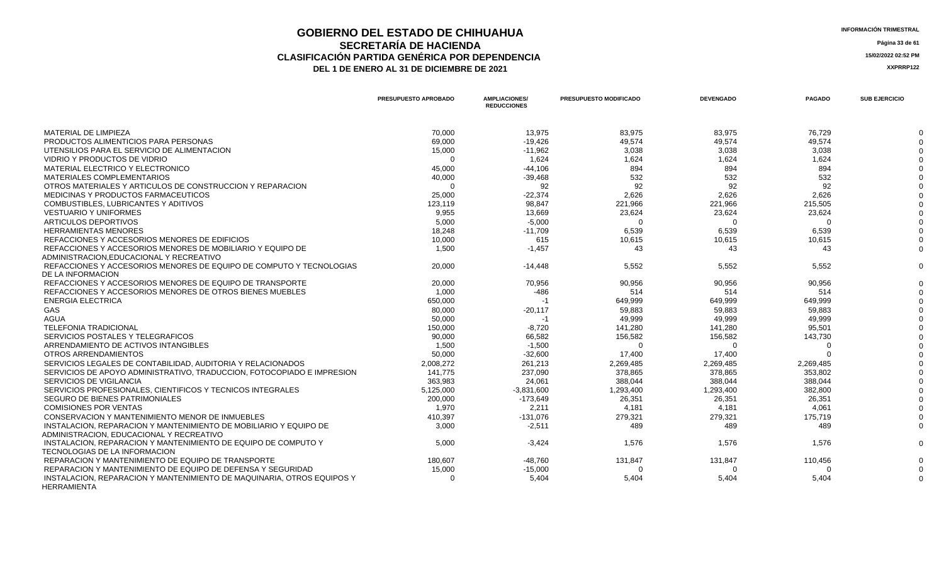### **GOBIERNO DEL ESTADO DE CHIHUAHUA**<br> **INFORMACIÓN TRIMESTRAL**<br> **INFORMACIÓN TRIMESTRAL**<br> **INFORMACIÓN TRIMESTRAL SECRETARÍA DE HACIENDA** Página 33 de 61<br>IÓN PARTIDA GENÉRICA POR DEPENDENCIA **CLASIFICACIÓN PARTIDA GENÉRICA POR DEPENDENCIA 15/02/2022 02:52 PM** DEL 1 DE ENERO AL 31 DE DICIEMBRE DE 2021

|                                                                                              | <b>PRESUPUESTO APROBADO</b> | <b>AMPLIACIONES/</b><br><b>REDUCCIONES</b> | <b>PRESUPUESTO MODIFICADO</b> | <b>DEVENGADO</b> | <b>PAGADO</b> | <b>SUB EJERCICIO</b> |
|----------------------------------------------------------------------------------------------|-----------------------------|--------------------------------------------|-------------------------------|------------------|---------------|----------------------|
| MATERIAL DE LIMPIEZA                                                                         | 70,000                      | 13.975                                     | 83,975                        | 83,975           | 76,729        |                      |
| PRODUCTOS ALIMENTICIOS PARA PERSONAS                                                         | 69,000                      | $-19,426$                                  | 49,574                        | 49,574           | 49,574        |                      |
| UTENSILIOS PARA EL SERVICIO DE ALIMENTACION                                                  | 15,000                      | $-11,962$                                  | 3,038                         | 3,038            | 3,038         |                      |
| VIDRIO Y PRODUCTOS DE VIDRIO                                                                 | $\Omega$                    | 1,624                                      | 1,624                         | 1,624            | 1,624         |                      |
| MATERIAL ELECTRICO Y ELECTRONICO                                                             | 45,000                      | $-44,106$                                  | 894                           | 894              | 894           |                      |
| <b>MATERIALES COMPLEMENTARIOS</b>                                                            | 40,000                      | $-39,468$                                  | 532                           | 532              | 532           |                      |
| OTROS MATERIALES Y ARTICULOS DE CONSTRUCCION Y REPARACION                                    | $\Omega$                    | 92                                         | 92                            | 92               | 92            |                      |
| MEDICINAS Y PRODUCTOS FARMACEUTICOS                                                          | 25,000                      | $-22,374$                                  | 2,626                         | 2,626            | 2,626         |                      |
| COMBUSTIBLES, LUBRICANTES Y ADITIVOS                                                         | 123,119                     | 98,847                                     | 221,966                       | 221,966          | 215,505       |                      |
| <b>VESTUARIO Y UNIFORMES</b>                                                                 | 9.955                       | 13.669                                     | 23,624                        | 23,624           | 23,624        |                      |
| ARTICULOS DEPORTIVOS                                                                         | 5,000                       | $-5,000$                                   | $\Omega$                      | $\Omega$         | $\Omega$      |                      |
| <b>HERRAMIENTAS MENORES</b>                                                                  | 18,248                      | $-11,709$                                  | 6,539                         | 6,539            | 6,539         |                      |
| REFACCIONES Y ACCESORIOS MENORES DE EDIFICIOS                                                | 10,000                      | 615                                        | 10,615                        | 10,615           | 10,615        |                      |
| REFACCIONES Y ACCESORIOS MENORES DE MOBILIARIO Y EQUIPO DE                                   | 1,500                       | $-1,457$                                   | 43                            | 43               | 43            |                      |
| ADMINISTRACION.EDUCACIONAL Y RECREATIVO                                                      |                             |                                            |                               |                  |               |                      |
| REFACCIONES Y ACCESORIOS MENORES DE EQUIPO DE COMPUTO Y TECNOLOGIAS                          | 20,000                      | $-14,448$                                  | 5,552                         | 5,552            | 5,552         |                      |
| DE LA INFORMACION                                                                            |                             |                                            |                               |                  |               |                      |
| REFACCIONES Y ACCESORIOS MENORES DE EQUIPO DE TRANSPORTE                                     | 20,000                      | 70,956                                     | 90,956                        | 90,956           | 90,956        |                      |
| REFACCIONES Y ACCESORIOS MENORES DE OTROS BIENES MUEBLES                                     | 1,000                       | $-486$                                     | 514                           | 514              | 514           |                      |
| <b>ENERGIA ELECTRICA</b>                                                                     | 650,000                     | $-1$                                       | 649,999                       | 649.999          | 649.999       |                      |
| GAS                                                                                          | 80,000                      | $-20,117$                                  | 59,883                        | 59,883           | 59,883        |                      |
| AGUA                                                                                         | 50,000                      | $-1$                                       | 49,999                        | 49,999           | 49,999        |                      |
| <b>TELEFONIA TRADICIONAL</b>                                                                 | 150,000                     | $-8,720$                                   | 141,280                       | 141,280          | 95,501        |                      |
| SERVICIOS POSTALES Y TELEGRAFICOS                                                            | 90,000                      | 66,582                                     | 156,582                       | 156,582          | 143,730       |                      |
| ARRENDAMIENTO DE ACTIVOS INTANGIBLES                                                         | 1,500                       | $-1,500$                                   | $\Omega$                      | $\Omega$         | $\Omega$      |                      |
| OTROS ARRENDAMIENTOS                                                                         | 50,000                      | $-32,600$                                  | 17,400                        | 17.400           | $\Omega$      |                      |
| SERVICIOS LEGALES DE CONTABILIDAD, AUDITORIA Y RELACIONADOS                                  | 2,008,272                   | 261,213                                    | 2,269,485                     | 2,269,485        | 2,269,485     |                      |
| SERVICIOS DE APOYO ADMINISTRATIVO, TRADUCCION, FOTOCOPIADO E IMPRESION                       | 141,775                     | 237,090                                    | 378,865                       | 378,865          | 353,802       |                      |
| <b>SERVICIOS DE VIGILANCIA</b>                                                               | 363,983                     | 24,061                                     | 388,044                       | 388.044          | 388.044       |                      |
| SERVICIOS PROFESIONALES, CIENTIFICOS Y TECNICOS INTEGRALES                                   | 5,125,000                   | $-3,831,600$                               | 1,293,400                     | 1,293,400        | 382,800       |                      |
| SEGURO DE BIENES PATRIMONIALES                                                               | 200,000                     | $-173,649$                                 | 26,351                        | 26,351           | 26,351        |                      |
| <b>COMISIONES POR VENTAS</b>                                                                 | 1.970                       | 2.211                                      | 4.181                         | 4.181            | 4.061         |                      |
| CONSERVACION Y MANTENIMIENTO MENOR DE INMUEBLES                                              | 410,397                     | $-131,076$                                 | 279,321                       | 279,321          | 175,719       |                      |
| INSTALACION, REPARACION Y MANTENIMIENTO DE MOBILIARIO Y EQUIPO DE                            | 3,000                       | $-2,511$                                   | 489                           | 489              | 489           |                      |
| ADMINISTRACION, EDUCACIONAL Y RECREATIVO                                                     |                             |                                            |                               |                  |               |                      |
| INSTALACION, REPARACION Y MANTENIMIENTO DE EQUIPO DE COMPUTO Y                               | 5,000                       | $-3,424$                                   | 1,576                         | 1,576            | 1,576         |                      |
| <b>TECNOLOGIAS DE LA INFORMACION</b>                                                         |                             |                                            |                               |                  |               |                      |
| REPARACION Y MANTENIMIENTO DE EQUIPO DE TRANSPORTE                                           | 180,607                     | $-48,760$                                  | 131,847                       | 131,847          | 110,456       |                      |
| REPARACION Y MANTENIMIENTO DE EQUIPO DE DEFENSA Y SEGURIDAD                                  | 15,000                      | $-15,000$                                  | $\Omega$                      | $\Omega$         | $\Omega$      |                      |
| INSTALACION, REPARACION Y MANTENIMIENTO DE MAQUINARIA, OTROS EQUIPOS Y<br><b>HERRAMIENTA</b> | $\Omega$                    | 5,404                                      | 5,404                         | 5,404            | 5,404         |                      |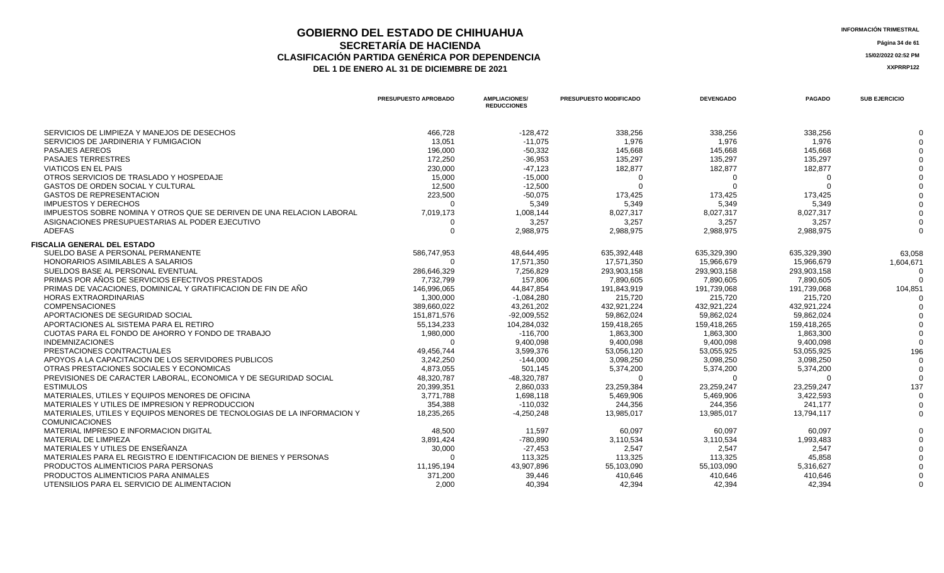### **GOBIERNO DEL ESTADO DE CHIHUAHUA**<br> **INFORMACIÓN TRIMESTRAL**<br> **INFORMACIÓN TRIMESTRAL**<br> **INFORMACIÓN TRIMESTRAL SECRETARÍA DE HACIENDA Página 34 de 61 CLASIFICACIÓN PARTIDA GENÉRICA POR DEPENDENCIA 15/02/2022 02:52 PM** DEL 1 DE ENERO AL 31 DE DICIEMBRE DE 2021

|                                                                         | <b>PRESUPUESTO APROBADO</b> | <b>AMPLIACIONES/</b><br><b>REDUCCIONES</b> | <b>PRESUPUESTO MODIFICADO</b> | <b>DEVENGADO</b> | <b>PAGADO</b> | <b>SUB EJERCICIO</b> |
|-------------------------------------------------------------------------|-----------------------------|--------------------------------------------|-------------------------------|------------------|---------------|----------------------|
| SERVICIOS DE LIMPIEZA Y MANEJOS DE DESECHOS                             | 466.728                     | $-128,472$                                 | 338,256                       | 338,256          | 338,256       |                      |
| SERVICIOS DE JARDINERIA Y FUMIGACION                                    | 13.051                      | $-11.075$                                  | 1.976                         | 1.976            | 1.976         |                      |
| <b>PASAJES AEREOS</b>                                                   | 196,000                     | $-50,332$                                  | 145,668                       | 145,668          | 145,668       |                      |
| <b>PASAJES TERRESTRES</b>                                               | 172,250                     | $-36,953$                                  | 135,297                       | 135,297          | 135,297       |                      |
| <b>VIATICOS EN EL PAIS</b>                                              | 230,000                     | $-47,123$                                  | 182,877                       | 182,877          | 182,877       |                      |
| OTROS SERVICIOS DE TRASLADO Y HOSPEDAJE                                 | 15,000                      | $-15,000$                                  | $\Omega$                      |                  |               |                      |
| <b>GASTOS DE ORDEN SOCIAL Y CULTURAL</b>                                | 12,500                      | $-12,500$                                  | $\Omega$                      | $\Omega$         | $\Omega$      |                      |
| <b>GASTOS DE REPRESENTACION</b>                                         | 223,500                     | $-50,075$                                  | 173,425                       | 173,425          | 173,425       |                      |
| <b>IMPUESTOS Y DERECHOS</b>                                             | $\Omega$                    | 5,349                                      | 5,349                         | 5.349            | 5.349         |                      |
| IMPUESTOS SOBRE NOMINA Y OTROS QUE SE DERIVEN DE UNA RELACION LABORAL   | 7,019,173                   | 1,008,144                                  | 8,027,317                     | 8,027,317        | 8,027,317     |                      |
| ASIGNACIONES PRESUPUESTARIAS AL PODER EJECUTIVO                         |                             | 3,257                                      | 3,257                         | 3,257            | 3,257         |                      |
| <b>ADEFAS</b>                                                           | $\Omega$                    | 2,988,975                                  | 2,988,975                     | 2,988,975        | 2,988,975     |                      |
| <b>FISCALIA GENERAL DEL ESTADO</b>                                      |                             |                                            |                               |                  |               |                      |
| SUELDO BASE A PERSONAL PERMANENTE                                       | 586,747,953                 | 48,644,495                                 | 635,392,448                   | 635,329,390      | 635,329,390   | 63,058               |
| HONORARIOS ASIMILABLES A SALARIOS                                       | $\Omega$                    | 17.571.350                                 | 17.571.350                    | 15.966.679       | 15.966.679    | 1,604,671            |
| SUELDOS BASE AL PERSONAL EVENTUAL                                       | 286,646,329                 | 7,256,829                                  | 293,903,158                   | 293,903,158      | 293,903,158   |                      |
| PRIMAS POR AÑOS DE SERVICIOS EFECTIVOS PRESTADOS                        | 7,732,799                   | 157,806                                    | 7,890,605                     | 7,890,605        | 7,890,605     |                      |
| PRIMAS DE VACACIONES, DOMINICAL Y GRATIFICACION DE FIN DE AÑO           | 146,996,065                 | 44,847,854                                 | 191,843,919                   | 191,739,068      | 191,739,068   | 104,851              |
| <b>HORAS EXTRAORDINARIAS</b>                                            | 1,300,000                   | $-1,084,280$                               | 215,720                       | 215,720          | 215,720       |                      |
| <b>COMPENSACIONES</b>                                                   | 389,660,022                 | 43,261,202                                 | 432,921,224                   | 432,921,224      | 432,921,224   |                      |
| APORTACIONES DE SEGURIDAD SOCIAL                                        | 151,871,576                 | $-92,009,552$                              | 59,862,024                    | 59,862,024       | 59,862,024    |                      |
| APORTACIONES AL SISTEMA PARA EL RETIRO                                  | 55,134,233                  | 104,284,032                                | 159,418,265                   | 159.418.265      | 159.418.265   |                      |
| CUOTAS PARA EL FONDO DE AHORRO Y FONDO DE TRABAJO                       | 1,980,000                   | $-116,700$                                 | 1,863,300                     | 1,863,300        | 1,863,300     |                      |
| <b>INDEMNIZACIONES</b>                                                  | $\Omega$                    | 9,400,098                                  | 9,400,098                     | 9.400.098        | 9.400.098     |                      |
| PRESTACIONES CONTRACTUALES                                              | 49,456,744                  | 3,599,376                                  | 53,056,120                    | 53,055,925       | 53,055,925    | 196                  |
| APOYOS A LA CAPACITACION DE LOS SERVIDORES PUBLICOS                     | 3,242,250                   | $-144,000$                                 | 3,098,250                     | 3,098,250        | 3,098,250     |                      |
| OTRAS PRESTACIONES SOCIALES Y ECONOMICAS                                | 4,873,055                   | 501,145                                    | 5,374,200                     | 5,374,200        | 5,374,200     |                      |
| PREVISIONES DE CARACTER LABORAL, ECONOMICA Y DE SEGURIDAD SOCIAL        | 48,320,787                  | -48,320,787                                | $\Omega$                      | ŋ                | $\Omega$      | $\Omega$             |
| <b>ESTIMULOS</b>                                                        | 20,399,351                  | 2,860,033                                  | 23,259,384                    | 23,259,247       | 23,259,247    | 137                  |
| MATERIALES, UTILES Y EQUIPOS MENORES DE OFICINA                         | 3,771,788                   | 1,698,118                                  | 5,469,906                     | 5,469,906        | 3,422,593     | $\Omega$             |
| MATERIALES Y UTILES DE IMPRESION Y REPRODUCCION                         | 354,388                     | $-110,032$                                 | 244,356                       | 244,356          | 241.177       |                      |
| MATERIALES. UTILES Y EQUIPOS MENORES DE TECNOLOGIAS DE LA INFORMACION Y | 18,235,265                  | $-4,250,248$                               | 13,985,017                    | 13,985,017       | 13,794,117    | $\Omega$             |
| <b>COMUNICACIONES</b>                                                   |                             |                                            |                               |                  |               |                      |
| MATERIAL IMPRESO E INFORMACION DIGITAL                                  | 48,500                      | 11,597                                     | 60,097                        | 60,097           | 60,097        |                      |
| MATERIAL DE LIMPIEZA                                                    | 3,891,424                   | -780,890                                   | 3,110,534                     | 3,110,534        | 1,993,483     |                      |
| MATERIALES Y UTILES DE ENSEÑANZA                                        | 30,000                      | $-27,453$                                  | 2,547                         | 2,547            | 2.547         |                      |
| MATERIALES PARA EL REGISTRO E IDENTIFICACION DE BIENES Y PERSONAS       | $\Omega$                    | 113,325                                    | 113,325                       | 113,325          | 45,858        |                      |
| PRODUCTOS ALIMENTICIOS PARA PERSONAS                                    | 11,195,194                  | 43,907,896                                 | 55,103,090                    | 55,103,090       | 5,316,627     |                      |
| PRODUCTOS ALIMENTICIOS PARA ANIMALES                                    | 371,200                     | 39,446                                     | 410,646                       | 410,646          | 410,646       |                      |
| UTENSILIOS PARA EL SERVICIO DE ALIMENTACION                             | 2.000                       | 40,394                                     | 42.394                        | 42,394           | 42,394        |                      |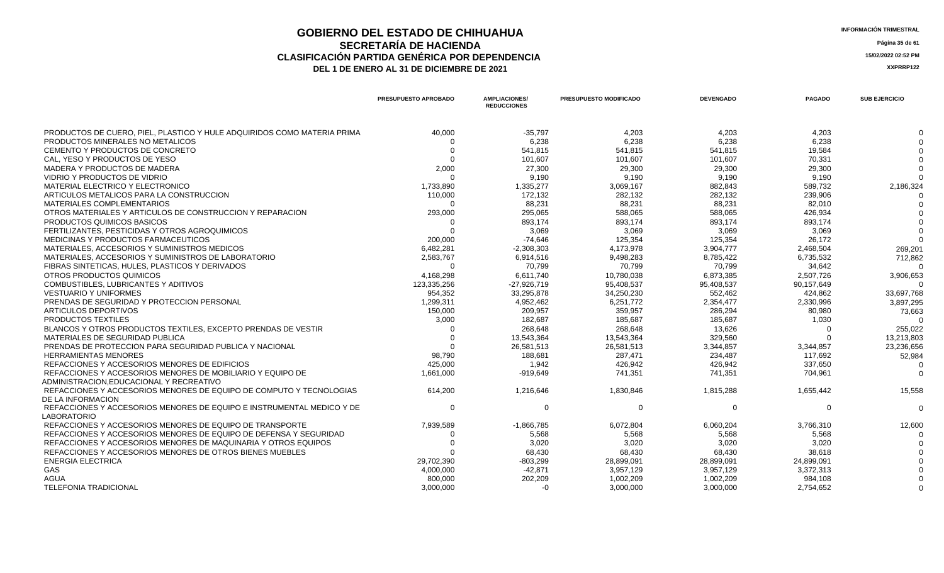### **GOBIERNO DEL ESTADO DE CHIHUAHUA**<br> **INFORMACIÓN TRIMESTRAL**<br> **INFORMACIÓN TRIMESTRAL**<br> **Información trimestral SECRETARÍA DE HACIENDA** Página 35 de 61<br>IÓN PARTIDA GENÉRICA POR DEPENDENCIA **CLASIFICACIÓN PARTIDA GENÉRICA POR DEPENDENCIA**<br> **DEL 1 DE ENERO AL 31 DE DICIEMBRE DE 2021**<br> **ACCEDITE AL SER**ENCIA LA SERENTIZA DEL 1 DE ENERO AL 31 DE DICIEMBRE DE 2021

|                                                                                                       | <b>PRESUPUESTO APROBADO</b> | <b>AMPLIACIONES/</b><br><b>REDUCCIONES</b> | <b>PRESUPUESTO MODIFICADO</b> | <b>DEVENGADO</b> | <b>PAGADO</b> | <b>SUB EJERCICIO</b> |
|-------------------------------------------------------------------------------------------------------|-----------------------------|--------------------------------------------|-------------------------------|------------------|---------------|----------------------|
| PRODUCTOS DE CUERO, PIEL, PLASTICO Y HULE ADQUIRIDOS COMO MATERIA PRIMA                               | 40.000                      | $-35,797$                                  | 4.203                         | 4.203            | 4.203         |                      |
| PRODUCTOS MINERALES NO METALICOS                                                                      |                             | 6,238                                      | 6,238                         | 6,238            | 6,238         |                      |
| CEMENTO Y PRODUCTOS DE CONCRETO                                                                       | - 0                         | 541,815                                    | 541,815                       | 541,815          | 19,584        |                      |
| CAL. YESO Y PRODUCTOS DE YESO                                                                         | $\Omega$                    | 101,607                                    | 101,607                       | 101,607          | 70,331        |                      |
| MADERA Y PRODUCTOS DE MADERA                                                                          | 2,000                       | 27,300                                     | 29,300                        | 29,300           | 29,300        |                      |
| VIDRIO Y PRODUCTOS DE VIDRIO                                                                          | $\cap$                      | 9,190                                      | 9.190                         | 9.190            | 9.190         |                      |
| MATERIAL ELECTRICO Y ELECTRONICO                                                                      | 1,733,890                   | 1,335,277                                  | 3,069,167                     | 882,843          | 589,732       | 2,186,324            |
| ARTICULOS METALICOS PARA LA CONSTRUCCION                                                              | 110,000                     | 172,132                                    | 282,132                       | 282,132          | 239,906       |                      |
| MATERIALES COMPLEMENTARIOS                                                                            | $\Omega$                    | 88,231                                     | 88,231                        | 88,231           | 82,010        |                      |
| OTROS MATERIALES Y ARTICULOS DE CONSTRUCCION Y REPARACION                                             | 293,000                     | 295.065                                    | 588.065                       | 588.065          | 426.934       |                      |
| PRODUCTOS QUIMICOS BASICOS                                                                            | - ೧                         | 893,174                                    | 893,174                       | 893,174          | 893,174       |                      |
| FERTILIZANTES, PESTICIDAS Y OTROS AGROQUIMICOS                                                        | $\Omega$                    | 3,069                                      | 3,069                         | 3,069            | 3,069         |                      |
| MEDICINAS Y PRODUCTOS FARMACEUTICOS                                                                   | 200,000                     | $-74.646$                                  | 125.354                       | 125,354          | 26.172        |                      |
| MATERIALES, ACCESORIOS Y SUMINISTROS MEDICOS                                                          | 6,482,281                   | $-2,308,303$                               | 4,173,978                     | 3,904,777        | 2,468,504     | 269,201              |
| MATERIALES, ACCESORIOS Y SUMINISTROS DE LABORATORIO                                                   | 2,583,767                   | 6,914,516                                  | 9,498,283                     | 8,785,422        | 6,735,532     | 712,862              |
| FIBRAS SINTETICAS, HULES, PLASTICOS Y DERIVADOS                                                       | - ೧                         | 70,799                                     | 70,799                        | 70,799           | 34,642        |                      |
| OTROS PRODUCTOS QUIMICOS                                                                              | 4,168,298                   | 6,611,740                                  | 10,780,038                    | 6,873,385        | 2,507,726     | 3,906,653            |
| COMBUSTIBLES, LUBRICANTES Y ADITIVOS                                                                  | 123.335.256                 | $-27.926.719$                              | 95.408.537                    | 95.408.537       | 90,157,649    |                      |
| <b>VESTUARIO Y UNIFORMES</b>                                                                          | 954,352                     | 33,295,878                                 | 34,250,230                    | 552,462          | 424,862       | 33,697,768           |
| PRENDAS DE SEGURIDAD Y PROTECCION PERSONAL                                                            | 1,299,311                   | 4,952,462                                  | 6,251,772                     | 2,354,477        | 2,330,996     | 3,897,295            |
| ARTICULOS DEPORTIVOS                                                                                  | 150,000                     | 209.957                                    | 359.957                       | 286.294          | 80,980        | 73,663               |
| PRODUCTOS TEXTILES                                                                                    | 3,000                       | 182,687                                    | 185,687                       | 185,687          | 1,030         |                      |
| BLANCOS Y OTROS PRODUCTOS TEXTILES. EXCEPTO PRENDAS DE VESTIR                                         |                             | 268,648                                    | 268,648                       | 13.626           | $\Omega$      | 255,022              |
| MATERIALES DE SEGURIDAD PUBLICA                                                                       | $\Omega$                    | 13,543,364                                 | 13,543,364                    | 329,560          | $\Omega$      | 13,213,803           |
| PRENDAS DE PROTECCION PARA SEGURIDAD PUBLICA Y NACIONAL                                               |                             | 26,581,513                                 | 26,581,513                    | 3,344,857        | 3,344,857     | 23,236,656           |
| <b>HERRAMIENTAS MENORES</b>                                                                           | 98.790                      | 188,681                                    | 287,471                       | 234,487          | 117,692       | 52,984               |
| REFACCIONES Y ACCESORIOS MENORES DE EDIFICIOS                                                         | 425,000                     | 1,942                                      | 426.942                       | 426.942          | 337.650       |                      |
| REFACCIONES Y ACCESORIOS MENORES DE MOBILIARIO Y EQUIPO DE<br>ADMINISTRACION.EDUCACIONAL Y RECREATIVO | 1,661,000                   | $-919,649$                                 | 741,351                       | 741,351          | 704,961       |                      |
| REFACCIONES Y ACCESORIOS MENORES DE EQUIPO DE COMPUTO Y TECNOLOGIAS<br>DE LA INFORMACION              | 614,200                     | 1,216,646                                  | 1,830,846                     | 1,815,288        | 1,655,442     | 15,558               |
| REFACCIONES Y ACCESORIOS MENORES DE EQUIPO E INSTRUMENTAL MEDICO Y DE<br><b>LABORATORIO</b>           | $\Omega$                    | $\Omega$                                   | $\Omega$                      | $\Omega$         | $\mathbf 0$   |                      |
| REFACCIONES Y ACCESORIOS MENORES DE EQUIPO DE TRANSPORTE                                              | 7,939,589                   | $-1,866,785$                               | 6,072,804                     | 6,060,204        | 3,766,310     | 12,600               |
| REFACCIONES Y ACCESORIOS MENORES DE EQUIPO DE DEFENSA Y SEGURIDAD                                     | -0                          | 5,568                                      | 5,568                         | 5,568            | 5,568         |                      |
| REFACCIONES Y ACCESORIOS MENORES DE MAQUINARIA Y OTROS EQUIPOS                                        | $\Omega$                    | 3,020                                      | 3,020                         | 3,020            | 3,020         |                      |
| REFACCIONES Y ACCESORIOS MENORES DE OTROS BIENES MUEBLES                                              |                             | 68,430                                     | 68,430                        | 68,430           | 38,618        |                      |
| <b>ENERGIA ELECTRICA</b>                                                                              | 29,702,390                  | $-803,299$                                 | 28,899,091                    | 28,899,091       | 24,899,091    |                      |
| GAS                                                                                                   | 4,000,000                   | $-42,871$                                  | 3,957,129                     | 3,957,129        | 3,372,313     |                      |
| <b>AGUA</b>                                                                                           | 800,000                     | 202,209                                    | 1,002,209                     | 1,002,209        | 984,108       |                      |
| <b>TELEFONIA TRADICIONAL</b>                                                                          | 3,000,000                   | -0                                         | 3,000,000                     | 3,000,000        | 2,754,652     |                      |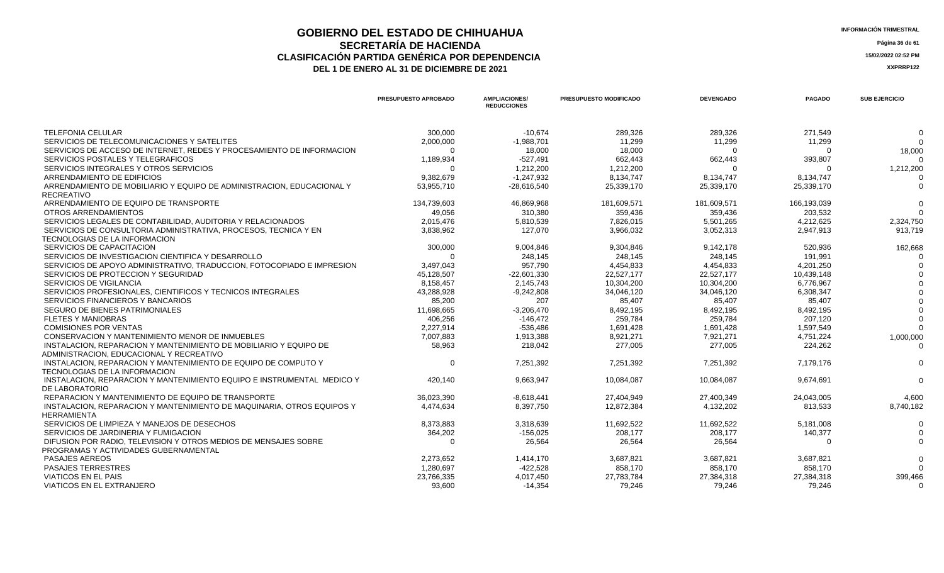## **GOBIERNO DEL ESTADO DE CHIHUAHUA** A EL ENTRE ENTRE EN ENFORMACIÓN TRIMESTRAL<br>
SECPETADÍA DE HACIENDA **SECRETARÍA DE HACIENDA** Página 36 de 61<br>IÓN PARTIDA GENÉRICA POR DEPENDENCIA **CLASIFICACIÓN PARTIDA GENÉRICA POR DEPENDENCIA 15/02/2022 02:52 PM**

|                                                                                                 | <b>PRESUPUESTO APROBADO</b> | <b>AMPLIACIONES/</b><br><b>REDUCCIONES</b> | <b>PRESUPUESTO MODIFICADO</b> | <b>DEVENGADO</b> | <b>PAGADO</b> | <b>SUB EJERCICIO</b> |
|-------------------------------------------------------------------------------------------------|-----------------------------|--------------------------------------------|-------------------------------|------------------|---------------|----------------------|
| <b>TELEFONIA CELULAR</b>                                                                        | 300,000                     | $-10,674$                                  | 289,326                       | 289,326          | 271,549       | $\Omega$             |
| SERVICIOS DE TELECOMUNICACIONES Y SATELITES                                                     | 2,000,000                   | $-1,988,701$                               | 11,299                        | 11,299           | 11,299        | $\Omega$             |
| SERVICIOS DE ACCESO DE INTERNET. REDES Y PROCESAMIENTO DE INFORMACION                           | $\Omega$                    | 18,000                                     | 18,000                        | $\Omega$         | $\Omega$      | 18,000               |
| SERVICIOS POSTALES Y TELEGRAFICOS                                                               | 1,189,934                   | $-527,491$                                 | 662,443                       | 662,443          | 393,807       |                      |
| SERVICIOS INTEGRALES Y OTROS SERVICIOS                                                          | $\Omega$                    | 1,212,200                                  | 1,212,200                     | ∩                |               | 1,212,200            |
| ARRENDAMIENTO DE EDIFICIOS                                                                      | 9,382,679                   | $-1,247,932$                               | 8,134,747                     | 8,134,747        | 8,134,747     |                      |
| ARRENDAMIENTO DE MOBILIARIO Y EQUIPO DE ADMINISTRACION. EDUCACIONAL Y<br><b>RECREATIVO</b>      | 53,955,710                  | $-28,616,540$                              | 25,339,170                    | 25,339,170       | 25,339,170    | $\Omega$             |
| ARRENDAMIENTO DE EQUIPO DE TRANSPORTE                                                           | 134,739,603                 | 46,869,968                                 | 181,609,571                   | 181,609,571      | 166,193,039   |                      |
| OTROS ARRENDAMIENTOS                                                                            | 49,056                      | 310,380                                    | 359,436                       | 359,436          | 203,532       |                      |
| SERVICIOS LEGALES DE CONTABILIDAD, AUDITORIA Y RELACIONADOS                                     | 2,015,476                   | 5,810,539                                  | 7,826,015                     | 5,501,265        | 4,212,625     | 2,324,750            |
| SERVICIOS DE CONSULTORIA ADMINISTRATIVA, PROCESOS, TECNICA Y EN                                 | 3,838,962                   | 127,070                                    | 3,966,032                     | 3,052,313        | 2,947,913     | 913,719              |
| TECNOLOGIAS DE LA INFORMACION                                                                   |                             |                                            |                               |                  |               |                      |
| SERVICIOS DE CAPACITACION                                                                       | 300,000                     | 9,004,846                                  | 9,304,846                     | 9,142,178        | 520,936       | 162,668              |
| SERVICIOS DE INVESTIGACION CIENTIFICA Y DESARROLLO                                              | $\Omega$                    | 248,145                                    | 248,145                       | 248,145          | 191,991       |                      |
| SERVICIOS DE APOYO ADMINISTRATIVO, TRADUCCION, FOTOCOPIADO E IMPRESION                          | 3,497,043                   | 957,790                                    | 4,454,833                     | 4,454,833        | 4,201,250     |                      |
| SERVICIOS DE PROTECCION Y SEGURIDAD                                                             | 45,128,507                  | $-22,601,330$                              | 22,527,177                    | 22,527,177       | 10,439,148    |                      |
| SERVICIOS DE VIGILANCIA                                                                         | 8.158.457                   | 2,145,743                                  | 10.304.200                    | 10.304.200       | 6,776,967     |                      |
| SERVICIOS PROFESIONALES, CIENTIFICOS Y TECNICOS INTEGRALES                                      | 43,288,928                  | $-9,242,808$                               | 34,046,120                    | 34,046,120       | 6,308,347     |                      |
| SERVICIOS FINANCIEROS Y BANCARIOS                                                               | 85,200                      | 207                                        | 85,407                        | 85,407           | 85,407        |                      |
| SEGURO DE BIENES PATRIMONIALES                                                                  | 11,698,665                  | $-3,206,470$                               | 8,492,195                     | 8,492,195        | 8,492,195     |                      |
| <b>FLETES Y MANIOBRAS</b>                                                                       | 406,256                     | -146,472                                   | 259,784                       | 259,784          | 207,120       |                      |
| <b>COMISIONES POR VENTAS</b>                                                                    | 2,227,914                   | -536.486                                   | 1.691.428                     | 1,691,428        | 1,597,549     |                      |
| CONSERVACION Y MANTENIMIENTO MENOR DE INMUEBLES                                                 | 7,007,883                   | 1,913,388                                  | 8,921,271                     | 7,921,271        | 4,751,224     | 1,000,000            |
| INSTALACION, REPARACION Y MANTENIMIENTO DE MOBILIARIO Y EQUIPO DE                               | 58,963                      | 218,042                                    | 277,005                       | 277,005          | 224,262       | $\Omega$             |
| ADMINISTRACION, EDUCACIONAL Y RECREATIVO                                                        |                             |                                            |                               |                  |               |                      |
| INSTALACION, REPARACION Y MANTENIMIENTO DE EQUIPO DE COMPUTO Y<br>TECNOLOGIAS DE LA INFORMACION | $\Omega$                    | 7.251.392                                  | 7.251.392                     | 7.251.392        | 7.179.176     | $\Omega$             |
| INSTALACION, REPARACION Y MANTENIMIENTO EQUIPO E INSTRUMENTAL MEDICO Y<br>DE LABORATORIO        | 420.140                     | 9,663,947                                  | 10,084,087                    | 10,084,087       | 9,674,691     | $\Omega$             |
| REPARACION Y MANTENIMIENTO DE EQUIPO DE TRANSPORTE                                              | 36,023,390                  | $-8.618.441$                               | 27.404.949                    | 27,400,349       | 24,043,005    | 4,600                |
| INSTALACION, REPARACION Y MANTENIMIENTO DE MAQUINARIA, OTROS EQUIPOS Y<br><b>HERRAMIENTA</b>    | 4,474,634                   | 8,397,750                                  | 12,872,384                    | 4,132,202        | 813,533       | 8,740,182            |
| SERVICIOS DE LIMPIEZA Y MANEJOS DE DESECHOS                                                     | 8,373,883                   | 3,318,639                                  | 11,692,522                    | 11,692,522       | 5,181,008     | $\Omega$             |
| SERVICIOS DE JARDINERIA Y FUMIGACION                                                            | 364,202                     | $-156,025$                                 | 208,177                       | 208,177          | 140,377       |                      |
| DIFUSION POR RADIO, TELEVISION Y OTROS MEDIOS DE MENSAJES SOBRE                                 | $\Omega$                    | 26,564                                     | 26,564                        | 26,564           | $\Omega$      | $\Omega$             |
| PROGRAMAS Y ACTIVIDADES GUBERNAMENTAL                                                           |                             |                                            |                               |                  |               |                      |
| PASAJES AEREOS                                                                                  | 2,273,652                   | 1.414.170                                  | 3.687.821                     | 3.687.821        | 3.687.821     | $\Omega$             |
| <b>PASAJES TERRESTRES</b>                                                                       | 1.280.697                   | -422,528                                   | 858,170                       | 858,170          | 858,170       | $\Omega$             |
| <b>VIATICOS EN EL PAIS</b>                                                                      | 23,766,335                  | 4,017,450                                  | 27,783,784                    | 27,384,318       | 27,384,318    | 399,466              |
| VIATICOS EN EL EXTRANJERO                                                                       | 93.600                      | $-14.354$                                  | 79,246                        | 79,246           | 79,246        | $\Omega$             |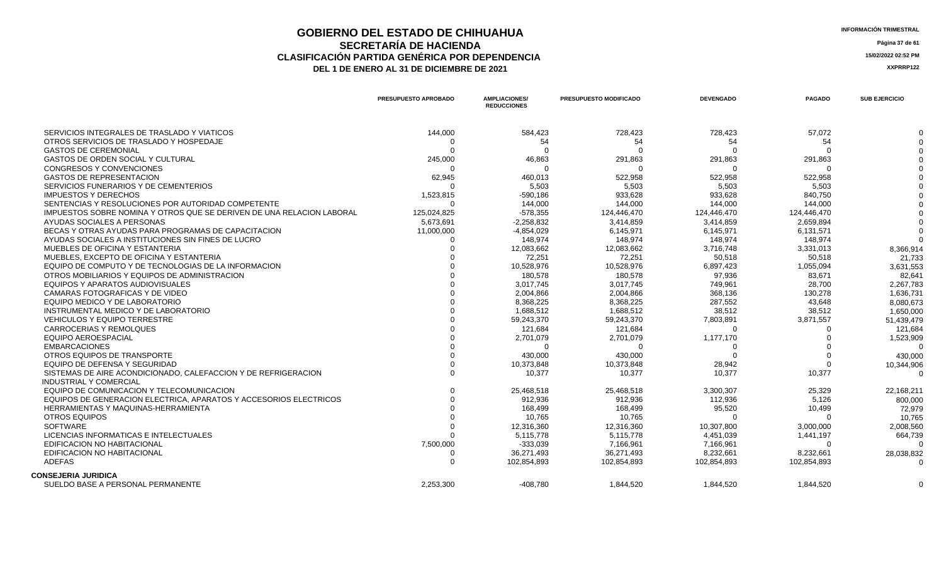### **GOBIERNO DEL ESTADO DE CHIHUAHUA** INFORMACIÓN TRIMESTRAL<br> **INFORMACIÓN TRIMESTRAL**<br> **Información trimestral SECRETARÍA DE HACIENDA** Página 37 de 61<br>IÓN PARTIDA GENÉRICA POR DEPENDENCIA **CLASIFICACIÓN PARTIDA GENÉRICA POR DEPENDENCIA 15/02/2022 02:52 PM** DEL 1 DE ENERO AL 31 DE DICIEMBRE DE 2021

|                                                                       | <b>PRESUPUESTO APROBADO</b> | <b>AMPLIACIONES/</b><br><b>REDUCCIONES</b> | <b>PRESUPUESTO MODIFICADO</b> | <b>DEVENGADO</b> | <b>PAGADO</b> | <b>SUB EJERCICIO</b> |
|-----------------------------------------------------------------------|-----------------------------|--------------------------------------------|-------------------------------|------------------|---------------|----------------------|
| SERVICIOS INTEGRALES DE TRASLADO Y VIATICOS                           | 144,000                     | 584,423                                    | 728,423                       | 728,423          | 57,072        |                      |
| OTROS SERVICIOS DE TRASLADO Y HOSPEDAJE                               | $\Omega$                    | 54                                         | 54                            | 54               | 54            |                      |
| <b>GASTOS DE CEREMONIAL</b>                                           | $\Omega$                    | $\cap$                                     | ∩                             |                  |               |                      |
| GASTOS DE ORDEN SOCIAL Y CULTURAL                                     | 245,000                     | 46,863                                     | 291,863                       | 291,863          | 291,863       |                      |
| <b>CONGRESOS Y CONVENCIONES</b>                                       | $\Omega$                    | $\cap$                                     | $\Omega$                      |                  | - ೧           |                      |
| <b>GASTOS DE REPRESENTACION</b>                                       | 62,945                      | 460,013                                    | 522,958                       | 522,958          | 522,958       |                      |
| SERVICIOS FUNERARIOS Y DE CEMENTERIOS                                 | $\Omega$                    | 5,503                                      | 5,503                         | 5,503            | 5,503         |                      |
| <b>IMPUESTOS Y DERECHOS</b>                                           | 1,523,815                   | $-590,186$                                 | 933,628                       | 933,628          | 840,750       |                      |
| SENTENCIAS Y RESOLUCIONES POR AUTORIDAD COMPETENTE                    | $\Omega$                    | 144,000                                    | 144,000                       | 144,000          | 144.000       |                      |
| IMPUESTOS SOBRE NOMINA Y OTROS QUE SE DERIVEN DE UNA RELACION LABORAL | 125,024,825                 | $-578,355$                                 | 124,446,470                   | 124,446,470      | 124,446,470   |                      |
| AYUDAS SOCIALES A PERSONAS                                            | 5,673,691                   | $-2,258,832$                               | 3,414,859                     | 3.414.859        | 2.659.894     |                      |
| BECAS Y OTRAS AYUDAS PARA PROGRAMAS DE CAPACITACION                   | 11,000,000                  | $-4,854,029$                               | 6,145,971                     | 6,145,971        | 6,131,571     |                      |
| AYUDAS SOCIALES A INSTITUCIONES SIN FINES DE LUCRO                    |                             | 148,974                                    | 148,974                       | 148,974          | 148,974       |                      |
| MUEBLES DE OFICINA Y ESTANTERIA                                       |                             | 12,083,662                                 | 12,083,662                    | 3,716,748        | 3,331,013     | 8,366,914            |
| MUEBLES, EXCEPTO DE OFICINA Y ESTANTERIA                              |                             | 72,251                                     | 72,251                        | 50,518           | 50,518        | 21,733               |
| EQUIPO DE COMPUTO Y DE TECNOLOGIAS DE LA INFORMACION                  |                             | 10,528,976                                 | 10,528,976                    | 6,897,423        | 1,055,094     | 3,631,553            |
| OTROS MOBILIARIOS Y EQUIPOS DE ADMINISTRACION                         |                             | 180,578                                    | 180,578                       | 97,936           | 83,671        | 82,641               |
| EQUIPOS Y APARATOS AUDIOVISUALES                                      |                             | 3,017,745                                  | 3,017,745                     | 749,961          | 28,700        | 2,267,783            |
| CAMARAS FOTOGRAFICAS Y DE VIDEO                                       |                             | 2.004.866                                  | 2.004.866                     | 368.136          | 130.278       | 1,636,731            |
| EQUIPO MEDICO Y DE LABORATORIO                                        |                             | 8,368,225                                  | 8,368,225                     | 287,552          | 43.648        | 8,080,673            |
| INSTRUMENTAL MEDICO Y DE LABORATORIO                                  |                             | 1.688.512                                  | 1.688.512                     | 38.512           | 38.512        | 1,650,000            |
| <b>VEHICULOS Y EQUIPO TERRESTRE</b>                                   |                             | 59,243,370                                 | 59,243,370                    | 7,803,891        | 3,871,557     | 51,439,479           |
| <b>CARROCERIAS Y REMOLQUES</b>                                        |                             | 121,684                                    | 121,684                       |                  |               | 121,684              |
| <b>EQUIPO AEROESPACIAL</b>                                            |                             | 2,701,079                                  | 2,701,079                     | 1,177,170        |               | 1,523,909            |
| <b>EMBARCACIONES</b>                                                  |                             | $\Omega$                                   | ∩                             |                  |               | $\Omega$             |
| OTROS EQUIPOS DE TRANSPORTE                                           |                             | 430,000                                    | 430,000                       |                  |               | 430,000              |
| EQUIPO DE DEFENSA Y SEGURIDAD                                         |                             | 10,373,848                                 | 10,373,848                    | 28,942           | $\Omega$      | 10,344,906           |
| SISTEMAS DE AIRE ACONDICIONADO, CALEFACCION Y DE REFRIGERACION        |                             | 10,377                                     | 10,377                        | 10,377           | 10,377        |                      |
| <b>INDUSTRIAL Y COMERCIAL</b>                                         |                             |                                            |                               |                  |               |                      |
| EQUIPO DE COMUNICACION Y TELECOMUNICACION                             |                             | 25,468,518                                 | 25,468,518                    | 3,300,307        | 25,329        | 22,168,211           |
| EQUIPOS DE GENERACION ELECTRICA, APARATOS Y ACCESORIOS ELECTRICOS     |                             | 912,936                                    | 912,936                       | 112,936          | 5,126         | 800,000              |
| HERRAMIENTAS Y MAQUINAS-HERRAMIENTA                                   |                             | 168,499                                    | 168,499                       | 95,520           | 10,499        | 72,979               |
| <b>OTROS EQUIPOS</b>                                                  |                             | 10,765                                     | 10,765                        |                  |               | 10,765               |
| <b>SOFTWARE</b>                                                       |                             | 12,316,360                                 | 12,316,360                    | 10,307,800       | 3,000,000     | 2,008,560            |
| LICENCIAS INFORMATICAS E INTELECTUALES                                |                             | 5,115,778                                  | 5,115,778                     | 4,451,039        | 1,441,197     | 664,739              |
| <b>EDIFICACION NO HABITACIONAL</b>                                    | 7,500,000                   | $-333,039$                                 | 7,166,961                     | 7,166,961        | $\cap$        |                      |
| <b>EDIFICACION NO HABITACIONAL</b>                                    | $\Omega$                    | 36,271,493                                 | 36,271,493                    | 8,232,661        | 8,232,661     | 28,038,832           |
| <b>ADEFAS</b>                                                         | $\Omega$                    | 102.854.893                                | 102,854,893                   | 102,854,893      | 102,854,893   | $\Omega$             |
| <b>CONSEJERIA JURIDICA</b>                                            |                             |                                            |                               |                  |               |                      |
| SUELDO BASE A PERSONAL PERMANENTE                                     | 2,253,300                   | $-408.780$                                 | 1,844,520                     | 1,844,520        | 1,844,520     |                      |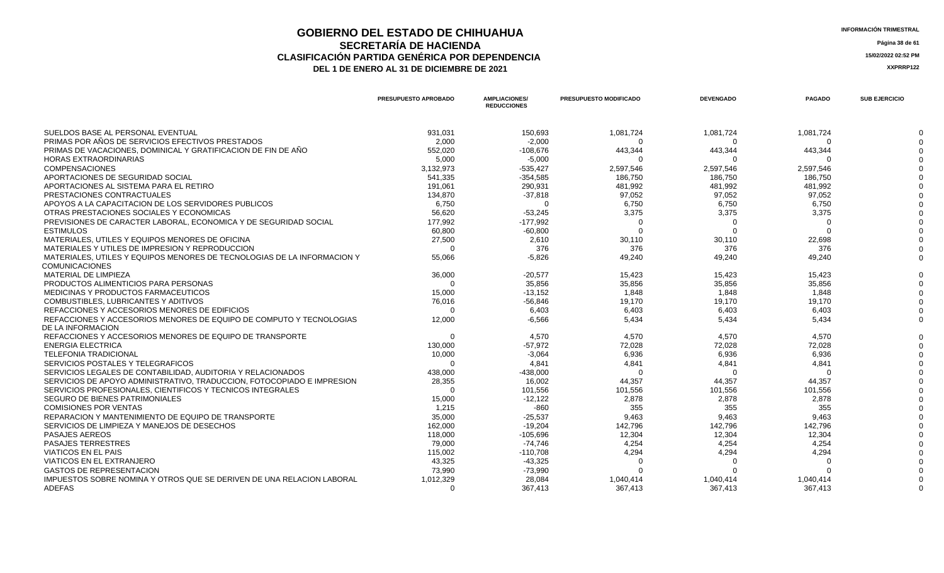## **GOBIERNO DEL ESTADO DE CHIHUAHUA**<br> **INFORMACIÓN TRIMESTRAL**<br> **INFORMACIÓN TRIMESTRAL**<br> **INFORMACIÓN TRIMESTRAL SECRETARÍA DE HACIENDA** Página 38 de 61<br>IÓN PARTIDA GENÉRICA POR DEPENDENCIA **CLASIFICACIÓN PARTIDA GENÉRICA POR DEPENDENCIA 15/02/2022 02:52 PM**

|                                                                                          | <b>PRESUPUESTO APROBADO</b> | <b>AMPLIACIONES/</b><br><b>REDUCCIONES</b> | <b>PRESUPUESTO MODIFICADO</b> | <b>DEVENGADO</b> | <b>PAGADO</b> | <b>SUB EJERCICIO</b> |
|------------------------------------------------------------------------------------------|-----------------------------|--------------------------------------------|-------------------------------|------------------|---------------|----------------------|
| SUELDOS BASE AL PERSONAL EVENTUAL                                                        | 931,031                     | 150,693                                    | 1,081,724                     | 1,081,724        | 1,081,724     |                      |
| PRIMAS POR AÑOS DE SERVICIOS EFECTIVOS PRESTADOS                                         | 2.000                       | $-2.000$                                   | - ೧                           |                  |               |                      |
| PRIMAS DE VACACIONES, DOMINICAL Y GRATIFICACION DE FIN DE AÑO                            | 552,020                     | $-108,676$                                 | 443,344                       | 443,344          | 443,344       |                      |
| <b>HORAS EXTRAORDINARIAS</b>                                                             | 5,000                       | $-5,000$                                   | $\Omega$                      | $\Omega$         |               |                      |
| <b>COMPENSACIONES</b>                                                                    | 3,132,973                   | $-535.427$                                 | 2,597,546                     | 2,597,546        | 2,597,546     |                      |
| APORTACIONES DE SEGURIDAD SOCIAL                                                         | 541,335                     | $-354,585$                                 | 186,750                       | 186,750          | 186.750       |                      |
| APORTACIONES AL SISTEMA PARA EL RETIRO                                                   | 191,061                     | 290,931                                    | 481,992                       | 481,992          | 481,992       |                      |
| PRESTACIONES CONTRACTUALES                                                               | 134,870                     | $-37,818$                                  | 97,052                        | 97.052           | 97.052        |                      |
| APOYOS A LA CAPACITACION DE LOS SERVIDORES PUBLICOS                                      | 6,750                       | $\Omega$                                   | 6,750                         | 6,750            | 6,750         |                      |
| OTRAS PRESTACIONES SOCIALES Y ECONOMICAS                                                 | 56.620                      | $-53,245$                                  | 3,375                         | 3,375            | 3,375         |                      |
| PREVISIONES DE CARACTER LABORAL, ECONOMICA Y DE SEGURIDAD SOCIAL                         | 177,992                     | $-177,992$                                 | $\Omega$                      | $\Omega$         |               |                      |
| <b>ESTIMULOS</b>                                                                         | 60,800                      | $-60,800$                                  | $\Omega$                      | $\Omega$         |               |                      |
| MATERIALES, UTILES Y EQUIPOS MENORES DE OFICINA                                          | 27.500                      | 2.610                                      | 30.110                        | 30.110           | 22.698        |                      |
| MATERIALES Y UTILES DE IMPRESION Y REPRODUCCION                                          | $\cap$                      | 376                                        | 376                           | 376              | 376           |                      |
| MATERIALES, UTILES Y EQUIPOS MENORES DE TECNOLOGIAS DE LA INFORMACION Y                  | 55.066                      | $-5,826$                                   | 49,240                        | 49,240           | 49,240        |                      |
| <b>COMUNICACIONES</b>                                                                    |                             |                                            |                               |                  |               |                      |
| <b>MATERIAL DE LIMPIEZA</b>                                                              | 36,000                      | $-20.577$                                  | 15,423                        | 15,423           | 15.423        |                      |
| PRODUCTOS ALIMENTICIOS PARA PERSONAS                                                     | - 0                         | 35,856                                     | 35,856                        | 35,856           | 35,856        |                      |
| <b>MEDICINAS Y PRODUCTOS FARMACEUTICOS</b>                                               | 15.000                      | $-13.152$                                  | 1.848                         | 1.848            | 1.848         |                      |
| COMBUSTIBLES, LUBRICANTES Y ADITIVOS                                                     | 76,016                      | $-56,846$                                  | 19,170                        | 19,170           | 19,170        |                      |
| REFACCIONES Y ACCESORIOS MENORES DE EDIFICIOS                                            | $\Omega$                    | 6,403                                      | 6,403                         | 6,403            | 6.403         |                      |
| REFACCIONES Y ACCESORIOS MENORES DE EQUIPO DE COMPUTO Y TECNOLOGIAS<br>DE LA INFORMACION | 12,000                      | $-6.566$                                   | 5.434                         | 5.434            | 5.434         |                      |
| REFACCIONES Y ACCESORIOS MENORES DE EQUIPO DE TRANSPORTE                                 | - 0                         | 4,570                                      | 4,570                         | 4,570            | 4.570         |                      |
| <b>ENERGIA ELECTRICA</b>                                                                 | 130.000                     | $-57.972$                                  | 72,028                        | 72,028           | 72.028        |                      |
| <b>TELEFONIA TRADICIONAL</b>                                                             | 10,000                      | $-3,064$                                   | 6,936                         | 6,936            | 6,936         |                      |
| SERVICIOS POSTALES Y TELEGRAFICOS                                                        | $\cap$                      | 4.841                                      | 4.841                         | 4.841            | 4.841         |                      |
| SERVICIOS LEGALES DE CONTABILIDAD. AUDITORIA Y RELACIONADOS                              | 438,000                     | $-438.000$                                 | $\Omega$                      | $\Omega$         | $\Omega$      |                      |
| SERVICIOS DE APOYO ADMINISTRATIVO, TRADUCCION, FOTOCOPIADO E IMPRESION                   | 28,355                      | 16.002                                     | 44,357                        | 44,357           | 44.357        |                      |
| SERVICIOS PROFESIONALES, CIENTIFICOS Y TECNICOS INTEGRALES                               | $\cap$                      | 101,556                                    | 101,556                       | 101,556          | 101,556       |                      |
| SEGURO DE BIENES PATRIMONIALES                                                           | 15,000                      | $-12,122$                                  | 2,878                         | 2,878            | 2.878         |                      |
| <b>COMISIONES POR VENTAS</b>                                                             | 1,215                       | $-860$                                     | 355                           | 355              | 355           |                      |
| REPARACION Y MANTENIMIENTO DE EQUIPO DE TRANSPORTE                                       | 35.000                      | $-25,537$                                  | 9,463                         | 9.463            | 9.463         |                      |
| SERVICIOS DE LIMPIEZA Y MANEJOS DE DESECHOS                                              | 162,000                     | $-19,204$                                  | 142,796                       | 142,796          | 142,796       |                      |
| PASAJES AEREOS                                                                           | 118,000                     | $-105,696$                                 | 12,304                        | 12,304           | 12,304        |                      |
| <b>PASAJES TERRESTRES</b>                                                                | 79,000                      | -74,746                                    | 4,254                         | 4,254            | 4,254         |                      |
| <b>VIATICOS EN EL PAIS</b>                                                               | 115,002                     | $-110,708$                                 | 4,294                         | 4,294            | 4,294         |                      |
| VIATICOS EN EL EXTRANJERO                                                                | 43,325                      | $-43,325$                                  |                               |                  |               |                      |
| <b>GASTOS DE REPRESENTACION</b>                                                          | 73.990                      | $-73.990$                                  |                               |                  |               |                      |
| IMPUESTOS SOBRE NOMINA Y OTROS QUE SE DERIVEN DE UNA RELACION LABORAL                    | 1,012,329                   | 28.084                                     | 1.040.414                     | 1.040.414        | 1.040.414     |                      |
| <b>ADEFAS</b>                                                                            | $\Omega$                    | 367,413                                    | 367,413                       | 367,413          | 367,413       |                      |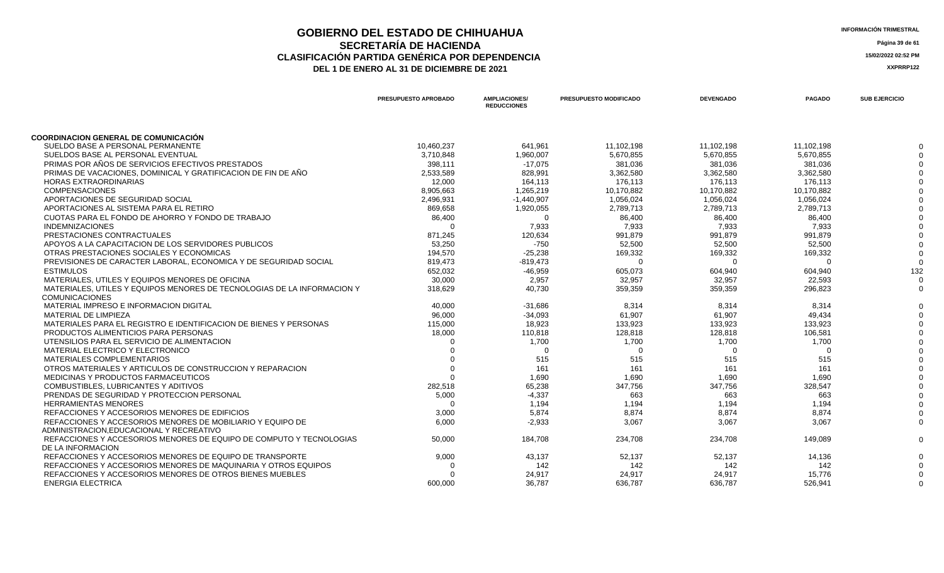### **GOBIERNO DEL ESTADO DE CHIHUAHUA**<br> **GEOBIERNO DEL ESTADO DE CHIHUAHUA**<br> **INFORMACIÓN TRIMESTRAL SECRETARÍA DE HACIENDA** Página 39 de 61<br>IÓN PARTIDA GENÉRICA POR DEPENDENCIA **CLASIFICACIÓN PARTIDA GENÉRICA POR DEPENDENCIA**<br> **THE 1 DE ENERO AL 31 DE DICIEMBRE DE 2021**<br> **ARREGISTION AND ACTEUR AUGENCIA DE PROPENTE DE 2021** DEL 1 DE ENERO AL 31 DE DICIEMBRE DE 2021

|                                                                         | PRESUPUESTO APROBADO | <b>AMPLIACIONES/</b><br><b>REDUCCIONES</b> | <b>PRESUPUESTO MODIFICADO</b> | <b>DEVENGADO</b> | <b>PAGADO</b> | <b>SUB EJERCICIO</b> |
|-------------------------------------------------------------------------|----------------------|--------------------------------------------|-------------------------------|------------------|---------------|----------------------|
|                                                                         |                      |                                            |                               |                  |               |                      |
| <b>COORDINACION GENERAL DE COMUNICACIÓN</b>                             |                      |                                            |                               |                  |               |                      |
| SUELDO BASE A PERSONAL PERMANENTE                                       | 10,460,237           | 641,961                                    | 11,102,198                    | 11,102,198       | 11.102.198    |                      |
| SUELDOS BASE AL PERSONAL EVENTUAL                                       | 3,710,848            | 1,960,007                                  | 5,670,855                     | 5,670,855        | 5,670,855     |                      |
| PRIMAS POR AÑOS DE SERVICIOS EFECTIVOS PRESTADOS                        | 398,111              | $-17,075$                                  | 381,036                       | 381,036          | 381,036       |                      |
| PRIMAS DE VACACIONES. DOMINICAL Y GRATIFICACION DE FIN DE AÑO           | 2.533.589            | 828.991                                    | 3,362,580                     | 3.362.580        | 3.362.580     |                      |
| <b>HORAS EXTRAORDINARIAS</b>                                            | 12,000               | 164,113                                    | 176,113                       | 176,113          | 176,113       |                      |
| <b>COMPENSACIONES</b>                                                   | 8,905,663            | 1,265,219                                  | 10,170,882                    | 10,170,882       | 10,170,882    |                      |
| APORTACIONES DE SEGURIDAD SOCIAL                                        | 2,496,931            | $-1,440,907$                               | 1,056,024                     | 1,056,024        | 1,056,024     |                      |
| APORTACIONES AL SISTEMA PARA EL RETIRO                                  | 869,658              | 1,920,055                                  | 2,789,713                     | 2,789,713        | 2,789,713     |                      |
| CUOTAS PARA EL FONDO DE AHORRO Y FONDO DE TRABAJO                       | 86,400               | $\Omega$                                   | 86,400                        | 86,400           | 86.400        |                      |
| <b>INDEMNIZACIONES</b>                                                  | $\Omega$             | 7,933                                      | 7,933                         | 7,933            | 7,933         |                      |
| PRESTACIONES CONTRACTUALES                                              | 871,245              | 120,634                                    | 991,879                       | 991,879          | 991,879       |                      |
| APOYOS A LA CAPACITACION DE LOS SERVIDORES PUBLICOS                     | 53.250               | $-750$                                     | 52,500                        | 52,500           | 52.500        |                      |
| OTRAS PRESTACIONES SOCIALES Y ECONOMICAS                                | 194,570              | $-25,238$                                  | 169,332                       | 169,332          | 169,332       |                      |
| PREVISIONES DE CARACTER LABORAL. ECONOMICA Y DE SEGURIDAD SOCIAL        | 819,473              | $-819,473$                                 | $\Omega$                      | $\Omega$         | $\Omega$      |                      |
| <b>ESTIMULOS</b>                                                        | 652,032              | $-46,959$                                  | 605,073                       | 604,940          | 604,940       | 132                  |
| MATERIALES, UTILES Y EQUIPOS MENORES DE OFICINA                         | 30,000               | 2,957                                      | 32,957                        | 32,957           | 22.593        |                      |
| MATERIALES, UTILES Y EQUIPOS MENORES DE TECNOLOGIAS DE LA INFORMACION Y | 318.629              | 40.730                                     | 359.359                       | 359.359          | 296.823       |                      |
| <b>COMUNICACIONES</b>                                                   |                      |                                            |                               |                  |               |                      |
| MATERIAL IMPRESO E INFORMACION DIGITAL                                  | 40.000               | $-31,686$                                  | 8.314                         | 8.314            | 8.314         |                      |
| MATERIAL DE LIMPIEZA                                                    | 96,000               | $-34,093$                                  | 61,907                        | 61,907           | 49,434        |                      |
| MATERIALES PARA EL REGISTRO E IDENTIFICACION DE BIENES Y PERSONAS       | 115,000              | 18,923                                     | 133,923                       | 133,923          | 133,923       |                      |
| PRODUCTOS ALIMENTICIOS PARA PERSONAS                                    | 18,000               | 110,818                                    | 128,818                       | 128,818          | 106,581       |                      |
| UTENSILIOS PARA EL SERVICIO DE ALIMENTACION                             |                      | 1,700                                      | 1,700                         | 1,700            | 1,700         |                      |
| MATERIAL ELECTRICO Y ELECTRONICO                                        |                      | $\Omega$                                   | $\Omega$                      | $\Omega$         | $\Omega$      |                      |
| <b>MATERIALES COMPLEMENTARIOS</b>                                       |                      | 515                                        | 515                           | 515              | 515           |                      |
| OTROS MATERIALES Y ARTICULOS DE CONSTRUCCION Y REPARACION               |                      | 161                                        | 161                           | 161              | 161           |                      |
| MEDICINAS Y PRODUCTOS FARMACEUTICOS                                     |                      | 1.690                                      | 1.690                         | 1,690            | 1.690         |                      |
| COMBUSTIBLES, LUBRICANTES Y ADITIVOS                                    | 282,518              | 65,238                                     | 347,756                       | 347,756          | 328,547       |                      |
| PRENDAS DE SEGURIDAD Y PROTECCION PERSONAL                              | 5,000                | $-4,337$                                   | 663                           | 663              | 663           |                      |
| <b>HERRAMIENTAS MENORES</b>                                             | $\Omega$             | 1,194                                      | 1,194                         | 1,194            | 1,194         |                      |
| REFACCIONES Y ACCESORIOS MENORES DE EDIFICIOS                           | 3,000                | 5,874                                      | 8,874                         | 8,874            | 8,874         |                      |
| REFACCIONES Y ACCESORIOS MENORES DE MOBILIARIO Y EQUIPO DE              | 6.000                | $-2,933$                                   | 3,067                         | 3,067            | 3.067         |                      |
| ADMINISTRACION, EDUCACIONAL Y RECREATIVO                                |                      |                                            |                               |                  |               |                      |
| REFACCIONES Y ACCESORIOS MENORES DE EQUIPO DE COMPUTO Y TECNOLOGIAS     | 50,000               | 184,708                                    | 234,708                       | 234,708          | 149,089       |                      |
| DE LA INFORMACION                                                       |                      |                                            |                               |                  |               |                      |
| REFACCIONES Y ACCESORIOS MENORES DE EQUIPO DE TRANSPORTE                | 9,000                | 43,137                                     | 52,137                        | 52,137           | 14,136        |                      |
| REFACCIONES Y ACCESORIOS MENORES DE MAQUINARIA Y OTROS EQUIPOS          |                      | 142                                        | 142                           | 142              | 142           |                      |
| REFACCIONES Y ACCESORIOS MENORES DE OTROS BIENES MUEBLES                |                      | 24,917                                     | 24,917                        | 24,917           | 15,776        |                      |
| <b>ENERGIA ELECTRICA</b>                                                | 600,000              | 36,787                                     | 636,787                       | 636,787          | 526,941       |                      |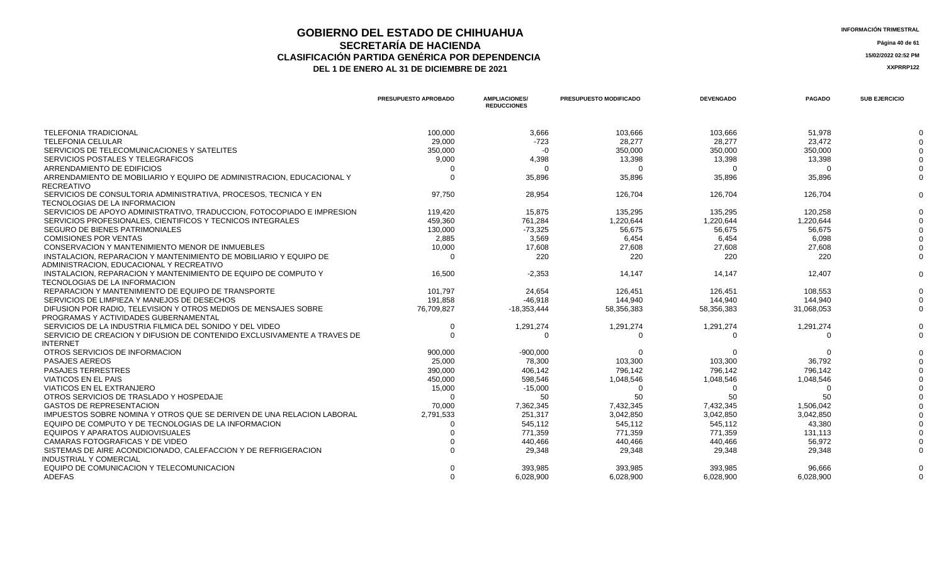## **GOBIERNO DEL ESTADO DE CHIHUAHUA**<br> **INFORMACIÓN TRIMESTRAL**<br> **INFORMACIÓN TRIMESTRAL**<br>
Página 40 de 61 **SECRETARÍA DE HACIENDA** Página 40 de 61<br>IÓN PARTIDA GENÉRICA POR DEPENDENCIA **CLASIFICACIÓN PARTIDA GENÉRICA POR DEPENDENCIA**<br> **THE 1 DE ENERO AL 31 DE DICIEMBRE DE 2021**<br> **ARREGISTIVA DE LA DE ENERO AL 31 DE DICIEMBRE DE 2021**

| <b>INFORMACION TRIMESTRA</b> |  |
|------------------------------|--|
|                              |  |

|                                                                         | PRESUPUESTO APROBADO | <b>AMPLIACIONES</b><br><b>REDUCCIONES</b> | <b>PRESUPUESTO MODIFICADO</b> | <b>DEVENGADO</b> | <b>PAGADO</b> | <b>SUB EJERCICIO</b> |
|-------------------------------------------------------------------------|----------------------|-------------------------------------------|-------------------------------|------------------|---------------|----------------------|
| <b>TELEFONIA TRADICIONAL</b>                                            | 100.000              | 3,666                                     | 103.666                       | 103.666          | 51,978        |                      |
| <b>TELEFONIA CELULAR</b>                                                | 29,000               | $-723$                                    | 28,277                        | 28,277           | 23,472        |                      |
| SERVICIOS DE TELECOMUNICACIONES Y SATELITES                             | 350,000              | -0                                        | 350,000                       | 350,000          | 350.000       |                      |
| SERVICIOS POSTALES Y TELEGRAFICOS                                       | 9,000                | 4,398                                     | 13,398                        | 13,398           | 13,398        |                      |
| ARRENDAMIENTO DE EDIFICIOS                                              | - 0                  | $\Omega$                                  | $\Omega$                      | $\Omega$         | - 0           |                      |
| ARRENDAMIENTO DE MOBILIARIO Y EQUIPO DE ADMINISTRACION. EDUCACIONAL Y   | $\Omega$             | 35,896                                    | 35.896                        | 35.896           | 35.896        |                      |
| <b>RECREATIVO</b>                                                       |                      |                                           |                               |                  |               |                      |
| SERVICIOS DE CONSULTORIA ADMINISTRATIVA, PROCESOS, TECNICA Y EN         | 97.750               | 28,954                                    | 126.704                       | 126.704          | 126,704       |                      |
| TECNOLOGIAS DE LA INFORMACION                                           |                      |                                           |                               |                  |               |                      |
| SERVICIOS DE APOYO ADMINISTRATIVO, TRADUCCION, FOTOCOPIADO E IMPRESION  | 119,420              | 15,875                                    | 135,295                       | 135,295          | 120,258       |                      |
| SERVICIOS PROFESIONALES, CIENTIFICOS Y TECNICOS INTEGRALES              | 459,360              | 761,284                                   | 1,220,644                     | 1,220,644        | 1,220,644     |                      |
| SEGURO DE BIENES PATRIMONIALES                                          | 130,000              | $-73,325$                                 | 56,675                        | 56,675           | 56.675        |                      |
| <b>COMISIONES POR VENTAS</b>                                            | 2.885                | 3.569                                     | 6.454                         | 6.454            | 6.098         |                      |
| CONSERVACION Y MANTENIMIENTO MENOR DE INMUEBLES                         | 10,000               | 17,608                                    | 27,608                        | 27,608           | 27,608        |                      |
| INSTALACION, REPARACION Y MANTENIMIENTO DE MOBILIARIO Y EQUIPO DE       | റ                    | 220                                       | 220                           | 220              | 220           |                      |
| ADMINISTRACION, EDUCACIONAL Y RECREATIVO                                |                      |                                           |                               |                  |               |                      |
| INSTALACION, REPARACION Y MANTENIMIENTO DE EQUIPO DE COMPUTO Y          | 16,500               | $-2,353$                                  | 14,147                        | 14,147           | 12,407        |                      |
| TECNOLOGIAS DE LA INFORMACION                                           |                      |                                           |                               |                  |               |                      |
| REPARACION Y MANTENIMIENTO DE EQUIPO DE TRANSPORTE                      | 101.797              | 24.654                                    | 126.451                       | 126.451          | 108.553       |                      |
| SERVICIOS DE LIMPIEZA Y MANEJOS DE DESECHOS                             | 191.858              | $-46.918$                                 | 144.940                       | 144.940          | 144.940       |                      |
| DIFUSION POR RADIO. TELEVISION Y OTROS MEDIOS DE MENSAJES SOBRE         | 76,709,827           | $-18,353,444$                             | 58,356,383                    | 58,356,383       | 31,068,053    |                      |
| PROGRAMAS Y ACTIVIDADES GUBERNAMENTAL                                   |                      |                                           |                               |                  |               |                      |
| SERVICIOS DE LA INDUSTRIA FILMICA DEL SONIDO Y DEL VIDEO                | $\overline{0}$       | 1,291,274                                 | 1,291,274                     | 1,291,274        | 1,291,274     |                      |
| SERVICIO DE CREACION Y DIFUSION DE CONTENIDO EXCLUSIVAMENTE A TRAVES DE | $\Omega$             | $\Omega$                                  | $\Omega$                      | $\Omega$         | $\Omega$      |                      |
| <b>INTERNET</b>                                                         |                      |                                           |                               |                  |               |                      |
| OTROS SERVICIOS DE INFORMACION                                          | 900.000              | $-900.000$                                |                               |                  |               |                      |
| <b>PASAJES AEREOS</b>                                                   | 25,000               | 78.300                                    | 103.300                       | 103.300          | 36.792        |                      |
| <b>PASAJES TERRESTRES</b>                                               | 390,000              | 406.142                                   | 796,142                       | 796,142          | 796,142       |                      |
| <b>VIATICOS EN EL PAIS</b>                                              | 450,000              | 598,546                                   | 1,048,546                     | 1,048,546        | 1,048,546     |                      |
| <b>VIATICOS EN EL EXTRANJERO</b>                                        | 15,000               | $-15,000$                                 | $\Omega$                      | $\Omega$         |               |                      |
| OTROS SERVICIOS DE TRASLADO Y HOSPEDAJE                                 |                      | 50                                        | 50                            | 50               | 50            |                      |
| <b>GASTOS DE REPRESENTACION</b>                                         | 70,000               | 7,362,345                                 | 7,432,345                     | 7,432,345        | 1,506,042     |                      |
| IMPUESTOS SOBRE NOMINA Y OTROS QUE SE DERIVEN DE UNA RELACION LABORAL   | 2,791,533            | 251,317                                   | 3,042,850                     | 3,042,850        | 3,042,850     |                      |
| EQUIPO DE COMPUTO Y DE TECNOLOGIAS DE LA INFORMACION                    |                      | 545,112                                   | 545,112                       | 545,112          | 43,380        |                      |
| EQUIPOS Y APARATOS AUDIOVISUALES                                        |                      | 771,359                                   | 771,359                       | 771,359          | 131,113       |                      |
| CAMARAS FOTOGRAFICAS Y DE VIDEO                                         |                      | 440.466                                   | 440.466                       | 440.466          | 56.972        |                      |
| SISTEMAS DE AIRE ACONDICIONADO, CALEFACCION Y DE REFRIGERACION          |                      | 29.348                                    | 29.348                        | 29,348           | 29,348        |                      |
| <b>INDUSTRIAL Y COMERCIAL</b>                                           |                      |                                           |                               |                  |               |                      |
| EQUIPO DE COMUNICACION Y TELECOMUNICACION                               |                      | 393,985                                   | 393,985                       | 393.985          | 96,666        |                      |
| ADEFAS                                                                  | $\Omega$             | 6.028.900                                 | 6.028.900                     | 6.028.900        | 6.028.900     |                      |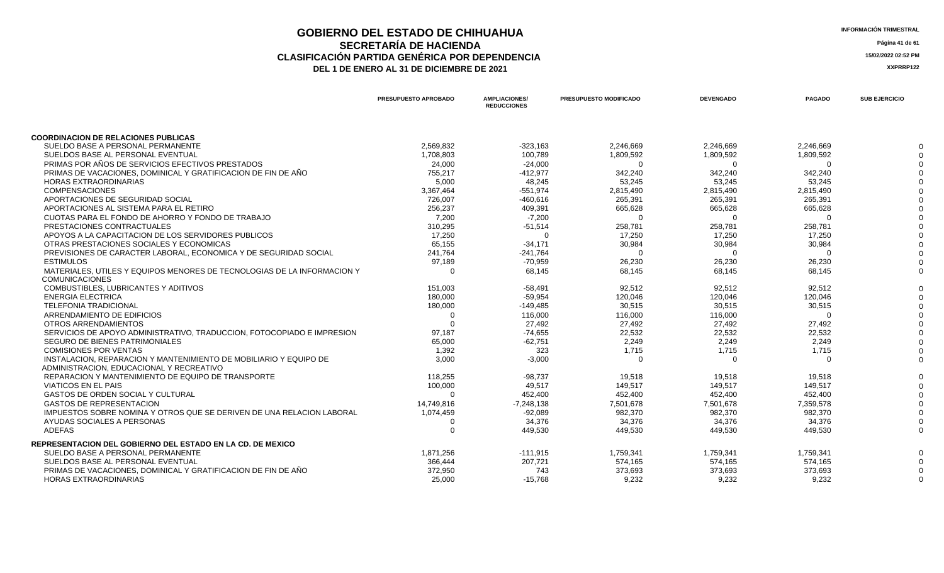### **GOBIERNO DEL ESTADO DE CHIHUAHUA**<br> **INFORMACIÓN TRIMESTRAL**<br> **INFORMACIÓN TRIMESTRAL**<br> **Información trimestral SECRETARÍA DE HACIENDA** Página 41 de 61<br>CON PARTIDA GENÉRICA POR DEPENDENCIA **CLASIFICACIÓN PARTIDA GENÉRICA POR DEPENDENCIA**<br> **THE 1 DE ENERO AL 31 DE DICIEMBRE DE 2021**<br> **ARREGISTION AND ACTEUR AUGENCIA DE PROPENTE DE 2021** DEL 1 DE ENERO AL 31 DE DICIEMBRE DE 2021

|                                                                                 | PRESUPUESTO APROBADO | <b>AMPLIACIONES/</b><br><b>REDUCCIONES</b> | PRESUPUESTO MODIFICADO | <b>DEVENGADO</b> | <b>PAGADO</b> | <b>SUB EJERCICIO</b> |
|---------------------------------------------------------------------------------|----------------------|--------------------------------------------|------------------------|------------------|---------------|----------------------|
|                                                                                 |                      |                                            |                        |                  |               |                      |
| <b>COORDINACION DE RELACIONES PUBLICAS</b><br>SUELDO BASE A PERSONAL PERMANENTE | 2,569,832            | $-323,163$                                 | 2,246,669              | 2,246,669        | 2,246,669     |                      |
| SUELDOS BASE AL PERSONAL EVENTUAL                                               | 1,708,803            | 100,789                                    | 1,809,592              | 1,809,592        | 1,809,592     |                      |
| PRIMAS POR AÑOS DE SERVICIOS EFECTIVOS PRESTADOS                                | 24,000               | $-24,000$                                  | O                      |                  |               |                      |
| PRIMAS DE VACACIONES, DOMINICAL Y GRATIFICACION DE FIN DE AÑO                   | 755,217              | $-412,977$                                 | 342,240                | 342,240          | 342,240       |                      |
| <b>HORAS EXTRAORDINARIAS</b>                                                    | 5,000                | 48,245                                     | 53,245                 | 53,245           | 53,245        |                      |
| <b>COMPENSACIONES</b>                                                           | 3,367,464            | $-551,974$                                 | 2,815,490              | 2,815,490        | 2,815,490     |                      |
| APORTACIONES DE SEGURIDAD SOCIAL                                                | 726,007              | $-460,616$                                 | 265,391                | 265,391          | 265,391       |                      |
| APORTACIONES AL SISTEMA PARA EL RETIRO                                          | 256,237              | 409,391                                    | 665,628                | 665,628          | 665,628       |                      |
| CUOTAS PARA EL FONDO DE AHORRO Y FONDO DE TRABAJO                               | 7,200                | $-7,200$                                   | $\Omega$               |                  |               |                      |
| PRESTACIONES CONTRACTUALES                                                      | 310.295              | $-51,514$                                  | 258,781                | 258,781          | 258,781       |                      |
| APOYOS A LA CAPACITACION DE LOS SERVIDORES PUBLICOS                             | 17,250               | - 0                                        | 17,250                 | 17,250           | 17,250        |                      |
| OTRAS PRESTACIONES SOCIALES Y ECONOMICAS                                        | 65,155               | $-34,171$                                  | 30,984                 | 30,984           | 30,984        |                      |
| PREVISIONES DE CARACTER LABORAL, ECONOMICA Y DE SEGURIDAD SOCIAL                | 241,764              | $-241,764$                                 | $\Omega$               | $\Omega$         |               |                      |
| <b>ESTIMULOS</b>                                                                | 97,189               | -70,959                                    | 26,230                 | 26,230           | 26,230        |                      |
| MATERIALES, UTILES Y EQUIPOS MENORES DE TECNOLOGIAS DE LA INFORMACION Y         | $\Omega$             | 68,145                                     | 68,145                 | 68,145           | 68,145        |                      |
| <b>COMUNICACIONES</b>                                                           |                      |                                            |                        |                  |               |                      |
| COMBUSTIBLES, LUBRICANTES Y ADITIVOS                                            | 151,003              | $-58,491$                                  | 92,512                 | 92,512           | 92,512        |                      |
| <b>ENERGIA ELECTRICA</b>                                                        | 180,000              | $-59,954$                                  | 120,046                | 120,046          | 120,046       |                      |
| <b>TELEFONIA TRADICIONAL</b>                                                    | 180,000              | $-149,485$                                 | 30,515                 | 30,515           | 30,515        |                      |
| ARRENDAMIENTO DE EDIFICIOS                                                      | $\Omega$             | 116,000                                    | 116,000                | 116,000          | $\Omega$      |                      |
| OTROS ARRENDAMIENTOS                                                            |                      | 27,492                                     | 27,492                 | 27,492           | 27,492        |                      |
| SERVICIOS DE APOYO ADMINISTRATIVO, TRADUCCION, FOTOCOPIADO E IMPRESION          | 97,187               | $-74,655$                                  | 22,532                 | 22,532           | 22,532        |                      |
| SEGURO DE BIENES PATRIMONIALES                                                  | 65,000               | $-62,751$                                  | 2,249                  | 2,249            | 2,249         |                      |
| <b>COMISIONES POR VENTAS</b>                                                    | 1,392                | 323                                        | 1,715                  | 1,715            | 1,715         |                      |
| INSTALACION, REPARACION Y MANTENIMIENTO DE MOBILIARIO Y EQUIPO DE               | 3,000                | $-3,000$                                   | $\Omega$               | $\Omega$         | $\Omega$      |                      |
| ADMINISTRACION, EDUCACIONAL Y RECREATIVO                                        |                      |                                            |                        |                  |               |                      |
| REPARACION Y MANTENIMIENTO DE EQUIPO DE TRANSPORTE                              | 118,255              | $-98,737$                                  | 19,518                 | 19,518           | 19,518        |                      |
| <b>VIATICOS EN EL PAIS</b>                                                      | 100,000              | 49,517                                     | 149,517                | 149,517          | 149,517       |                      |
| GASTOS DE ORDEN SOCIAL Y CULTURAL                                               | $\Omega$             | 452,400                                    | 452,400                | 452,400          | 452,400       |                      |
| <b>GASTOS DE REPRESENTACION</b>                                                 | 14,749,816           | $-7,248,138$                               | 7,501,678              | 7,501,678        | 7,359,578     |                      |
| IMPUESTOS SOBRE NOMINA Y OTROS QUE SE DERIVEN DE UNA RELACION LABORAL           | 1,074,459            | $-92,089$                                  | 982,370                | 982,370          | 982,370       |                      |
| AYUDAS SOCIALES A PERSONAS                                                      | 0                    | 34,376                                     | 34,376                 | 34,376           | 34,376        |                      |
| <b>ADEFAS</b>                                                                   | $\Omega$             | 449,530                                    | 449,530                | 449,530          | 449,530       |                      |
| REPRESENTACION DEL GOBIERNO DEL ESTADO EN LA CD. DE MEXICO                      |                      |                                            |                        |                  |               |                      |
| SUELDO BASE A PERSONAL PERMANENTE                                               | 1,871,256            | $-111,915$                                 | 1,759,341              | 1,759,341        | 1,759,341     |                      |
| SUELDOS BASE AL PERSONAL EVENTUAL                                               | 366,444              | 207,721                                    | 574,165                | 574,165          | 574,165       |                      |
| PRIMAS DE VACACIONES, DOMINICAL Y GRATIFICACION DE FIN DE AÑO                   | 372,950              | 743                                        | 373,693                | 373,693          | 373,693       |                      |
| <b>HORAS EXTRAORDINARIAS</b>                                                    | 25,000               | $-15,768$                                  | 9,232                  | 9,232            | 9,232         |                      |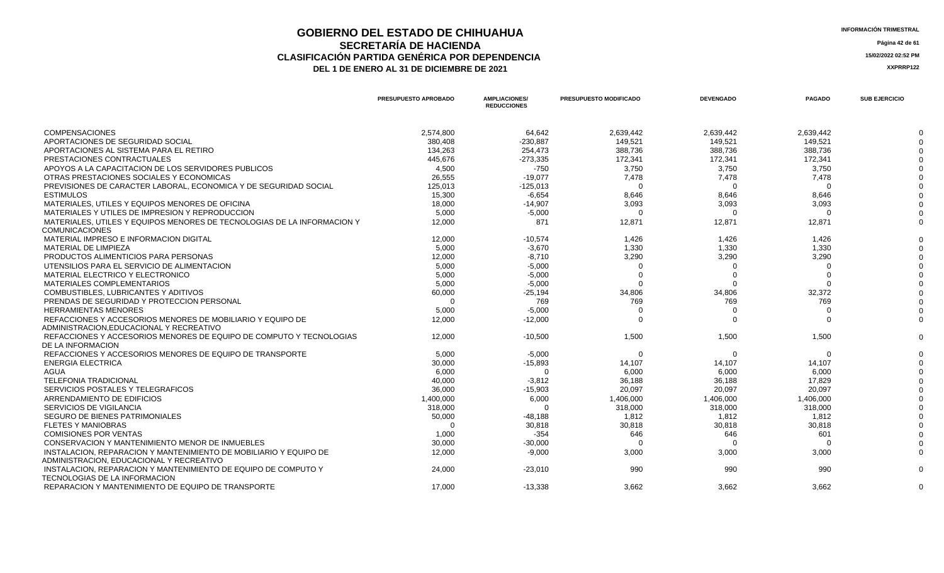#### **GOBIERNO DEL ESTADO DE CHIHUAHUA INFORMACIÓN TRIMESTRAL SECRETARÍA DE HACIENDA Página 42 de 61 CLASIFICACIÓN PARTIDA GENÉRICA POR DEPENDENCIA 15/02/2022 02:52 PM DEL 1 DE ENERO AL 31 DE DICIEMBRE DE 2021 XXPRRP122**

**PRESUPUESTO APROBADO AMPLIACIONES/** 

**PRESUPUESTO MODIFICADO DEVENGADO PAGADO SUB EJERCICIO**

**REDUCCIONES** COMPENSACIONES 2,574,800 64,642 2,639,442 2,639,442 2,639,442 0 APORTACIONES DE SEGURIDAD SOCIAL 380,408 -230,887 149,521 149,521 149,521 0 APORTACIONES AL SISTEMA PARA EL RETIRO 1356 2002 134,263 254,473 254,473 388,736 388,736 388,736 388,736 388,736 388,736 388,736 388,736 388,736 388,736 388,736 388,736 388,736 388,736 388,736 388,736 388,736 388,736 388,7 PRESTACIONES CONTRACTUALES 445,676 -273,335 172,341 172,341 172,341 0 APOYOS A LA CAPACITACION DE LOS SERVIDORES PUBLICOS 4,500 -750 3,750 3,750 3,750 0 OTRAS PRESTACIONES SOCIALES Y ECONOMICAS 7,478 0 PREVISIONES DE CARACTER LABORAL, ECONOMICA Y DE SEGURIDAD SOCIAL 125,013 -125,013 0 0 0 0 15,300 -6,654 -6,654 -6,654 -6,654 -6,654 -6,654 -6,654 -6,654 -6,654 -6,654 -6,654 -6,654 -6,654 -6,654 -6,654 -6,654 -6,654 -6,654 -6,654 -6,654 -6,654 -6,654 -6,654 -6,654 -6,654 -6,654 -6,654 -6,654 -6,654 -6,654 -6,6 MATERIALES, UTILES Y EQUIPOS MENORES DE OFICINA 1990 18,000 18,000 18,000 18,000 18,000 18,093 3,093 3,093 3,093 3,093 3,093 3,093 3,093 18,000 18,000 18,000 18,000 18,000 18,000 18,000 18,000 18,000 18,000 18,000 18,000 1 MATERIALES Y UTILES DE IMPRESION Y REPRODUCCION 5,000 -5,000 0 0 0 0 MATERIALES, UTILES Y EQUIPOS MENORES DE TECNOLOGIAS DE LA INFORMACION Y COMUNICACIONES 12,000 871 12,871 12,871 12,871 0 MATERIAL IMPRESO E INFORMACION DIGITAL 12,000 -10,574 1,426 1,426 1,426 0 0 6,000 1,330 1,330 1,330 1,330 1,330 1,330 1,330 1,330 1,330 1,330 1,330 1,330 1,330 1,330 1,330 1,330 1,330 1,330 1,330 1,330 1,330 1,330 1,330 1,330 1,330 1,330 1,330 1,330 1,330 1,330 1,330 1,330 1,330 1,330 1,530 1,5 PRODUCTOS ALIMENTICIOS PARA PERSONAS 12,000 -8,710 3,290 3,290 3,290 0 UTENSILIOS PARA EL SERVICIO DE ALIMENTACION 5,000 -5,000 0 0 0 0 MATERIAL ELECTRICO Y ELECTRONICO 5,000 -5,000 0 0 0 0 MATERIALES COMPLEMENTARIOS 5,000 -5,000 0 0 0 0 COMBUSTIBLES, LUBRICANTES Y ADITIVOS 60,000 34,806 0 PRENDAS DE SEGURIDAD Y PROTECCION PERSONAL CONSULTATION DE CONSULTATION DE CONSULTATION DE CONSULTATION DE CONSULTATION DE CONSULTATION DE CONSULTATION DE CONSULTATION DE CONSULTATION DE CONSULTATION DE CONSULTATION DE CON HERRAMIENTAS MENORES 5,000 -5,000 0 0 0 0 REFACCIONES Y ACCESORIOS MENORES DE MOBILIARIO Y EQUIPO DE ADMINISTRACION,EDUCACIONAL Y RECREATIVO 12,000 -12,000 0 0 0 0 REFACCIONES Y ACCESORIOS MENORES DE EQUIPO DE COMPUTO Y TECNOLOGIAS DE LA INFORMACION 12,000 -10,500 1,500 1,500 1,500 0 REFACCIONES Y ACCESORIOS MENORES DE EQUIPO DE TRANSPORTE  $\qquad \qquad 5,000 \qquad \qquad 5,000 \qquad \qquad 0 \qquad \qquad 0 \qquad \qquad 0 \qquad \qquad 0 \qquad \qquad 0 \qquad \qquad 0 \qquad \qquad 0$  ENERGIA ELECTRICA 30,000 -15,893 14,107 14,107 14,107 0 AGUA 6,000 0 6,000 6,000 6,000 0 TELEFONIA TRADICIONAL 40,000 -3,812 36,188 36,188 17,829 0 SERVICIOS POSTALES Y TELEGRAFICOS 36,000 -15,903 20,097 20,097 20,097 0 ARRENDAMIENTO DE EDIFICIOS 1,400,000 6,000 1,406,000 1,406,000 1,406,000 0 SERVICIOS DE VIGILANCIA 318,000 0 318,000 318,000 318,000 0 SEGURO DE BIENES PATRIMONIALES 60,000 50,000 50,000 50,000 50,000 50,000 50,000 50,000 50,000 50,000 50,000 50,000 50,000 50,000 50,000 50,000 50,000 50,000 50,000 50,000 50,000 50,000 50,000 50,000 50,000 50,000 50,000 50 FLETES Y MANIOBRAS 0 30,818 30,818 30,818 30,818 0 COMISIONES POR VENTAS 1,000 -354 646 646 601 0 CONSERVACION Y MANTENIMIENTO MENOR DE INMUEBLES 30,000 -30,000 0 0 0 0 INSTALACION, REPARACION Y MANTENIMIENTO DE MOBILIARIO Y EQUIPO DE ADMINISTRACION, EDUCACIONAL Y RECREATIVO 12,000 -9,000 3,000 3,000 3,000 0 INSTALACION, REPARACION Y MANTENIMIENTO DE EQUIPO DE COMPUTO Y TECNOLOGIAS DE LA INFORMACION 24,000 -23,010 990 990 990 0 REPARACION Y MANTENIMIENTO DE EQUIPO DE TRANSPORTE A CONSUMIDADE DE LA SUBSECTIVA DE LA SUBSECTIVA DE LA SUBSECTIVA DE LA SUBSECTIVA DE LA SUBSECTIVA DE LA SUBSECTIVA DE LA SUBSECTIVA DE LA SUBSECTIVA DE LA SUBSECTIVA DE L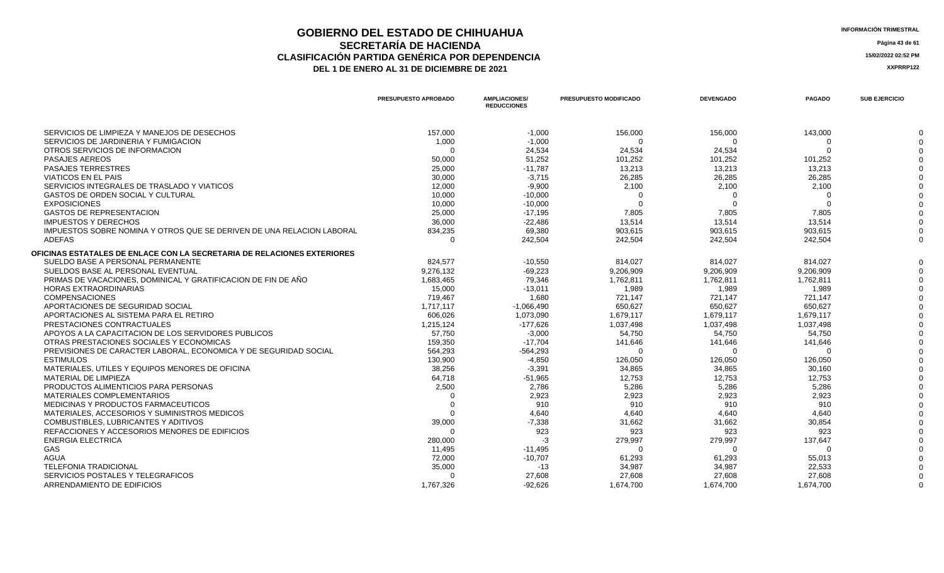### **GOBIERNO DEL ESTADO DE CHIHUAHUA**<br> **INFORMACIÓN TRIMESTRAL**<br> **INFORMACIÓN TRIMESTRAL**<br> **Información trimestral SECRETARÍA DE HACIENDA** Página 43 de 61<br>IÓN PARTIDA GENÉRICA POR DEPENDENCIA **CLASIFICACIÓN PARTIDA GENÉRICA POR DEPENDENCIA**<br> **THE 1 DE ENERO AL 31 DE DICIEMBRE DE 2021**<br> **ARREGISTIVA DE LA DE ENERO AL 31 DE DICIEMBRE DE 2021** DEL 1 DE ENERO AL 31 DE DICIEMBRE DE 2021

|                                                                         | <b>PRESUPUESTO APROBADO</b> | <b>AMPLIACIONES/</b><br><b>REDUCCIONES</b> | <b>PRESUPUESTO MODIFICADO</b> | <b>DEVENGADO</b> | <b>PAGADO</b> | <b>SUB EJERCICIO</b> |
|-------------------------------------------------------------------------|-----------------------------|--------------------------------------------|-------------------------------|------------------|---------------|----------------------|
| SERVICIOS DE LIMPIEZA Y MANEJOS DE DESECHOS                             | 157,000                     | $-1,000$                                   | 156,000                       | 156,000          | 143,000       |                      |
| SERVICIOS DE JARDINERIA Y FUMIGACION                                    | 1,000                       | $-1,000$                                   | $\Omega$                      | $\Omega$         | $\Omega$      |                      |
| OTROS SERVICIOS DE INFORMACION                                          | $\Omega$                    | 24,534                                     | 24,534                        | 24,534           |               |                      |
| <b>PASAJES AEREOS</b>                                                   | 50,000                      | 51,252                                     | 101,252                       | 101,252          | 101,252       |                      |
| <b>PASAJES TERRESTRES</b>                                               | 25,000                      | $-11,787$                                  | 13,213                        | 13,213           | 13,213        |                      |
| <b>VIATICOS EN EL PAIS</b>                                              | 30,000                      | $-3,715$                                   | 26,285                        | 26,285           | 26,285        |                      |
| SERVICIOS INTEGRALES DE TRASLADO Y VIATICOS                             | 12,000                      | $-9,900$                                   | 2,100                         | 2,100            | 2,100         |                      |
| GASTOS DE ORDEN SOCIAL Y CULTURAL                                       | 10,000                      | $-10,000$                                  |                               |                  |               |                      |
| <b>EXPOSICIONES</b>                                                     | 10,000                      | $-10,000$                                  |                               |                  |               |                      |
| <b>GASTOS DE REPRESENTACION</b>                                         | 25,000                      | $-17,195$                                  | 7,805                         | 7,805            | 7,805         |                      |
| <b>IMPUESTOS Y DERECHOS</b>                                             | 36,000                      | $-22,486$                                  | 13,514                        | 13,514           | 13,514        |                      |
| IMPUESTOS SOBRE NOMINA Y OTROS QUE SE DERIVEN DE UNA RELACION LABORAL   | 834,235                     | 69,380                                     | 903,615                       | 903,615          | 903.615       |                      |
| <b>ADEFAS</b>                                                           | $\Omega$                    | 242,504                                    | 242,504                       | 242,504          | 242.504       |                      |
| OFICINAS ESTATALES DE ENLACE CON LA SECRETARIA DE RELACIONES EXTERIORES |                             |                                            |                               |                  |               |                      |
| SUELDO BASE A PERSONAL PERMANENTE                                       | 824.577                     | $-10.550$                                  | 814,027                       | 814,027          | 814.027       |                      |
| SUELDOS BASE AL PERSONAL EVENTUAL                                       | 9,276,132                   | $-69,223$                                  | 9,206,909                     | 9,206,909        | 9.206.909     |                      |
| PRIMAS DE VACACIONES, DOMINICAL Y GRATIFICACION DE FIN DE AÑO           | 1,683,465                   | 79,346                                     | 1,762,811                     | 1,762,811        | 1,762,811     |                      |
| <b>HORAS EXTRAORDINARIAS</b>                                            | 15,000                      | $-13,011$                                  | 1,989                         | 1,989            | 1,989         |                      |
| <b>COMPENSACIONES</b>                                                   | 719.467                     | 1,680                                      | 721,147                       | 721,147          | 721,147       |                      |
| APORTACIONES DE SEGURIDAD SOCIAL                                        | 1,717,117                   | $-1,066,490$                               | 650,627                       | 650,627          | 650,627       |                      |
| APORTACIONES AL SISTEMA PARA EL RETIRO                                  | 606,026                     | 1,073,090                                  | 1,679,117                     | 1,679,117        | 1,679,117     |                      |
| PRESTACIONES CONTRACTUALES                                              | 1,215,124                   | $-177,626$                                 | 1,037,498                     | 1,037,498        | 1,037,498     |                      |
| APOYOS A LA CAPACITACION DE LOS SERVIDORES PUBLICOS                     | 57,750                      | $-3,000$                                   | 54,750                        | 54,750           | 54,750        |                      |
| OTRAS PRESTACIONES SOCIALES Y ECONOMICAS                                | 159,350                     | $-17,704$                                  | 141,646                       | 141,646          | 141,646       |                      |
| PREVISIONES DE CARACTER LABORAL. ECONOMICA Y DE SEGURIDAD SOCIAL        | 564.293                     | $-564,293$                                 | $\Omega$                      | $\Omega$         | $\Omega$      |                      |
| <b>ESTIMULOS</b>                                                        | 130,900                     | $-4,850$                                   | 126,050                       | 126,050          | 126,050       |                      |
| MATERIALES, UTILES Y EQUIPOS MENORES DE OFICINA                         | 38,256                      | $-3,391$                                   | 34,865                        | 34,865           | 30,160        |                      |
| MATERIAL DE LIMPIEZA                                                    | 64,718                      | $-51,965$                                  | 12,753                        | 12,753           | 12,753        |                      |
| PRODUCTOS ALIMENTICIOS PARA PERSONAS                                    | 2,500                       | 2,786                                      | 5,286                         | 5,286            | 5,286         |                      |
| <b>MATERIALES COMPLEMENTARIOS</b>                                       | $\Omega$                    | 2,923                                      | 2,923                         | 2,923            | 2,923         |                      |
| MEDICINAS Y PRODUCTOS FARMACEUTICOS                                     | $\Omega$                    | 910                                        | 910                           | 910              | 910           |                      |
| MATERIALES, ACCESORIOS Y SUMINISTROS MEDICOS                            | $\Omega$                    | 4.640                                      | 4.640                         | 4.640            | 4.640         |                      |
| COMBUSTIBLES, LUBRICANTES Y ADITIVOS                                    | 39,000                      | $-7,338$                                   | 31,662                        | 31,662           | 30,854        |                      |
| REFACCIONES Y ACCESORIOS MENORES DE EDIFICIOS                           | $\Omega$                    | 923                                        | 923                           | 923              | 923           |                      |
| ENERGIA ELECTRICA                                                       | 280,000                     | $-3$                                       | 279,997                       | 279,997          | 137,647       |                      |
| <b>GAS</b>                                                              | 11,495                      | $-11,495$                                  | $\Omega$                      | $\Omega$         | $\Omega$      |                      |
| <b>AGUA</b>                                                             | 72.000                      | $-10,707$                                  | 61.293                        | 61.293           | 55.013        |                      |
| <b>TELEFONIA TRADICIONAL</b>                                            | 35,000                      | $-13$                                      | 34,987                        | 34,987           | 22,533        |                      |
| SERVICIOS POSTALES Y TELEGRAFICOS                                       | $\Omega$                    | 27,608                                     | 27,608                        | 27,608           | 27,608        |                      |
| ARRENDAMIENTO DE EDIFICIOS                                              | 1,767,326                   | $-92,626$                                  | 1,674,700                     | 1,674,700        | 1,674,700     |                      |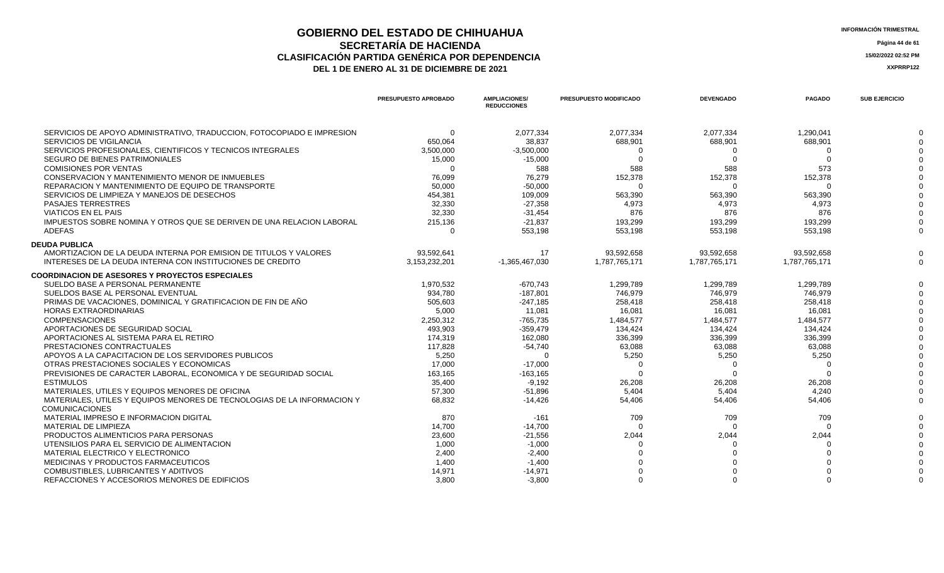## **GOBIERNO DEL ESTADO DE CHIHUAHUA**<br> **INFORMACIÓN TRIMESTRAL**<br> **INFORMACIÓN TRIMESTRAL**<br> **Información trimestral SECRETARÍA DE HACIENDA** Página 44 de 61<br>CON PARTIDA GENÉRICA POR DEPENDENCIA **CLASIFICACIÓN PARTIDA GENÉRICA POR DEPENDENCIA**<br> **THE 1 DE ENERO AL 31 DE DICIEMBRE DE 2021**<br> **ARREGISTIVA DE LA DE ENERO AL 31 DE DICIEMBRE DE 2021**

|                                                                         | <b>PRESUPUESTO APROBADO</b> | <b>AMPLIACIONES/</b><br><b>REDUCCIONES</b> | PRESUPUESTO MODIFICADO | <b>DEVENGADO</b> | <b>PAGADO</b> | <b>SUB EJERCICIO</b> |
|-------------------------------------------------------------------------|-----------------------------|--------------------------------------------|------------------------|------------------|---------------|----------------------|
| SERVICIOS DE APOYO ADMINISTRATIVO, TRADUCCION, FOTOCOPIADO E IMPRESION  | $\Omega$                    | 2,077,334                                  | 2,077,334              | 2,077,334        | 1,290,041     |                      |
| SERVICIOS DE VIGILANCIA                                                 | 650,064                     | 38,837                                     | 688,901                | 688,901          | 688,901       |                      |
| SERVICIOS PROFESIONALES, CIENTIFICOS Y TECNICOS INTEGRALES              | 3,500,000                   | $-3,500,000$                               |                        | $\Omega$         |               |                      |
| <b>SEGURO DE BIENES PATRIMONIALES</b>                                   | 15,000                      | $-15,000$                                  |                        | $\Omega$         |               |                      |
| <b>COMISIONES POR VENTAS</b>                                            | $\Omega$                    | 588                                        | 588                    | 588              | 573           |                      |
| CONSERVACION Y MANTENIMIENTO MENOR DE INMUEBLES                         | 76,099                      | 76,279                                     | 152,378                | 152,378          | 152,378       |                      |
| REPARACION Y MANTENIMIENTO DE EQUIPO DE TRANSPORTE                      | 50,000                      | $-50,000$                                  |                        |                  |               |                      |
| SERVICIOS DE LIMPIEZA Y MANEJOS DE DESECHOS                             | 454,381                     | 109,009                                    | 563,390                | 563,390          | 563,390       |                      |
| <b>PASAJES TERRESTRES</b>                                               | 32,330                      | $-27,358$                                  | 4,973                  | 4,973            | 4,973         |                      |
| <b>VIATICOS EN EL PAIS</b>                                              | 32.330                      | $-31,454$                                  | 876                    | 876              | 876           |                      |
| IMPUESTOS SOBRE NOMINA Y OTROS QUE SE DERIVEN DE UNA RELACION LABORAL   | 215,136                     | $-21,837$                                  | 193,299                | 193,299          | 193,299       |                      |
| ADEFAS                                                                  | $\Omega$                    | 553,198                                    | 553,198                | 553,198          | 553.198       |                      |
| <b>DEUDA PUBLICA</b>                                                    |                             |                                            |                        |                  |               |                      |
| AMORTIZACION DE LA DEUDA INTERNA POR EMISION DE TITULOS Y VALORES       | 93,592,641                  | 17                                         | 93,592,658             | 93,592,658       | 93,592,658    |                      |
| INTERESES DE LA DEUDA INTERNA CON INSTITUCIONES DE CREDITO              | 3,153,232,201               | $-1,365,467,030$                           | 1,787,765,171          | 1,787,765,171    | 1,787,765,171 |                      |
| <b>COORDINACION DE ASESORES Y PROYECTOS ESPECIALES</b>                  |                             |                                            |                        |                  |               |                      |
| SUELDO BASE A PERSONAL PERMANENTE                                       | 1,970,532                   | $-670,743$                                 | 1,299,789              | 1,299,789        | 1,299,789     |                      |
| SUELDOS BASE AL PERSONAL EVENTUAL                                       | 934,780                     | $-187,801$                                 | 746,979                | 746,979          | 746,979       |                      |
| PRIMAS DE VACACIONES, DOMINICAL Y GRATIFICACION DE FIN DE AÑO           | 505,603                     | $-247,185$                                 | 258,418                | 258,418          | 258,418       |                      |
| <b>HORAS EXTRAORDINARIAS</b>                                            | 5,000                       | 11,081                                     | 16,081                 | 16,081           | 16,081        |                      |
| <b>COMPENSACIONES</b>                                                   | 2,250,312                   | $-765,735$                                 | 1,484,577              | 1,484,577        | 1,484,577     |                      |
| APORTACIONES DE SEGURIDAD SOCIAL                                        | 493,903                     | $-359,479$                                 | 134,424                | 134,424          | 134.424       |                      |
| APORTACIONES AL SISTEMA PARA EL RETIRO                                  | 174,319                     | 162,080                                    | 336,399                | 336,399          | 336,399       |                      |
| PRESTACIONES CONTRACTUALES                                              | 117,828                     | $-54,740$                                  | 63,088                 | 63,088           | 63,088        |                      |
| APOYOS A LA CAPACITACION DE LOS SERVIDORES PUBLICOS                     | 5,250                       | $\Omega$                                   | 5,250                  | 5,250            | 5,250         |                      |
| OTRAS PRESTACIONES SOCIALES Y ECONOMICAS                                | 17.000                      | $-17,000$                                  |                        | $\Omega$         | $\Omega$      |                      |
| PREVISIONES DE CARACTER LABORAL. ECONOMICA Y DE SEGURIDAD SOCIAL        | 163,165                     | $-163, 165$                                | $\Omega$               | $\Omega$         |               |                      |
| <b>ESTIMULOS</b>                                                        | 35.400                      | $-9.192$                                   | 26,208                 | 26,208           | 26,208        |                      |
| MATERIALES, UTILES Y EQUIPOS MENORES DE OFICINA                         | 57.300                      | $-51,896$                                  | 5.404                  | 5.404            | 4.240         |                      |
| MATERIALES, UTILES Y EQUIPOS MENORES DE TECNOLOGIAS DE LA INFORMACION Y | 68,832                      | $-14,426$                                  | 54,406                 | 54,406           | 54,406        |                      |
| <b>COMUNICACIONES</b>                                                   |                             |                                            |                        |                  |               |                      |
| MATERIAL IMPRESO E INFORMACION DIGITAL                                  | 870                         | $-161$                                     | 709                    | 709              | 709           |                      |
| MATERIAL DE LIMPIEZA                                                    | 14,700                      | $-14,700$                                  |                        | $\Omega$         |               |                      |
| PRODUCTOS ALIMENTICIOS PARA PERSONAS                                    | 23,600                      | $-21,556$                                  | 2,044                  | 2,044            | 2,044         |                      |
| UTENSILIOS PARA EL SERVICIO DE ALIMENTACION                             | 1,000                       | $-1,000$                                   |                        |                  |               |                      |
| MATERIAL ELECTRICO Y ELECTRONICO                                        | 2,400                       | $-2,400$                                   |                        |                  |               |                      |
| MEDICINAS Y PRODUCTOS FARMACEUTICOS                                     | 1,400                       | $-1.400$                                   |                        |                  |               |                      |
| COMBUSTIBLES, LUBRICANTES Y ADITIVOS                                    | 14.971                      | $-14,971$                                  |                        |                  |               |                      |
| REFACCIONES Y ACCESORIOS MENORES DE EDIFICIOS                           | 3.800                       | $-3.800$                                   |                        | $\Omega$         | $\Omega$      |                      |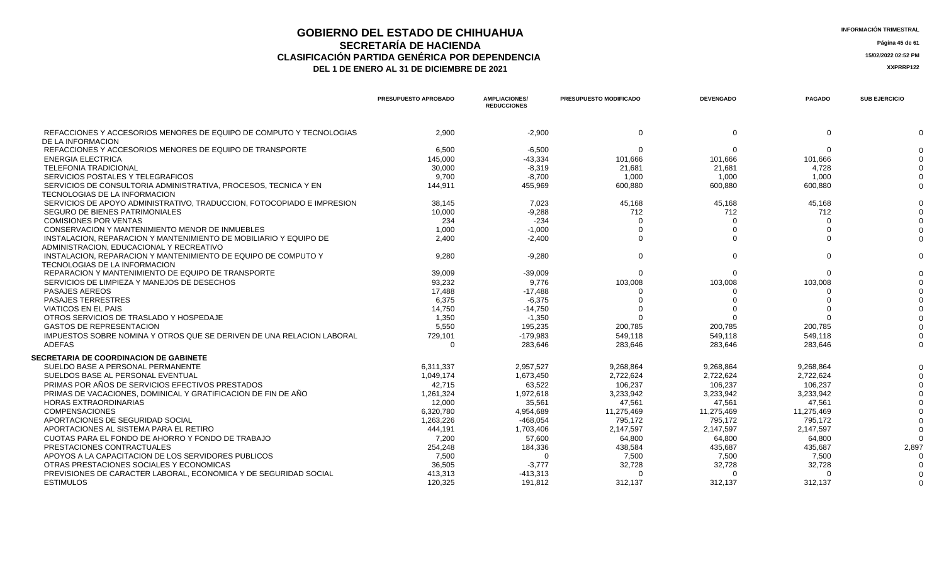## **GOBIERNO DEL ESTADO DE CHIHUAHUA**<br> **INFORMACIÓN TRIMESTRAL**<br> **INFORMACIÓN TRIMESTRAL**<br> **INFORMACIÓN TRIMESTRAL SECRETARÍA DE HACIENDA** Página 45 de 61<br>IÓN PARTIDA GENÉRICA POR DEPENDENCIA **CLASIFICACIÓN PARTIDA GENÉRICA POR DEPENDENCIA 15/02/2022 02:52 PM**

| <b>INFORMACION TRIME</b> |  |
|--------------------------|--|
|                          |  |

|                                                                                                               | <b>PRESUPUESTO APROBADO</b> | <b>AMPLIACIONES/</b><br><b>REDUCCIONES</b> | PRESUPUESTO MODIFICADO | <b>DEVENGADO</b> | <b>PAGADO</b> | <b>SUB EJERCICIO</b> |
|---------------------------------------------------------------------------------------------------------------|-----------------------------|--------------------------------------------|------------------------|------------------|---------------|----------------------|
| REFACCIONES Y ACCESORIOS MENORES DE EQUIPO DE COMPUTO Y TECNOLOGIAS                                           | 2.900                       | $-2.900$                                   | $\Omega$               | $\Omega$         | $\Omega$      |                      |
| DE LA INFORMACION                                                                                             |                             |                                            |                        |                  |               |                      |
| REFACCIONES Y ACCESORIOS MENORES DE EQUIPO DE TRANSPORTE                                                      | 6.500                       | $-6.500$                                   | $\Omega$               | $\Omega$         | $\Omega$      |                      |
| <b>ENERGIA ELECTRICA</b>                                                                                      | 145.000                     | $-43.334$                                  | 101.666                | 101.666          | 101.666       |                      |
| <b>TELEFONIA TRADICIONAL</b>                                                                                  | 30,000                      | $-8,319$                                   | 21,681                 | 21.681           | 4,728         |                      |
| SERVICIOS POSTALES Y TELEGRAFICOS                                                                             | 9.700                       | $-8.700$                                   | 1.000                  | 1.000            | 1.000         |                      |
| SERVICIOS DE CONSULTORIA ADMINISTRATIVA, PROCESOS, TECNICA Y EN                                               | 144,911                     | 455,969                                    | 600,880                | 600,880          | 600,880       |                      |
| TECNOLOGIAS DE LA INFORMACION                                                                                 |                             |                                            |                        |                  |               |                      |
| SERVICIOS DE APOYO ADMINISTRATIVO, TRADUCCION, FOTOCOPIADO E IMPRESION                                        | 38,145                      | 7,023                                      | 45,168                 | 45,168           | 45,168        |                      |
| <b>SEGURO DE BIENES PATRIMONIALES</b>                                                                         | 10,000                      | $-9,288$                                   | 712                    | 712              | 712           |                      |
| <b>COMISIONES POR VENTAS</b>                                                                                  | 234                         | $-234$                                     | $\Omega$               | ∩                | $\Omega$      |                      |
| CONSERVACION Y MANTENIMIENTO MENOR DE INMUEBLES                                                               | 1.000                       | $-1.000$                                   |                        |                  |               |                      |
| INSTALACION. REPARACION Y MANTENIMIENTO DE MOBILIARIO Y EQUIPO DE<br>ADMINISTRACION, EDUCACIONAL Y RECREATIVO | 2.400                       | $-2,400$                                   | $\Omega$               |                  |               |                      |
| INSTALACION. REPARACION Y MANTENIMIENTO DE EQUIPO DE COMPUTO Y<br>TECNOLOGIAS DE LA INFORMACION               | 9,280                       | $-9,280$                                   | $\Omega$               | $\Omega$         | $\Omega$      |                      |
| REPARACION Y MANTENIMIENTO DE EQUIPO DE TRANSPORTE                                                            | 39,009                      | $-39,009$                                  | $\Omega$               | $\Omega$         | $\Omega$      |                      |
| SERVICIOS DE LIMPIEZA Y MANEJOS DE DESECHOS                                                                   | 93,232                      | 9,776                                      | 103,008                | 103,008          | 103,008       |                      |
| <b>PASAJES AEREOS</b>                                                                                         | 17.488                      | $-17,488$                                  |                        |                  |               |                      |
| <b>PASAJES TERRESTRES</b>                                                                                     | 6.375                       | $-6,375$                                   |                        |                  |               |                      |
| <b>VIATICOS EN EL PAIS</b>                                                                                    | 14.750                      | $-14,750$                                  |                        |                  |               |                      |
| OTROS SERVICIOS DE TRASLADO Y HOSPEDAJE                                                                       | 1,350                       | $-1,350$                                   |                        |                  |               |                      |
| <b>GASTOS DE REPRESENTACION</b>                                                                               | 5.550                       | 195,235                                    | 200,785                | 200.785          | 200.785       |                      |
| IMPUESTOS SOBRE NOMINA Y OTROS QUE SE DERIVEN DE UNA RELACION LABORAL                                         | 729,101                     | $-179,983$                                 | 549.118                | 549.118          | 549.118       |                      |
| <b>ADEFAS</b>                                                                                                 | $\Omega$                    | 283,646                                    | 283,646                | 283.646          | 283,646       |                      |
| SECRETARIA DE COORDINACION DE GABINETE                                                                        |                             |                                            |                        |                  |               |                      |
| SUELDO BASE A PERSONAL PERMANENTE                                                                             | 6.311.337                   | 2,957,527                                  | 9,268,864              | 9,268,864        | 9,268,864     |                      |
| SUELDOS BASE AL PERSONAL EVENTUAL                                                                             | 1,049,174                   | 1,673,450                                  | 2,722,624              | 2,722,624        | 2,722,624     |                      |
| PRIMAS POR AÑOS DE SERVICIOS EFECTIVOS PRESTADOS                                                              | 42,715                      | 63,522                                     | 106,237                | 106,237          | 106,237       |                      |
| PRIMAS DE VACACIONES. DOMINICAL Y GRATIFICACION DE FIN DE AÑO                                                 | 1,261,324                   | 1,972,618                                  | 3,233,942              | 3,233,942        | 3,233,942     |                      |
| <b>HORAS EXTRAORDINARIAS</b>                                                                                  | 12,000                      | 35,561                                     | 47,561                 | 47,561           | 47,561        |                      |
| <b>COMPENSACIONES</b>                                                                                         | 6,320,780                   | 4,954,689                                  | 11,275,469             | 11,275,469       | 11,275,469    |                      |
| APORTACIONES DE SEGURIDAD SOCIAL                                                                              | 1,263,226                   | $-468,054$                                 | 795,172                | 795.172          | 795.172       |                      |
| APORTACIONES AL SISTEMA PARA EL RETIRO                                                                        | 444,191                     | 1,703,406                                  | 2,147,597              | 2,147,597        | 2.147.597     |                      |
| CUOTAS PARA EL FONDO DE AHORRO Y FONDO DE TRABAJO                                                             | 7.200                       | 57.600                                     | 64.800                 | 64.800           | 64.800        |                      |
| PRESTACIONES CONTRACTUALES                                                                                    | 254.248                     | 184,336                                    | 438.584                | 435.687          | 435.687       | 2,897                |
| APOYOS A LA CAPACITACION DE LOS SERVIDORES PUBLICOS                                                           | 7,500                       | $\Omega$                                   | 7,500                  | 7,500            | 7,500         |                      |
| OTRAS PRESTACIONES SOCIALES Y ECONOMICAS                                                                      | 36,505                      | $-3,777$                                   | 32,728                 | 32,728           | 32,728        |                      |
| PREVISIONES DE CARACTER LABORAL, ECONOMICA Y DE SEGURIDAD SOCIAL                                              | 413,313                     | $-413,313$                                 | $\Omega$               |                  | $\Omega$      |                      |
| <b>ESTIMULOS</b>                                                                                              | 120.325                     | 191.812                                    | 312.137                | 312.137          | 312.137       |                      |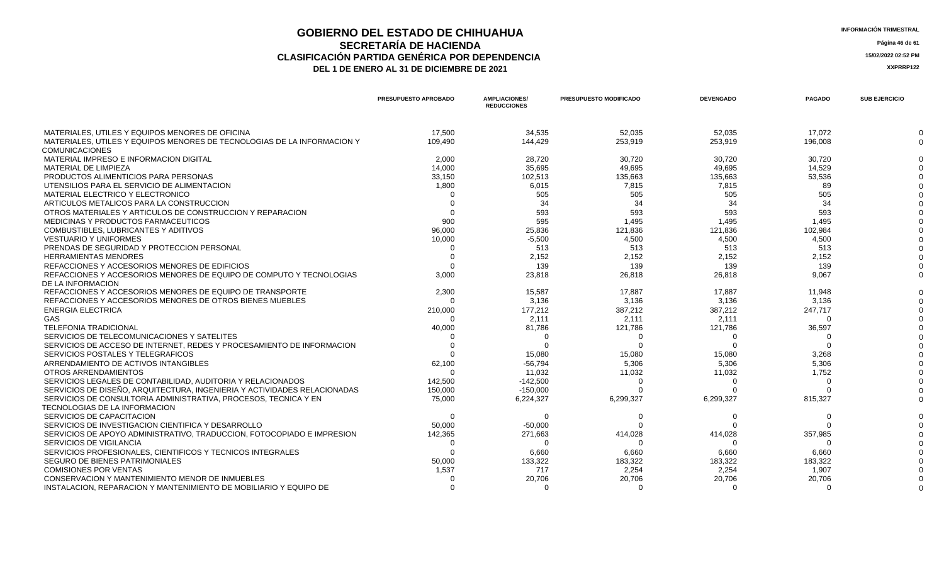# **GOBIERNO DEL ESTADO DE CHIHUAHUA**<br> **INFORMACIÓN TRIMESTRAL**<br> **INFORMACIÓN TRIMESTRAL**<br> **INFORMACIÓN TRIMESTRAL CLASIFICACIÓN PARTIDA GENÉRICA POR DEPENDENCIA 15/02/2022 02:52 PM**

DEL 1 DE ENERO AL 31 DE DICIEMBRE DE 2021

**SECRETARÍA DE HACIENDA** Página 46 de 61<br>IÓN PARTIDA GENÉRICA POR DEPENDENCIA

|                                                                          | <b>PRESUPUESTO APROBADO</b> | <b>AMPLIACIONES/</b><br><b>REDUCCIONES</b> | <b>PRESUPUESTO MODIFICADO</b> | <b>DEVENGADO</b> | <b>PAGADO</b> | <b>SUB EJERCICIO</b> |
|--------------------------------------------------------------------------|-----------------------------|--------------------------------------------|-------------------------------|------------------|---------------|----------------------|
| MATERIALES, UTILES Y EQUIPOS MENORES DE OFICINA                          | 17.500                      | 34.535                                     | 52.035                        | 52.035           | 17.072        |                      |
| MATERIALES, UTILES Y EQUIPOS MENORES DE TECNOLOGIAS DE LA INFORMACION Y  | 109,490                     | 144,429                                    | 253,919                       | 253,919          | 196,008       |                      |
| <b>COMUNICACIONES</b>                                                    |                             |                                            |                               |                  |               |                      |
| MATERIAL IMPRESO E INFORMACION DIGITAL                                   | 2,000                       | 28.720                                     | 30.720                        | 30.720           | 30.720        |                      |
| MATERIAL DE LIMPIEZA                                                     | 14,000                      | 35,695                                     | 49.695                        | 49.695           | 14,529        |                      |
| PRODUCTOS ALIMENTICIOS PARA PERSONAS                                     | 33,150                      | 102,513                                    | 135,663                       | 135,663          | 53,536        |                      |
| UTENSILIOS PARA EL SERVICIO DE ALIMENTACION                              | 1,800                       | 6,015                                      | 7.815                         | 7.815            | 89            |                      |
| MATERIAL ELECTRICO Y ELECTRONICO                                         |                             | 505                                        | 505                           | 505              | 505           |                      |
| ARTICULOS METALICOS PARA LA CONSTRUCCION                                 |                             | 34                                         | 34                            | 34               | -34           |                      |
| OTROS MATERIALES Y ARTICULOS DE CONSTRUCCION Y REPARACION                |                             | 593                                        | 593                           | 593              | 593           |                      |
| MEDICINAS Y PRODUCTOS FARMACEUTICOS                                      | 900                         | 595                                        | 1.495                         | 1.495            | 1.495         |                      |
| COMBUSTIBLES, LUBRICANTES Y ADITIVOS                                     | 96,000                      | 25,836                                     | 121.836                       | 121.836          | 102.984       |                      |
| <b>VESTUARIO Y UNIFORMES</b>                                             | 10,000                      | $-5,500$                                   | 4,500                         | 4,500            | 4,500         |                      |
| PRENDAS DE SEGURIDAD Y PROTECCION PERSONAL                               |                             | 513                                        | 513                           | 513              | 513           |                      |
| <b>HERRAMIENTAS MENORES</b>                                              |                             | 2,152                                      | 2,152                         | 2,152            | 2,152         |                      |
| REFACCIONES Y ACCESORIOS MENORES DE EDIFICIOS                            |                             | 139                                        | 139                           | 139              | 139           |                      |
| REFACCIONES Y ACCESORIOS MENORES DE EQUIPO DE COMPUTO Y TECNOLOGIAS      | 3,000                       | 23,818                                     | 26,818                        | 26,818           | 9,067         |                      |
| DE LA INFORMACION                                                        |                             |                                            |                               |                  |               |                      |
| REFACCIONES Y ACCESORIOS MENORES DE EQUIPO DE TRANSPORTE                 | 2,300                       | 15,587                                     | 17,887                        | 17,887           | 11,948        |                      |
| REFACCIONES Y ACCESORIOS MENORES DE OTROS BIENES MUEBLES                 |                             | 3,136                                      | 3,136                         | 3,136            | 3,136         |                      |
| <b>ENERGIA ELECTRICA</b>                                                 | 210,000                     | 177,212                                    | 387,212                       | 387,212          | 247,717       |                      |
| GAS                                                                      |                             | 2,111                                      | 2.111                         | 2.111            | $\Omega$      |                      |
| <b>TELEFONIA TRADICIONAL</b>                                             | 40,000                      | 81,786                                     | 121,786                       | 121,786          | 36,597        |                      |
| SERVICIOS DE TELECOMUNICACIONES Y SATELITES                              |                             |                                            |                               | $\Omega$         |               |                      |
| SERVICIOS DE ACCESO DE INTERNET, REDES Y PROCESAMIENTO DE INFORMACION    |                             |                                            |                               |                  |               |                      |
| SERVICIOS POSTALES Y TELEGRAFICOS                                        |                             | 15,080                                     | 15,080                        | 15,080           | 3,268         |                      |
| ARRENDAMIENTO DE ACTIVOS INTANGIBLES                                     | 62,100                      | $-56.794$                                  | 5,306                         | 5,306            | 5,306         |                      |
| OTROS ARRENDAMIENTOS                                                     |                             | 11,032                                     | 11,032                        | 11,032           | 1,752         |                      |
| SERVICIOS LEGALES DE CONTABILIDAD. AUDITORIA Y RELACIONADOS              | 142,500                     | $-142.500$                                 | $\Omega$                      | $\Omega$         | $\Omega$      |                      |
| SERVICIOS DE DISEÑO, ARQUITECTURA, INGENIERIA Y ACTIVIDADES RELACIONADAS | 150,000                     | $-150,000$                                 |                               |                  |               |                      |
| SERVICIOS DE CONSULTORIA ADMINISTRATIVA, PROCESOS, TECNICA Y EN          | 75,000                      | 6,224,327                                  | 6,299,327                     | 6,299,327        | 815,327       |                      |
| TECNOLOGIAS DE LA INFORMACION                                            |                             |                                            |                               |                  |               |                      |
| SERVICIOS DE CAPACITACION                                                |                             |                                            |                               |                  |               |                      |
| SERVICIOS DE INVESTIGACION CIENTIFICA Y DESARROLLO                       | 50,000                      | $-50,000$                                  |                               |                  |               |                      |
| SERVICIOS DE APOYO ADMINISTRATIVO, TRADUCCION, FOTOCOPIADO E IMPRESION   | 142,365                     | 271,663                                    | 414,028                       | 414,028          | 357,985       |                      |
| <b>SERVICIOS DE VIGILANCIA</b>                                           |                             | $\Omega$                                   |                               |                  | ∩             |                      |
| SERVICIOS PROFESIONALES, CIENTIFICOS Y TECNICOS INTEGRALES               |                             | 6,660                                      | 6,660                         | 6,660            | 6,660         |                      |
| SEGURO DE BIENES PATRIMONIALES                                           | 50,000                      | 133,322                                    | 183,322                       | 183,322          | 183,322       |                      |
| <b>COMISIONES POR VENTAS</b>                                             | 1,537                       | 717                                        | 2,254                         | 2,254            | 1,907         |                      |
| CONSERVACION Y MANTENIMIENTO MENOR DE INMUEBLES                          |                             | 20,706                                     | 20,706                        | 20,706           | 20,706        |                      |
| INSTALACION. REPARACION Y MANTENIMIENTO DE MOBILIARIO Y EQUIPO DE        |                             |                                            |                               | $\Omega$         | $\Omega$      |                      |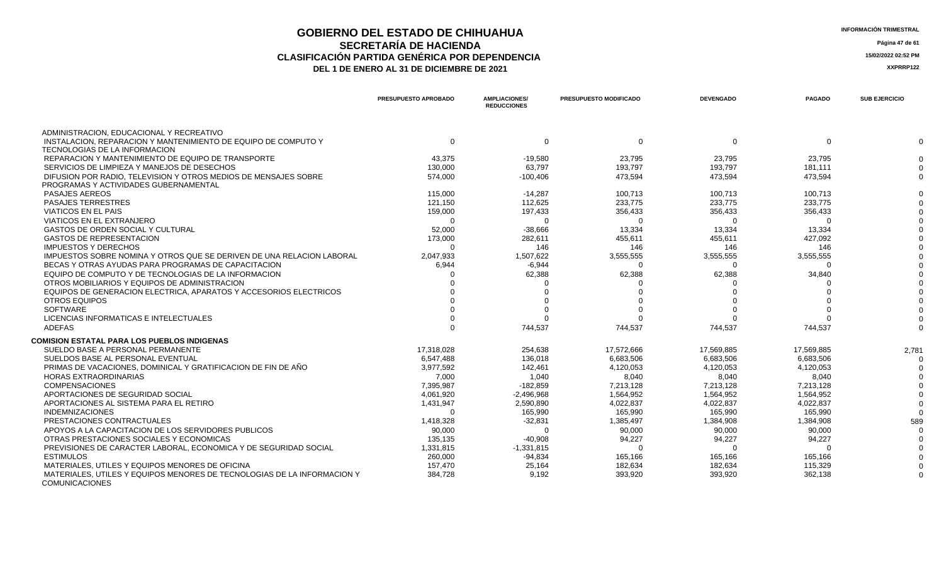### **GOBIERNO DEL ESTADO DE CHIHUAHUA**<br> **INFORMACIÓN TRIMESTRAL**<br> **INFORMACIÓN TRIMESTRAL**<br> **Información trimestral SECRETARÍA DE HACIENDA** Página 47 de 61<br>IÓN PARTIDA GENÉRICA POR DEPENDENCIA **CLASIFICACIÓN PARTIDA GENÉRICA POR DEPENDENCIA**<br> **THE 1 DE ENERO AL 31 DE DICIEMBRE DE 2021**<br> **ARREGISTIVA DE LA DE ENERO AL 31 DE DICIEMBRE DE 2021** DEL 1 DE ENERO AL 31 DE DICIEMBRE DE 2021

|                                                                                                  | PRESUPUESTO APROBADO | <b>AMPLIACIONES/</b><br><b>REDUCCIONES</b> | PRESUPUESTO MODIFICADO | <b>DEVENGADO</b> | <b>PAGADO</b> | <b>SUB EJERCICIO</b> |
|--------------------------------------------------------------------------------------------------|----------------------|--------------------------------------------|------------------------|------------------|---------------|----------------------|
| ADMINISTRACION, EDUCACIONAL Y RECREATIVO                                                         |                      |                                            |                        |                  |               |                      |
| INSTALACION. REPARACION Y MANTENIMIENTO DE EQUIPO DE COMPUTO Y<br>TECNOLOGIAS DE LA INFORMACION  | $\mathbf 0$          | $\mathbf 0$                                | $\mathbf{0}$           | $\Omega$         | $\Omega$      |                      |
| REPARACION Y MANTENIMIENTO DE EQUIPO DE TRANSPORTE                                               | 43,375               | $-19,580$                                  | 23,795                 | 23,795           | 23,795        |                      |
| SERVICIOS DE LIMPIEZA Y MANEJOS DE DESECHOS                                                      | 130,000              | 63,797                                     | 193,797                | 193,797          | 181,111       |                      |
| DIFUSION POR RADIO. TELEVISION Y OTROS MEDIOS DE MENSAJES SOBRE                                  | 574,000              | $-100,406$                                 | 473,594                | 473,594          | 473.594       |                      |
| PROGRAMAS Y ACTIVIDADES GUBERNAMENTAL                                                            |                      |                                            |                        |                  |               |                      |
| <b>PASAJES AEREOS</b>                                                                            | 115.000              | $-14,287$                                  | 100,713                | 100,713          | 100.713       |                      |
| <b>PASAJES TERRESTRES</b>                                                                        | 121,150              | 112,625                                    | 233,775                | 233,775          | 233,775       |                      |
| <b>VIATICOS EN EL PAIS</b>                                                                       | 159,000              | 197,433                                    | 356,433                | 356,433          | 356,433       |                      |
| VIATICOS EN EL EXTRANJERO                                                                        | $\Omega$             |                                            | 0                      |                  |               |                      |
| GASTOS DE ORDEN SOCIAL Y CULTURAL                                                                | 52,000               | $-38,666$                                  | 13,334                 | 13,334           | 13,334        |                      |
| <b>GASTOS DE REPRESENTACION</b>                                                                  | 173,000              | 282,611                                    | 455,611                | 455,611          | 427,092       |                      |
| <b>IMPUESTOS Y DERECHOS</b>                                                                      | ∩                    | 146                                        | 146                    | 146              | 146           |                      |
| IMPUESTOS SOBRE NOMINA Y OTROS QUE SE DERIVEN DE UNA RELACION LABORAL                            | 2,047,933            | 1,507,622                                  | 3,555,555              | 3,555,555        | 3,555,555     |                      |
| BECAS Y OTRAS AYUDAS PARA PROGRAMAS DE CAPACITACION                                              | 6,944                | $-6,944$                                   | $\Omega$               | $\Omega$         | $\Omega$      |                      |
| EQUIPO DE COMPUTO Y DE TECNOLOGIAS DE LA INFORMACION                                             |                      | 62,388                                     | 62,388                 | 62,388           | 34,840        |                      |
| OTROS MOBILIARIOS Y EQUIPOS DE ADMINISTRACION                                                    |                      |                                            |                        |                  |               |                      |
| EQUIPOS DE GENERACION ELECTRICA, APARATOS Y ACCESORIOS ELECTRICOS                                |                      |                                            |                        |                  |               |                      |
| OTROS EQUIPOS                                                                                    |                      |                                            |                        |                  |               |                      |
| <b>SOFTWARE</b>                                                                                  |                      |                                            |                        |                  |               |                      |
| LICENCIAS INFORMATICAS E INTELECTUALES                                                           |                      |                                            |                        |                  |               |                      |
| <b>ADEFAS</b>                                                                                    |                      | 744,537                                    | 744,537                | 744,537          | 744,537       |                      |
| <b>COMISION ESTATAL PARA LOS PUEBLOS INDIGENAS</b>                                               |                      |                                            |                        |                  |               |                      |
| SUELDO BASE A PERSONAL PERMANENTE                                                                | 17,318,028           | 254,638                                    | 17,572,666             | 17,569,885       | 17,569,885    | 2,781                |
| SUELDOS BASE AL PERSONAL EVENTUAL                                                                | 6,547,488            | 136,018                                    | 6,683,506              | 6,683,506        | 6,683,506     |                      |
| PRIMAS DE VACACIONES, DOMINICAL Y GRATIFICACION DE FIN DE AÑO                                    | 3,977,592            | 142,461                                    | 4,120,053              | 4,120,053        | 4,120,053     |                      |
| <b>HORAS EXTRAORDINARIAS</b>                                                                     | 7.000                | 1.040                                      | 8,040                  | 8,040            | 8,040         |                      |
| <b>COMPENSACIONES</b>                                                                            | 7,395,987            | $-182,859$                                 | 7,213,128              | 7,213,128        | 7,213,128     |                      |
| APORTACIONES DE SEGURIDAD SOCIAL                                                                 | 4,061,920            | $-2,496,968$                               | 1,564,952              | 1,564,952        | 1,564,952     |                      |
| APORTACIONES AL SISTEMA PARA EL RETIRO                                                           | 1,431,947            | 2,590,890                                  | 4,022,837              | 4,022,837        | 4,022,837     |                      |
| <b>INDEMNIZACIONES</b>                                                                           | $\Omega$             | 165,990                                    | 165,990                | 165,990          | 165,990       |                      |
| PRESTACIONES CONTRACTUALES                                                                       | 1,418,328            | $-32,831$                                  | 1,385,497              | 1,384,908        | 1,384,908     | 589                  |
| APOYOS A LA CAPACITACION DE LOS SERVIDORES PUBLICOS                                              | 90,000               | $\Omega$                                   | 90,000                 | 90,000           | 90,000        |                      |
| OTRAS PRESTACIONES SOCIALES Y ECONOMICAS                                                         | 135,135              | $-40,908$                                  | 94,227                 | 94,227           | 94,227        |                      |
| PREVISIONES DE CARACTER LABORAL, ECONOMICA Y DE SEGURIDAD SOCIAL                                 | 1,331,815            | $-1,331,815$                               | ∩                      |                  |               |                      |
| <b>ESTIMULOS</b>                                                                                 | 260,000              | $-94,834$                                  | 165,166                | 165,166          | 165,166       |                      |
| MATERIALES, UTILES Y EQUIPOS MENORES DE OFICINA                                                  | 157,470              | 25,164                                     | 182,634                | 182,634          | 115,329       |                      |
| MATERIALES, UTILES Y EQUIPOS MENORES DE TECNOLOGIAS DE LA INFORMACION Y<br><b>COMUNICACIONES</b> | 384,728              | 9,192                                      | 393,920                | 393,920          | 362,138       |                      |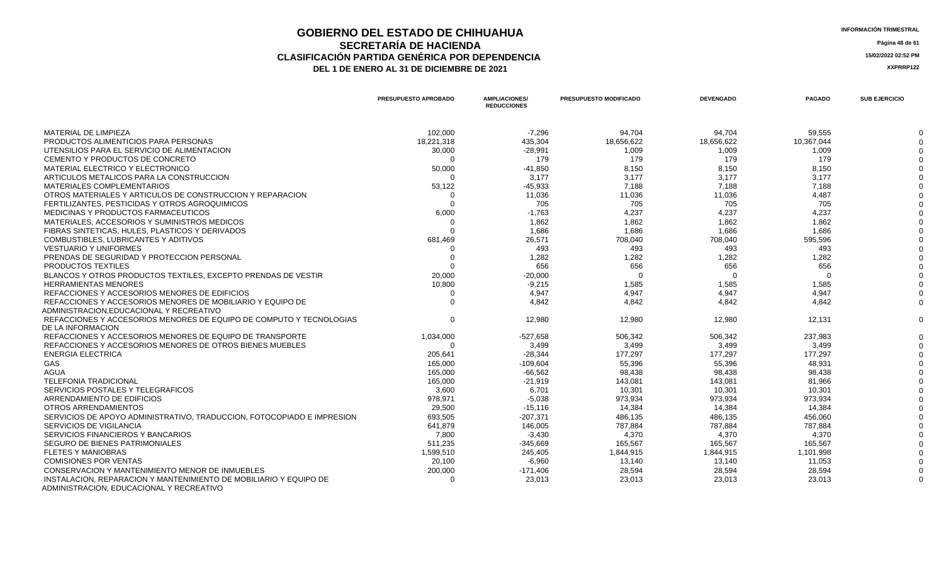### **GOBIERNO DEL ESTADO DE CHIHUAHUA**<br> **INFORMACIÓN TRIMESTRAL**<br> **INFORMACIÓN TRIMESTRAL**<br> **INFORMACIÓN TRIMESTRAL SECRETARÍA DE HACIENDA** Página 48 de 61<br>IÓN PARTIDA GENÉRICA POR DEPENDENCIA **CLASIFICACIÓN PARTIDA GENÉRICA POR DEPENDENCIA 15/02/2022 02:52 PM** DEL 1 DE ENERO AL 31 DE DICIEMBRE DE 2021

|                                                                                                               | <b>PRESUPUESTO APROBADO</b> | <b>AMPLIACIONES/</b><br><b>REDUCCIONES</b> | <b>PRESUPUESTO MODIFICADO</b> | <b>DEVENGADO</b> | <b>PAGADO</b> | <b>SUB EJERCICIO</b> |
|---------------------------------------------------------------------------------------------------------------|-----------------------------|--------------------------------------------|-------------------------------|------------------|---------------|----------------------|
| MATERIAL DE LIMPIEZA                                                                                          | 102,000                     | $-7.296$                                   | 94,704                        | 94,704           | 59,555        |                      |
| PRODUCTOS ALIMENTICIOS PARA PERSONAS                                                                          | 18,221,318                  | 435,304                                    | 18,656,622                    | 18,656,622       | 10,367,044    |                      |
| UTENSILIOS PARA EL SERVICIO DE ALIMENTACION                                                                   | 30,000                      | $-28,991$                                  | 1,009                         | 1,009            | 1,009         |                      |
| CEMENTO Y PRODUCTOS DE CONCRETO                                                                               | $\Omega$                    | 179                                        | 179                           | 179              | 179           |                      |
| MATERIAL ELECTRICO Y ELECTRONICO                                                                              | 50,000                      | $-41,850$                                  | 8,150                         | 8,150            | 8,150         |                      |
| ARTICULOS METALICOS PARA LA CONSTRUCCION                                                                      |                             | 3,177                                      | 3,177                         | 3,177            | 3,177         |                      |
| <b>MATERIALES COMPLEMENTARIOS</b>                                                                             | 53,122                      | $-45,933$                                  | 7,188                         | 7,188            | 7,188         |                      |
| OTROS MATERIALES Y ARTICULOS DE CONSTRUCCION Y REPARACION                                                     |                             | 11,036                                     | 11,036                        | 11,036           | 4,487         |                      |
| FERTILIZANTES, PESTICIDAS Y OTROS AGROQUIMICOS                                                                |                             | 705                                        | 705                           | 705              | 705           |                      |
| MEDICINAS Y PRODUCTOS FARMACEUTICOS                                                                           | 6,000                       | $-1,763$                                   | 4,237                         | 4,237            | 4,237         |                      |
| MATERIALES, ACCESORIOS Y SUMINISTROS MEDICOS                                                                  | - 0                         | 1,862                                      | 1,862                         | 1,862            | 1,862         |                      |
| FIBRAS SINTETICAS, HULES, PLASTICOS Y DERIVADOS                                                               |                             | 1,686                                      | 1,686                         | 1,686            | 1,686         |                      |
| COMBUSTIBLES, LUBRICANTES Y ADITIVOS                                                                          | 681,469                     | 26,571                                     | 708,040                       | 708,040          | 595,596       |                      |
| <b>VESTUARIO Y UNIFORMES</b>                                                                                  |                             | 493                                        | 493                           | 493              | 493           |                      |
| PRENDAS DE SEGURIDAD Y PROTECCION PERSONAL                                                                    |                             | 1,282                                      | 1,282                         | 1,282            | 1,282         |                      |
| PRODUCTOS TEXTILES                                                                                            |                             | 656                                        | 656                           | 656              | 656           |                      |
| BLANCOS Y OTROS PRODUCTOS TEXTILES, EXCEPTO PRENDAS DE VESTIR                                                 | 20,000                      | $-20,000$                                  | $\Omega$                      | $\Omega$         | $\Omega$      |                      |
| <b>HERRAMIENTAS MENORES</b>                                                                                   | 10,800                      | $-9,215$                                   | 1,585                         | 1,585            | 1,585         |                      |
| REFACCIONES Y ACCESORIOS MENORES DE EDIFICIOS                                                                 |                             | 4,947                                      | 4,947                         | 4,947            | 4,947         |                      |
| REFACCIONES Y ACCESORIOS MENORES DE MOBILIARIO Y EQUIPO DE                                                    |                             | 4,842                                      | 4,842                         | 4,842            | 4,842         |                      |
| ADMINISTRACION.EDUCACIONAL Y RECREATIVO                                                                       |                             |                                            |                               |                  |               |                      |
| REFACCIONES Y ACCESORIOS MENORES DE EQUIPO DE COMPUTO Y TECNOLOGIAS                                           | $\Omega$                    | 12,980                                     | 12,980                        | 12,980           | 12,131        |                      |
| DE LA INFORMACION                                                                                             |                             |                                            |                               |                  |               |                      |
| REFACCIONES Y ACCESORIOS MENORES DE EQUIPO DE TRANSPORTE                                                      | 1,034,000                   | -527,658                                   | 506,342                       | 506,342          | 237,983       |                      |
| REFACCIONES Y ACCESORIOS MENORES DE OTROS BIENES MUEBLES                                                      | $\Omega$                    | 3,499                                      | 3,499                         | 3,499            | 3,499         |                      |
| <b>ENERGIA ELECTRICA</b>                                                                                      | 205,641                     | $-28,344$                                  | 177,297                       | 177,297          | 177,297       |                      |
| GAS                                                                                                           | 165,000                     | -109,604                                   | 55,396                        | 55,396           | 48,931        |                      |
| AGUA                                                                                                          | 165,000                     | $-66,562$                                  | 98,438                        | 98,438           | 98,438        |                      |
| <b>TELEFONIA TRADICIONAL</b>                                                                                  | 165,000                     | $-21,919$                                  | 143,081                       | 143,081          | 81,966        |                      |
| SERVICIOS POSTALES Y TELEGRAFICOS                                                                             | 3,600                       | 6,701                                      | 10,301                        | 10,301           | 10,301        |                      |
| ARRENDAMIENTO DE EDIFICIOS                                                                                    | 978,971                     | $-5,038$                                   | 973,934                       | 973,934          | 973,934       |                      |
| OTROS ARRENDAMIENTOS                                                                                          | 29,500                      | $-15,116$                                  | 14,384                        | 14.384           | 14.384        |                      |
| SERVICIOS DE APOYO ADMINISTRATIVO, TRADUCCION, FOTOCOPIADO E IMPRESION                                        | 693,505                     | $-207,371$                                 | 486,135                       | 486,135          | 456,060       |                      |
| SERVICIOS DE VIGILANCIA                                                                                       | 641,879                     | 146,005                                    | 787,884                       | 787,884          | 787,884       |                      |
| SERVICIOS FINANCIEROS Y BANCARIOS                                                                             | 7,800                       | $-3,430$                                   | 4,370                         | 4,370            | 4,370         |                      |
| SEGURO DE BIENES PATRIMONIALES                                                                                | 511,235                     | $-345,669$                                 | 165,567                       | 165,567          | 165,567       |                      |
| <b>FLETES Y MANIOBRAS</b>                                                                                     | 1,599,510                   | 245,405                                    | 1,844,915                     | 1,844,915        | 1,101,998     |                      |
| <b>COMISIONES POR VENTAS</b>                                                                                  | 20,100                      | $-6,960$                                   | 13,140                        | 13,140           | 11,053        |                      |
| CONSERVACION Y MANTENIMIENTO MENOR DE INMUEBLES                                                               | 200,000                     | $-171,406$                                 | 28,594                        | 28,594           | 28,594        |                      |
| INSTALACION, REPARACION Y MANTENIMIENTO DE MOBILIARIO Y EQUIPO DE<br>ADMINISTRACION, EDUCACIONAL Y RECREATIVO |                             | 23,013                                     | 23,013                        | 23,013           | 23,013        |                      |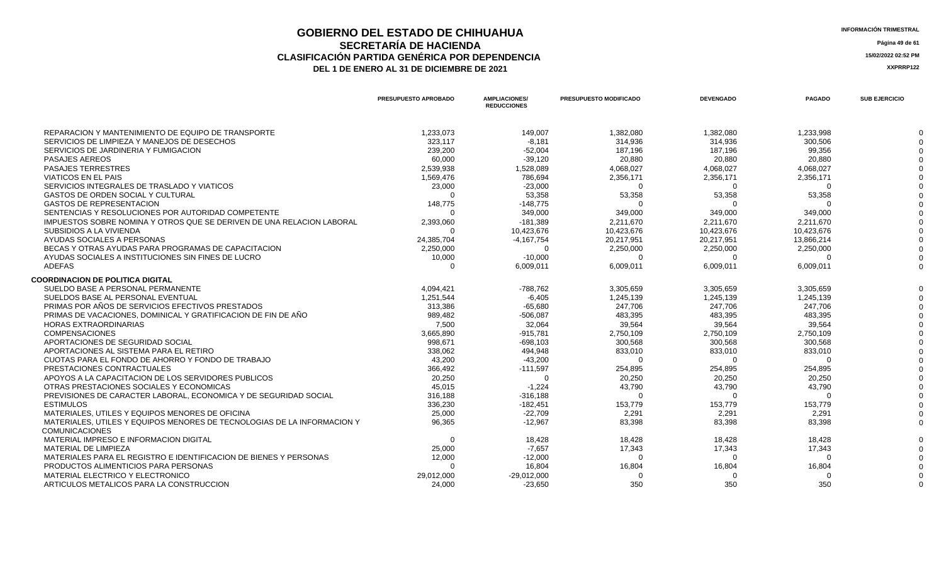### **GOBIERNO DEL ESTADO DE CHIHUAHUA**<br> **INFORMACIÓN TRIMESTRAL**<br> **INFORMACIÓN TRIMESTRAL**<br> **INFORMACIÓN TRIMESTRAL SECRETARÍA DE HACIENDA** Página 49 de 61<br>IÓN PARTIDA GENÉRICA POR DEPENDENCIA **CLASIFICACIÓN PARTIDA GENÉRICA POR DEPENDENCIA 15/02/2022 02:52 PM** DEL 1 DE ENERO AL 31 DE DICIEMBRE DE 2021

|                                                                                           | <b>PRESUPUESTO APROBADO</b> | <b>AMPLIACIONES/</b><br><b>REDUCCIONES</b> | <b>PRESUPUESTO MODIFICADO</b> | <b>DEVENGADO</b>   | <b>PAGADO</b>      | <b>SUB EJERCICIO</b> |
|-------------------------------------------------------------------------------------------|-----------------------------|--------------------------------------------|-------------------------------|--------------------|--------------------|----------------------|
| REPARACION Y MANTENIMIENTO DE EQUIPO DE TRANSPORTE                                        | 1,233,073                   | 149,007                                    | 1,382,080                     | 1,382,080          | 1,233,998          |                      |
| SERVICIOS DE LIMPIEZA Y MANEJOS DE DESECHOS                                               | 323.117                     | $-8.181$                                   | 314,936                       | 314,936            | 300.506            |                      |
| SERVICIOS DE JARDINERIA Y FUMIGACION                                                      | 239,200                     | $-52,004$                                  | 187,196                       | 187,196            | 99,356             |                      |
| <b>PASAJES AEREOS</b>                                                                     | 60,000                      | $-39,120$                                  | 20,880                        | 20,880             | 20,880             |                      |
| <b>PASAJES TERRESTRES</b>                                                                 | 2,539,938                   | 1,528,089                                  | 4,068,027                     | 4,068,027          | 4,068,027          |                      |
| <b>VIATICOS EN EL PAIS</b>                                                                | 1,569,476                   | 786,694                                    | 2,356,171                     | 2,356,171          | 2,356,171          |                      |
| SERVICIOS INTEGRALES DE TRASLADO Y VIATICOS                                               | 23,000                      | $-23,000$                                  | $\Omega$                      |                    |                    |                      |
| GASTOS DE ORDEN SOCIAL Y CULTURAL                                                         | $\Omega$                    | 53,358                                     | 53,358                        | 53,358             | 53,358             |                      |
| <b>GASTOS DE REPRESENTACION</b>                                                           | 148,775                     | $-148,775$                                 |                               |                    |                    |                      |
| SENTENCIAS Y RESOLUCIONES POR AUTORIDAD COMPETENTE                                        | $\Omega$                    | 349,000                                    | 349,000                       | 349,000            | 349,000            |                      |
| IMPUESTOS SOBRE NOMINA Y OTROS QUE SE DERIVEN DE UNA RELACION LABORAL                     | 2,393,060                   | $-181,389$                                 | 2,211,670                     | 2.211.670          | 2.211.670          |                      |
| SUBSIDIOS A LA VIVIENDA                                                                   | ∩                           | 10,423,676                                 | 10,423,676                    | 10,423,676         | 10,423,676         |                      |
| AYUDAS SOCIALES A PERSONAS                                                                | 24,385,704                  | $-4,167,754$                               | 20,217,951                    | 20,217,951         | 13,866,214         |                      |
| BECAS Y OTRAS AYUDAS PARA PROGRAMAS DE CAPACITACION                                       | 2,250,000                   | $\mathbf 0$                                | 2,250,000                     | 2,250,000          | 2,250,000          |                      |
| AYUDAS SOCIALES A INSTITUCIONES SIN FINES DE LUCRO                                        | 10,000                      | $-10,000$                                  | $\Omega$                      | $\Omega$           | $\Omega$           |                      |
| <b>ADEFAS</b>                                                                             | $\Omega$                    | 6,009,011                                  | 6,009,011                     | 6,009,011          | 6,009,011          |                      |
| <b>COORDINACION DE POLITICA DIGITAL</b>                                                   |                             |                                            |                               |                    |                    |                      |
| SUELDO BASE A PERSONAL PERMANENTE                                                         | 4,094,421                   | -788,762                                   | 3,305,659                     | 3,305,659          | 3,305,659          |                      |
| SUELDOS BASE AL PERSONAL EVENTUAL                                                         | 1,251,544                   | $-6,405$                                   | 1,245,139                     | 1,245,139          | 1.245.139          |                      |
| PRIMAS POR AÑOS DE SERVICIOS EFECTIVOS PRESTADOS                                          | 313,386                     | $-65,680$                                  | 247,706                       | 247,706            | 247,706            |                      |
| PRIMAS DE VACACIONES. DOMINICAL Y GRATIFICACION DE FIN DE AÑO                             | 989,482                     | $-506,087$                                 | 483,395                       | 483,395            | 483,395            |                      |
| <b>HORAS EXTRAORDINARIAS</b>                                                              | 7,500                       | 32,064                                     | 39,564                        | 39,564             | 39,564             |                      |
| <b>COMPENSACIONES</b>                                                                     | 3,665,890                   | $-915,781$                                 | 2,750,109                     | 2,750,109          | 2,750,109          |                      |
| APORTACIONES DE SEGURIDAD SOCIAL                                                          | 998,671                     | $-698,103$                                 | 300,568                       | 300,568            | 300,568            |                      |
| APORTACIONES AL SISTEMA PARA EL RETIRO                                                    | 338,062                     | 494,948                                    | 833,010                       | 833,010            | 833,010            |                      |
| CUOTAS PARA EL FONDO DE AHORRO Y FONDO DE TRABAJO                                         | 43,200                      | $-43,200$                                  | $\Omega$                      | $\Omega$           |                    |                      |
| PRESTACIONES CONTRACTUALES                                                                | 366.492                     | $-111,597$                                 | 254,895                       | 254,895            | 254.895            |                      |
| APOYOS A LA CAPACITACION DE LOS SERVIDORES PUBLICOS                                       | 20,250                      | $\Omega$                                   | 20,250                        | 20,250             | 20,250             |                      |
| OTRAS PRESTACIONES SOCIALES Y ECONOMICAS                                                  | 45.015                      | $-1.224$                                   | 43,790                        | 43,790             | 43,790             |                      |
| PREVISIONES DE CARACTER LABORAL, ECONOMICA Y DE SEGURIDAD SOCIAL                          | 316,188                     | $-316,188$                                 | $\Omega$                      |                    |                    |                      |
| <b>ESTIMULOS</b>                                                                          | 336,230                     | $-182,451$                                 | 153,779                       | 153,779            | 153,779            |                      |
| MATERIALES, UTILES Y EQUIPOS MENORES DE OFICINA                                           | 25,000                      | $-22,709$                                  | 2,291                         | 2,291              | 2,291              |                      |
| MATERIALES. UTILES Y EQUIPOS MENORES DE TECNOLOGIAS DE LA INFORMACION Y                   | 96,365                      | $-12,967$                                  | 83,398                        | 83,398             | 83,398             |                      |
| <b>COMUNICACIONES</b>                                                                     |                             |                                            |                               |                    |                    |                      |
| MATERIAL IMPRESO E INFORMACION DIGITAL                                                    | $\Omega$                    | 18,428                                     | 18,428                        | 18,428             | 18,428             |                      |
| MATERIAL DE LIMPIEZA<br>MATERIALES PARA EL REGISTRO E IDENTIFICACION DE BIENES Y PERSONAS | 25,000                      | $-7,657$                                   | 17,343                        | 17,343<br>$\Omega$ | 17,343<br>$\Omega$ |                      |
|                                                                                           | 12,000<br>$\Omega$          | $-12,000$                                  | $\mathbf{0}$                  |                    |                    |                      |
| PRODUCTOS ALIMENTICIOS PARA PERSONAS<br>MATERIAL ELECTRICO Y ELECTRONICO                  |                             | 16,804                                     | 16,804                        | 16,804             | 16,804             |                      |
|                                                                                           | 29,012,000                  | $-29,012,000$                              | O                             |                    |                    |                      |
| ARTICULOS METALICOS PARA LA CONSTRUCCION                                                  | 24,000                      | $-23,650$                                  | 350                           | 350                | 350                |                      |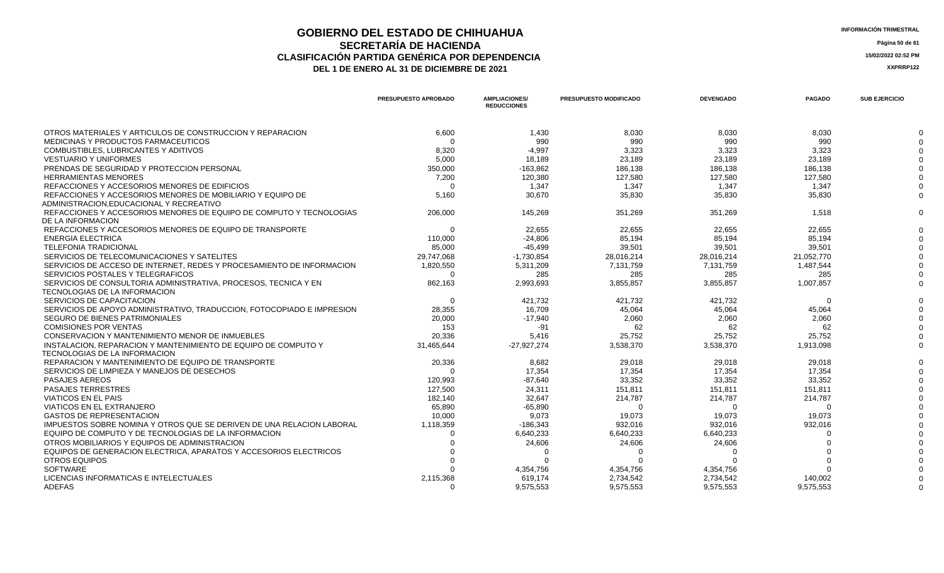## **GOBIERNO DEL ESTADO DE CHIHUAHUA INFORMACIÓN TRIMESTRAL SECRETARÍA DE HACIENDA Página 50 de 61 CLASIFICACIÓN PARTIDA GENÉRICA POR DEPENDENCIA 15/02/2022 02:52 PM**

**DEL 1 DE ENERO AL 31 DE DICIEMBRE DE 2021 XXPRRP122** 

**PRESUPUESTO APROBADO AMPLIACIONES/ REDUCCIONES PRESUPUESTO MODIFICADO DEVENGADO PAGADO SUB EJERCICIO** OTROS MATERIALES Y ARTICULOS DE CONSTRUCCION Y REPARACION 6,600 1,430 8,030 8,030 8,030 0 MEDICINAS Y PRODUCTOS FARMACEUTICOS 0 990 990 990 990 0 COMBUSTIBLES, LUBRICANTES Y ADITIVOS 6.320 6.320 3,323 3,323 3,323 3,323 3,323 3,323 3,323 3,323 3,323 3,323 3,323 3,323 3,323 3,323 3,323 3,323 3,323 3,323 3,323 3,323 3,323 3,323 3,323 3,423 3,323 3,423 3,323 3,423 3,323 VESTUARIO Y UNIFORMES 5,000 18,189 23,189 23,189 23,189 0 PRENDAS DE SEGURIDAD Y PROTECCION PERSONAL 163.862 186.138 186.138 0 HERRAMIENTAS MENORES 7,200 120,380 127,580 127,580 127,580 0 REFACCIONES Y ACCESORIOS MENORES DE EDIFICIOS 0 1,347 1,347 1,347 1,347 0 REFACCIONES Y ACCESORIOS MENORES DE MOBILIARIO Y EQUIPO DE ADMINISTRACION,EDUCACIONAL Y RECREATIVO 5,160 30,670 35,830 35,830 35,830 0 REFACCIONES Y ACCESORIOS MENORES DE EQUIPO DE COMPUTO Y TECNOLOGIAS DE LA INFORMACION 206,000 145,269 351,269 351,269 1,518 0 REFACCIONES Y ACCESORIOS MENORES DE EQUIPO DE TRANSPORTE  $0$  22,655 22,655 22,655 22,655 22,655 22,655 22,655 22,655 0 ENERGIA ELECTRICA 110,000 -24,806 85,194 85,194 85,194 0 TELEFONIA TRADICIONAL 85,000 -45,499 39,501 39,501 39,501 0 SERVICIOS DE TELECOMUNICACIONES Y SATELITES  $29.747,068$   $29.747,068$   $21.730,854$   $28.016,214$   $28.016,214$   $21.052,770$   $21.052,770$   $22.052,770$ SERVICIOS DE ACCESO DE INTERNET. REDES Y PROCESAMIENTO DE INFORMACION 1,820,550 5,311,209 7,131,759 7,131,759 7,131,759 1,487,544 0 SERVICIOS POSTALES Y TELEGRAFICOS 0 285 285 285 285 0 SERVICIOS DE CONSULTORIA ADMINISTRATIVA, PROCESOS, TECNICA Y EN TECNOLOGIAS DE LA INFORMACION 862,163 2,993,693 3,855,857 3,855,857 1,007,857 0 SERVICIOS DE CAPACITACION 0 421,732 421,732 421,732 0 0 SERVICIOS DE APOYO ADMINISTRATIVO, TRADUCCION, FOTOCOPIADO E IMPRESION 28,355 16,709 45,064 45,064 45,064 0 SEGURO DE BIENES PATRIMONIALES 
20.000
20.000
20.000
20.000
20.000
20.000
20.000
20.000
20.000
20.000
20.000
20.000
20.000
20.000
20.000
20.000
20.000
20.000
20.000
20.000
20.000
20.000
20.000
20.000
20.000
20.00 COMISIONES POR VENTAS 153 -91 62 62 62 0 CONSERVACION Y MANTENIMIENTO MENOR DE INMUEBLES 20,336 5,416 25,752 25,752 25,752 0 INSTALACION, REPARACION Y MANTENIMIENTO DE EQUIPO DE COMPUTO Y TECNOLOGIAS DE LA INFORMACION 31,465,644 -27,927,274 3,538,370 3,538,370 1,913,098 0 REPARACION Y MANTENIMIENTO DE EQUIPO DE TRANSPORTE  $20.336$  20.336 8 29,018 29,018 29,018 29,018 29,018 29,018 29,018 29,018 SERVICIOS DE LIMPIEZA Y MANEJOS DE DESECHOS NA SERVICIOS DE LA ENGLACIÓN DE LA ENFERACIÓN DE LA ENFERACIÓN DE LA ENFERACIÓN DE LA ENFERACIÓN DE LA ENFERACIÓN DE LA ENFERACIÓN DE LA ENFERACIÓN DE LA ENFERACIÓN DE LA ENFERAC 0 93,352 33,352 33,352 33,352 33,352 33,352 33,352 33,352 33,352 33,352 33,352 33,352 33,352 33,352 33,352 33,352 33,352 33,352 33,352 33,352 33,352 33,352 33,352 33,352 33,352 33,352 33,352 33,352 33,352 33,352 33,352 33 PASAJES TERRESTRES 127,500 24,311 151,811 151,811 151,811 0 VIATICOS EN EL PAIS 214,787 214,787 214,787 214,787 214,787 214,787 214,787 214,787 214,787 214,787 214,787 0 VIATICOS EN EL EXTRANJERO 65,890 -65,890 0 0 0 0 GASTOS DE REPRESENTACION 9.073 19.073 19.073 0 IMPUESTOS SOBRE NOMINA Y OTROS QUE SE DERIVEN DE UNA RELACION LABORAL 1,118,359 16 186,343 16 932,016 932,016 932,016 932,016 932,016 932,016 932,016 932,016 932,016 932,016 932,016 932,016 932,016 932,016 932,016 932,016 EQUIPO DE COMPUTO Y DE TECNOLOGIAS DE LA INFORMACION 0 6,640,233 6,640,233 6,640,233 0 0 OTROS MOBILIARIOS Y EQUIPOS DE ADMINISTRACION 0 24,606 24,606 24,606 0 0 EQUIPOS DE GENERACION ELECTRICA, APARATOS Y ACCESORIOS ELECTRICOS 0 0 0 0 0 0 OTROS EQUIPOS 0 0 0 0 0 0 SOFTWARE 0 4,354,756 4,354,756 4,354,756 0 0

LICENCIAS INFORMATICAS E INTELECTUALES **2.115,368** 2,115,368 619,174 2,734,542 2,734,542 2,734,542 140,002 0 0 9,575,553 9,575,553 9,575,553 9,575,553 9,575,553 9,575,553 9,575,553 9,575,553 9,575,553 9,575,553 9,575,553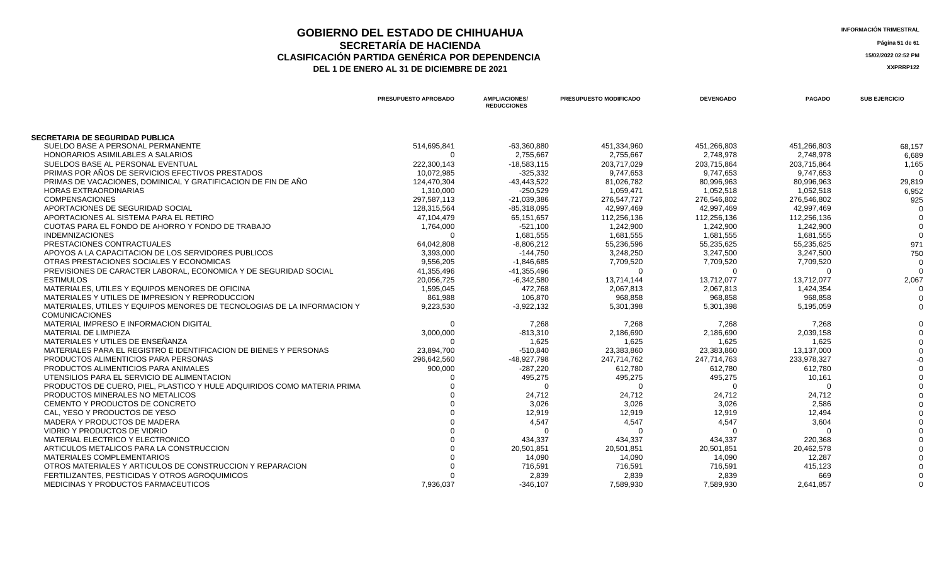### **GOBIERNO DEL ESTADO DE CHIHUAHUA**<br> **INFORMACIÓN TRIMESTRAL**<br> **INFORMACIÓN TRIMESTRAL**<br> **Información trimestral SECRETARÍA DE HACIENDA** Página 51 de 61<br>IÓN PARTIDA GENÉRICA POR DEPENDENCIA **CLASIFICACIÓN PARTIDA GENÉRICA POR DEPENDENCIA**<br> **THE 1 DE ENERO AL 31 DE DICIEMBRE DE 2021**<br> **ARREGISTION AND ACTEUR AUGENCIA DE PROPENTE DE 2021** DEL 1 DE ENERO AL 31 DE DICIEMBRE DE 2021

|                                                                             | PRESUPUESTO APROBADO      | <b>AMPLIACIONES/</b><br><b>REDUCCIONES</b> | PRESUPUESTO MODIFICADO    | <b>DEVENGADO</b>          | <b>PAGADO</b>             | <b>SUB EJERCICIO</b> |
|-----------------------------------------------------------------------------|---------------------------|--------------------------------------------|---------------------------|---------------------------|---------------------------|----------------------|
|                                                                             |                           |                                            |                           |                           |                           |                      |
| SECRETARIA DE SEGURIDAD PUBLICA<br>SUELDO BASE A PERSONAL PERMANENTE        | 514,695,841               | $-63,360,880$                              | 451,334,960               | 451,266,803               | 451,266,803               | 68.157               |
| <b>HONORARIOS ASIMILABLES A SALARIOS</b>                                    | $\Omega$                  | 2,755,667                                  | 2,755,667                 | 2,748,978                 | 2,748,978                 | 6,689                |
| SUELDOS BASE AL PERSONAL EVENTUAL                                           | 222,300,143               | $-18,583,115$                              | 203,717,029               | 203,715,864               | 203,715,864               |                      |
| PRIMAS POR AÑOS DE SERVICIOS EFECTIVOS PRESTADOS                            |                           |                                            |                           | 9,747,653                 | 9,747,653                 | 1,165                |
| PRIMAS DE VACACIONES. DOMINICAL Y GRATIFICACION DE FIN DE AÑO               | 10,072,985<br>124,470,304 | $-325,332$<br>$-43,443,522$                | 9,747,653<br>81,026,782   | 80,996,963                | 80,996,963                | 29,819               |
| <b>HORAS EXTRAORDINARIAS</b>                                                | 1,310,000                 | $-250,529$                                 | 1,059,471                 | 1,052,518                 | 1,052,518                 | 6,952                |
| <b>COMPENSACIONES</b>                                                       | 297,587,113               |                                            |                           |                           |                           | 925                  |
| APORTACIONES DE SEGURIDAD SOCIAL                                            | 128,315,564               | $-21,039,386$<br>$-85,318,095$             | 276,547,727<br>42,997,469 | 276,546,802<br>42,997,469 | 276,546,802<br>42,997,469 |                      |
| APORTACIONES AL SISTEMA PARA EL RETIRO                                      |                           | 65,151,657                                 |                           |                           |                           |                      |
|                                                                             | 47,104,479                | $-521,100$                                 | 112,256,136               | 112,256,136               | 112,256,136               |                      |
| CUOTAS PARA EL FONDO DE AHORRO Y FONDO DE TRABAJO<br><b>INDEMNIZACIONES</b> | 1,764,000<br>$\Omega$     |                                            | 1,242,900                 | 1,242,900                 | 1,242,900                 |                      |
|                                                                             |                           | 1,681,555                                  | 1,681,555                 | 1,681,555                 | 1,681,555                 |                      |
| PRESTACIONES CONTRACTUALES                                                  | 64,042,808                | $-8,806,212$                               | 55,236,596                | 55,235,625                | 55,235,625                | 971                  |
| APOYOS A LA CAPACITACION DE LOS SERVIDORES PUBLICOS                         | 3,393,000                 | $-144,750$                                 | 3,248,250                 | 3,247,500                 | 3,247,500                 | 750                  |
| OTRAS PRESTACIONES SOCIALES Y ECONOMICAS                                    | 9,556,205                 | $-1,846,685$                               | 7,709,520                 | 7,709,520                 | 7,709,520                 |                      |
| PREVISIONES DE CARACTER LABORAL, ECONOMICA Y DE SEGURIDAD SOCIAL            | 41,355,496                | $-41,355,496$                              | $\Omega$                  |                           |                           |                      |
| <b>ESTIMULOS</b>                                                            | 20,056,725                | $-6,342,580$                               | 13,714,144                | 13,712,077                | 13,712,077                | 2,067                |
| MATERIALES, UTILES Y EQUIPOS MENORES DE OFICINA                             | 1,595,045                 | 472,768                                    | 2,067,813                 | 2,067,813                 | 1,424,354                 |                      |
| MATERIALES Y UTILES DE IMPRESION Y REPRODUCCION                             | 861,988                   | 106,870                                    | 968,858                   | 968,858                   | 968,858                   |                      |
| MATERIALES, UTILES Y EQUIPOS MENORES DE TECNOLOGIAS DE LA INFORMACION Y     | 9,223,530                 | $-3,922,132$                               | 5,301,398                 | 5,301,398                 | 5,195,059                 |                      |
| <b>COMUNICACIONES</b>                                                       |                           |                                            |                           |                           |                           |                      |
| MATERIAL IMPRESO E INFORMACION DIGITAL                                      | ∩                         | 7,268                                      | 7,268                     | 7,268                     | 7,268                     |                      |
| MATERIAL DE LIMPIEZA                                                        | 3,000,000                 | $-813,310$                                 | 2,186,690                 | 2,186,690                 | 2,039,158                 |                      |
| MATERIALES Y UTILES DE ENSEÑANZA                                            | $\Omega$                  | 1,625                                      | 1,625                     | 1,625                     | 1,625                     |                      |
| MATERIALES PARA EL REGISTRO E IDENTIFICACION DE BIENES Y PERSONAS           | 23,894,700                | $-510,840$                                 | 23,383,860                | 23,383,860                | 13,137,000                |                      |
| PRODUCTOS ALIMENTICIOS PARA PERSONAS                                        | 296,642,560               | -48,927,798                                | 247,714,762               | 247,714,763               | 233,978,327               |                      |
| PRODUCTOS ALIMENTICIOS PARA ANIMALES                                        | 900,000                   | $-287,220$                                 | 612,780                   | 612,780                   | 612,780                   |                      |
| UTENSILIOS PARA EL SERVICIO DE ALIMENTACION                                 |                           | 495,275                                    | 495,275                   | 495,275                   | 10,161                    |                      |
| PRODUCTOS DE CUERO. PIEL. PLASTICO Y HULE ADQUIRIDOS COMO MATERIA PRIMA     |                           | $\Omega$                                   | $\Omega$                  |                           |                           |                      |
| PRODUCTOS MINERALES NO METALICOS                                            |                           | 24,712                                     | 24,712                    | 24,712                    | 24,712                    |                      |
| CEMENTO Y PRODUCTOS DE CONCRETO                                             |                           | 3,026                                      | 3,026                     | 3,026                     | 2,586                     |                      |
| CAL. YESO Y PRODUCTOS DE YESO                                               |                           | 12,919                                     | 12,919                    | 12,919                    | 12,494                    |                      |
| MADERA Y PRODUCTOS DE MADERA                                                |                           | 4,547                                      | 4,547                     | 4,547                     | 3,604                     |                      |
| VIDRIO Y PRODUCTOS DE VIDRIO                                                |                           |                                            | O                         |                           |                           |                      |
| MATERIAL ELECTRICO Y ELECTRONICO                                            |                           | 434,337                                    | 434,337                   | 434,337                   | 220,368                   |                      |
| ARTICULOS METALICOS PARA LA CONSTRUCCION                                    |                           | 20,501,851                                 | 20,501,851                | 20,501,851                | 20,462,578                |                      |
| <b>MATERIALES COMPLEMENTARIOS</b>                                           |                           | 14,090                                     | 14,090                    | 14,090                    | 12,287                    |                      |
| OTROS MATERIALES Y ARTICULOS DE CONSTRUCCION Y REPARACION                   |                           | 716,591                                    | 716,591                   | 716,591                   | 415,123                   |                      |
| FERTILIZANTES, PESTICIDAS Y OTROS AGROQUIMICOS                              |                           | 2,839                                      | 2,839                     | 2,839                     | 669                       |                      |
| MEDICINAS Y PRODUCTOS FARMACEUTICOS                                         | 7,936,037                 | $-346,107$                                 | 7,589,930                 | 7,589,930                 | 2,641,857                 |                      |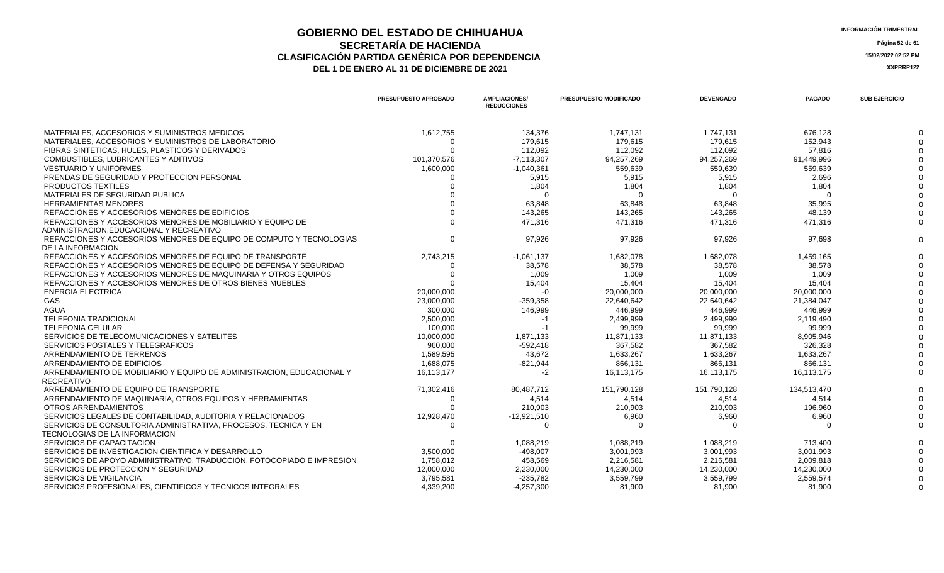**GOBIERNO DEL ESTADO DE CHIHUAHUA**<br> **INFORMACIÓN TRIMESTRAL**<br> **INFORMACIÓN TRIMESTRAL**<br> **Información trimestral SECRETARÍA DE HACIENDA** Página 52 de 61<br>IÓN PARTIDA GENÉRICA POR DEPENDENCIA **CLASIFICACIÓN PARTIDA GENÉRICA POR DEPENDENCIA 15/02/2022 02:52 PM** DEL 1 DE ENERO AL 31 DE DICIEMBRE DE 2021

|                                                                                                       | PRESUPUESTO APROBADO | <b>AMPLIACIONES/</b><br><b>REDUCCIONES</b> | <b>PRESUPUESTO MODIFICADO</b> | <b>DEVENGADO</b> | <b>PAGADO</b> | <b>SUB EJERCICIO</b> |
|-------------------------------------------------------------------------------------------------------|----------------------|--------------------------------------------|-------------------------------|------------------|---------------|----------------------|
| MATERIALES, ACCESORIOS Y SUMINISTROS MEDICOS                                                          | 1,612,755            | 134,376                                    | 1,747,131                     | 1,747,131        | 676,128       |                      |
| MATERIALES, ACCESORIOS Y SUMINISTROS DE LABORATORIO                                                   |                      | 179.615                                    | 179.615                       | 179.615          | 152.943       |                      |
| FIBRAS SINTETICAS, HULES, PLASTICOS Y DERIVADOS                                                       |                      | 112,092                                    | 112,092                       | 112,092          | 57,816        |                      |
| COMBUSTIBLES, LUBRICANTES Y ADITIVOS                                                                  | 101,370,576          | $-7,113,307$                               | 94,257,269                    | 94,257,269       | 91,449,996    |                      |
| <b>VESTUARIO Y UNIFORMES</b>                                                                          | 1,600,000            | $-1,040,361$                               | 559,639                       | 559,639          | 559,639       |                      |
| PRENDAS DE SEGURIDAD Y PROTECCION PERSONAL                                                            |                      | 5,915                                      | 5,915                         | 5,915            | 2,696         |                      |
| PRODUCTOS TEXTILES                                                                                    |                      | 1,804                                      | 1,804                         | 1,804            | 1,804         |                      |
| MATERIALES DE SEGURIDAD PUBLICA                                                                       |                      | ∩                                          | ∩                             |                  |               |                      |
| <b>HERRAMIENTAS MENORES</b>                                                                           |                      | 63,848                                     | 63,848                        | 63,848           | 35,995        |                      |
| REFACCIONES Y ACCESORIOS MENORES DE EDIFICIOS                                                         |                      | 143.265                                    | 143.265                       | 143.265          | 48.139        |                      |
| REFACCIONES Y ACCESORIOS MENORES DE MOBILIARIO Y EQUIPO DE<br>ADMINISTRACION.EDUCACIONAL Y RECREATIVO |                      | 471,316                                    | 471,316                       | 471,316          | 471,316       |                      |
| REFACCIONES Y ACCESORIOS MENORES DE EQUIPO DE COMPUTO Y TECNOLOGIAS                                   | O                    | 97,926                                     | 97,926                        | 97,926           | 97,698        |                      |
| DE LA INFORMACION                                                                                     |                      |                                            |                               |                  |               |                      |
| REFACCIONES Y ACCESORIOS MENORES DE EQUIPO DE TRANSPORTE                                              | 2,743,215            | $-1,061,137$                               | 1,682,078                     | 1,682,078        | 1,459,165     |                      |
| REFACCIONES Y ACCESORIOS MENORES DE EQUIPO DE DEFENSA Y SEGURIDAD                                     | 0                    | 38,578                                     | 38,578                        | 38,578           | 38.578        |                      |
| REFACCIONES Y ACCESORIOS MENORES DE MAQUINARIA Y OTROS EQUIPOS                                        |                      | 1,009                                      | 1,009                         | 1,009            | 1,009         |                      |
| REFACCIONES Y ACCESORIOS MENORES DE OTROS BIENES MUEBLES                                              |                      | 15.404                                     | 15.404                        | 15.404           | 15.404        |                      |
| <b>ENERGIA ELECTRICA</b>                                                                              | 20,000,000           | $-0$                                       | 20,000,000                    | 20,000,000       | 20,000,000    |                      |
| GAS                                                                                                   | 23,000,000           | $-359,358$                                 | 22,640,642                    | 22,640,642       | 21,384,047    |                      |
| <b>AGUA</b>                                                                                           | 300,000              | 146,999                                    | 446,999                       | 446,999          | 446,999       |                      |
| <b>TELEFONIA TRADICIONAL</b>                                                                          | 2,500,000            | $-1$                                       | 2,499,999                     | 2,499,999        | 2.119.490     |                      |
| <b>TELEFONIA CELULAR</b>                                                                              | 100,000              | $-1$                                       | 99,999                        | 99,999           | 99,999        |                      |
| SERVICIOS DE TELECOMUNICACIONES Y SATELITES                                                           | 10,000,000           | 1,871,133                                  | 11,871,133                    | 11,871,133       | 8,905,946     |                      |
| SERVICIOS POSTALES Y TELEGRAFICOS                                                                     | 960,000              | $-592,418$                                 | 367,582                       | 367,582          | 326,328       |                      |
| ARRENDAMIENTO DE TERRENOS                                                                             | 1.589.595            | 43.672                                     | 1.633.267                     | 1.633.267        | 1.633.267     |                      |
| ARRENDAMIENTO DE EDIFICIOS                                                                            | 1,688,075            | $-821,944$                                 | 866,131                       | 866,131          | 866,131       |                      |
| ARRENDAMIENTO DE MOBILIARIO Y EQUIPO DE ADMINISTRACION. EDUCACIONAL Y<br>RECREATIVO                   | 16.113.177           | $-2$                                       | 16,113,175                    | 16,113,175       | 16,113,175    |                      |
| ARRENDAMIENTO DE EQUIPO DE TRANSPORTE                                                                 | 71,302,416           | 80.487.712                                 | 151,790,128                   | 151,790,128      | 134,513,470   |                      |
| ARRENDAMIENTO DE MAQUINARIA, OTROS EQUIPOS Y HERRAMIENTAS                                             | ∩                    | 4,514                                      | 4,514                         | 4,514            | 4.514         |                      |
| <b>OTROS ARRENDAMIENTOS</b>                                                                           |                      | 210.903                                    | 210.903                       | 210.903          | 196.960       |                      |
| SERVICIOS LEGALES DE CONTABILIDAD, AUDITORIA Y RELACIONADOS                                           | 12,928,470           | $-12,921,510$                              | 6,960                         | 6,960            | 6,960         |                      |
| SERVICIOS DE CONSULTORIA ADMINISTRATIVA. PROCESOS. TECNICA Y EN<br>TECNOLOGIAS DE LA INFORMACION      | $\Omega$             | $\Omega$                                   | ſ                             |                  |               |                      |
| SERVICIOS DE CAPACITACION                                                                             |                      | 1,088,219                                  | 1,088,219                     | 1,088,219        | 713,400       |                      |
| SERVICIOS DE INVESTIGACION CIENTIFICA Y DESARROLLO                                                    | 3,500,000            | $-498,007$                                 | 3,001,993                     | 3,001,993        | 3,001,993     |                      |
| SERVICIOS DE APOYO ADMINISTRATIVO, TRADUCCION, FOTOCOPIADO E IMPRESION                                | 1,758,012            | 458,569                                    | 2,216,581                     | 2,216,581        | 2,009,818     |                      |
| SERVICIOS DE PROTECCION Y SEGURIDAD                                                                   | 12,000,000           | 2,230,000                                  | 14,230,000                    | 14,230,000       | 14,230,000    |                      |
| SERVICIOS DE VIGILANCIA                                                                               | 3,795,581            | $-235,782$                                 | 3,559,799                     | 3,559,799        | 2,559,574     |                      |
| SERVICIOS PROFESIONALES, CIENTIFICOS Y TECNICOS INTEGRALES                                            | 4,339,200            | $-4,257,300$                               | 81,900                        | 81,900           | 81,900        |                      |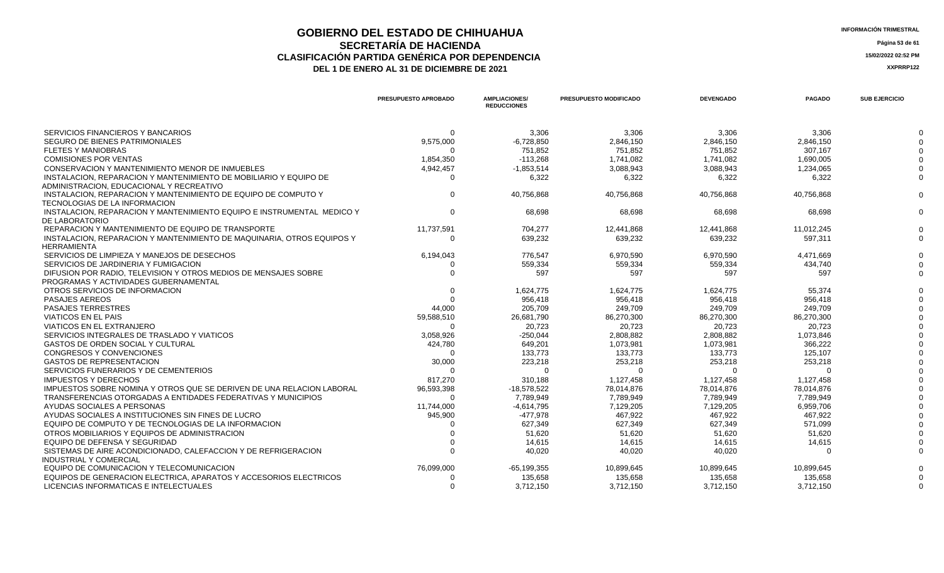## **GOBIERNO DEL ESTADO DE CHIHUAHUA**<br> **GEOBETADÍA DE HACIENDA SECRETARÍA DE HACIENDA Página 53 de 61 CLASIFICACIÓN PARTIDA GENÉRICA POR DEPENDENCIA 15/02/2022 02:52 PM**

**DEL 1 DE ENERO AL 31 DE DICIEMBRE DE 2021 XXPRRP122** 

|                                                                                                               | <b>PRESUPUESTO APROBADO</b> | <b>AMPLIACIONES/</b><br><b>REDUCCIONES</b> | <b>PRESUPUESTO MODIFICADO</b> | <b>DEVENGADO</b> | <b>PAGADO</b> | <b>SUB EJERCICIO</b> |
|---------------------------------------------------------------------------------------------------------------|-----------------------------|--------------------------------------------|-------------------------------|------------------|---------------|----------------------|
|                                                                                                               |                             |                                            |                               |                  |               |                      |
| SERVICIOS FINANCIEROS Y BANCARIOS                                                                             |                             | 3,306                                      | 3,306                         | 3,306            | 3,306         |                      |
| SEGURO DE BIENES PATRIMONIALES                                                                                | 9,575,000                   | $-6,728,850$                               | 2,846,150                     | 2,846,150        | 2,846,150     |                      |
| <b>FLETES Y MANIOBRAS</b>                                                                                     |                             | 751.852                                    | 751.852                       | 751,852          | 307.167       |                      |
| <b>COMISIONES POR VENTAS</b>                                                                                  | 1,854,350                   | $-113.268$                                 | 1.741.082                     | 1,741,082        | 1,690,005     |                      |
| CONSERVACION Y MANTENIMIENTO MENOR DE INMUEBLES                                                               | 4,942,457                   | $-1.853.514$                               | 3.088.943                     | 3,088,943        | 1.234.065     |                      |
| INSTALACION. REPARACION Y MANTENIMIENTO DE MOBILIARIO Y EQUIPO DE<br>ADMINISTRACION, EDUCACIONAL Y RECREATIVO |                             | 6.322                                      | 6,322                         | 6,322            | 6.322         |                      |
| INSTALACION. REPARACION Y MANTENIMIENTO DE EQUIPO DE COMPUTO Y<br>TECNOLOGIAS DE LA INFORMACION               |                             | 40,756,868                                 | 40,756,868                    | 40,756,868       | 40,756,868    |                      |
| INSTALACION, REPARACION Y MANTENIMIENTO EQUIPO E INSTRUMENTAL MEDICO Y<br>DE LABORATORIO                      |                             | 68.698                                     | 68,698                        | 68,698           | 68.698        | $\Omega$             |
| REPARACION Y MANTENIMIENTO DE EQUIPO DE TRANSPORTE                                                            | 11,737,591                  | 704.277                                    | 12.441.868                    | 12.441.868       | 11,012,245    |                      |
| INSTALACION, REPARACION Y MANTENIMIENTO DE MAQUINARIA, OTROS EQUIPOS Y                                        |                             | 639.232                                    | 639.232                       | 639,232          | 597.311       |                      |
| <b>HERRAMIENTA</b>                                                                                            |                             |                                            |                               |                  |               |                      |
| SERVICIOS DE LIMPIEZA Y MANEJOS DE DESECHOS                                                                   | 6,194,043                   | 776.547                                    | 6.970.590                     | 6,970,590        | 4,471,669     |                      |
| SERVICIOS DE JARDINERIA Y FUMIGACION                                                                          |                             | 559,334                                    | 559,334                       | 559,334          | 434,740       |                      |
| DIFUSION POR RADIO. TELEVISION Y OTROS MEDIOS DE MENSAJES SOBRE                                               |                             | 597                                        | 597                           | 597              | 597           |                      |
| PROGRAMAS Y ACTIVIDADES GUBERNAMENTAL                                                                         |                             |                                            |                               |                  |               |                      |
| OTROS SERVICIOS DE INFORMACION                                                                                |                             | 1,624,775                                  | 1.624.775                     | 1,624,775        | 55.374        |                      |
| <b>PASAJES AEREOS</b>                                                                                         |                             | 956.418                                    | 956.418                       | 956,418          | 956,418       |                      |
| <b>PASAJES TERRESTRES</b>                                                                                     | 44,000                      | 205.709                                    | 249.709                       | 249.709          | 249.709       |                      |
| <b>VIATICOS EN EL PAIS</b>                                                                                    | 59,588,510                  | 26,681,790                                 | 86,270,300                    | 86,270,300       | 86,270,300    |                      |
| VIATICOS EN EL EXTRANJERO                                                                                     |                             | 20.723                                     | 20.723                        | 20,723           | 20.723        |                      |
| SERVICIOS INTEGRALES DE TRASLADO Y VIATICOS                                                                   | 3,058,926                   | $-250,044$                                 | 2,808,882                     | 2,808,882        | 1,073,846     |                      |
| <b>GASTOS DE ORDEN SOCIAL Y CULTURAL</b>                                                                      | 424,780                     | 649,201                                    | 1,073,981                     | 1,073,981        | 366,222       |                      |
| CONGRESOS Y CONVENCIONES                                                                                      |                             | 133.773                                    | 133,773                       | 133,773          | 125,107       |                      |
| <b>GASTOS DE REPRESENTACION</b>                                                                               | 30.000                      | 223.218                                    | 253.218                       | 253.218          | 253.218       |                      |

| SERVICIOS DE LIMPIEZA Y MANEJOS DE DESECHOS                           | 6,194,043  | 776,547      | 6,970,590  | 6,970,590  | 4,471,669  |  |
|-----------------------------------------------------------------------|------------|--------------|------------|------------|------------|--|
| SERVICIOS DE JARDINERIA Y FUMIGACION                                  |            | 559,334      | 559,334    | 559,334    | 434,740    |  |
| DIFUSION POR RADIO, TELEVISION Y OTROS MEDIOS DE MENSAJES SOBRE       |            | 597          | 597        | 597        | 597        |  |
| PROGRAMAS Y ACTIVIDADES GUBERNAMENTAL                                 |            |              |            |            |            |  |
| OTROS SERVICIOS DE INFORMACION                                        |            | 1,624,775    | 1,624,775  | 1,624,775  | 55,374     |  |
| <b>PASAJES AEREOS</b>                                                 |            | 956,418      | 956,418    | 956,418    | 956,418    |  |
| <b>PASAJES TERRESTRES</b>                                             | 44,000     | 205,709      | 249,709    | 249,709    | 249,709    |  |
| VIATICOS EN EL PAIS                                                   | 59,588,510 | 26,681,790   | 86,270,300 | 86,270,300 | 86,270,300 |  |
| VIATICOS EN EL EXTRANJERO                                             |            | 20,723       | 20,723     | 20,723     | 20,723     |  |
| SERVICIOS INTEGRALES DE TRASLADO Y VIATICOS                           | 3,058,926  | $-250,044$   | 2,808,882  | 2,808,882  | 1,073,846  |  |
| <b>GASTOS DE ORDEN SOCIAL Y CULTURAL</b>                              | 424,780    | 649,201      | 1,073,981  | 1,073,981  | 366,222    |  |
| CONGRESOS Y CONVENCIONES                                              |            | 133,773      | 133,773    | 133,773    | 125,107    |  |
| <b>GASTOS DE REPRESENTACION</b>                                       | 30,000     | 223,218      | 253,218    | 253,218    | 253,218    |  |
| SERVICIOS FUNERARIOS Y DE CEMENTERIOS                                 |            |              |            |            |            |  |
| <b>IMPUESTOS Y DERECHOS</b>                                           | 817,270    | 310,188      | 1,127,458  | 1,127,458  | 1,127,458  |  |
| IMPUESTOS SOBRE NOMINA Y OTROS QUE SE DERIVEN DE UNA RELACION LABORAL | 96,593,398 | -18,578,522  | 78.014.876 | 78,014,876 | 78,014,876 |  |
| TRANSFERENCIAS OTORGADAS A ENTIDADES FEDERATIVAS Y MUNICIPIOS         |            | 7,789,949    | 7,789,949  | 7,789,949  | 7,789,949  |  |
| AYUDAS SOCIALES A PERSONAS                                            | 11,744,000 | $-4,614,795$ | 7,129,205  | 7,129,205  | 6,959,706  |  |
| AYUDAS SOCIALES A INSTITUCIONES SIN FINES DE LUCRO                    | 945,900    | -477,978     | 467,922    | 467,922    | 467,922    |  |
| EQUIPO DE COMPUTO Y DE TECNOLOGIAS DE LA INFORMACION                  |            | 627,349      | 627,349    | 627,349    | 571,099    |  |
| OTROS MOBILIARIOS Y EQUIPOS DE ADMINISTRACION                         |            | 51,620       | 51,620     | 51,620     | 51,620     |  |
| EQUIPO DE DEFENSA Y SEGURIDAD                                         |            | 14,615       | 14,615     | 14,615     | 14,615     |  |
| SISTEMAS DE AIRE ACONDICIONADO, CALEFACCION Y DE REFRIGERACION        |            | 40,020       | 40,020     | 40,020     |            |  |
| INDUSTRIAL Y COMERCIAL                                                |            |              |            |            |            |  |
| EQUIPO DE COMUNICACION Y TELECOMUNICACION                             | 76,099,000 | -65,199,355  | 10,899,645 | 10,899,645 | 10,899,645 |  |
| EQUIPOS DE GENERACION ELECTRICA, APARATOS Y ACCESORIOS ELECTRICOS     |            | 135,658      | 135,658    | 135,658    | 135,658    |  |
| LICENCIAS INFORMATICAS E INTELECTUALES                                |            | 3,712,150    | 3,712,150  | 3,712,150  | 3,712,150  |  |
|                                                                       |            |              |            |            |            |  |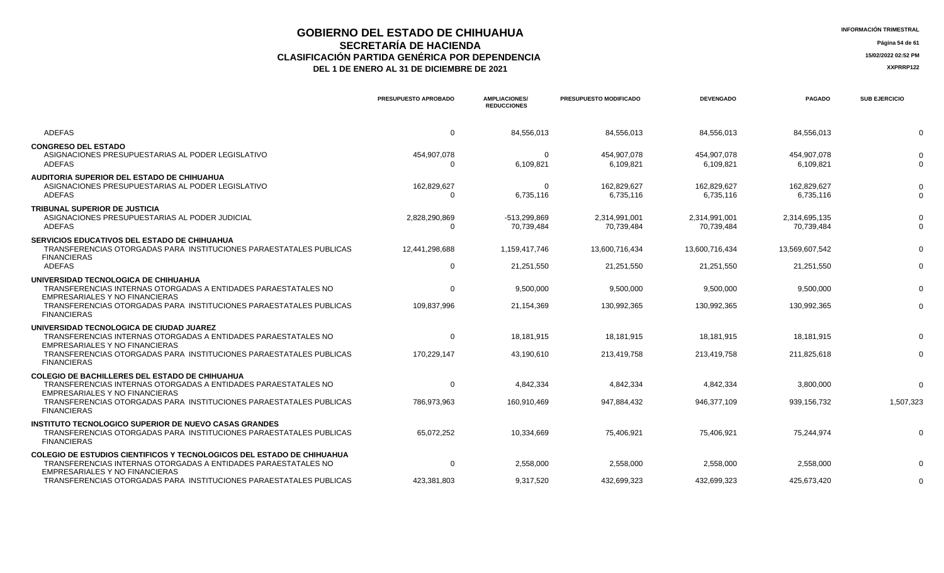## **GOBIERNO DEL ESTADO DE CHIHUAHUA INFORMACIÓN TRIMESTRAL SECRETARÍA DE HACIENDA** Página 54 de 61<br>IÓN PARTIDA GENÉRICA POR DEPENDENCIA **CLASIFICACIÓN PARTIDA GENÉRICA POR DEPENDENCIA**<br> **THE 1 DE ENERO AL 31 DE DICIEMBRE DE 2021**<br> **ARREGISTIVA DE LA PERERO AL 31 DE DICIEMBRE DE 2021**

| <b>INFORMACIÓN TRIMESTRAL</b> |
|-------------------------------|
|                               |

|                                                                                                                                                           | PRESUPUESTO APROBADO      | <b>AMPLIACIONES/</b><br><b>REDUCCIONES</b> | PRESUPUESTO MODIFICADO      | <b>DEVENGADO</b>            | <b>PAGADO</b>               | <b>SUB EJERCICIO</b> |
|-----------------------------------------------------------------------------------------------------------------------------------------------------------|---------------------------|--------------------------------------------|-----------------------------|-----------------------------|-----------------------------|----------------------|
| <b>ADEFAS</b>                                                                                                                                             | 0                         | 84,556,013                                 | 84,556,013                  | 84,556,013                  | 84,556,013                  |                      |
| <b>CONGRESO DEL ESTADO</b><br>ASIGNACIONES PRESUPUESTARIAS AL PODER LEGISLATIVO<br><b>ADEFAS</b>                                                          | 454,907,078               | $\Omega$<br>6,109,821                      | 454,907,078<br>6,109,821    | 454,907,078<br>6,109,821    | 454,907,078<br>6,109,821    |                      |
| AUDITORIA SUPERIOR DEL ESTADO DE CHIHUAHUA<br>ASIGNACIONES PRESUPUESTARIAS AL PODER LEGISLATIVO<br><b>ADEFAS</b>                                          | 162,829,627<br>$\Omega$   | $\Omega$<br>6,735,116                      | 162,829,627<br>6,735,116    | 162,829,627<br>6,735,116    | 162,829,627<br>6,735,116    |                      |
| <b>TRIBUNAL SUPERIOR DE JUSTICIA</b><br>ASIGNACIONES PRESUPUESTARIAS AL PODER JUDICIAL<br><b>ADEFAS</b>                                                   | 2,828,290,869<br>$\Omega$ | -513.299.869<br>70,739,484                 | 2.314.991.001<br>70,739,484 | 2.314.991.001<br>70,739,484 | 2.314.695.135<br>70,739,484 |                      |
| <b>SERVICIOS EDUCATIVOS DEL ESTADO DE CHIHUAHUA</b><br>TRANSFERENCIAS OTORGADAS PARA INSTITUCIONES PARAESTATALES PUBLICAS<br><b>FINANCIERAS</b>           | 12,441,298,688            | 1,159,417,746                              | 13,600,716,434              | 13,600,716,434              | 13,569,607,542              |                      |
| <b>ADEFAS</b>                                                                                                                                             | $\mathbf 0$               | 21,251,550                                 | 21.251.550                  | 21,251,550                  | 21.251.550                  |                      |
| UNIVERSIDAD TECNOLOGICA DE CHIHUAHUA<br>TRANSFERENCIAS INTERNAS OTORGADAS A ENTIDADES PARAESTATALES NO<br>EMPRESARIALES Y NO FINANCIERAS                  | $\Omega$                  | 9.500.000                                  | 9,500,000                   | 9,500,000                   | 9.500.000                   |                      |
| TRANSFERENCIAS OTORGADAS PARA INSTITUCIONES PARAESTATALES PUBLICAS<br><b>FINANCIERAS</b>                                                                  | 109,837,996               | 21,154,369                                 | 130,992,365                 | 130,992,365                 | 130,992,365                 |                      |
| UNIVERSIDAD TECNOLOGICA DE CIUDAD JUAREZ<br>TRANSFERENCIAS INTERNAS OTORGADAS A ENTIDADES PARAESTATALES NO<br>EMPRESARIALES Y NO FINANCIERAS              | 0                         | 18,181,915                                 | 18,181,915                  | 18,181,915                  | 18,181,915                  |                      |
| TRANSFERENCIAS OTORGADAS PARA INSTITUCIONES PARAESTATALES PUBLICAS<br><b>FINANCIERAS</b>                                                                  | 170,229,147               | 43,190,610                                 | 213,419,758                 | 213,419,758                 | 211,825,618                 |                      |
| <b>COLEGIO DE BACHILLERES DEL ESTADO DE CHIHUAHUA</b><br>TRANSFERENCIAS INTERNAS OTORGADAS A ENTIDADES PARAESTATALES NO<br>EMPRESARIALES Y NO FINANCIERAS | 0                         | 4,842,334                                  | 4,842,334                   | 4,842,334                   | 3,800,000                   |                      |
| TRANSFERENCIAS OTORGADAS PARA INSTITUCIONES PARAESTATALES PUBLICAS<br><b>FINANCIERAS</b>                                                                  | 786,973,963               | 160,910,469                                | 947,884,432                 | 946,377,109                 | 939,156,732                 | 1,507,323            |
| <b>INSTITUTO TECNOLOGICO SUPERIOR DE NUEVO CASAS GRANDES</b><br>TRANSFERENCIAS OTORGADAS PARA INSTITUCIONES PARAESTATALES PUBLICAS<br><b>FINANCIERAS</b>  | 65,072,252                | 10,334,669                                 | 75,406,921                  | 75,406,921                  | 75,244,974                  |                      |
| <b>COLEGIO DE ESTUDIOS CIENTIFICOS Y TECNOLOGICOS DEL ESTADO DE CHIHUAHUA</b><br>TRANSFERENCIAS INTERNAS OTORGADAS A ENTIDADES PARAESTATALES NO           | 0                         | 2,558,000                                  | 2,558,000                   | 2,558,000                   | 2,558,000                   |                      |
| EMPRESARIALES Y NO FINANCIERAS<br>TRANSFERENCIAS OTORGADAS PARA INSTITUCIONES PARAESTATALES PUBLICAS                                                      | 423.381.803               | 9,317,520                                  | 432,699,323                 | 432,699,323                 | 425,673,420                 |                      |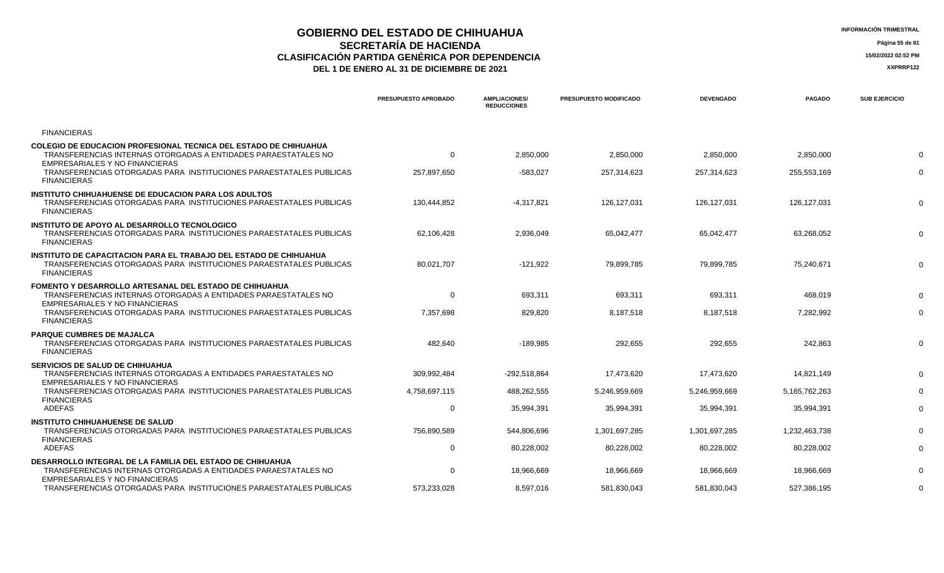## **GOBIERNO DEL ESTADO DE CHIHUAHUA**<br> **INFORMACIÓN TRIMESTRAL**<br> **INFORMACIÓN TRIMESTRAL**<br> **Información trimestral SECRETARÍA DE HACIENDA** Página 55 de 61<br>IÓN PARTIDA GENÉRICA POR DEPENDENCIA **CLASIFICACIÓN PARTIDA GENÉRICA POR DEPENDENCIA 15/02/2022 02:52 PM**

| <b>INFORMACIÓN TRIME</b> |
|--------------------------|
|                          |

|                                                                                                                                                                      | PRESUPUESTO APROBADO | <b>AMPLIACIONES/</b><br><b>REDUCCIONES</b> | <b>PRESUPUESTO MODIFICADO</b> | <b>DEVENGADO</b> | <b>PAGADO</b>    | <b>SUB EJERCICIO</b> |
|----------------------------------------------------------------------------------------------------------------------------------------------------------------------|----------------------|--------------------------------------------|-------------------------------|------------------|------------------|----------------------|
| <b>FINANCIERAS</b>                                                                                                                                                   |                      |                                            |                               |                  |                  |                      |
| COLEGIO DE EDUCACION PROFESIONAL TECNICA DEL ESTADO DE CHIHUAHUA<br>TRANSFERENCIAS INTERNAS OTORGADAS A ENTIDADES PARAESTATALES NO<br>EMPRESARIALES Y NO FINANCIERAS | $\Omega$             | 2,850,000                                  | 2,850,000                     | 2,850,000        | 2,850,000        |                      |
| TRANSFERENCIAS OTORGADAS PARA INSTITUCIONES PARAESTATALES PUBLICAS<br><b>FINANCIERAS</b>                                                                             | 257,897,650          | $-583,027$                                 | 257,314,623                   | 257,314,623      | 255,553,169      |                      |
| <b>INSTITUTO CHIHUAHUENSE DE EDUCACION PARA LOS ADULTOS</b><br>TRANSFERENCIAS OTORGADAS PARA INSTITUCIONES PARAESTATALES PUBLICAS<br><b>FINANCIERAS</b>              | 130.444.852          | $-4,317,821$                               | 126.127.031                   | 126.127.031      | 126.127.031      | $\Omega$             |
| INSTITUTO DE APOYO AL DESARROLLO TECNOLOGICO<br>TRANSFERENCIAS OTORGADAS PARA INSTITUCIONES PARAESTATALES PUBLICAS<br><b>FINANCIERAS</b>                             | 62,106,428           | 2,936,049                                  | 65,042,477                    | 65,042,477       | 63,268,052       | $\Omega$             |
| INSTITUTO DE CAPACITACION PARA EL TRABAJO DEL ESTADO DE CHIHUAHUA<br>TRANSFERENCIAS OTORGADAS PARA INSTITUCIONES PARAESTATALES PUBLICAS<br><b>FINANCIERAS</b>        | 80,021,707           | $-121,922$                                 | 79,899,785                    | 79,899,785       | 75,240,671       |                      |
| <b>FOMENTO Y DESARROLLO ARTESANAL DEL ESTADO DE CHIHUAHUA</b><br>TRANSFERENCIAS INTERNAS OTORGADAS A ENTIDADES PARAESTATALES NO<br>EMPRESARIALES Y NO FINANCIERAS    | $\mathbf 0$          | 693,311                                    | 693,311                       | 693,311          | 468,019          |                      |
| TRANSFERENCIAS OTORGADAS PARA INSTITUCIONES PARAESTATALES PUBLICAS<br><b>FINANCIERAS</b>                                                                             | 7,357,698            | 829,820                                    | 8,187,518                     | 8,187,518        | 7,282,992        |                      |
| <b>PARQUE CUMBRES DE MAJALCA</b><br>TRANSFERENCIAS OTORGADAS PARA INSTITUCIONES PARAESTATALES PUBLICAS<br><b>FINANCIERAS</b>                                         | 482.640              | $-189.985$                                 | 292.655                       | 292.655          | 242.863          |                      |
| <b>SERVICIOS DE SALUD DE CHIHUAHUA</b><br>TRANSFERENCIAS INTERNAS OTORGADAS A ENTIDADES PARAESTATALES NO<br><b>EMPRESARIALES Y NO FINANCIERAS</b>                    | 309,992,484          | -292,518,864                               | 17,473,620                    | 17,473,620       | 14,821,149       |                      |
| TRANSFERENCIAS OTORGADAS PARA INSTITUCIONES PARAESTATALES PUBLICAS                                                                                                   | 4,758,697,115        | 488.262.555                                | 5.246.959.669                 | 5.246.959.669    | 5, 165, 762, 263 |                      |
| <b>FINANCIERAS</b><br>ADEFAS                                                                                                                                         | 0                    | 35,994,391                                 | 35,994,391                    | 35,994,391       | 35,994,391       |                      |
| <b>INSTITUTO CHIHUAHUENSE DE SALUD</b><br>TRANSFERENCIAS OTORGADAS PARA INSTITUCIONES PARAESTATALES PUBLICAS                                                         | 756,890,589          | 544,806,696                                | 1,301,697,285                 | 1,301,697,285    | 1,232,463,738    |                      |
| <b>FINANCIERAS</b><br><b>ADEFAS</b>                                                                                                                                  | $\Omega$             | 80,228,002                                 | 80,228,002                    | 80,228,002       | 80,228,002       |                      |
| <b>DESARROLLO INTEGRAL DE LA FAMILIA DEL ESTADO DE CHIHUAHUA</b><br>TRANSFERENCIAS INTERNAS OTORGADAS A ENTIDADES PARAESTATALES NO<br>EMPRESARIALES Y NO FINANCIERAS | $\Omega$             | 18.966.669                                 | 18.966.669                    | 18.966.669       | 18,966,669       |                      |
| TRANSFERENCIAS OTORGADAS PARA INSTITUCIONES PARAESTATALES PUBLICAS                                                                                                   | 573,233,028          | 8.597.016                                  | 581.830.043                   | 581.830.043      | 527,386,195      |                      |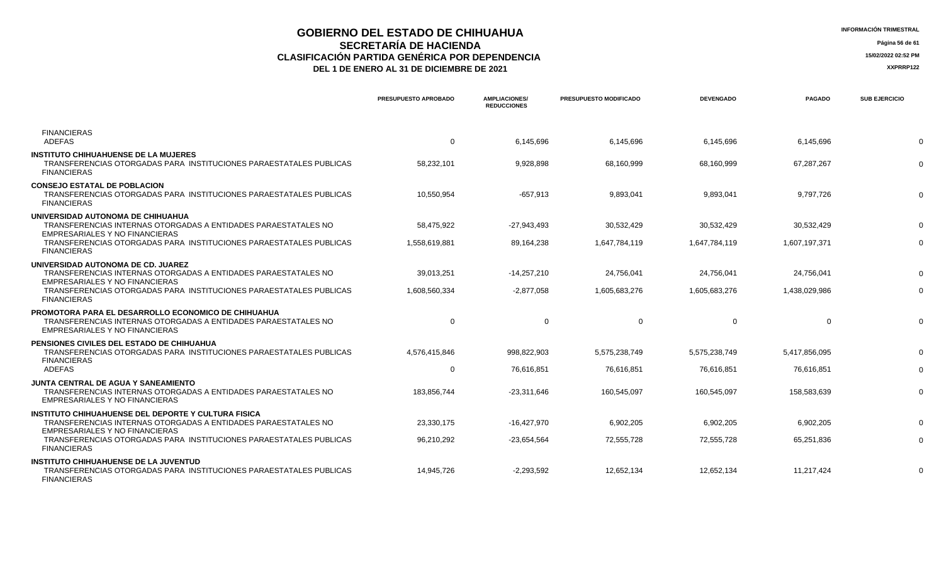## **GOBIERNO DEL ESTADO DE CHIHUAHUA INFORMACIÓN TRIMESTRAL SECRETARÍA DE HACIENDA** Página 56 de 61<br>IÓN PARTIDA GENÉRICA POR DEPENDENCIA **CLASIFICACIÓN PARTIDA GENÉRICA POR DEPENDENCIA**<br> **THE 1 DE ENERO AL 31 DE DICIEMBRE DE 2021**<br> **ARREGISTIVA DE LA PERERO AL 31 DE DICIEMBRE DE 2021**

|                                                                                                                                                                       | PRESUPUESTO APROBADO | <b>AMPLIACIONES/</b><br><b>REDUCCIONES</b> | <b>PRESUPUESTO MODIFICADO</b> | <b>DEVENGADO</b> | <b>PAGADO</b> | <b>SUB EJERCICIO</b> |
|-----------------------------------------------------------------------------------------------------------------------------------------------------------------------|----------------------|--------------------------------------------|-------------------------------|------------------|---------------|----------------------|
| <b>FINANCIERAS</b><br><b>ADEFAS</b>                                                                                                                                   | 0                    | 6,145,696                                  | 6,145,696                     | 6,145,696        | 6,145,696     |                      |
| <b>INSTITUTO CHIHUAHUENSE DE LA MUJERES</b><br>TRANSFERENCIAS OTORGADAS PARA INSTITUCIONES PARAESTATALES PUBLICAS<br><b>FINANCIERAS</b>                               | 58,232,101           | 9,928,898                                  | 68,160,999                    | 68,160,999       | 67,287,267    |                      |
| <b>CONSEJO ESTATAL DE POBLACION</b><br>TRANSFERENCIAS OTORGADAS PARA INSTITUCIONES PARAESTATALES PUBLICAS<br><b>FINANCIERAS</b>                                       | 10,550,954           | $-657,913$                                 | 9,893,041                     | 9,893,041        | 9,797,726     |                      |
| UNIVERSIDAD AUTONOMA DE CHIHUAHUA<br>TRANSFERENCIAS INTERNAS OTORGADAS A ENTIDADES PARAESTATALES NO<br>EMPRESARIALES Y NO FINANCIERAS                                 | 58,475,922           | $-27,943,493$                              | 30,532,429                    | 30,532,429       | 30,532,429    |                      |
| TRANSFERENCIAS OTORGADAS PARA INSTITUCIONES PARAESTATALES PUBLICAS<br><b>FINANCIERAS</b>                                                                              | 1,558,619,881        | 89,164,238                                 | 1,647,784,119                 | 1,647,784,119    | 1,607,197,371 |                      |
| UNIVERSIDAD AUTONOMA DE CD. JUAREZ<br>TRANSFERENCIAS INTERNAS OTORGADAS A ENTIDADES PARAESTATALES NO<br>EMPRESARIALES Y NO FINANCIERAS                                | 39,013,251           | $-14,257,210$                              | 24,756,041                    | 24,756,041       | 24,756,041    |                      |
| TRANSFERENCIAS OTORGADAS PARA INSTITUCIONES PARAESTATALES PUBLICAS<br><b>FINANCIERAS</b>                                                                              | 1.608.560.334        | $-2,877,058$                               | 1,605,683,276                 | 1,605,683,276    | 1,438,029,986 |                      |
| <b>PROMOTORA PARA EL DESARROLLO ECONOMICO DE CHIHUAHUA</b><br>TRANSFERENCIAS INTERNAS OTORGADAS A ENTIDADES PARAESTATALES NO<br><b>EMPRESARIALES Y NO FINANCIERAS</b> | $\Omega$             | $\Omega$                                   | $\Omega$                      | $\Omega$         | $\Omega$      |                      |
| <b>PENSIONES CIVILES DEL ESTADO DE CHIHUAHUA</b><br>TRANSFERENCIAS OTORGADAS PARA INSTITUCIONES PARAESTATALES PUBLICAS                                                | 4,576,415,846        | 998,822,903                                | 5,575,238,749                 | 5,575,238,749    | 5,417,856,095 |                      |
| <b>FINANCIERAS</b><br><b>ADEFAS</b>                                                                                                                                   | 0                    | 76,616,851                                 | 76,616,851                    | 76,616,851       | 76,616,851    |                      |
| <b>JUNTA CENTRAL DE AGUA Y SANEAMIENTO</b><br>TRANSFERENCIAS INTERNAS OTORGADAS A ENTIDADES PARAESTATALES NO<br><b>EMPRESARIALES Y NO FINANCIERAS</b>                 | 183,856,744          | -23,311,646                                | 160,545,097                   | 160,545,097      | 158,583,639   |                      |
| <b>INSTITUTO CHIHUAHUENSE DEL DEPORTE Y CULTURA FISICA</b><br>TRANSFERENCIAS INTERNAS OTORGADAS A ENTIDADES PARAESTATALES NO                                          | 23,330,175           | $-16,427,970$                              | 6,902,205                     | 6,902,205        | 6,902,205     |                      |
| EMPRESARIALES Y NO FINANCIERAS<br>TRANSFERENCIAS OTORGADAS PARA INSTITUCIONES PARAESTATALES PUBLICAS<br><b>FINANCIERAS</b>                                            | 96.210.292           | $-23,654,564$                              | 72,555,728                    | 72.555.728       | 65,251,836    |                      |
| <b>INSTITUTO CHIHUAHUENSE DE LA JUVENTUD</b><br>TRANSFERENCIAS OTORGADAS PARA INSTITUCIONES PARAESTATALES PUBLICAS<br><b>FINANCIERAS</b>                              | 14,945,726           | $-2,293,592$                               | 12,652,134                    | 12,652,134       | 11,217,424    |                      |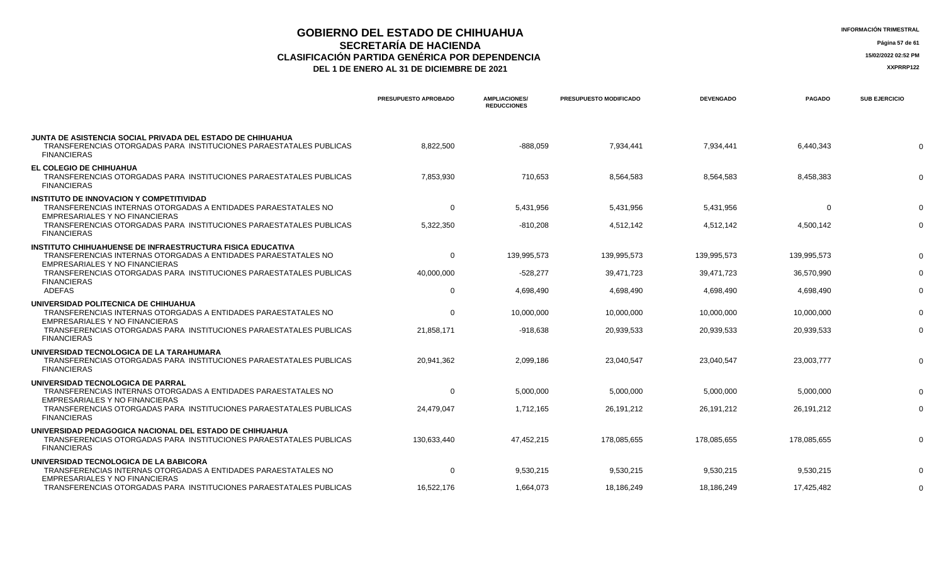## **GOBIERNO DEL ESTADO DE CHIHUAHUA**<br> **INFORMACIÓN TRIMESTRAL**<br> **INFORMACIÓN TRIMESTRAL**<br> **Información trimestral SECRETARÍA DE HACIENDA** Página 57 de 61<br>IÓN PARTIDA GENÉRICA POR DEPENDENCIA **CLASIFICACIÓN PARTIDA GENÉRICA POR DEPENDENCIA 15/02/2022 02:52 PM**

| <b>IFORMACIÓN TRIMESTRAL</b> |  |
|------------------------------|--|
|------------------------------|--|

|                                                                                                                                                                                                                           | PRESUPUESTO APROBADO      | <b>AMPLIACIONES/</b><br><b>REDUCCIONES</b> | <b>PRESUPUESTO MODIFICADO</b> | <b>DEVENGADO</b>        | <b>PAGADO</b>           | <b>SUB EJERCICIO</b> |
|---------------------------------------------------------------------------------------------------------------------------------------------------------------------------------------------------------------------------|---------------------------|--------------------------------------------|-------------------------------|-------------------------|-------------------------|----------------------|
| JUNTA DE ASISTENCIA SOCIAL PRIVADA DEL ESTADO DE CHIHUAHUA<br>TRANSFERENCIAS OTORGADAS PARA INSTITUCIONES PARAESTATALES PUBLICAS<br><b>FINANCIERAS</b>                                                                    | 8,822,500                 | $-888,059$                                 | 7,934,441                     | 7,934,441               | 6,440,343               | $\Omega$             |
| EL COLEGIO DE CHIHUAHUA<br>TRANSFERENCIAS OTORGADAS PARA INSTITUCIONES PARAESTATALES PUBLICAS<br><b>FINANCIERAS</b>                                                                                                       | 7,853,930                 | 710,653                                    | 8,564,583                     | 8,564,583               | 8,458,383               | $\Omega$             |
| <b>INSTITUTO DE INNOVACION Y COMPETITIVIDAD</b><br>TRANSFERENCIAS INTERNAS OTORGADAS A ENTIDADES PARAESTATALES NO<br>EMPRESARIALES Y NO FINANCIERAS<br>TRANSFERENCIAS OTORGADAS PARA INSTITUCIONES PARAESTATALES PUBLICAS | $\mathbf 0$<br>5,322,350  | 5,431,956<br>$-810,208$                    | 5,431,956<br>4,512,142        | 5,431,956<br>4,512,142  | $\Omega$<br>4,500,142   | $\Omega$<br>$\Omega$ |
| <b>FINANCIERAS</b><br><b>INSTITUTO CHIHUAHUENSE DE INFRAESTRUCTURA FISICA EDUCATIVA</b>                                                                                                                                   |                           |                                            |                               |                         |                         |                      |
| TRANSFERENCIAS INTERNAS OTORGADAS A ENTIDADES PARAESTATALES NO<br>EMPRESARIALES Y NO FINANCIERAS                                                                                                                          | $\mathbf 0$               | 139,995,573                                | 139,995,573                   | 139,995,573             | 139,995,573             | $\Omega$             |
| TRANSFERENCIAS OTORGADAS PARA INSTITUCIONES PARAESTATALES PUBLICAS<br><b>FINANCIERAS</b><br><b>ADEFAS</b>                                                                                                                 | 40,000,000<br>$\mathbf 0$ | $-528,277$<br>4,698,490                    | 39,471,723<br>4,698,490       | 39,471,723<br>4,698,490 | 36,570,990<br>4,698,490 | $\Omega$<br>$\Omega$ |
| UNIVERSIDAD POLITECNICA DE CHIHUAHUA                                                                                                                                                                                      |                           |                                            |                               |                         |                         |                      |
| TRANSFERENCIAS INTERNAS OTORGADAS A ENTIDADES PARAESTATALES NO<br>EMPRESARIALES Y NO FINANCIERAS                                                                                                                          | $\mathbf 0$               | 10,000,000                                 | 10.000.000                    | 10.000.000              | 10.000.000              |                      |
| TRANSFERENCIAS OTORGADAS PARA INSTITUCIONES PARAESTATALES PUBLICAS<br><b>FINANCIERAS</b>                                                                                                                                  | 21,858,171                | -918,638                                   | 20,939,533                    | 20,939,533              | 20,939,533              | $\Omega$             |
| UNIVERSIDAD TECNOLOGICA DE LA TARAHUMARA<br>TRANSFERENCIAS OTORGADAS PARA INSTITUCIONES PARAESTATALES PUBLICAS<br><b>FINANCIERAS</b>                                                                                      | 20,941,362                | 2,099,186                                  | 23,040,547                    | 23,040,547              | 23,003,777              | $\Omega$             |
| UNIVERSIDAD TECNOLOGICA DE PARRAL<br>TRANSFERENCIAS INTERNAS OTORGADAS A ENTIDADES PARAESTATALES NO<br>EMPRESARIALES Y NO FINANCIERAS                                                                                     | $\mathbf 0$               | 5,000,000                                  | 5,000,000                     | 5,000,000               | 5,000,000               | $\Omega$             |
| TRANSFERENCIAS OTORGADAS PARA INSTITUCIONES PARAESTATALES PUBLICAS<br><b>FINANCIERAS</b>                                                                                                                                  | 24,479,047                | 1,712,165                                  | 26, 191, 212                  | 26,191,212              | 26, 191, 212            | $\Omega$             |
| UNIVERSIDAD PEDAGOGICA NACIONAL DEL ESTADO DE CHIHUAHUA<br>TRANSFERENCIAS OTORGADAS PARA INSTITUCIONES PARAESTATALES PUBLICAS<br><b>FINANCIERAS</b>                                                                       | 130,633,440               | 47,452,215                                 | 178.085.655                   | 178.085.655             | 178.085.655             | $\Omega$             |
| UNIVERSIDAD TECNOLOGICA DE LA BABICORA<br>TRANSFERENCIAS INTERNAS OTORGADAS A ENTIDADES PARAESTATALES NO                                                                                                                  | $\mathbf 0$               | 9,530,215                                  | 9,530,215                     | 9,530,215               | 9,530,215               | $\Omega$             |
| EMPRESARIALES Y NO FINANCIERAS<br>TRANSFERENCIAS OTORGADAS PARA INSTITUCIONES PARAESTATALES PUBLICAS                                                                                                                      | 16,522,176                | 1,664,073                                  | 18,186,249                    | 18,186,249              | 17,425,482              | $\Omega$             |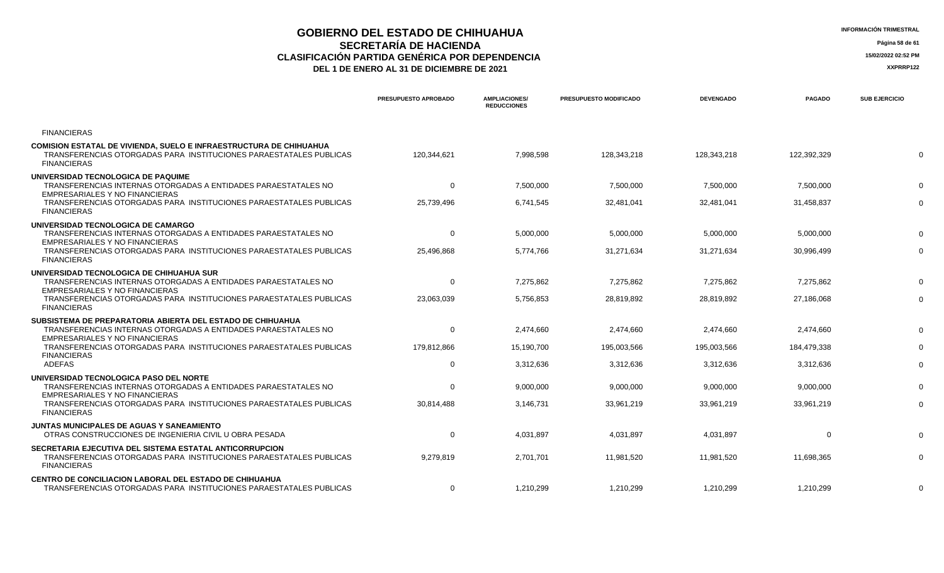## **GOBIERNO DEL ESTADO DE CHIHUAHUA** A EL ENTRE ENTRE EN ENFORMACIÓN TRIMESTRAL<br>
SECPETADÍA DE HACIENDA **SECRETARÍA DE HACIENDA** Página 58 de 61<br>IÓN PARTIDA GENÉRICA POR DEPENDENCIA **CLASIFICACIÓN PARTIDA GENÉRICA POR DEPENDENCIA 15/02/2022 02:52 PM**

| <b>INFORMACIÓN TRIMESTRAL</b> |  |
|-------------------------------|--|
|-------------------------------|--|

|                                                                                                                                                                       | PRESUPUESTO APROBADO | <b>AMPLIACIONES/</b><br><b>REDUCCIONES</b> | PRESUPUESTO MODIFICADO | <b>DEVENGADO</b> | <b>PAGADO</b> | <b>SUB EJERCICIO</b> |
|-----------------------------------------------------------------------------------------------------------------------------------------------------------------------|----------------------|--------------------------------------------|------------------------|------------------|---------------|----------------------|
| <b>FINANCIERAS</b>                                                                                                                                                    |                      |                                            |                        |                  |               |                      |
| <b>COMISION ESTATAL DE VIVIENDA, SUELO E INFRAESTRUCTURA DE CHIHUAHUA</b><br>TRANSFERENCIAS OTORGADAS PARA INSTITUCIONES PARAESTATALES PUBLICAS<br><b>FINANCIERAS</b> | 120,344,621          | 7,998,598                                  | 128,343,218            | 128,343,218      | 122,392,329   |                      |
| UNIVERSIDAD TECNOLOGICA DE PAQUIME<br>TRANSFERENCIAS INTERNAS OTORGADAS A ENTIDADES PARAESTATALES NO<br>EMPRESARIALES Y NO FINANCIERAS                                | $\mathbf 0$          | 7,500,000                                  | 7,500,000              | 7,500,000        | 7,500,000     |                      |
| TRANSFERENCIAS OTORGADAS PARA INSTITUCIONES PARAESTATALES PUBLICAS<br><b>FINANCIERAS</b>                                                                              | 25,739,496           | 6,741,545                                  | 32,481,041             | 32,481,041       | 31,458,837    |                      |
| UNIVERSIDAD TECNOLOGICA DE CAMARGO<br>TRANSFERENCIAS INTERNAS OTORGADAS A ENTIDADES PARAESTATALES NO                                                                  | $\mathbf{0}$         | 5,000,000                                  | 5,000,000              | 5,000,000        | 5,000,000     |                      |
| EMPRESARIALES Y NO FINANCIERAS<br>TRANSFERENCIAS OTORGADAS PARA INSTITUCIONES PARAESTATALES PUBLICAS<br><b>FINANCIERAS</b>                                            | 25,496,868           | 5,774,766                                  | 31,271,634             | 31,271,634       | 30,996,499    |                      |
| UNIVERSIDAD TECNOLOGICA DE CHIHUAHUA SUR<br>TRANSFERENCIAS INTERNAS OTORGADAS A ENTIDADES PARAESTATALES NO<br>EMPRESARIALES Y NO FINANCIERAS                          | $\mathbf 0$          | 7,275,862                                  | 7,275,862              | 7,275,862        | 7.275.862     |                      |
| TRANSFERENCIAS OTORGADAS PARA INSTITUCIONES PARAESTATALES PUBLICAS<br><b>FINANCIERAS</b>                                                                              | 23,063,039           | 5,756,853                                  | 28,819,892             | 28,819,892       | 27,186,068    |                      |
| SUBSISTEMA DE PREPARATORIA ABIERTA DEL ESTADO DE CHIHUAHUA<br>TRANSFERENCIAS INTERNAS OTORGADAS A ENTIDADES PARAESTATALES NO<br>EMPRESARIALES Y NO FINANCIERAS        | $\mathbf{0}$         | 2,474,660                                  | 2,474,660              | 2,474,660        | 2,474,660     |                      |
| TRANSFERENCIAS OTORGADAS PARA INSTITUCIONES PARAESTATALES PUBLICAS<br><b>FINANCIERAS</b>                                                                              | 179,812,866          | 15,190,700                                 | 195,003,566            | 195,003,566      | 184,479,338   |                      |
| <b>ADEFAS</b>                                                                                                                                                         | $\Omega$             | 3,312,636                                  | 3,312,636              | 3,312,636        | 3,312,636     |                      |
| UNIVERSIDAD TECNOLOGICA PASO DEL NORTE<br>TRANSFERENCIAS INTERNAS OTORGADAS A ENTIDADES PARAESTATALES NO                                                              | $\Omega$             | 9,000,000                                  | 9,000,000              | 9,000,000        | 9,000,000     |                      |
| EMPRESARIALES Y NO FINANCIERAS<br>TRANSFERENCIAS OTORGADAS PARA INSTITUCIONES PARAESTATALES PUBLICAS<br><b>FINANCIERAS</b>                                            | 30,814,488           | 3,146,731                                  | 33,961,219             | 33,961,219       | 33,961,219    |                      |
| JUNTAS MUNICIPALES DE AGUAS Y SANEAMIENTO<br>OTRAS CONSTRUCCIONES DE INGENIERIA CIVIL U OBRA PESADA                                                                   | 0                    | 4,031,897                                  | 4,031,897              | 4,031,897        | $\Omega$      |                      |
| SECRETARIA EJECUTIVA DEL SISTEMA ESTATAL ANTICORRUPCION<br>TRANSFERENCIAS OTORGADAS PARA INSTITUCIONES PARAESTATALES PUBLICAS<br><b>FINANCIERAS</b>                   | 9,279,819            | 2,701,701                                  | 11,981,520             | 11,981,520       | 11,698,365    |                      |
| <b>CENTRO DE CONCILIACION LABORAL DEL ESTADO DE CHIHUAHUA</b><br>TRANSFERENCIAS OTORGADAS PARA INSTITUCIONES PARAESTATALES PUBLICAS                                   | $\Omega$             | 1,210,299                                  | 1,210,299              | 1,210,299        | 1,210,299     |                      |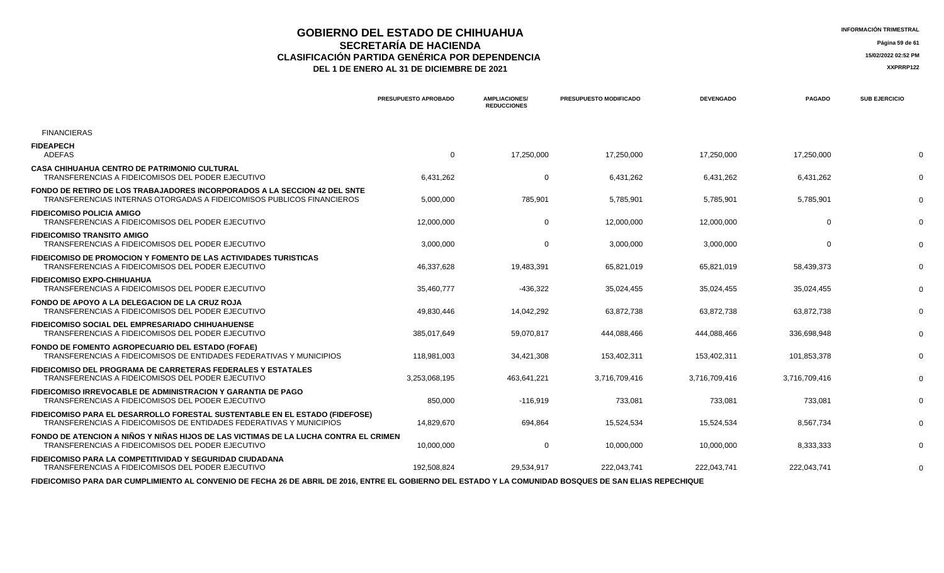### **GOBIERNO DEL ESTADO DE CHIHUAHUA**<br> **GEORETARÍA DE HACIENDA SECRETARÍA DE HACIENDA** Página 59 de 61<br>IÓN PARTIDA GENÉRICA POR DEPENDENCIA **CLASIFICACIÓN PARTIDA GENÉRICA POR DEPENDENCIA 15/02/2022 02:52 PM DEL 1 DE ENERO AL 31 DE DICIEMBRE DE 2021 XXPRRP122**

|                                                                                                                                                           | <b>PRESUPUESTO APROBADO</b> | <b>AMPLIACIONES/</b><br><b>REDUCCIONES</b> | <b>PRESUPUESTO MODIFICADO</b> | <b>DEVENGADO</b> | <b>PAGADO</b> | <b>SUB EJERCICIO</b> |
|-----------------------------------------------------------------------------------------------------------------------------------------------------------|-----------------------------|--------------------------------------------|-------------------------------|------------------|---------------|----------------------|
| <b>FINANCIERAS</b>                                                                                                                                        |                             |                                            |                               |                  |               |                      |
| <b>FIDEAPECH</b><br>ADEFAS                                                                                                                                | 0                           | 17,250,000                                 | 17,250,000                    | 17,250,000       | 17,250,000    |                      |
| <b>CASA CHIHUAHUA CENTRO DE PATRIMONIO CULTURAL</b><br>TRANSFERENCIAS A FIDEICOMISOS DEL PODER EJECUTIVO                                                  | 6,431,262                   | $\mathbf 0$                                | 6,431,262                     | 6,431,262        | 6,431,262     |                      |
| FONDO DE RETIRO DE LOS TRABAJADORES INCORPORADOS A LA SECCION 42 DEL SNTE<br>TRANSFERENCIAS INTERNAS OTORGADAS A FIDEICOMISOS PUBLICOS FINANCIEROS        | 5,000,000                   | 785,901                                    | 5,785,901                     | 5,785,901        | 5,785,901     |                      |
| <b>FIDEICOMISO POLICIA AMIGO</b><br>TRANSFERENCIAS A FIDEICOMISOS DEL PODER EJECUTIVO                                                                     | 12,000,000                  | 0                                          | 12,000,000                    | 12,000,000       | $\Omega$      |                      |
| <b>FIDEICOMISO TRANSITO AMIGO</b><br>TRANSFERENCIAS A FIDEICOMISOS DEL PODER EJECUTIVO                                                                    | 3,000,000                   | $\mathbf 0$                                | 3,000,000                     | 3,000,000        | $\Omega$      |                      |
| <b>FIDEICOMISO DE PROMOCION Y FOMENTO DE LAS ACTIVIDADES TURISTICAS</b><br>TRANSFERENCIAS A FIDEICOMISOS DEL PODER EJECUTIVO                              | 46.337.628                  | 19,483,391                                 | 65,821,019                    | 65,821,019       | 58.439.373    |                      |
| <b>FIDEICOMISO EXPO-CHIHUAHUA</b><br>TRANSFERENCIAS A FIDEICOMISOS DEL PODER EJECUTIVO                                                                    | 35,460,777                  | $-436,322$                                 | 35,024,455                    | 35,024,455       | 35,024,455    |                      |
| FONDO DE APOYO A LA DELEGACION DE LA CRUZ ROJA<br>TRANSFERENCIAS A FIDEICOMISOS DEL PODER EJECUTIVO                                                       | 49,830,446                  | 14,042,292                                 | 63,872,738                    | 63,872,738       | 63,872,738    |                      |
| <b>FIDEICOMISO SOCIAL DEL EMPRESARIADO CHIHUAHUENSE</b><br>TRANSFERENCIAS A FIDEICOMISOS DEL PODER EJECUTIVO                                              | 385,017,649                 | 59,070,817                                 | 444,088,466                   | 444,088,466      | 336,698,948   |                      |
| <b>FONDO DE FOMENTO AGROPECUARIO DEL ESTADO (FOFAE)</b><br>TRANSFERENCIAS A FIDEICOMISOS DE ENTIDADES FEDERATIVAS Y MUNICIPIOS                            | 118,981,003                 | 34,421,308                                 | 153,402,311                   | 153,402,311      | 101,853,378   |                      |
| <b>FIDEICOMISO DEL PROGRAMA DE CARRETERAS FEDERALES Y ESTATALES</b><br>TRANSFERENCIAS A FIDEICOMISOS DEL PODER EJECUTIVO                                  | 3,253,068,195               | 463,641,221                                | 3,716,709,416                 | 3,716,709,416    | 3,716,709,416 |                      |
| <b>FIDEICOMISO IRREVOCABLE DE ADMINISTRACION Y GARANTIA DE PAGO</b><br>TRANSFERENCIAS A FIDEICOMISOS DEL PODER EJECUTIVO                                  | 850,000                     | $-116,919$                                 | 733,081                       | 733,081          | 733,081       |                      |
| <b>FIDEICOMISO PARA EL DESARROLLO FORESTAL SUSTENTABLE EN EL ESTADO (FIDEFOSE)</b><br>TRANSFERENCIAS A FIDEICOMISOS DE ENTIDADES FEDERATIVAS Y MUNICIPIOS | 14,829,670                  | 694,864                                    | 15,524,534                    | 15,524,534       | 8,567,734     |                      |
| FONDO DE ATENCION A NIÑOS Y NIÑAS HIJOS DE LAS VICTIMAS DE LA LUCHA CONTRA EL CRIMEN<br>TRANSFERENCIAS A FIDEICOMISOS DEL PODER EJECUTIVO                 | 10,000,000                  | $\mathbf 0$                                | 10,000,000                    | 10,000,000       | 8,333,333     |                      |
| FIDEICOMISO PARA LA COMPETITIVIDAD Y SEGURIDAD CIUDADANA<br>TRANSFERENCIAS A FIDEICOMISOS DEL PODER EJECUTIVO                                             | 192,508,824                 | 29,534,917                                 | 222,043,741                   | 222,043,741      | 222,043,741   |                      |
|                                                                                                                                                           |                             |                                            |                               |                  |               |                      |

 **FIDEICOMISO PARA DAR CUMPLIMIENTO AL CONVENIO DE FECHA 26 DE ABRIL DE 2016, ENTRE EL GOBIERNO DEL ESTADO Y LA COMUNIDAD BOSQUES DE SAN ELIAS REPECHIQUE**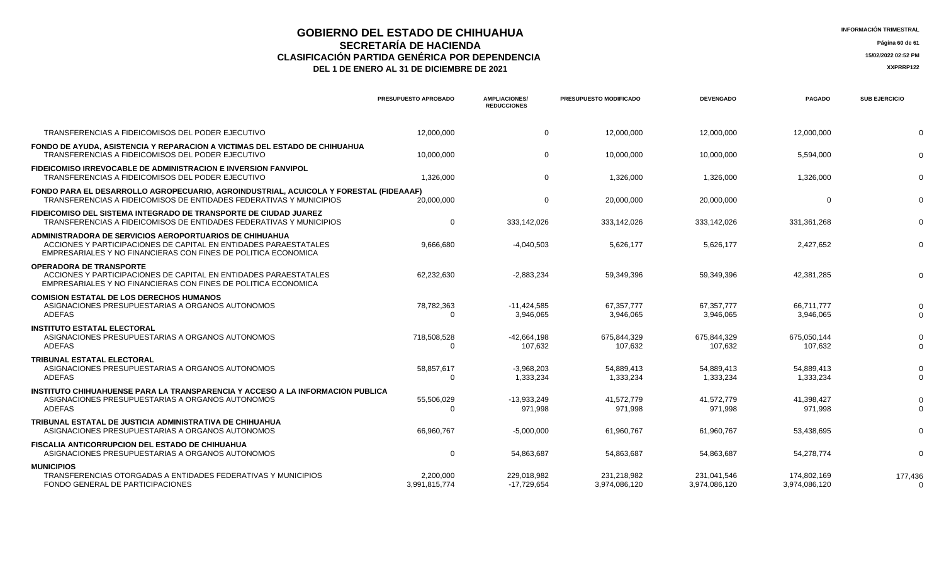## **GOBIERNO DEL ESTADO DE CHIHUAHUA**<br> **INFORMACIÓN TRIMESTRAL**<br> **INFORMACIÓN TRIMESTRAL**<br> **Información trimestral SECRETARÍA DE HACIENDA** Página 60 de 61<br>IÓN PARTIDA GENÉRICA POR DEPENDENCIA **CLASIFICACIÓN PARTIDA GENÉRICA POR DEPENDENCIA**<br> **DEL 1 DE ENERO AL 31 DE DICIEMBRE DE 2021**<br> **ACCEDITE 2021**

|                                                                                                                                                                                               | <b>PRESUPUESTO APROBADO</b> | <b>AMPLIACIONES/</b><br><b>REDUCCIONES</b> | PRESUPUESTO MODIFICADO       | <b>DEVENGADO</b>             | <b>PAGADO</b>                | <b>SUB EJERCICIO</b> |
|-----------------------------------------------------------------------------------------------------------------------------------------------------------------------------------------------|-----------------------------|--------------------------------------------|------------------------------|------------------------------|------------------------------|----------------------|
| TRANSFERENCIAS A FIDEICOMISOS DEL PODER EJECUTIVO                                                                                                                                             | 12.000.000                  | $\Omega$                                   | 12.000.000                   | 12.000.000                   | 12.000.000                   | $\Omega$             |
| FONDO DE AYUDA. ASISTENCIA Y REPARACION A VICTIMAS DEL ESTADO DE CHIHUAHUA<br>TRANSFERENCIAS A FIDEICOMISOS DEL PODER EJECUTIVO                                                               | 10,000,000                  | $\overline{0}$                             | 10,000,000                   | 10,000,000                   | 5,594,000                    | $\Omega$             |
| <b>FIDEICOMISO IRREVOCABLE DE ADMINISTRACION E INVERSION FANVIPOL</b><br>TRANSFERENCIAS A FIDEICOMISOS DEL PODER EJECUTIVO                                                                    | 1,326,000                   | $\overline{0}$                             | 1,326,000                    | 1,326,000                    | 1,326,000                    | $\Omega$             |
| FONDO PARA EL DESARROLLO AGROPECUARIO, AGROINDUSTRIAL, ACUICOLA Y FORESTAL (FIDEAAAF)<br>TRANSFERENCIAS A FIDEICOMISOS DE ENTIDADES FEDERATIVAS Y MUNICIPIOS                                  | 20,000,000                  | $\mathbf 0$                                | 20,000,000                   | 20,000,000                   | $\Omega$                     | $\Omega$             |
| FIDEICOMISO DEL SISTEMA INTEGRADO DE TRANSPORTE DE CIUDAD JUAREZ<br>TRANSFERENCIAS A FIDEICOMISOS DE ENTIDADES FEDERATIVAS Y MUNICIPIOS                                                       | $\mathbf 0$                 | 333,142,026                                | 333,142,026                  | 333,142,026                  | 331,361,268                  | $\Omega$             |
| ADMINISTRADORA DE SERVICIOS AEROPORTUARIOS DE CHIHUAHUA<br>ACCIONES Y PARTICIPACIONES DE CAPITAL EN ENTIDADES PARAESTATALES<br>EMPRESARIALES Y NO FINANCIERAS CON FINES DE POLITICA ECONOMICA | 9.666.680                   | $-4,040,503$                               | 5,626,177                    | 5,626,177                    | 2,427,652                    | $\Omega$             |
| <b>OPERADORA DE TRANSPORTE</b><br>ACCIONES Y PARTICIPACIONES DE CAPITAL EN ENTIDADES PARAESTATALES<br>EMPRESARIALES Y NO FINANCIERAS CON FINES DE POLITICA ECONOMICA                          | 62,232,630                  | $-2,883,234$                               | 59,349,396                   | 59,349,396                   | 42,381,285                   | $\Omega$             |
| <b>COMISION ESTATAL DE LOS DERECHOS HUMANOS</b><br>ASIGNACIONES PRESUPUESTARIAS A ORGANOS AUTONOMOS<br><b>ADEFAS</b>                                                                          | 78,782,363<br>$\Omega$      | $-11,424,585$<br>3.946.065                 | 67,357,777<br>3.946.065      | 67,357,777<br>3,946,065      | 66,711,777<br>3.946.065      | $\Omega$             |
| <b>INSTITUTO ESTATAL ELECTORAL</b><br>ASIGNACIONES PRESUPUESTARIAS A ORGANOS AUTONOMOS<br><b>ADEFAS</b>                                                                                       | 718,508,528<br>$\Omega$     | -42.664.198<br>107,632                     | 675.844.329<br>107,632       | 675.844.329<br>107,632       | 675.050.144<br>107,632       | $\Omega$             |
| <b>TRIBUNAL ESTATAL ELECTORAL</b><br>ASIGNACIONES PRESUPUESTARIAS A ORGANOS AUTONOMOS<br><b>ADEFAS</b>                                                                                        | 58,857,617<br>$\Omega$      | $-3,968,203$<br>1,333,234                  | 54.889.413<br>1,333,234      | 54.889.413<br>1,333,234      | 54.889.413<br>1,333,234      | $\Omega$<br>$\Omega$ |
| INSTITUTO CHIHUAHUENSE PARA LA TRANSPARENCIA Y ACCESO A LA INFORMACION PUBLICA<br>ASIGNACIONES PRESUPUESTARIAS A ORGANOS AUTONOMOS<br><b>ADEFAS</b>                                           | 55,506,029                  | $-13,933,249$<br>971,998                   | 41.572.779<br>971,998        | 41.572.779<br>971,998        | 41.398.427<br>971,998        | $\Omega$<br>$\Omega$ |
| TRIBUNAL ESTATAL DE JUSTICIA ADMINISTRATIVA DE CHIHUAHUA<br>ASIGNACIONES PRESUPUESTARIAS A ORGANOS AUTONOMOS                                                                                  | 66,960,767                  | $-5,000,000$                               | 61,960,767                   | 61,960,767                   | 53,438,695                   | $\Omega$             |
| <b>FISCALIA ANTICORRUPCION DEL ESTADO DE CHIHUAHUA</b><br>ASIGNACIONES PRESUPUESTARIAS A ORGANOS AUTONOMOS                                                                                    | $\mathbf 0$                 | 54,863,687                                 | 54,863,687                   | 54,863,687                   | 54,278,774                   | $\Omega$             |
| <b>MUNICIPIOS</b><br>TRANSFERENCIAS OTORGADAS A ENTIDADES FEDERATIVAS Y MUNICIPIOS<br>FONDO GENERAL DE PARTICIPACIONES                                                                        | 2.200.000<br>3,991,815,774  | 229.018.982<br>$-17.729.654$               | 231.218.982<br>3.974.086.120 | 231.041.546<br>3.974.086.120 | 174.802.169<br>3,974,086,120 | 177,436<br>$\Omega$  |